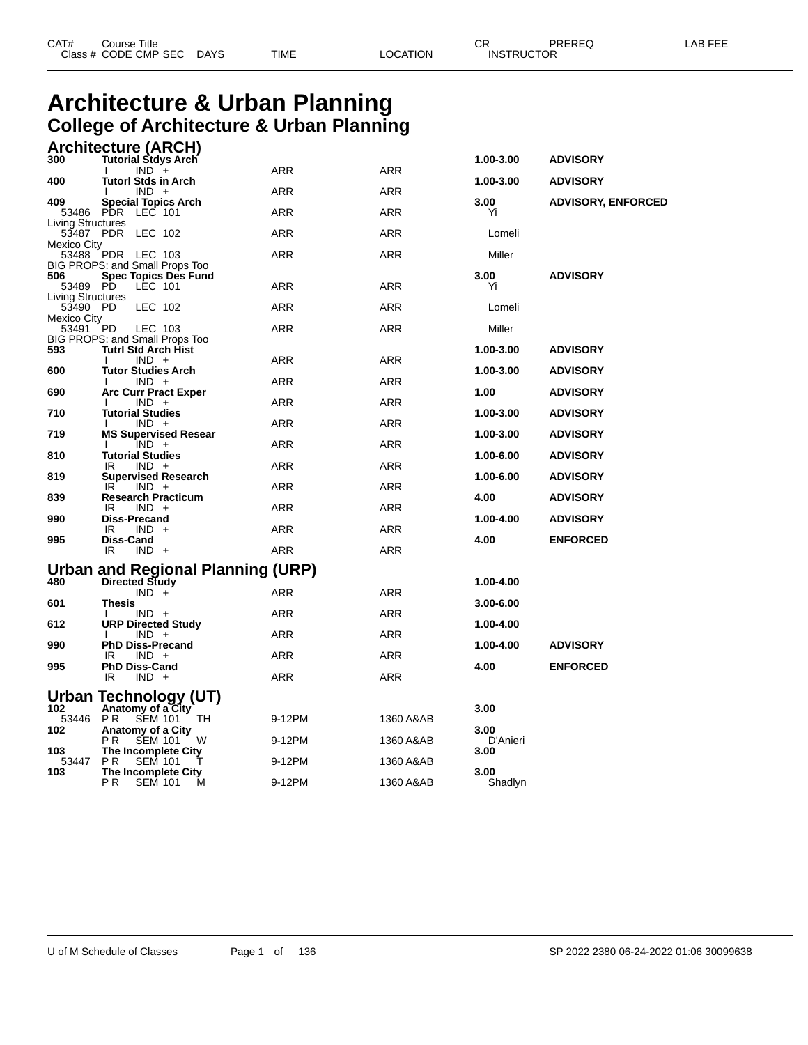| CAT# | Course Title         |             |      |          | ⌒冖<br>◡⊓          | PREREQ | AR FFF |
|------|----------------------|-------------|------|----------|-------------------|--------|--------|
|      | Class # CODE CMP SEC | <b>DAYS</b> | TIME | LOCATION | <b>INSTRUCTOR</b> |        |        |

#### **Architecture & Urban Planning College of Architecture & Urban Planning Architecture (ARCH)**

| <b>Tutorl Stds in Arch</b><br>1.00-3.00<br><b>ADVISORY</b><br>400<br><b>ARR</b><br><b>ARR</b><br>$IND +$<br>409<br><b>Special Topics Arch</b><br>3.00<br><b>ADVISORY, ENFORCED</b><br>PDR LEC 101<br><b>ARR</b><br><b>ARR</b><br>53486<br>Yi<br>Living Structures<br>53487 PDR<br>ARR<br><b>ARR</b><br>LEC 102<br>Lomeli<br>Mexico City<br>53488 PDR LEC 103<br>ARR<br><b>ARR</b><br>Miller<br>BIG PROPS: and Small Props Too<br>3.00<br>506<br><b>Spec Topics Des Fund</b><br><b>ADVISORY</b><br>53489 PD<br>LEC 101<br>ARR<br><b>ARR</b><br>Yi<br><b>Living Structures</b><br>53490 PD<br>LEC 102<br>ARR<br><b>ARR</b><br>Lomeli<br>Mexico City<br>53491<br><b>PD</b><br>ARR<br><b>ARR</b><br>Miller<br>LEC 103<br>BIG PROPS: and Small Props Too<br><b>Tutrl Std Arch Hist</b><br><b>ADVISORY</b><br>593<br>1.00-3.00<br><b>ARR</b><br>$IND +$<br><b>ARR</b><br>600<br><b>Tutor Studies Arch</b><br>1.00-3.00<br><b>ADVISORY</b><br><b>ARR</b><br>$IND +$<br><b>ARR</b><br>690<br><b>Arc Curr Pract Exper</b><br>1.00<br><b>ADVISORY</b><br><b>ARR</b><br>ARR<br>$IND +$<br>л.<br>710<br><b>Tutorial Studies</b><br>1.00-3.00<br><b>ADVISORY</b><br><b>ARR</b><br>$IND +$<br>ARR<br>л.<br>719<br><b>MS Supervised Resear</b><br>1.00-3.00<br><b>ADVISORY</b><br><b>ARR</b><br>$IND +$<br>ARR<br>л.<br><b>Tutorial Studies</b><br>810<br>1.00-6.00<br><b>ADVISORY</b><br><b>ARR</b><br>$IND +$<br><b>ARR</b><br>IR.<br>819<br><b>Supervised Research</b><br>1.00-6.00<br><b>ADVISORY</b><br><b>ARR</b><br><b>ARR</b><br>IR.<br>$IND +$<br>839<br><b>Research Practicum</b><br>4.00<br><b>ADVISORY</b><br><b>ARR</b><br>IR<br>$IND +$<br><b>ARR</b><br><b>Diss-Precand</b><br>1.00-4.00<br>990<br><b>ADVISORY</b><br><b>ARR</b><br>IR<br>$IND +$<br>ARR<br>995<br>Diss-Cand<br><b>ENFORCED</b><br>4.00<br><b>ARR</b><br>IR.<br>$IND +$<br>ARR<br><b>Urban and Regional Planning (URP)</b><br><sup>480</sup> Directed Study<br>1.00-4.00<br><b>ARR</b><br>$IND +$<br><b>ARR</b><br>601<br>Thesis<br>3.00-6.00<br><b>ARR</b><br><b>ARR</b><br>$IND +$<br>612<br><b>URP Directed Study</b><br>1.00-4.00<br>$IND +$<br>ARR<br><b>ARR</b><br>990<br><b>PhD Diss-Precand</b><br>1.00-4.00<br><b>ADVISORY</b><br><b>ARR</b><br>ARR<br>IR<br>$IND +$<br>995<br><b>PhD Diss-Cand</b><br>4.00<br><b>ENFORCED</b><br><b>ARR</b><br>ARR<br>IR<br>$IND +$<br>Urban Technology (UT)<br>Anatomy of a City<br>102<br>3.00<br><b>PR</b><br>53446<br><b>SEM 101</b><br>9-12PM<br>1360 A&AB<br>TH<br>102<br>Anatomy of a City<br>3.00<br>P R<br>W<br>D'Anieri<br><b>SEM 101</b><br>9-12PM<br>1360 A&AB<br>103<br>The Incomplete City<br>3.00<br>P <sub>R</sub><br><b>SEM 101</b><br>1360 A&AB<br>53447<br>9-12PM<br>The Incomplete City<br>103<br>3.00 | 300 | .  ,<br><b>Tutorial Stdys Arch</b>    |        |            | 1.00-3.00 | <b>ADVISORY</b> |
|--------------------------------------------------------------------------------------------------------------------------------------------------------------------------------------------------------------------------------------------------------------------------------------------------------------------------------------------------------------------------------------------------------------------------------------------------------------------------------------------------------------------------------------------------------------------------------------------------------------------------------------------------------------------------------------------------------------------------------------------------------------------------------------------------------------------------------------------------------------------------------------------------------------------------------------------------------------------------------------------------------------------------------------------------------------------------------------------------------------------------------------------------------------------------------------------------------------------------------------------------------------------------------------------------------------------------------------------------------------------------------------------------------------------------------------------------------------------------------------------------------------------------------------------------------------------------------------------------------------------------------------------------------------------------------------------------------------------------------------------------------------------------------------------------------------------------------------------------------------------------------------------------------------------------------------------------------------------------------------------------------------------------------------------------------------------------------------------------------------------------------------------------------------------------------------------------------------------------------------------------------------------------------------------------------------------------------------------------------------------------------------------------------------------------------------------------------------------------------------------------------------------------------------------------------------------------------------------------------------------------------------------------------------------------------------------------------------------------------------|-----|---------------------------------------|--------|------------|-----------|-----------------|
|                                                                                                                                                                                                                                                                                                                                                                                                                                                                                                                                                                                                                                                                                                                                                                                                                                                                                                                                                                                                                                                                                                                                                                                                                                                                                                                                                                                                                                                                                                                                                                                                                                                                                                                                                                                                                                                                                                                                                                                                                                                                                                                                                                                                                                                                                                                                                                                                                                                                                                                                                                                                                                                                                                                                      |     | $IND +$                               | ARR    | <b>ARR</b> |           |                 |
|                                                                                                                                                                                                                                                                                                                                                                                                                                                                                                                                                                                                                                                                                                                                                                                                                                                                                                                                                                                                                                                                                                                                                                                                                                                                                                                                                                                                                                                                                                                                                                                                                                                                                                                                                                                                                                                                                                                                                                                                                                                                                                                                                                                                                                                                                                                                                                                                                                                                                                                                                                                                                                                                                                                                      |     |                                       |        |            |           |                 |
|                                                                                                                                                                                                                                                                                                                                                                                                                                                                                                                                                                                                                                                                                                                                                                                                                                                                                                                                                                                                                                                                                                                                                                                                                                                                                                                                                                                                                                                                                                                                                                                                                                                                                                                                                                                                                                                                                                                                                                                                                                                                                                                                                                                                                                                                                                                                                                                                                                                                                                                                                                                                                                                                                                                                      |     |                                       |        |            |           |                 |
|                                                                                                                                                                                                                                                                                                                                                                                                                                                                                                                                                                                                                                                                                                                                                                                                                                                                                                                                                                                                                                                                                                                                                                                                                                                                                                                                                                                                                                                                                                                                                                                                                                                                                                                                                                                                                                                                                                                                                                                                                                                                                                                                                                                                                                                                                                                                                                                                                                                                                                                                                                                                                                                                                                                                      |     |                                       |        |            |           |                 |
|                                                                                                                                                                                                                                                                                                                                                                                                                                                                                                                                                                                                                                                                                                                                                                                                                                                                                                                                                                                                                                                                                                                                                                                                                                                                                                                                                                                                                                                                                                                                                                                                                                                                                                                                                                                                                                                                                                                                                                                                                                                                                                                                                                                                                                                                                                                                                                                                                                                                                                                                                                                                                                                                                                                                      |     |                                       |        |            |           |                 |
|                                                                                                                                                                                                                                                                                                                                                                                                                                                                                                                                                                                                                                                                                                                                                                                                                                                                                                                                                                                                                                                                                                                                                                                                                                                                                                                                                                                                                                                                                                                                                                                                                                                                                                                                                                                                                                                                                                                                                                                                                                                                                                                                                                                                                                                                                                                                                                                                                                                                                                                                                                                                                                                                                                                                      |     |                                       |        |            |           |                 |
|                                                                                                                                                                                                                                                                                                                                                                                                                                                                                                                                                                                                                                                                                                                                                                                                                                                                                                                                                                                                                                                                                                                                                                                                                                                                                                                                                                                                                                                                                                                                                                                                                                                                                                                                                                                                                                                                                                                                                                                                                                                                                                                                                                                                                                                                                                                                                                                                                                                                                                                                                                                                                                                                                                                                      |     |                                       |        |            |           |                 |
|                                                                                                                                                                                                                                                                                                                                                                                                                                                                                                                                                                                                                                                                                                                                                                                                                                                                                                                                                                                                                                                                                                                                                                                                                                                                                                                                                                                                                                                                                                                                                                                                                                                                                                                                                                                                                                                                                                                                                                                                                                                                                                                                                                                                                                                                                                                                                                                                                                                                                                                                                                                                                                                                                                                                      |     |                                       |        |            |           |                 |
|                                                                                                                                                                                                                                                                                                                                                                                                                                                                                                                                                                                                                                                                                                                                                                                                                                                                                                                                                                                                                                                                                                                                                                                                                                                                                                                                                                                                                                                                                                                                                                                                                                                                                                                                                                                                                                                                                                                                                                                                                                                                                                                                                                                                                                                                                                                                                                                                                                                                                                                                                                                                                                                                                                                                      |     |                                       |        |            |           |                 |
|                                                                                                                                                                                                                                                                                                                                                                                                                                                                                                                                                                                                                                                                                                                                                                                                                                                                                                                                                                                                                                                                                                                                                                                                                                                                                                                                                                                                                                                                                                                                                                                                                                                                                                                                                                                                                                                                                                                                                                                                                                                                                                                                                                                                                                                                                                                                                                                                                                                                                                                                                                                                                                                                                                                                      |     |                                       |        |            |           |                 |
|                                                                                                                                                                                                                                                                                                                                                                                                                                                                                                                                                                                                                                                                                                                                                                                                                                                                                                                                                                                                                                                                                                                                                                                                                                                                                                                                                                                                                                                                                                                                                                                                                                                                                                                                                                                                                                                                                                                                                                                                                                                                                                                                                                                                                                                                                                                                                                                                                                                                                                                                                                                                                                                                                                                                      |     |                                       |        |            |           |                 |
|                                                                                                                                                                                                                                                                                                                                                                                                                                                                                                                                                                                                                                                                                                                                                                                                                                                                                                                                                                                                                                                                                                                                                                                                                                                                                                                                                                                                                                                                                                                                                                                                                                                                                                                                                                                                                                                                                                                                                                                                                                                                                                                                                                                                                                                                                                                                                                                                                                                                                                                                                                                                                                                                                                                                      |     |                                       |        |            |           |                 |
|                                                                                                                                                                                                                                                                                                                                                                                                                                                                                                                                                                                                                                                                                                                                                                                                                                                                                                                                                                                                                                                                                                                                                                                                                                                                                                                                                                                                                                                                                                                                                                                                                                                                                                                                                                                                                                                                                                                                                                                                                                                                                                                                                                                                                                                                                                                                                                                                                                                                                                                                                                                                                                                                                                                                      |     |                                       |        |            |           |                 |
|                                                                                                                                                                                                                                                                                                                                                                                                                                                                                                                                                                                                                                                                                                                                                                                                                                                                                                                                                                                                                                                                                                                                                                                                                                                                                                                                                                                                                                                                                                                                                                                                                                                                                                                                                                                                                                                                                                                                                                                                                                                                                                                                                                                                                                                                                                                                                                                                                                                                                                                                                                                                                                                                                                                                      |     |                                       |        |            |           |                 |
|                                                                                                                                                                                                                                                                                                                                                                                                                                                                                                                                                                                                                                                                                                                                                                                                                                                                                                                                                                                                                                                                                                                                                                                                                                                                                                                                                                                                                                                                                                                                                                                                                                                                                                                                                                                                                                                                                                                                                                                                                                                                                                                                                                                                                                                                                                                                                                                                                                                                                                                                                                                                                                                                                                                                      |     |                                       |        |            |           |                 |
|                                                                                                                                                                                                                                                                                                                                                                                                                                                                                                                                                                                                                                                                                                                                                                                                                                                                                                                                                                                                                                                                                                                                                                                                                                                                                                                                                                                                                                                                                                                                                                                                                                                                                                                                                                                                                                                                                                                                                                                                                                                                                                                                                                                                                                                                                                                                                                                                                                                                                                                                                                                                                                                                                                                                      |     |                                       |        |            |           |                 |
|                                                                                                                                                                                                                                                                                                                                                                                                                                                                                                                                                                                                                                                                                                                                                                                                                                                                                                                                                                                                                                                                                                                                                                                                                                                                                                                                                                                                                                                                                                                                                                                                                                                                                                                                                                                                                                                                                                                                                                                                                                                                                                                                                                                                                                                                                                                                                                                                                                                                                                                                                                                                                                                                                                                                      |     |                                       |        |            |           |                 |
|                                                                                                                                                                                                                                                                                                                                                                                                                                                                                                                                                                                                                                                                                                                                                                                                                                                                                                                                                                                                                                                                                                                                                                                                                                                                                                                                                                                                                                                                                                                                                                                                                                                                                                                                                                                                                                                                                                                                                                                                                                                                                                                                                                                                                                                                                                                                                                                                                                                                                                                                                                                                                                                                                                                                      |     |                                       |        |            |           |                 |
|                                                                                                                                                                                                                                                                                                                                                                                                                                                                                                                                                                                                                                                                                                                                                                                                                                                                                                                                                                                                                                                                                                                                                                                                                                                                                                                                                                                                                                                                                                                                                                                                                                                                                                                                                                                                                                                                                                                                                                                                                                                                                                                                                                                                                                                                                                                                                                                                                                                                                                                                                                                                                                                                                                                                      |     |                                       |        |            |           |                 |
|                                                                                                                                                                                                                                                                                                                                                                                                                                                                                                                                                                                                                                                                                                                                                                                                                                                                                                                                                                                                                                                                                                                                                                                                                                                                                                                                                                                                                                                                                                                                                                                                                                                                                                                                                                                                                                                                                                                                                                                                                                                                                                                                                                                                                                                                                                                                                                                                                                                                                                                                                                                                                                                                                                                                      |     |                                       |        |            |           |                 |
|                                                                                                                                                                                                                                                                                                                                                                                                                                                                                                                                                                                                                                                                                                                                                                                                                                                                                                                                                                                                                                                                                                                                                                                                                                                                                                                                                                                                                                                                                                                                                                                                                                                                                                                                                                                                                                                                                                                                                                                                                                                                                                                                                                                                                                                                                                                                                                                                                                                                                                                                                                                                                                                                                                                                      |     |                                       |        |            |           |                 |
|                                                                                                                                                                                                                                                                                                                                                                                                                                                                                                                                                                                                                                                                                                                                                                                                                                                                                                                                                                                                                                                                                                                                                                                                                                                                                                                                                                                                                                                                                                                                                                                                                                                                                                                                                                                                                                                                                                                                                                                                                                                                                                                                                                                                                                                                                                                                                                                                                                                                                                                                                                                                                                                                                                                                      |     |                                       |        |            |           |                 |
|                                                                                                                                                                                                                                                                                                                                                                                                                                                                                                                                                                                                                                                                                                                                                                                                                                                                                                                                                                                                                                                                                                                                                                                                                                                                                                                                                                                                                                                                                                                                                                                                                                                                                                                                                                                                                                                                                                                                                                                                                                                                                                                                                                                                                                                                                                                                                                                                                                                                                                                                                                                                                                                                                                                                      |     |                                       |        |            |           |                 |
|                                                                                                                                                                                                                                                                                                                                                                                                                                                                                                                                                                                                                                                                                                                                                                                                                                                                                                                                                                                                                                                                                                                                                                                                                                                                                                                                                                                                                                                                                                                                                                                                                                                                                                                                                                                                                                                                                                                                                                                                                                                                                                                                                                                                                                                                                                                                                                                                                                                                                                                                                                                                                                                                                                                                      |     |                                       |        |            |           |                 |
|                                                                                                                                                                                                                                                                                                                                                                                                                                                                                                                                                                                                                                                                                                                                                                                                                                                                                                                                                                                                                                                                                                                                                                                                                                                                                                                                                                                                                                                                                                                                                                                                                                                                                                                                                                                                                                                                                                                                                                                                                                                                                                                                                                                                                                                                                                                                                                                                                                                                                                                                                                                                                                                                                                                                      |     |                                       |        |            |           |                 |
|                                                                                                                                                                                                                                                                                                                                                                                                                                                                                                                                                                                                                                                                                                                                                                                                                                                                                                                                                                                                                                                                                                                                                                                                                                                                                                                                                                                                                                                                                                                                                                                                                                                                                                                                                                                                                                                                                                                                                                                                                                                                                                                                                                                                                                                                                                                                                                                                                                                                                                                                                                                                                                                                                                                                      |     |                                       |        |            |           |                 |
|                                                                                                                                                                                                                                                                                                                                                                                                                                                                                                                                                                                                                                                                                                                                                                                                                                                                                                                                                                                                                                                                                                                                                                                                                                                                                                                                                                                                                                                                                                                                                                                                                                                                                                                                                                                                                                                                                                                                                                                                                                                                                                                                                                                                                                                                                                                                                                                                                                                                                                                                                                                                                                                                                                                                      |     |                                       |        |            |           |                 |
|                                                                                                                                                                                                                                                                                                                                                                                                                                                                                                                                                                                                                                                                                                                                                                                                                                                                                                                                                                                                                                                                                                                                                                                                                                                                                                                                                                                                                                                                                                                                                                                                                                                                                                                                                                                                                                                                                                                                                                                                                                                                                                                                                                                                                                                                                                                                                                                                                                                                                                                                                                                                                                                                                                                                      |     |                                       |        |            |           |                 |
|                                                                                                                                                                                                                                                                                                                                                                                                                                                                                                                                                                                                                                                                                                                                                                                                                                                                                                                                                                                                                                                                                                                                                                                                                                                                                                                                                                                                                                                                                                                                                                                                                                                                                                                                                                                                                                                                                                                                                                                                                                                                                                                                                                                                                                                                                                                                                                                                                                                                                                                                                                                                                                                                                                                                      |     |                                       |        |            |           |                 |
|                                                                                                                                                                                                                                                                                                                                                                                                                                                                                                                                                                                                                                                                                                                                                                                                                                                                                                                                                                                                                                                                                                                                                                                                                                                                                                                                                                                                                                                                                                                                                                                                                                                                                                                                                                                                                                                                                                                                                                                                                                                                                                                                                                                                                                                                                                                                                                                                                                                                                                                                                                                                                                                                                                                                      |     |                                       |        |            |           |                 |
|                                                                                                                                                                                                                                                                                                                                                                                                                                                                                                                                                                                                                                                                                                                                                                                                                                                                                                                                                                                                                                                                                                                                                                                                                                                                                                                                                                                                                                                                                                                                                                                                                                                                                                                                                                                                                                                                                                                                                                                                                                                                                                                                                                                                                                                                                                                                                                                                                                                                                                                                                                                                                                                                                                                                      |     |                                       |        |            |           |                 |
|                                                                                                                                                                                                                                                                                                                                                                                                                                                                                                                                                                                                                                                                                                                                                                                                                                                                                                                                                                                                                                                                                                                                                                                                                                                                                                                                                                                                                                                                                                                                                                                                                                                                                                                                                                                                                                                                                                                                                                                                                                                                                                                                                                                                                                                                                                                                                                                                                                                                                                                                                                                                                                                                                                                                      |     |                                       |        |            |           |                 |
|                                                                                                                                                                                                                                                                                                                                                                                                                                                                                                                                                                                                                                                                                                                                                                                                                                                                                                                                                                                                                                                                                                                                                                                                                                                                                                                                                                                                                                                                                                                                                                                                                                                                                                                                                                                                                                                                                                                                                                                                                                                                                                                                                                                                                                                                                                                                                                                                                                                                                                                                                                                                                                                                                                                                      |     |                                       |        |            |           |                 |
|                                                                                                                                                                                                                                                                                                                                                                                                                                                                                                                                                                                                                                                                                                                                                                                                                                                                                                                                                                                                                                                                                                                                                                                                                                                                                                                                                                                                                                                                                                                                                                                                                                                                                                                                                                                                                                                                                                                                                                                                                                                                                                                                                                                                                                                                                                                                                                                                                                                                                                                                                                                                                                                                                                                                      |     |                                       |        |            |           |                 |
|                                                                                                                                                                                                                                                                                                                                                                                                                                                                                                                                                                                                                                                                                                                                                                                                                                                                                                                                                                                                                                                                                                                                                                                                                                                                                                                                                                                                                                                                                                                                                                                                                                                                                                                                                                                                                                                                                                                                                                                                                                                                                                                                                                                                                                                                                                                                                                                                                                                                                                                                                                                                                                                                                                                                      |     |                                       |        |            |           |                 |
|                                                                                                                                                                                                                                                                                                                                                                                                                                                                                                                                                                                                                                                                                                                                                                                                                                                                                                                                                                                                                                                                                                                                                                                                                                                                                                                                                                                                                                                                                                                                                                                                                                                                                                                                                                                                                                                                                                                                                                                                                                                                                                                                                                                                                                                                                                                                                                                                                                                                                                                                                                                                                                                                                                                                      |     |                                       |        |            |           |                 |
|                                                                                                                                                                                                                                                                                                                                                                                                                                                                                                                                                                                                                                                                                                                                                                                                                                                                                                                                                                                                                                                                                                                                                                                                                                                                                                                                                                                                                                                                                                                                                                                                                                                                                                                                                                                                                                                                                                                                                                                                                                                                                                                                                                                                                                                                                                                                                                                                                                                                                                                                                                                                                                                                                                                                      |     | P <sub>R</sub><br><b>SEM 101</b><br>м | 9-12PM | 1360 A&AB  | Shadlyn   |                 |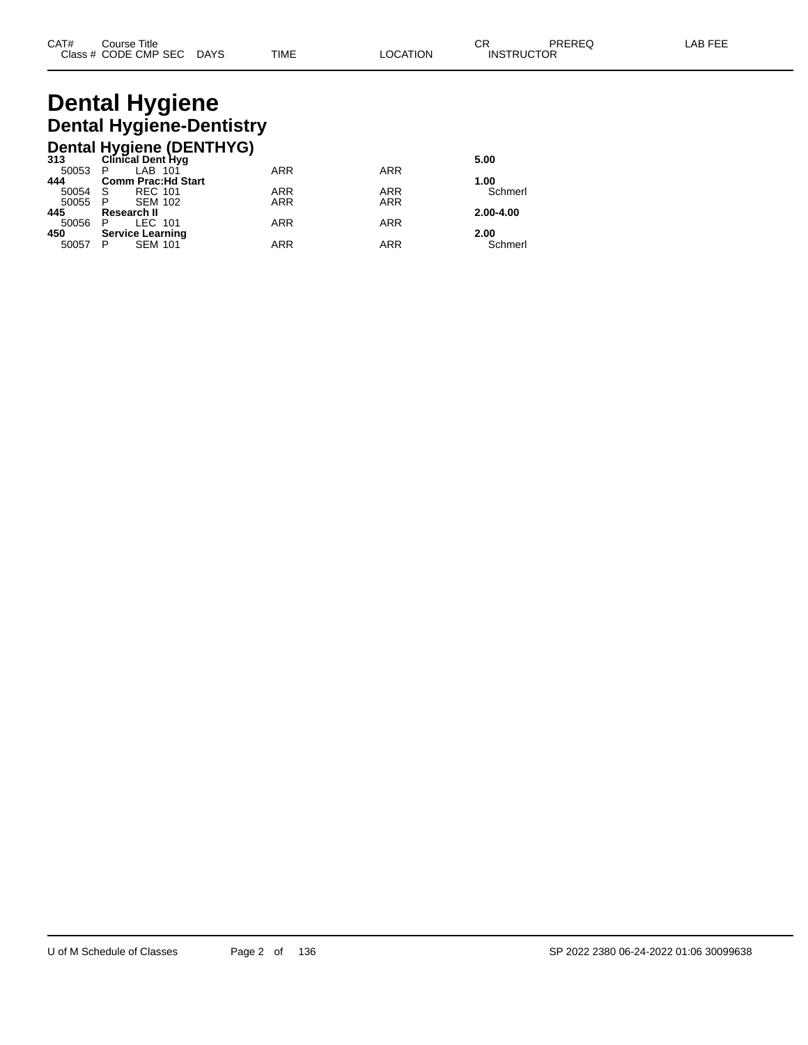# **Dental Hygiene Dental Hygiene-Dentistry**

|         | Dental Hygiene (DENTHYG)<br>313 Clinical Dent Hyg |            |            |           |
|---------|---------------------------------------------------|------------|------------|-----------|
|         |                                                   |            |            | 5.00      |
| 50053   | LAB 101<br>- P                                    | <b>ARR</b> | <b>ARR</b> |           |
| 444     | <b>Comm Prac: Hd Start</b>                        |            |            | 1.00      |
| 50054   | <b>REC 101</b><br>- S                             | <b>ARR</b> | <b>ARR</b> | Schmerl   |
| 50055 P | <b>SEM 102</b>                                    | <b>ARR</b> | <b>ARR</b> |           |
| 445     | Research II                                       |            |            | 2.00-4.00 |
| 50056   | LEC 101<br>- P                                    | <b>ARR</b> | <b>ARR</b> |           |
| 450     | <b>Service Learning</b>                           |            |            | 2.00      |
| 50057   | <b>SEM 101</b><br>P                               | <b>ARR</b> | <b>ARR</b> | Schmerl   |
|         |                                                   |            |            |           |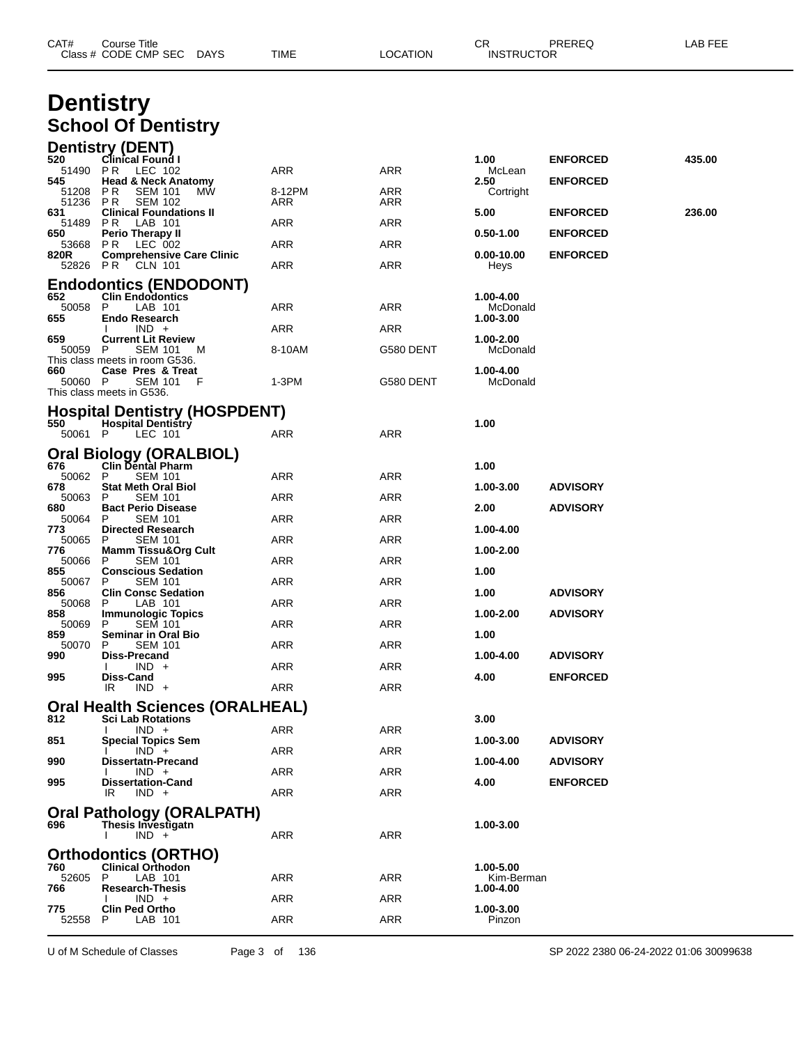| CAT#             | Course Title<br>Class # CODE CMP SEC<br>DAYS                       | TIME          | <b>LOCATION</b> | CR.<br><b>INSTRUCTOR</b> | PREREQ          | LAB FEE |  |
|------------------|--------------------------------------------------------------------|---------------|-----------------|--------------------------|-----------------|---------|--|
|                  | <b>Dentistry</b>                                                   |               |                 |                          |                 |         |  |
|                  | <b>School Of Dentistry</b>                                         |               |                 |                          |                 |         |  |
| 520              | Dentistry (DENT)<br><b>Clinical Found I</b>                        |               |                 | 1.00                     | <b>ENFORCED</b> | 435.00  |  |
| 51490 PR<br>545  | LEC 102<br><b>Head &amp; Neck Anatomy</b>                          | ARR           | ARR             | McLean<br>2.50           | <b>ENFORCED</b> |         |  |
| 51208<br>51236   | P R<br><b>SEM 101</b><br>МW<br>P R<br><b>SEM 102</b>               | 8-12PM<br>ARR | ARR<br>ARR      | Cortright                |                 |         |  |
| 631<br>51489     | <b>Clinical Foundations II</b><br>P R<br>LAB 101                   | ARR           | ARR             | 5.00                     | <b>ENFORCED</b> | 236.00  |  |
| 650<br>53668     | Perio Therapy II<br>PR.<br>LEC 002                                 | ARR           | ARR             | $0.50 - 1.00$            | <b>ENFORCED</b> |         |  |
| 820R<br>52826 PR | <b>Comprehensive Care Clinic</b><br><b>CLN 101</b>                 | ARR           | ARR             | 0.00-10.00<br>Heys       | <b>ENFORCED</b> |         |  |
|                  | <b>Endodontics (ENDODONT)</b>                                      |               |                 |                          |                 |         |  |
| 652<br>50058     | <b>Clin Endodontics</b><br>P<br>LAB 101                            | ARR           | ARR             | 1.00-4.00<br>McDonald    |                 |         |  |
| 655              | <b>Endo Research</b><br>$IND +$                                    | ARR           | ARR             | 1.00-3.00                |                 |         |  |
| 659<br>50059     | <b>Current Lit Review</b><br>P<br>SEM 101<br>M                     | 8-10AM        | G580 DENT       | 1.00-2.00<br>McDonald    |                 |         |  |
| 660              | This class meets in room G536.<br>Case Pres & Treat                |               |                 | 1.00-4.00                |                 |         |  |
| 50060 P          | SEM 101<br>F<br>This class meets in G536.                          | $1-3PM$       | G580 DENT       | McDonald                 |                 |         |  |
| 550              | <b>Hospital Dentistry (HOSPDENT)</b><br><b>Hospital Dentistry</b>  |               |                 | 1.00                     |                 |         |  |
| 50061 P          | LEC 101                                                            | ARR           | ARR             |                          |                 |         |  |
| 676              | <b>Oral Biology (ORALBIOL)</b><br><b>Clin Dental Pharm</b>         |               |                 | 1.00                     |                 |         |  |
| 50062<br>678     | P<br><b>SEM 101</b><br>Stat Meth Oral Biol                         | ARR           | ARR             | 1.00-3.00                | <b>ADVISORY</b> |         |  |
| 50063<br>680     | P<br><b>SEM 101</b><br><b>Bact Perio Disease</b>                   | ARR           | ARR             | 2.00                     | <b>ADVISORY</b> |         |  |
| 50064<br>773     | P<br><b>SEM 101</b><br><b>Directed Research</b>                    | ARR           | ARR             | 1.00-4.00                |                 |         |  |
| 50065<br>776     | P<br>SEM 101<br>Mamm Tissu&Org Cult                                | ARR           | ARR             | 1.00-2.00                |                 |         |  |
| 50066<br>855     | <b>SEM 101</b><br>P<br><b>Conscious Sedation</b>                   | ARR           | ARR             | 1.00                     |                 |         |  |
| 50067<br>856     | <b>SEM 101</b><br>P<br><b>Clin Consc Sedation</b>                  | ARR           | ARR             | 1.00                     | <b>ADVISORY</b> |         |  |
| 50068<br>858     | Р<br>LAB 101<br>Immunologic Topics                                 | ARR           | ARR             | 1.00-2.00                | <b>ADVISORY</b> |         |  |
| 50069<br>859     | P<br>SEM 101<br>Seminar in Oral Bio                                | ARR           | ARR             | 1.00                     |                 |         |  |
| 50070<br>990     | P.<br><b>SEM 101</b><br>Diss-Precand                               | ARR           | ARR             | 1.00-4.00                | <b>ADVISORY</b> |         |  |
| 995              | $IND +$<br>Diss-Cand                                               | <b>ARR</b>    | <b>ARR</b>      | 4.00                     | <b>ENFORCED</b> |         |  |
|                  | $IND +$<br>IR.                                                     | ARR           | ARR             |                          |                 |         |  |
| 812              | <b>Oral Health Sciences (ORALHEAL)</b><br><b>Sci Lab Rotations</b> |               |                 | 3.00                     |                 |         |  |
| 851              | $IND +$<br><b>Special Topics Sem</b>                               | ARR           | ARR             | 1.00-3.00                | <b>ADVISORY</b> |         |  |
| 990              | $IND +$<br>Dissertatn-Precand                                      | ARR           | ARR             | 1.00-4.00                | <b>ADVISORY</b> |         |  |
| 995              | $IND +$<br><b>Dissertation-Cand</b>                                | ARR           | <b>ARR</b>      | 4.00                     | <b>ENFORCED</b> |         |  |
|                  | IR<br>$IND +$<br><b>Oral Pathology (ORALPATH)</b>                  | <b>ARR</b>    | ARR             |                          |                 |         |  |
| 696              | Thesis Investigatn<br>$IND +$                                      | ARR           | ARR             | 1.00-3.00                |                 |         |  |
|                  | <b>Orthodontics (ORTHO)</b>                                        |               |                 |                          |                 |         |  |
| 760<br>52605     | <b>Clinical Orthodon</b><br>LAB 101<br>P                           | ARR           | ARR             | 1.00-5.00<br>Kim-Berman  |                 |         |  |
| 766              | <b>Research-Thesis</b><br>$IND +$                                  | ARR           | ARR             | 1.00-4.00                |                 |         |  |
| 775<br>52558     | <b>Clin Ped Ortho</b><br>P<br>LAB 101                              | <b>ARR</b>    | ARR             | 1.00-3.00<br>Pinzon      |                 |         |  |
|                  |                                                                    |               |                 |                          |                 |         |  |

U of M Schedule of Classes Page 3 of 136 SP 2022 2380 06-24-2022 01:06 30099638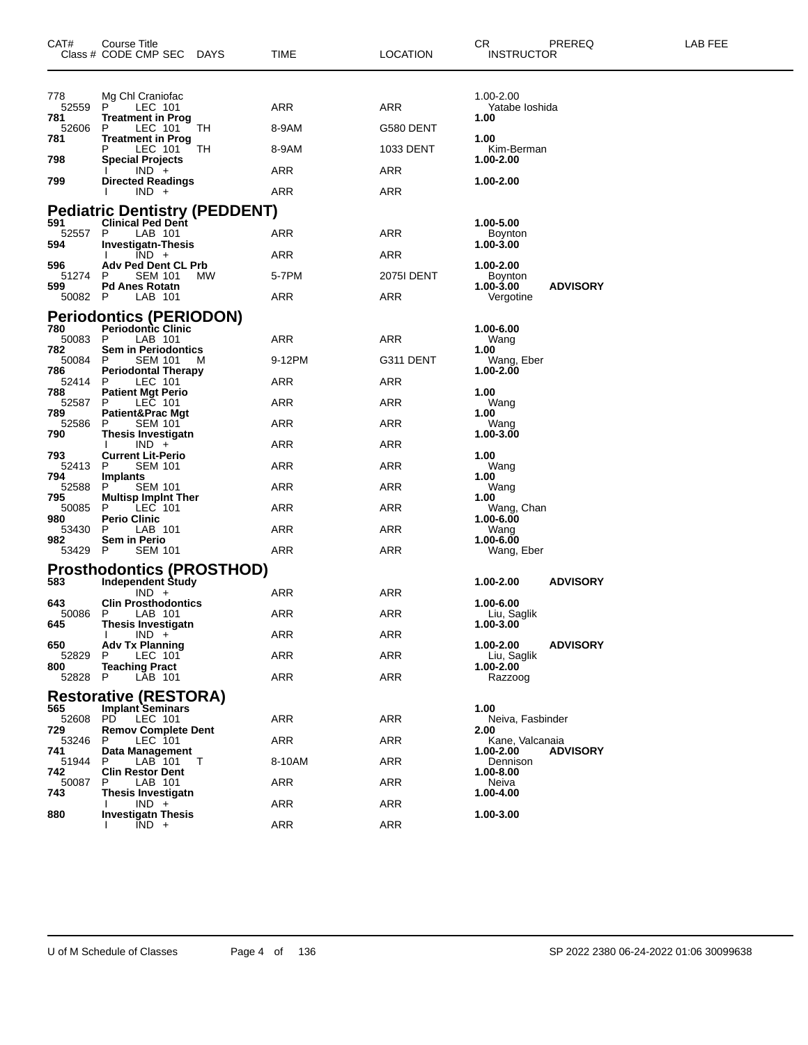| CAT#           | Course Title<br>Class # CODE CMP SEC<br>DAYS                     | TIME       | LOCATION          | CR.<br>PREREQ<br><b>INSTRUCTOR</b>       | LAB FEE |
|----------------|------------------------------------------------------------------|------------|-------------------|------------------------------------------|---------|
| 778<br>52559   | Mg Chl Craniofac<br>LEC 101<br>P.                                | ARR        | ARR               | 1.00-2.00<br>Yatabe Ioshida              |         |
| 781<br>52606   | <b>Treatment in Prog</b><br>P<br>LEC 101<br>ТH                   | 8-9AM      | G580 DENT         | 1.00                                     |         |
| 781            | <b>Treatment in Prog</b><br>TH<br>LEC 101<br>Р                   | 8-9AM      | 1033 DENT         | 1.00<br>Kim-Berman                       |         |
| 798            | <b>Special Projects</b>                                          | ARR        | ARR               | 1.00-2.00                                |         |
| 799            | $IND +$<br><b>Directed Readings</b><br>$IND +$                   |            |                   | 1.00-2.00                                |         |
|                |                                                                  | ARR        | ARR               |                                          |         |
| 591            | <b>Pediatric Dentistry (PEDDENT)</b><br><b>Clinical Ped Dent</b> |            |                   | 1.00-5.00                                |         |
| 52557<br>594   | P<br>LAB 101<br><b>Investigatn-Thesis</b>                        | ARR        | ARR               | <b>Boynton</b><br>1.00-3.00              |         |
| 596            | $IND +$<br><b>Adv Ped Dent CL Prb</b>                            | ARR        | ARR               | 1.00-2.00                                |         |
| 51274<br>599   | <b>SEM 101</b><br>МW<br>P<br><b>Pd Anes Rotatn</b>               | 5-7PM      | <b>2075I DENT</b> | Boynton<br><b>ADVISORY</b><br>1.00-3.00  |         |
| 50082 P        | LAB 101                                                          | ARR        | ARR               | Vergotine                                |         |
|                | <b>Periodontics (PERIODON)</b>                                   |            |                   |                                          |         |
| 780<br>50083 P | <b>Periodontic Clinic</b><br>LAB 101                             | ARR        | ARR               | 1.00-6.00<br>Wang                        |         |
| 782<br>50084   | <b>Sem in Periodontics</b><br><b>SEM 101</b><br>P<br>M           | 9-12PM     | G311 DENT         | 1.00<br>Wang, Eber                       |         |
| 786<br>52414   | <b>Periodontal Therapy</b><br>LEC 101<br>P                       | ARR        | ARR               | 1.00-2.00                                |         |
| 788<br>52587   | <b>Patient Mgt Perio</b><br>LEC 101<br>P                         | ARR        | ARR               | 1.00<br>Wang                             |         |
| 789            | <b>Patient&amp;Prac Mgt</b>                                      |            |                   | 1.00                                     |         |
| 52586<br>790   | <b>SEM 101</b><br>P<br><b>Thesis Investigatn</b>                 | ARR        | ARR               | Wang<br>1.00-3.00                        |         |
| 793            | $IND +$<br><b>Current Lit-Perio</b>                              | ARR        | ARR               | 1.00                                     |         |
| 52413<br>794   | <b>SEM 101</b><br>P<br>Implants                                  | ARR        | ARR               | Wang<br>1.00                             |         |
| 52588<br>795   | <b>SEM 101</b><br>P                                              | ARR        | ARR               | Wang                                     |         |
| 50085          | <b>Multisp Implnt Ther</b><br>LEC 101<br>P                       | ARR        | ARR               | 1.00<br>Wang, Chan                       |         |
| 980<br>53430   | <b>Perio Clinic</b><br>LAB 101<br>P                              | ARR        | ARR               | 1.00-6.00<br>Wang                        |         |
| 982<br>53429 P | Sem in Perio<br><b>SEM 101</b>                                   | ARR        | ARR               | 1.00-6.00<br>Wang, Eber                  |         |
|                | <b>Prosthodontics (PROSTHOD)</b>                                 |            |                   |                                          |         |
| 583            | <b>Independent Study</b><br>$IND +$                              | ARR        | ARR               | 1.00-2.00<br><b>ADVISORY</b>             |         |
| 643            | <b>Clin Prosthodontics</b>                                       |            |                   | 1.00-6.00                                |         |
| 50086<br>645   | P.<br>LAB 101<br>Thesis Investigatn                              | ARR        | ARR               | Liu, Saglik<br>1.00-3.00                 |         |
| 650            | $IND +$<br><b>Adv Tx Planning</b>                                | ARR        | ARR               | 1.00-2.00<br><b>ADVISORY</b>             |         |
| 52829<br>800   | LEC 101<br>P<br><b>Teaching Pract</b>                            | ARR        | ARR               | Liu, Saglik<br>1.00-2.00                 |         |
| 52828          | P<br>LAB 101                                                     | <b>ARR</b> | <b>ARR</b>        | <b>Razzoog</b>                           |         |
|                | <b>Restorative (RESTORA)</b>                                     |            |                   |                                          |         |
| 565<br>52608   | <b>Implant Seminars</b><br>PD.<br>LEC 101                        | <b>ARR</b> | <b>ARR</b>        | 1.00<br>Neiva, Fasbinder                 |         |
| 729<br>53246   | <b>Remov Complete Dent</b><br>LEC 101<br>P                       | <b>ARR</b> | <b>ARR</b>        | 2.00<br>Kane, Valcanaia                  |         |
| 741<br>51944   | Data Management<br>LAB 101<br>P<br>$\top$                        | 8-10AM     | ARR               | <b>ADVISORY</b><br>1.00-2.00<br>Dennison |         |
| 742<br>50087   | <b>Clin Restor Dent</b><br>P<br>LAB 101                          | ARR        | <b>ARR</b>        | 1.00-8.00<br>Neiva                       |         |
| 743            | <b>Thesis Investigatn</b>                                        |            |                   | 1.00-4.00                                |         |
| 880            | $IND +$<br><b>Investigatn Thesis</b>                             | <b>ARR</b> | ARR               | 1.00-3.00                                |         |
|                | $IND +$                                                          | <b>ARR</b> | ARR               |                                          |         |

U of M Schedule of Classes Page 4 of 136 SP 2022 2380 06-24-2022 01:06 30099638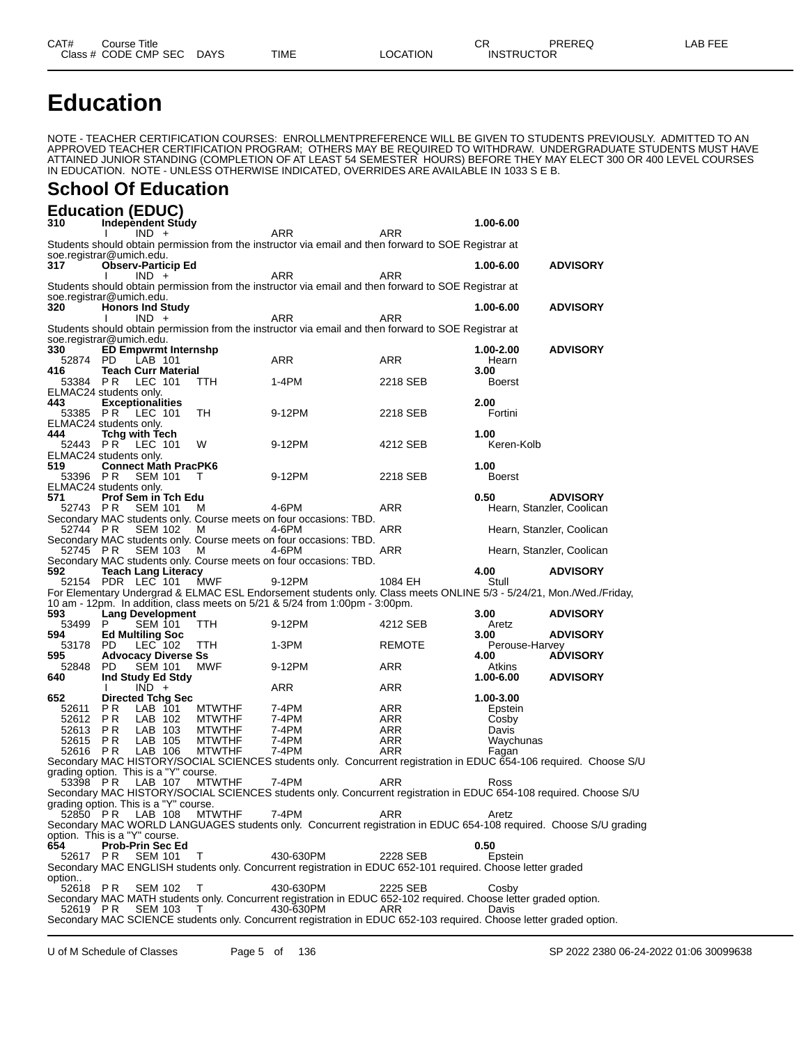**Education**

NOTE - TEACHER CERTIFICATION COURSES: ENROLLMENTPREFERENCE WILL BE GIVEN TO STUDENTS PREVIOUSLY. ADMITTED TO AN APPROVED TEACHER CERTIFICATION PROGRAM; OTHERS MAY BE REQUIRED TO WITHDRAW. UNDERGRADUATE STUDENTS MUST HAVE ATTAINED JUNIOR STANDING (COMPLETION OF AT LEAST 54 SEMESTER HOURS) BEFORE THEY MAY ELECT 300 OR 400 LEVEL COURSES IN EDUCATION. NOTE - UNLESS OTHERWISE INDICATED, OVERRIDES ARE AVAILABLE IN 1033 S E B.

#### **School Of Education**

#### **Education (EDUC)**

| 310      | .<br><b>Independent Study</b>                   |                |               |                                                                                                                     |               | 1.00-6.00           |                           |
|----------|-------------------------------------------------|----------------|---------------|---------------------------------------------------------------------------------------------------------------------|---------------|---------------------|---------------------------|
|          | $IND +$                                         |                |               | ARR                                                                                                                 | <b>ARR</b>    |                     |                           |
|          |                                                 |                |               | Students should obtain permission from the instructor via email and then forward to SOE Registrar at                |               |                     |                           |
|          | soe.registrar@umich.edu.                        |                |               |                                                                                                                     |               |                     |                           |
| 317      | <b>Observ-Particip Ed</b>                       |                |               |                                                                                                                     |               | 1.00-6.00           | <b>ADVISORY</b>           |
|          | $IND +$                                         |                |               | ARR                                                                                                                 | ARR           |                     |                           |
|          | soe.registrar@umich.edu.                        |                |               | Students should obtain permission from the instructor via email and then forward to SOE Registrar at                |               |                     |                           |
| 320      | <b>Honors Ind Study</b>                         |                |               |                                                                                                                     |               | 1.00-6.00           | <b>ADVISORY</b>           |
|          | $IND +$<br>I.                                   |                |               | ARR                                                                                                                 | ARR           |                     |                           |
|          |                                                 |                |               | Students should obtain permission from the instructor via email and then forward to SOE Registrar at                |               |                     |                           |
|          | soe.registrar@umich.edu.                        |                |               |                                                                                                                     |               |                     |                           |
| 330      | <b>ED Empwrmt Internshp</b>                     |                |               |                                                                                                                     |               | 1.00-2.00           | <b>ADVISORY</b>           |
| 52874 PD | LAB 101                                         |                |               | ARR                                                                                                                 | <b>ARR</b>    | Hearn               |                           |
| 416      | <b>Teach Curr Material</b>                      |                |               |                                                                                                                     |               | 3.00                |                           |
| 53384 PR | LEC 101                                         |                | TTH.          | 1-4PM                                                                                                               | 2218 SEB      | <b>Boerst</b>       |                           |
|          | ELMAC24 students only.                          |                |               |                                                                                                                     |               |                     |                           |
| 443      | <b>Exceptionalities</b>                         |                |               |                                                                                                                     |               | 2.00                |                           |
| 53385 PR | LEC 101                                         |                | TН            | 9-12PM                                                                                                              | 2218 SEB      | Fortini             |                           |
| 444      | ELMAC24 students only.<br><b>Tchg with Tech</b> |                |               |                                                                                                                     |               | 1.00                |                           |
| 52443 PR | LEC 101                                         |                | W             | 9-12PM                                                                                                              | 4212 SEB      | Keren-Kolb          |                           |
|          | ELMAC24 students only.                          |                |               |                                                                                                                     |               |                     |                           |
| 519      | <b>Connect Math PracPK6</b>                     |                |               |                                                                                                                     |               | 1.00                |                           |
| 53396 PR |                                                 | <b>SEM 101</b> | т             | 9-12PM                                                                                                              | 2218 SEB      | <b>Boerst</b>       |                           |
|          | ELMAC24 students only.                          |                |               |                                                                                                                     |               |                     |                           |
| 571      | Prof Sem in Tch Edu                             |                |               |                                                                                                                     |               | 0.50                | <b>ADVISORY</b>           |
| 52743 PR |                                                 | <b>SEM 101</b> | м             | 4-6PM                                                                                                               | <b>ARR</b>    |                     | Hearn, Stanzler, Coolican |
|          |                                                 |                |               | Secondary MAC students only. Course meets on four occasions: TBD.                                                   |               |                     |                           |
| 52744 PR |                                                 | SEM 102        | M             | 4-6PM                                                                                                               | <b>ARR</b>    |                     | Hearn, Stanzler, Coolican |
|          |                                                 |                |               | Secondary MAC students only. Course meets on four occasions: TBD.<br>4-6PM                                          | ARR           |                     |                           |
| 52745 PR |                                                 | SEM 103        | - M           | Secondary MAC students only. Course meets on four occasions: TBD.                                                   |               |                     | Hearn, Stanzler, Coolican |
| 592      | <b>Teach Lang Literacy</b>                      |                |               |                                                                                                                     |               | 4.00                | <b>ADVISORY</b>           |
|          | 52154 PDR LEC 101                               |                | MWF           | 9-12PM                                                                                                              | 1084 EH       | Stull               |                           |
|          |                                                 |                |               | For Elementary Undergrad & ELMAC ESL Endorsement students only. Class meets ONLINE 5/3 - 5/24/21, Mon./Wed./Friday, |               |                     |                           |
|          |                                                 |                |               | 10 am - 12pm. In addition, class meets on 5/21 & 5/24 from 1:00pm - 3:00pm.                                         |               |                     |                           |
| 593      | <b>Lang Development</b>                         |                |               |                                                                                                                     |               | 3.00                | <b>ADVISORY</b>           |
| 53499 P  |                                                 | <b>SEM 101</b> | TTH.          | 9-12PM                                                                                                              | 4212 SEB      | Aretz               |                           |
| 594      | <b>Ed Multiling Soc</b>                         |                |               |                                                                                                                     |               | 3.00                | <b>ADVISORY</b>           |
| 53178 PD |                                                 | LEC 102        | TTH.          | 1-3PM                                                                                                               | <b>REMOTE</b> | Perouse-Harvey      |                           |
| 595      | <b>Advocacy Diverse Ss</b>                      |                |               |                                                                                                                     |               | 4.00                | <b>ADVISORY</b>           |
| 52848    | <b>PD</b>                                       | <b>SEM 101</b> | MWF           | 9-12PM                                                                                                              | ARR           | Atkins<br>1.00-6.00 |                           |
| 640      | Ind Study Ed Stdy<br>$IND +$<br>$\mathbf{I}$    |                |               | ARR                                                                                                                 | ARR           |                     | <b>ADVISORY</b>           |
| 652      | <b>Directed Tchg Sec</b>                        |                |               |                                                                                                                     |               | 1.00-3.00           |                           |
| 52611    | P R<br>LAB 101                                  |                | <b>MTWTHF</b> | 7-4PM                                                                                                               | ARR           | Epstein             |                           |
| 52612    | P R<br>LAB 102                                  |                | <b>MTWTHF</b> | 7-4PM                                                                                                               | ARR           | Cosby               |                           |
| 52613    | LAB 103<br>P <sub>R</sub>                       |                | <b>MTWTHF</b> | 7-4PM                                                                                                               | <b>ARR</b>    | Davis               |                           |
| 52615    | PR<br>LAB 105                                   |                | <b>MTWTHF</b> | 7-4PM                                                                                                               | ARR           | Waychunas           |                           |
| 52616 PR | LAB 106                                         |                | <b>MTWTHF</b> | 7-4PM                                                                                                               | ARR           | Fagan               |                           |
|          |                                                 |                |               | Secondary MAC HISTORY/SOCIAL SCIENCES students only. Concurrent registration in EDUC 654-106 required. Choose S/U   |               |                     |                           |
|          | grading option. This is a "Y" course.           |                |               |                                                                                                                     |               |                     |                           |
| 53398 PR |                                                 | LAB 107        | MTWTHF        | 7-4PM                                                                                                               | ARR           | Ross                |                           |
|          |                                                 |                |               | Secondary MAC HISTORY/SOCIAL SCIENCES students only. Concurrent registration in EDUC 654-108 required. Choose S/U   |               |                     |                           |
| 52850 PR | grading option. This is a "Y" course.           | LAB 108        | <b>MTWTHF</b> | 7-4PM                                                                                                               | ARR           | Aretz               |                           |
|          |                                                 |                |               | Secondary MAC WORLD LANGUAGES students only. Concurrent registration in EDUC 654-108 required. Choose S/U grading   |               |                     |                           |
|          | option. This is a "Y" course.                   |                |               |                                                                                                                     |               |                     |                           |
| 654      | <b>Prob-Prin Sec Ed</b>                         |                |               |                                                                                                                     |               | 0.50                |                           |
| 52617 PR |                                                 | <b>SEM 101</b> | Τ             | 430-630PM                                                                                                           | 2228 SEB      | Epstein             |                           |
|          |                                                 |                |               | Secondary MAC ENGLISH students only. Concurrent registration in EDUC 652-101 required. Choose letter graded         |               |                     |                           |
| option   |                                                 |                |               |                                                                                                                     |               |                     |                           |
| 52618 PR |                                                 | <b>SEM 102</b> | Τ             | 430-630PM                                                                                                           | 2225 SEB      | Cosby               |                           |
|          |                                                 |                |               | Secondary MAC MATH students only. Concurrent registration in EDUC 652-102 required. Choose letter graded option.    |               |                     |                           |
| 52619 PR |                                                 | SEM 103        | T             | 430-630PM                                                                                                           | ARR           | Davis               |                           |
|          |                                                 |                |               | Secondary MAC SCIENCE students only. Concurrent registration in EDUC 652-103 required. Choose letter graded option. |               |                     |                           |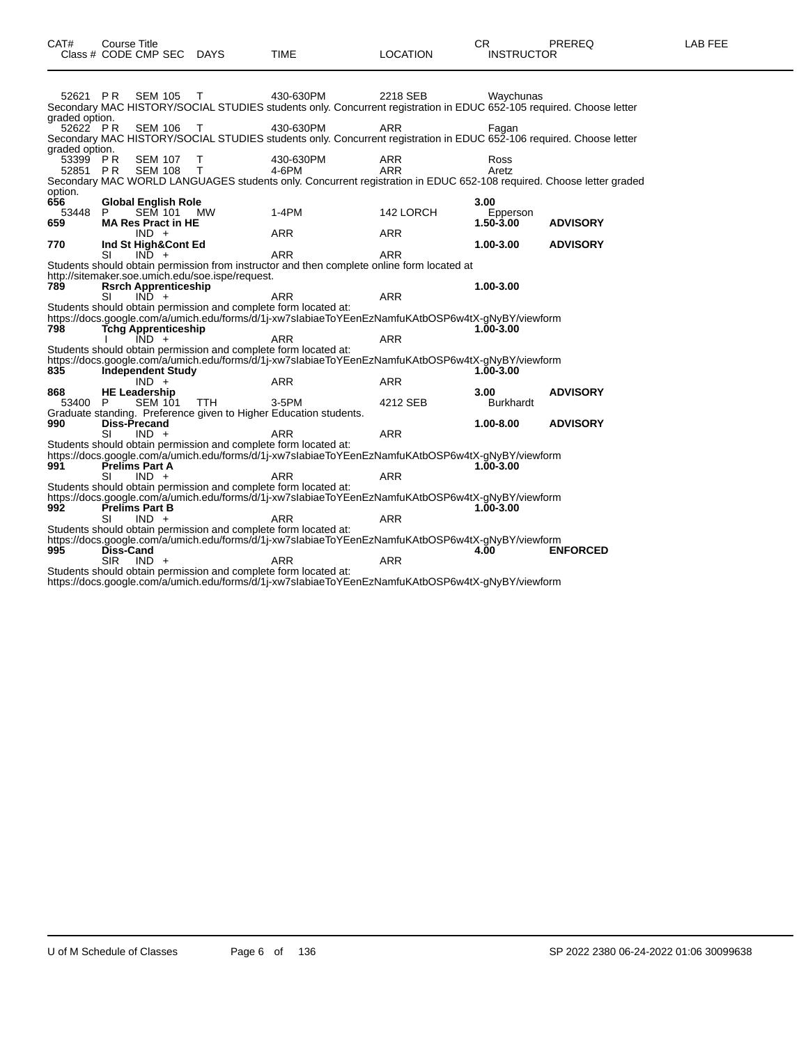| 52621 PR       |                         | SEM 105 T                                |                                                  | 430-630PM                                                                                                                                                            | 2218 SEB   | Wavchunas        |                 |
|----------------|-------------------------|------------------------------------------|--------------------------------------------------|----------------------------------------------------------------------------------------------------------------------------------------------------------------------|------------|------------------|-----------------|
| graded option. |                         |                                          |                                                  | Secondary MAC HISTORY/SOCIAL STUDIES students only. Concurrent registration in EDUC 652-105 required. Choose letter                                                  |            |                  |                 |
| 52622 PR       |                         | <b>SEM 106</b>                           | T                                                | 430-630PM<br>Secondary MAC HISTORY/SOCIAL STUDIES students only. Concurrent registration in EDUC 652-106 required. Choose letter                                     | <b>ARR</b> | Fagan            |                 |
| graded option. |                         |                                          |                                                  |                                                                                                                                                                      |            |                  |                 |
| 53399 PR       |                         | <b>SEM 107</b>                           | T                                                | 430-630PM                                                                                                                                                            | ARR        | Ross             |                 |
|                | 52851 PR                | <b>SEM 108</b>                           | $\top$                                           | 4-6PM<br>Secondary MAC WORLD LANGUAGES students only. Concurrent registration in EDUC 652-108 required. Choose letter graded                                         | <b>ARR</b> | Aretz            |                 |
| option.        |                         |                                          |                                                  |                                                                                                                                                                      |            |                  |                 |
| 656<br>53448 P |                         | <b>Global English Role</b><br>SEM 101 MW |                                                  | $1-4PM$                                                                                                                                                              | 142 LORCH  | 3.00<br>Epperson |                 |
| 659            |                         | <b>MA Res Pract in HE</b>                |                                                  |                                                                                                                                                                      |            | 1.50-3.00        | <b>ADVISORY</b> |
| 770            |                         | $IND +$<br>Ind St High&Cont Ed           |                                                  | <b>ARR</b>                                                                                                                                                           | <b>ARR</b> | 1.00-3.00        | <b>ADVISORY</b> |
|                | <b>SI</b>               | $IND +$                                  |                                                  | <b>ARR</b>                                                                                                                                                           | <b>ARR</b> |                  |                 |
|                |                         |                                          |                                                  | Students should obtain permission from instructor and then complete online form located at                                                                           |            |                  |                 |
| 789            |                         | <b>Rsrch Apprenticeship</b>              | http://sitemaker.soe.umich.edu/soe.ispe/request. |                                                                                                                                                                      |            | 1.00-3.00        |                 |
|                | SI                      | $I\overline{N}D +$                       |                                                  | <b>ARR</b>                                                                                                                                                           | <b>ARR</b> |                  |                 |
|                |                         |                                          |                                                  | Students should obtain permission and complete form located at:<br>https://docs.google.com/a/umich.edu/forms/d/1j-xw7slabiaeToYEenEzNamfuKAtbOSP6w4tX-gNyBY/viewform |            |                  |                 |
| 798            |                         | <b>Tchg Apprenticeship</b>               |                                                  |                                                                                                                                                                      |            | 1.00-3.00        |                 |
|                |                         | $IND +$                                  |                                                  | ARR<br>Students should obtain permission and complete form located at:                                                                                               | <b>ARR</b> |                  |                 |
|                |                         |                                          |                                                  | https://docs.google.com/a/umich.edu/forms/d/1j-xw7slabiaeToYEenEzNamfuKAtbOSP6w4tX-gNyBY/viewform                                                                    |            |                  |                 |
| 835            |                         | <b>Independent Study</b><br>$IND +$      |                                                  | <b>ARR</b>                                                                                                                                                           | <b>ARR</b> | 1.00-3.00        |                 |
| 868            |                         | <b>HE Leadership</b>                     |                                                  |                                                                                                                                                                      |            | 3.00             | <b>ADVISORY</b> |
| 53400 P        |                         | <b>SEM 101</b>                           | TTH                                              | 3-5PM                                                                                                                                                                | 4212 SEB   | <b>Burkhardt</b> |                 |
| 990            |                         | Diss-Precand                             |                                                  | Graduate standing. Preference given to Higher Education students.                                                                                                    |            | 1.00-8.00        | <b>ADVISORY</b> |
|                | <b>SI</b>               | $IND +$                                  |                                                  | <b>ARR</b>                                                                                                                                                           | <b>ARR</b> |                  |                 |
|                |                         |                                          |                                                  | Students should obtain permission and complete form located at:<br>https://docs.google.com/a/umich.edu/forms/d/1j-xw7slabiaeToYEenEzNamfuKAtbOSP6w4tX-gNyBY/viewform |            |                  |                 |
| 991            |                         | Prelims Part A                           |                                                  |                                                                                                                                                                      |            | 1.00-3.00        |                 |
|                | SI                      | $IND +$                                  |                                                  | <b>ARR</b><br>Students should obtain permission and complete form located at:                                                                                        | <b>ARR</b> |                  |                 |
|                |                         |                                          |                                                  | https://docs.google.com/a/umich.edu/forms/d/1j-xw7slabiaeToYEenEzNamfuKAtbOSP6w4tX-gNyBY/viewform                                                                    |            |                  |                 |
| 992            | SI                      | <b>Prelims Part B</b><br>$IND +$         |                                                  | <b>ARR</b>                                                                                                                                                           | <b>ARR</b> | 1.00-3.00        |                 |
|                |                         |                                          |                                                  | Students should obtain permission and complete form located at:                                                                                                      |            |                  |                 |
| 995            |                         |                                          |                                                  | https://docs.google.com/a/umich.edu/forms/d/1j-xw7slabiaeToYEenEzNamfuKAtbOSP6w4tX-gNyBY/viewform                                                                    |            |                  | <b>ENFORCED</b> |
|                | Diss-Cand<br><b>SIR</b> | $IND +$                                  |                                                  | <b>ARR</b>                                                                                                                                                           | <b>ARR</b> | 4.00             |                 |
|                |                         |                                          |                                                  | Students should obtain permission and complete form located at:                                                                                                      |            |                  |                 |
|                |                         |                                          |                                                  | https://docs.google.com/a/umich.edu/forms/d/1j-xw7slabiaeToYEenEzNamfuKAtbOSP6w4tX-gNyBY/viewform                                                                    |            |                  |                 |

Class # CODE CMP SEC DAYS TIME LOCATION INSTRUCTOR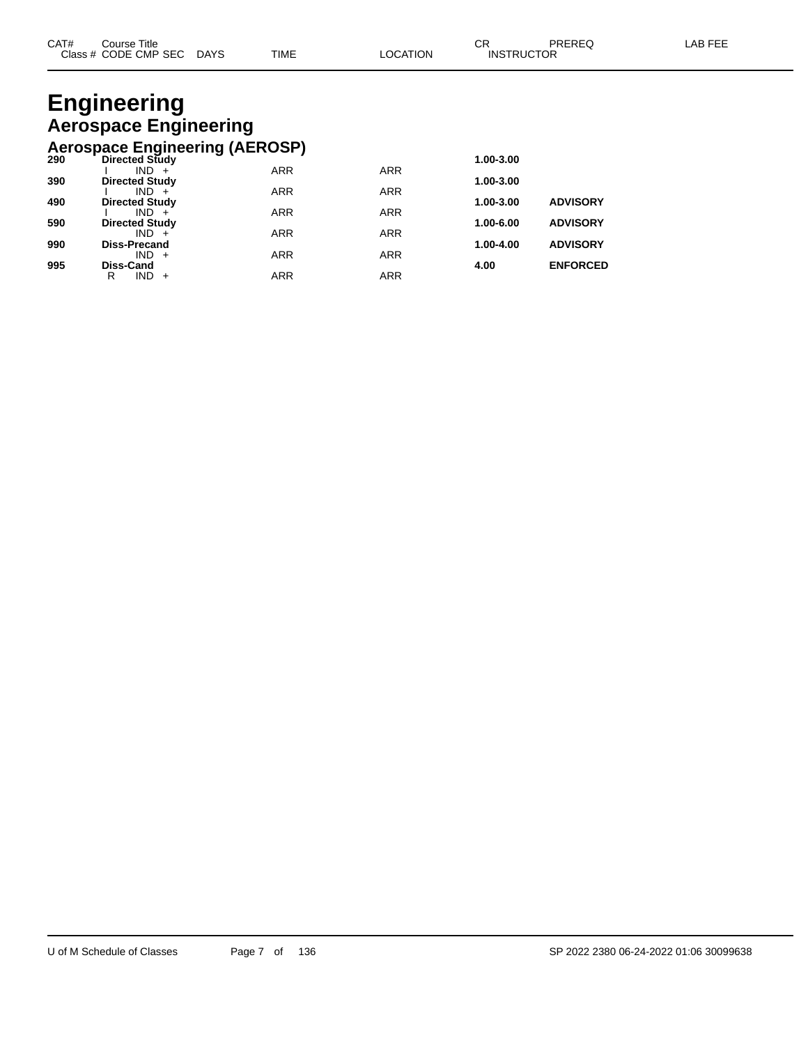### **Engineering Aerospace Engineering Aerospace Engineering (AEROSP)**

|     | AUTOSPAUL ENGINUSING (ALITOUI) |            |            |           |                 |
|-----|--------------------------------|------------|------------|-----------|-----------------|
| 290 | <b>Directed Study</b>          |            |            | 1.00-3.00 |                 |
|     | $IND +$                        | <b>ARR</b> | <b>ARR</b> |           |                 |
| 390 | <b>Directed Study</b>          |            |            | 1.00-3.00 |                 |
|     | $IND +$                        | <b>ARR</b> | <b>ARR</b> |           |                 |
| 490 | <b>Directed Study</b>          |            |            | 1.00-3.00 | <b>ADVISORY</b> |
|     | $IND +$                        | <b>ARR</b> | <b>ARR</b> |           |                 |
| 590 | <b>Directed Study</b>          |            |            | 1.00-6.00 | <b>ADVISORY</b> |
|     | $IND +$                        | <b>ARR</b> | <b>ARR</b> |           |                 |
| 990 | <b>Diss-Precand</b>            |            |            | 1.00-4.00 | <b>ADVISORY</b> |
|     | $IND +$                        | <b>ARR</b> | <b>ARR</b> |           |                 |
| 995 | <b>Diss-Cand</b>               |            |            | 4.00      | <b>ENFORCED</b> |
|     | $IND +$<br>R                   | <b>ARR</b> | ARR        |           |                 |
|     |                                |            |            |           |                 |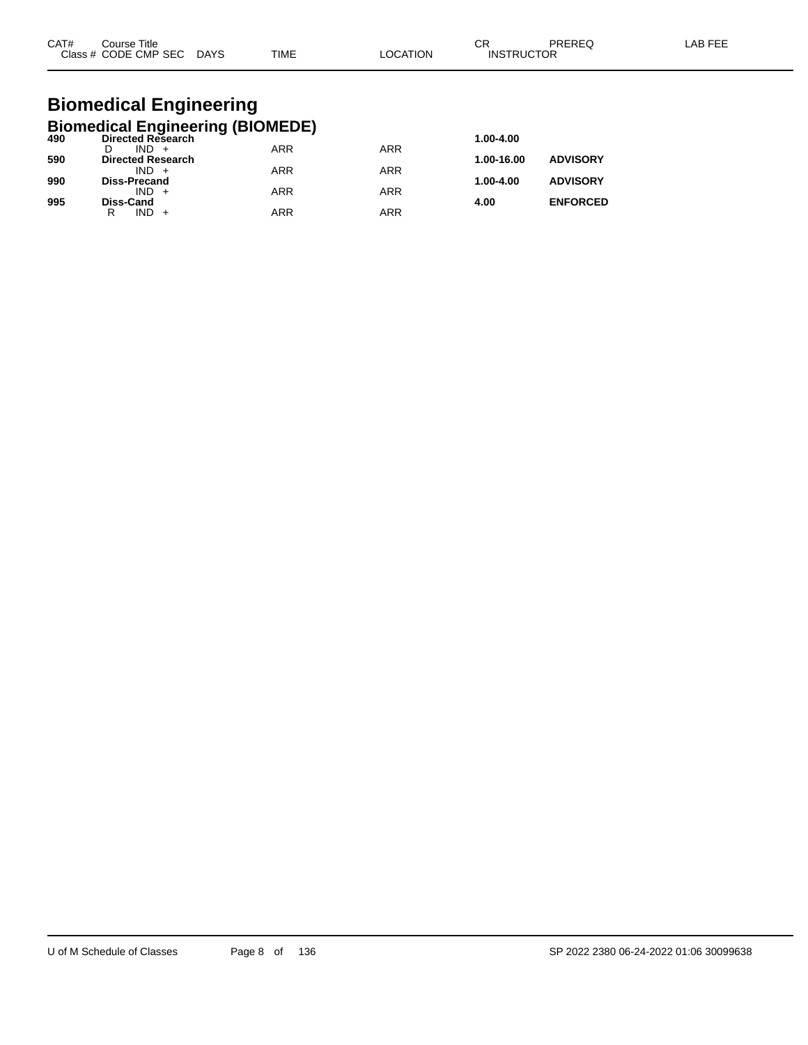| CAT#<br>Course Title |             |             |                | ⌒冖 | PREREC            | AB FFF |
|----------------------|-------------|-------------|----------------|----|-------------------|--------|
| Class # CODE CMP SEC | <b>DAYS</b> | <b>TIME</b> | <b>OCATION</b> |    | <b>INSTRUCTOR</b> |        |

### **Biomedical Engineering Biomedical Engineering (BIOMEDE)**

| 490 | Directed Research        | - 1        |            | 1.00-4.00  |                 |
|-----|--------------------------|------------|------------|------------|-----------------|
|     | $IND +$                  | <b>ARR</b> | <b>ARR</b> |            |                 |
| 590 | <b>Directed Research</b> |            |            | 1.00-16.00 | <b>ADVISORY</b> |
|     | $IND +$                  | <b>ARR</b> | <b>ARR</b> |            |                 |
| 990 | <b>Diss-Precand</b>      |            |            | 1.00-4.00  | <b>ADVISORY</b> |
|     | $IND +$                  | <b>ARR</b> | <b>ARR</b> |            |                 |
| 995 | <b>Diss-Cand</b>         |            |            | 4.00       | <b>ENFORCED</b> |
|     | R<br>IND.                | ARR        | ARR        |            |                 |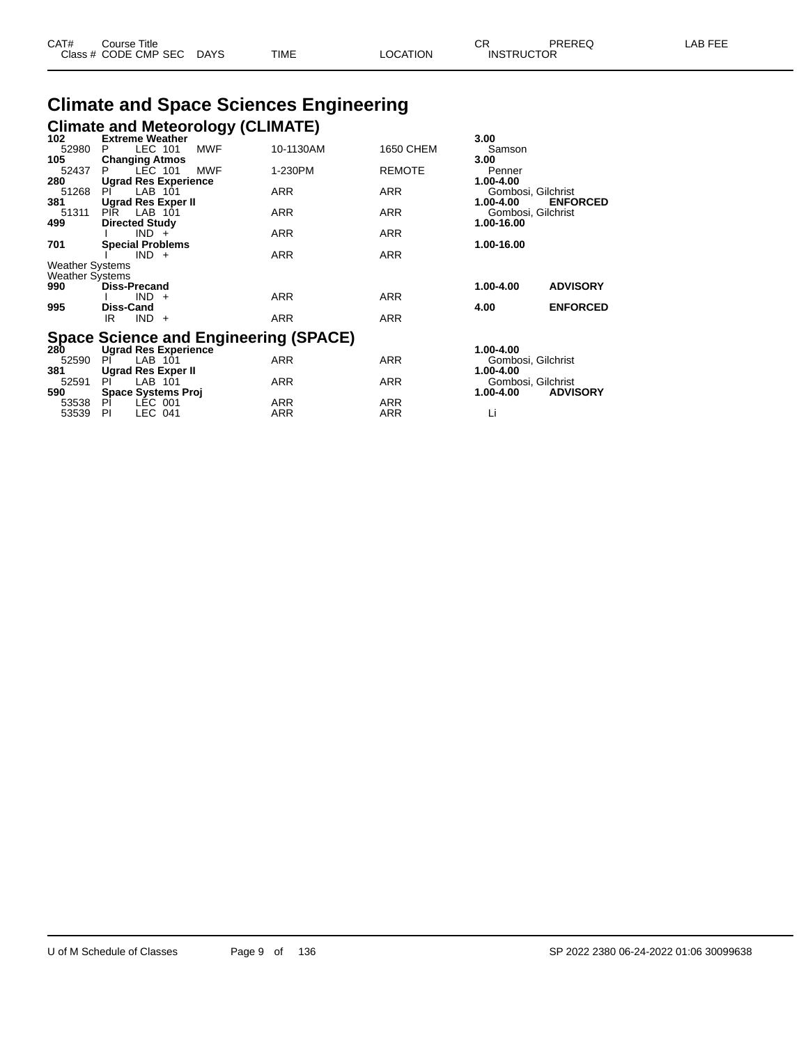| CAT# | Course Title         |             |      |          | CD.<br>- UN       | PREREQ | _AB FEE |
|------|----------------------|-------------|------|----------|-------------------|--------|---------|
|      | Class # CODE CMP SEC | <b>DAYS</b> | TIME | LOCATION | <b>INSTRUCTOR</b> |        |         |

# **Climate and Space Sciences Engineering**

|                        | <b>Climate and Meteorology (CLIMATE)</b> |            |            |               |                    |                 |
|------------------------|------------------------------------------|------------|------------|---------------|--------------------|-----------------|
| 102                    | <b>Extreme Weather</b>                   |            |            |               | 3.00               |                 |
| 52980                  | LEC 101<br>P.                            | <b>MWF</b> | 10-1130AM  | 1650 CHEM     | Samson             |                 |
| 105                    | <b>Changing Atmos</b>                    |            |            |               | 3.00               |                 |
| 52437                  | LEC 101<br>P.                            | <b>MWF</b> | 1-230PM    | <b>REMOTE</b> | Penner             |                 |
| 280                    | <b>Ugrad Res Experience</b>              |            |            |               | 1.00-4.00          |                 |
| 51268                  | LAB 101<br>PL                            |            | <b>ARR</b> | <b>ARR</b>    | Gombosi, Gilchrist |                 |
| 381                    | <b>Ugrad Res Exper II</b>                |            |            |               | 1.00-4.00          | <b>ENFORCED</b> |
| 51311                  | PIR LAB 101                              |            | <b>ARR</b> | <b>ARR</b>    | Gombosi, Gilchrist |                 |
| 499                    | <b>Directed Study</b>                    |            |            |               | 1.00-16.00         |                 |
|                        | $IND +$                                  |            | <b>ARR</b> | <b>ARR</b>    |                    |                 |
| 701                    | <b>Special Problems</b>                  |            |            |               | 1.00-16.00         |                 |
|                        | $IND +$                                  |            | <b>ARR</b> | <b>ARR</b>    |                    |                 |
| <b>Weather Systems</b> |                                          |            |            |               |                    |                 |
| <b>Weather Systems</b> |                                          |            |            |               |                    |                 |
| 990                    | <b>Diss-Precand</b>                      |            |            |               | 1.00-4.00          | <b>ADVISORY</b> |
|                        | $IND +$                                  |            | <b>ARR</b> | <b>ARR</b>    |                    |                 |
| 995                    | <b>Diss-Cand</b>                         |            |            |               | 4.00               | <b>ENFORCED</b> |
|                        | $IND +$<br>IR                            |            | <b>ARR</b> | <b>ARR</b>    |                    |                 |
|                        | Snace Science and Engineering (SPACE)    |            |            |               |                    |                 |

## **Space Science and Engineering (SPACE) 280 Ugrad Res Experience 1.00-4.00**

| <b>280</b> | Ugrad Res Experience      |     |            | 1.00-4.00                        |
|------------|---------------------------|-----|------------|----------------------------------|
| 52590      | LAB 101<br>PI             | ARR | ARR        | Gombosi, Gilchrist               |
| 381        | Ugrad Res Exper II        |     |            | 1.00-4.00                        |
| 52591      | I AB 101<br>PI            | ARR | ARR        | Gombosi, Gilchrist               |
| 590        | <b>Space Systems Proi</b> |     |            | <b>ADVISORY</b><br>$1.00 - 4.00$ |
| 53538      | PI<br>LEC 001             | ARR | <b>ARR</b> |                                  |
| 53539      | IFC 041<br>PI             | ARR | ARR        |                                  |
|            |                           |     |            |                                  |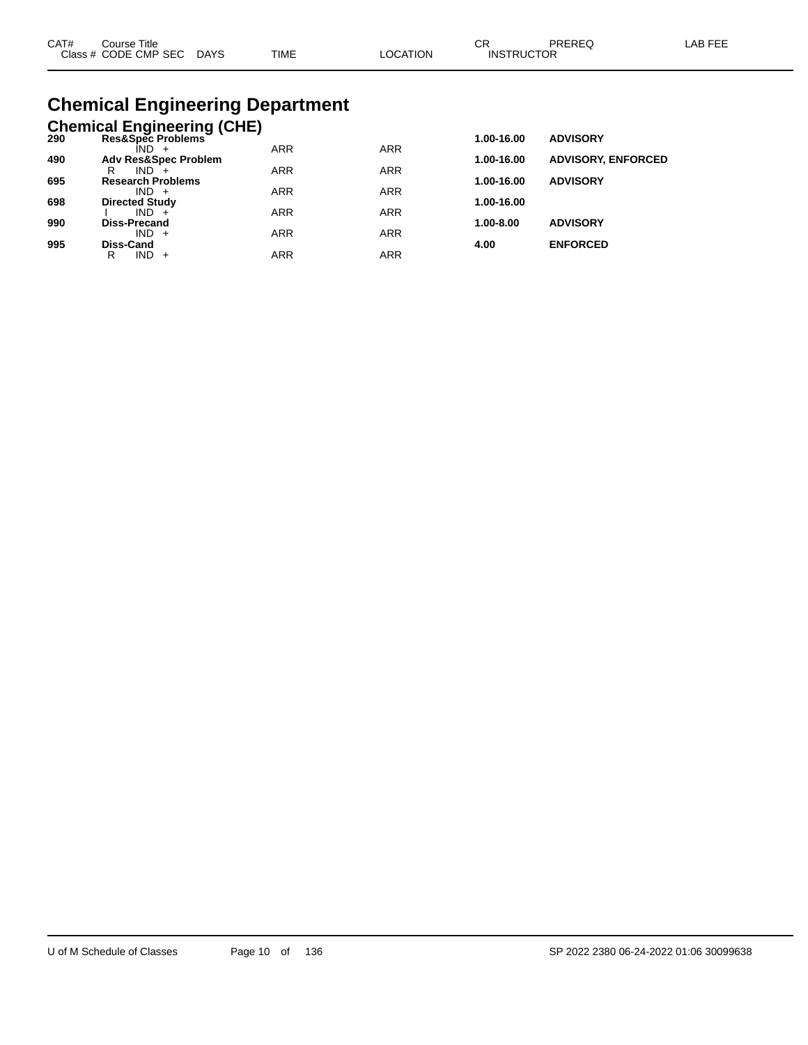| CAT# | Course Title              |             |          | ∩⊓                | PREREQ | LAB FEE |
|------|---------------------------|-------------|----------|-------------------|--------|---------|
|      | Class # CODE CMP SEC DAYS | <b>TIME</b> | LOCATION | <b>INSTRUCTOR</b> |        |         |

# **Chemical Engineering Department**

|     | <b>Chemical Engineering (CHE)</b> |            |            |            |                           |
|-----|-----------------------------------|------------|------------|------------|---------------------------|
| 290 | Res&Spec Problems                 |            |            | 1.00-16.00 | <b>ADVISORY</b>           |
|     | ÎND -                             | <b>ARR</b> | <b>ARR</b> |            |                           |
| 490 | <b>Adv Res&amp;Spec Problem</b>   |            |            | 1.00-16.00 | <b>ADVISORY, ENFORCED</b> |
|     | $IND +$<br>R                      | <b>ARR</b> | <b>ARR</b> |            |                           |
| 695 | <b>Research Problems</b>          |            |            | 1.00-16.00 | <b>ADVISORY</b>           |
| 698 | $IND +$<br><b>Directed Study</b>  | <b>ARR</b> | <b>ARR</b> | 1.00-16.00 |                           |
|     | $IND +$                           | <b>ARR</b> | <b>ARR</b> |            |                           |
| 990 | Diss-Precand                      |            |            | 1.00-8.00  | <b>ADVISORY</b>           |
|     | $IND +$                           | <b>ARR</b> | <b>ARR</b> |            |                           |
| 995 | Diss-Cand                         |            |            | 4.00       | <b>ENFORCED</b>           |
|     | IND.<br>R<br>$+$                  | ARR        | ARR        |            |                           |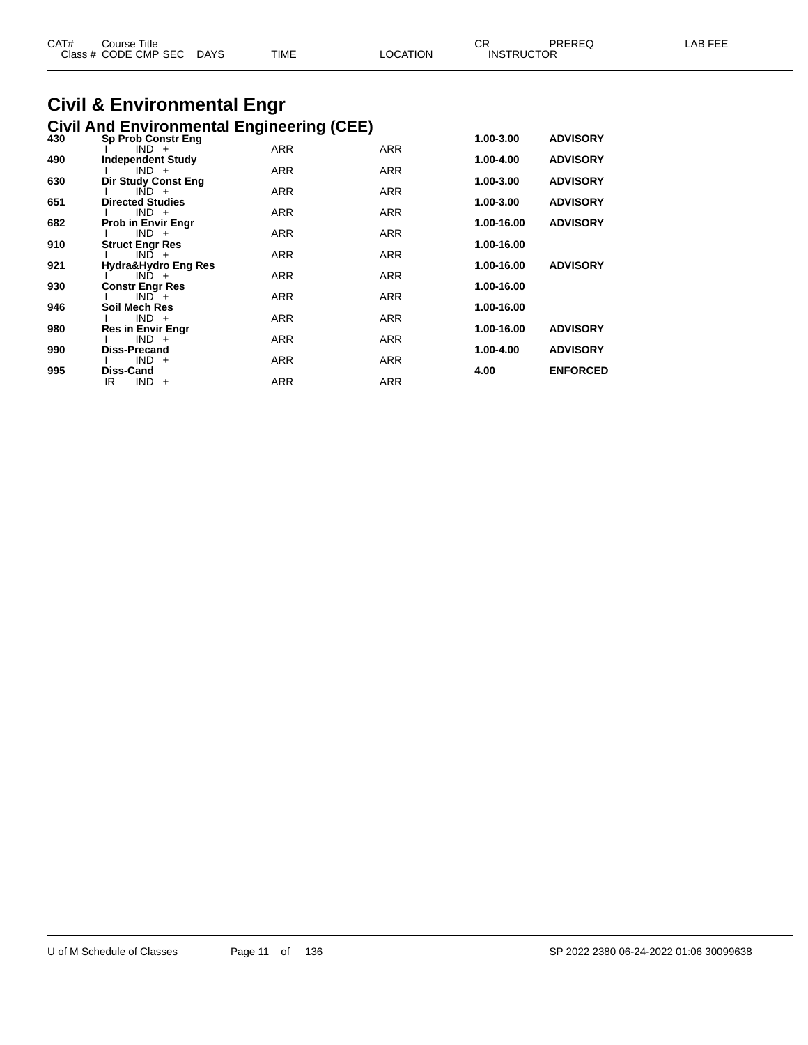| CAT# | Course Title<br>Class # CODE CMP SEC | <b>DAYS</b> | TIME | LOCATION | CR<br><b>INSTRUCTOR</b> | PREREQ | FEE<br>AB |
|------|--------------------------------------|-------------|------|----------|-------------------------|--------|-----------|
|      |                                      |             |      |          |                         |        |           |

#### **Civil & Environmental Engr Civil And Environmental Engineering (CEE)**

| 430 | <b>Sp Prob Constr Eng</b>         |            |            | 1.00-3.00  | <b>ADVISORY</b> |
|-----|-----------------------------------|------------|------------|------------|-----------------|
|     | $IND +$                           | <b>ARR</b> | ARR        |            |                 |
| 490 | <b>Independent Study</b>          |            |            | 1.00-4.00  | <b>ADVISORY</b> |
|     | $IND +$                           | ARR        | <b>ARR</b> |            |                 |
| 630 | Dir Study Const Eng               |            |            | 1.00-3.00  | <b>ADVISORY</b> |
|     | $IND +$                           | <b>ARR</b> | <b>ARR</b> |            |                 |
| 651 | <b>Directed Studies</b>           |            |            | 1.00-3.00  | <b>ADVISORY</b> |
|     | $IND +$                           | <b>ARR</b> | <b>ARR</b> |            |                 |
| 682 | <b>Prob in Envir Engr</b>         |            |            | 1.00-16.00 | <b>ADVISORY</b> |
|     | $IND +$                           | <b>ARR</b> | <b>ARR</b> |            |                 |
| 910 | <b>Struct Engr Res</b>            |            |            | 1.00-16.00 |                 |
|     | $IND +$                           | ARR        | <b>ARR</b> |            |                 |
| 921 | Hydra&Hydro Eng Res<br>$IND +$    | ARR        | <b>ARR</b> | 1.00-16.00 | <b>ADVISORY</b> |
| 930 |                                   |            |            | 1.00-16.00 |                 |
|     | <b>Constr Engr Res</b><br>$IND^+$ | <b>ARR</b> | <b>ARR</b> |            |                 |
| 946 | Soil Mech Res                     |            |            | 1.00-16.00 |                 |
|     | $IND +$                           | <b>ARR</b> | <b>ARR</b> |            |                 |
| 980 | <b>Res in Envir Engr</b>          |            |            | 1.00-16.00 | <b>ADVISORY</b> |
|     | $IND +$                           | <b>ARR</b> | <b>ARR</b> |            |                 |
| 990 | Diss-Precand                      |            |            | 1.00-4.00  | <b>ADVISORY</b> |
|     | $IND +$                           | ARR        | <b>ARR</b> |            |                 |
| 995 | Diss-Cand                         |            |            | 4.00       | <b>ENFORCED</b> |
|     | IR<br>$IND +$                     | ARR        | <b>ARR</b> |            |                 |
|     |                                   |            |            |            |                 |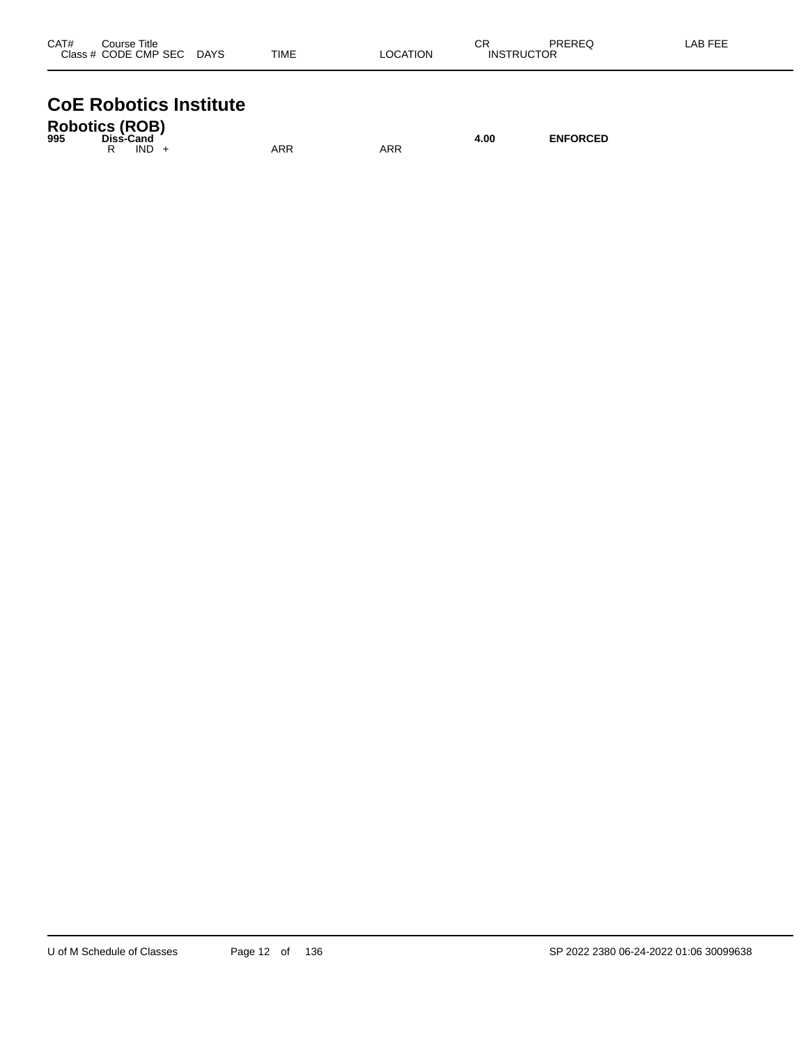| CAT#<br>Course Title         |             | ◠г<br>◡  |                   | PREREQ | LAB FEE |
|------------------------------|-------------|----------|-------------------|--------|---------|
| Class # CODE CMP SEC<br>DAYS | <b>TIME</b> | LOCATION | <b>INSTRUCTOR</b> |        |         |

# **CoE Robotics Institute**

| <b>Robotics (ROB)</b><br>995 | Diss-Cand |         |     |  |     | 4.00 | <b>ENFORCED</b> |
|------------------------------|-----------|---------|-----|--|-----|------|-----------------|
|                              |           | $IND +$ | ARR |  | ARR |      |                 |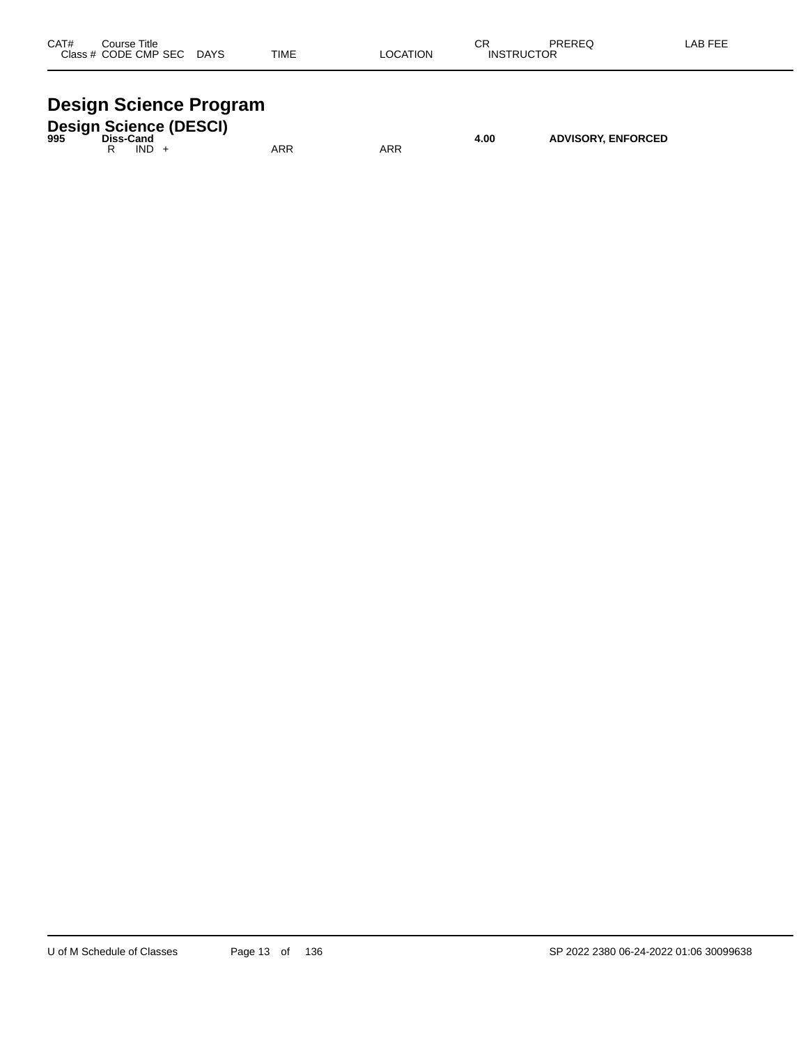| CAT#  | Title<br>Course |             |             |            | ⌒冖<br>◡           | <b>DDEDEA</b><br>⊌∟יו | $500 - 120$ |
|-------|-----------------|-------------|-------------|------------|-------------------|-----------------------|-------------|
| Class | CODE CMP SEC    | <b>DAYS</b> | <b>TIME</b> | TION<br>:A | <b>INS</b><br>RIK | __                    |             |
|       |                 |             |             |            |                   |                       |             |

# **Design Science Program**

| 995 | Diss-Cand |      | <b>Design Science (DESCI)</b> |     |     | 4.00 | <b>ADVISORY, ENFORCED</b> |
|-----|-----------|------|-------------------------------|-----|-----|------|---------------------------|
|     |           | IND. |                               | ARR | ARR |      |                           |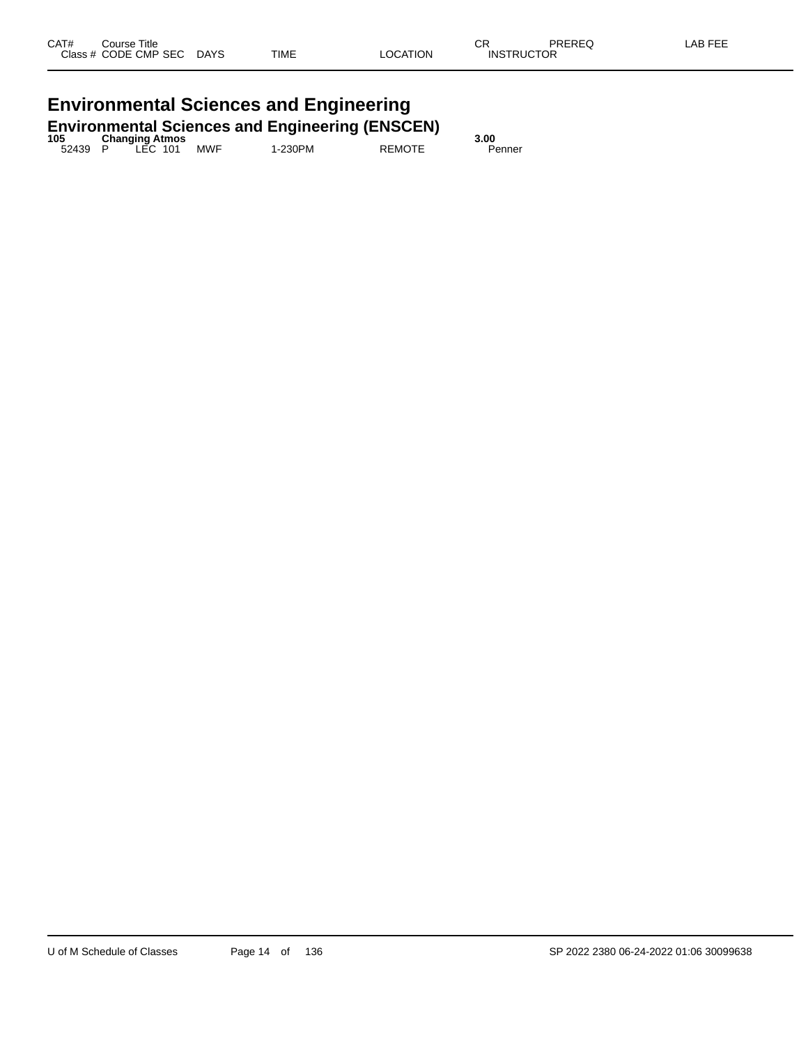# **Environmental Sciences and Engineering**

|         |                       |     | <b>Environmental Sciences and Engineering (ENSCEN)</b> |               |        |
|---------|-----------------------|-----|--------------------------------------------------------|---------------|--------|
| 105     | <b>Changing Atmos</b> |     |                                                        |               | 3.00   |
| 52439 P | <sup>-</sup> LEC 101  | MWF | 1-230PM                                                | <b>REMOTE</b> | Penner |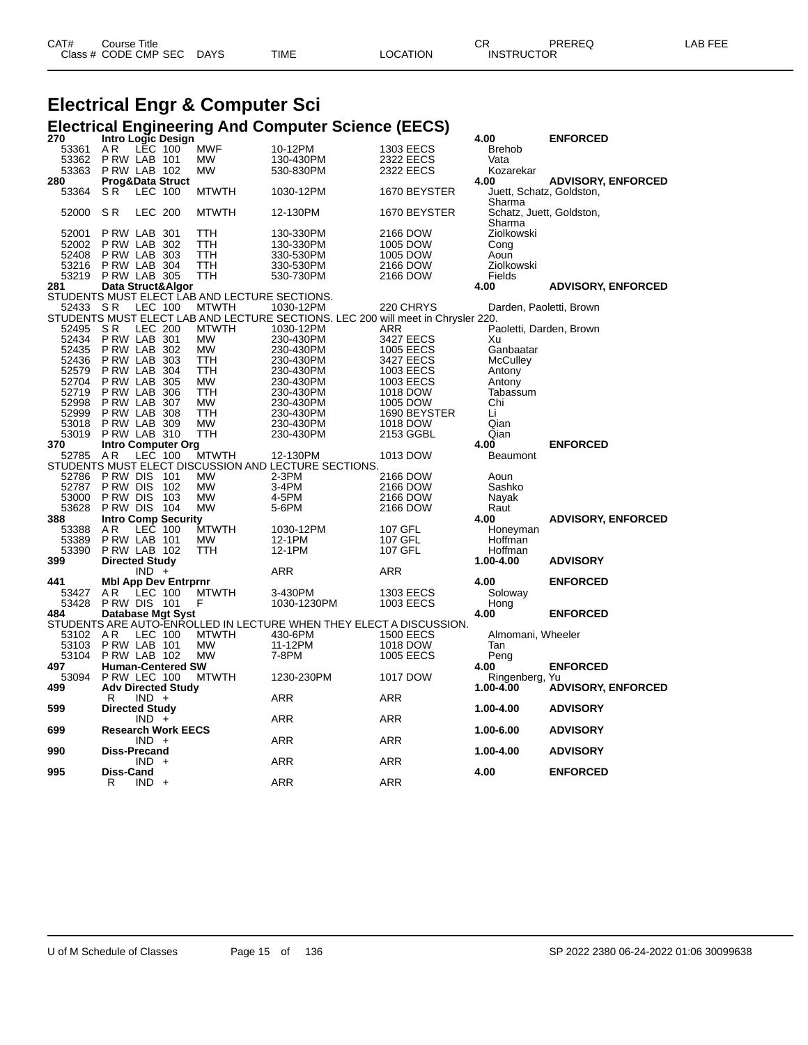| CAT# | ેourse Title<br>Class # CODE CMP SEC | <b>DAYS</b> | <b>TIME</b> | LOCATION | <b>INSTRUCTOR</b> | PREREC | LAB FEE |
|------|--------------------------------------|-------------|-------------|----------|-------------------|--------|---------|
|      |                                      |             |             |          |                   |        |         |

# **Electrical Engr & Computer Sci**

# **Electrical Engineering And Computer Science (EECS) 270 Intro Logic Design 4.00 ENFORCED**

| 270      | Intro Logic Design          |                |                                               |                                                                                  |                  | 4.00                     | <b>ENFORCED</b>           |
|----------|-----------------------------|----------------|-----------------------------------------------|----------------------------------------------------------------------------------|------------------|--------------------------|---------------------------|
| 53361    | AR.<br><b>LEC 100</b>       |                | <b>MWF</b>                                    | 10-12PM                                                                          | 1303 EECS        | <b>Brehob</b>            |                           |
| 53362    | PRW LAB 101                 |                | MW                                            | 130-430PM                                                                        | 2322 EECS        | Vata                     |                           |
| 53363    | PRW LAB 102                 |                | <b>MW</b>                                     | 530-830PM                                                                        | 2322 EECS        | Kozarekar                |                           |
| 280      | <b>Prog&amp;Data Struct</b> |                |                                               |                                                                                  |                  | 4.00                     | <b>ADVISORY, ENFORCED</b> |
| 53364    | SR.<br><b>LEC 100</b>       |                | <b>MTWTH</b>                                  | 1030-12PM                                                                        | 1670 BEYSTER     | Juett, Schatz, Goldston, |                           |
|          |                             |                |                                               |                                                                                  |                  | Sharma                   |                           |
| 52000    | <b>SR</b><br><b>LEC 200</b> |                | <b>MTWTH</b>                                  | 12-130PM                                                                         | 1670 BEYSTER     | Schatz, Juett, Goldston, |                           |
|          |                             |                |                                               |                                                                                  |                  | Sharma                   |                           |
| 52001    | PRW LAB 301                 |                | TTH                                           | 130-330PM                                                                        | 2166 DOW         | Ziolkowski               |                           |
| 52002    | PRW LAB 302                 |                | <b>TTH</b>                                    | 130-330PM                                                                        | 1005 DOW         | Cong                     |                           |
| 52408    | PRW LAB 303                 |                | TTH                                           | 330-530PM                                                                        | 1005 DOW         | Aoun                     |                           |
| 53216    | PRW LAB 304                 |                | <b>TTH</b>                                    | 330-530PM                                                                        | 2166 DOW         | Ziolkowski               |                           |
|          | 53219 P RW LAB 305          |                | TTH                                           | 530-730PM                                                                        | 2166 DOW         | Fields                   |                           |
| 281      | Data Struct&Algor           |                |                                               |                                                                                  |                  | 4.00                     | <b>ADVISORY, ENFORCED</b> |
|          |                             |                | STUDENTS MUST ELECT LAB AND LECTURE SECTIONS. |                                                                                  |                  |                          |                           |
| 52433 SR | LEC 100                     |                | <b>MTWTH</b>                                  | 1030-12PM                                                                        | 220 CHRYS        | Darden, Paoletti, Brown  |                           |
|          |                             |                |                                               | STUDENTS MUST ELECT LAB AND LECTURE SECTIONS. LEC 200 will meet in Chrysler 220. |                  |                          |                           |
| 52495    | <b>LEC 200</b><br>S R       |                | <b>MTWTH</b>                                  | 1030-12PM                                                                        | ARR              | Paoletti, Darden, Brown  |                           |
| 52434    | PRW LAB 301                 |                | <b>MW</b>                                     |                                                                                  | 3427 EECS        | Xu                       |                           |
|          |                             |                |                                               | 230-430PM                                                                        |                  |                          |                           |
| 52435    | PRW LAB 302                 |                | <b>MW</b>                                     | 230-430PM                                                                        | 1005 EECS        | Ganbaatar                |                           |
| 52436    | PRW LAB                     | 303            | <b>TTH</b>                                    | 230-430PM                                                                        | 3427 EECS        | <b>McCulley</b>          |                           |
| 52579    | PRW LAB 304                 |                | <b>TTH</b>                                    | 230-430PM                                                                        | 1003 EECS        | Antony                   |                           |
| 52704    | PRW LAB 305                 |                | <b>MW</b>                                     | 230-430PM                                                                        | 1003 EECS        | Antony                   |                           |
| 52719    | P RW LAB                    | 306            | TTH                                           | 230-430PM                                                                        | 1018 DOW         | Tabassum                 |                           |
| 52998    | PRW LAB 307                 |                | <b>MW</b>                                     | 230-430PM                                                                        | 1005 DOW         | Chi                      |                           |
| 52999    | PRW LAB 308                 |                | <b>TTH</b>                                    | 230-430PM                                                                        | 1690 BEYSTER     | Li                       |                           |
| 53018    | PRW LAB 309                 |                | <b>MW</b>                                     | 230-430PM                                                                        | 1018 DOW         | Qian                     |                           |
| 53019    | PRW LAB 310                 |                | TTH                                           | 230-430PM                                                                        | 2153 GGBL        | Qian                     |                           |
| 370      | <b>Intro Computer Org</b>   |                |                                               |                                                                                  |                  | 4.00                     | <b>ENFORCED</b>           |
| 52785 AR | LEC 100                     |                | <b>MTWTH</b>                                  | 12-130PM                                                                         | 1013 DOW         | <b>Beaumont</b>          |                           |
|          |                             |                |                                               | STUDENTS MUST ELECT DISCUSSION AND LECTURE SECTIONS.                             |                  |                          |                           |
| 52786    | <b>PRW DIS 101</b>          |                | МW                                            | $2-3PM$                                                                          | 2166 DOW         | Aoun                     |                           |
| 52787    | P RW DIS                    | 102            | <b>MW</b>                                     | 3-4PM                                                                            | 2166 DOW         | Sashko                   |                           |
| 53000    | P RW DIS                    | 103            | <b>MW</b>                                     | 4-5PM                                                                            | 2166 DOW         | Nayak                    |                           |
| 53628    | PRW DIS 104                 |                | <b>MW</b>                                     | 5-6PM                                                                            | 2166 DOW         | Raut                     |                           |
| 388      | <b>Intro Comp Security</b>  |                |                                               |                                                                                  |                  | 4.00                     | <b>ADVISORY, ENFORCED</b> |
| 53388    | AR<br>LEC 100               |                | <b>MTWTH</b>                                  | 1030-12PM                                                                        | 107 GFL          | Honeyman                 |                           |
| 53389    | PRW LAB 101                 |                | MW                                            | 12-1PM                                                                           | 107 GFL          | Hoffman                  |                           |
| 53390    | P RW LAB 102                |                | <b>TTH</b>                                    | 12-1PM                                                                           | 107 GFL          | Hoffman                  |                           |
| 399      | <b>Directed Study</b>       |                |                                               |                                                                                  |                  | 1.00-4.00                | <b>ADVISORY</b>           |
|          | $IND +$                     |                |                                               | ARR                                                                              | ARR              |                          |                           |
| 441      | <b>Mbl App Dev Entrprnr</b> |                |                                               |                                                                                  |                  | 4.00                     | <b>ENFORCED</b>           |
| 53427    | AR<br>LEC 100               |                | MTWTH                                         | 3-430PM                                                                          | 1303 EECS        | Soloway                  |                           |
| 53428    | <b>PRW DIS 101</b>          |                | F                                             | 1030-1230PM                                                                      | 1003 EECS        | Hong                     |                           |
| 484      | Database Mgt Syst           |                |                                               |                                                                                  |                  | 4.00                     | <b>ENFORCED</b>           |
|          |                             |                |                                               | STUDENTS ARE AUTO-ENROLLED IN LECTURE WHEN THEY ELECT A DISCUSSION.              |                  |                          |                           |
|          |                             |                |                                               |                                                                                  |                  |                          |                           |
| 53102 AR | LEC 100                     |                | <b>MTWTH</b>                                  | 430-6PM                                                                          | <b>1500 EECS</b> | Almomani, Wheeler        |                           |
| 53103    | PRW LAB 101                 |                | <b>MW</b>                                     | 11-12PM                                                                          | 1018 DOW         | Tan                      |                           |
| 53104    | PRW LAB 102                 |                | <b>MW</b>                                     | 7-8PM                                                                            | 1005 EECS        | Peng                     |                           |
| 497      | <b>Human-Centered SW</b>    |                |                                               |                                                                                  |                  | 4.00                     | <b>ENFORCED</b>           |
| 53094    | PRW LEC 100                 |                | <b>MTWTH</b>                                  | 1230-230PM                                                                       | 1017 DOW         | Ringenberg, Yu           |                           |
| 499      | <b>Adv Directed Study</b>   |                |                                               |                                                                                  |                  | 1.00-4.00                | <b>ADVISORY, ENFORCED</b> |
|          | R<br>$IND +$                |                |                                               | ARR                                                                              | <b>ARR</b>       |                          |                           |
| 599      | <b>Directed Study</b>       |                |                                               |                                                                                  |                  | 1.00-4.00                | <b>ADVISORY</b>           |
|          | $IND +$                     |                |                                               | ARR                                                                              | ARR              |                          |                           |
| 699      | <b>Research Work EECS</b>   |                |                                               |                                                                                  |                  | 1.00-6.00                | <b>ADVISORY</b>           |
|          | $IND +$                     |                |                                               | ARR                                                                              | ARR              |                          |                           |
| 990      | <b>Diss-Precand</b>         |                |                                               |                                                                                  |                  | 1.00-4.00                | <b>ADVISORY</b>           |
|          | IND.                        | $\overline{+}$ |                                               | ARR                                                                              | <b>ARR</b>       |                          |                           |
| 995      |                             |                |                                               |                                                                                  |                  | 4.00                     | <b>ENFORCED</b>           |
|          | Diss-Cand<br>R<br>$IND +$   |                |                                               | ARR                                                                              | ARR              |                          |                           |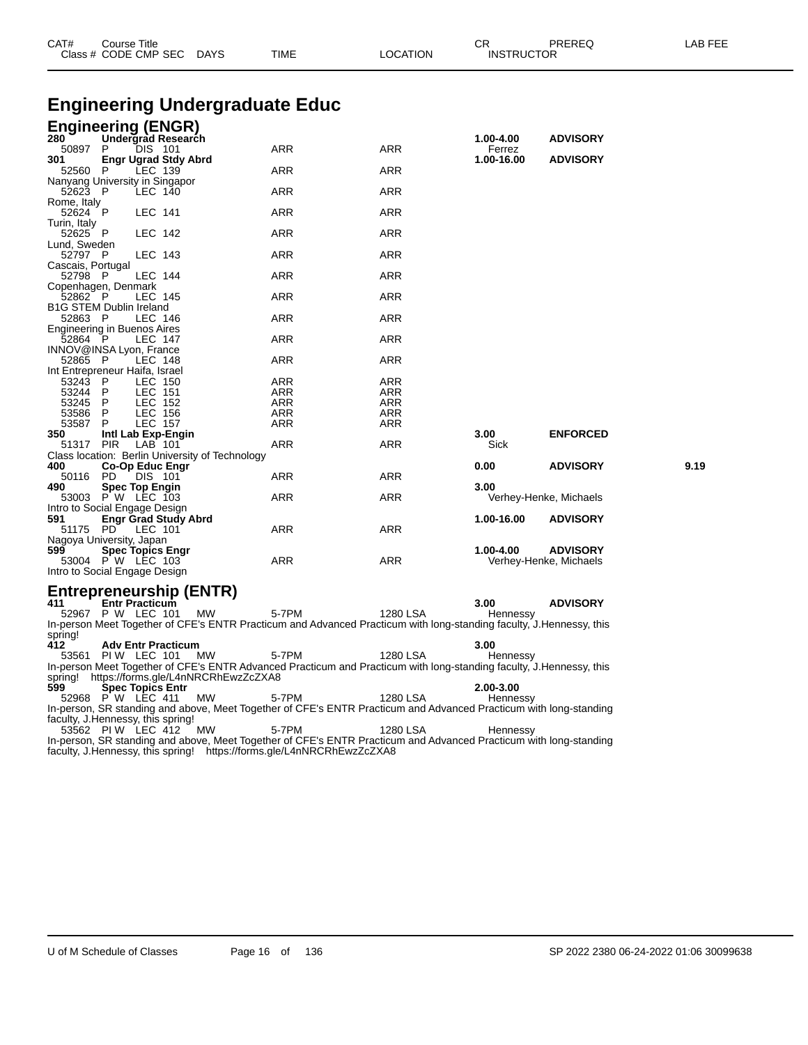| CAT#                               | Course Title<br>Class # CODE CMP SEC DAYS  |                |                                                 | TIME                                  | <b>LOCATION</b> | СR<br><b>INSTRUCTOR</b> | PREREQ                 | LAB FEE |
|------------------------------------|--------------------------------------------|----------------|-------------------------------------------------|---------------------------------------|-----------------|-------------------------|------------------------|---------|
|                                    |                                            |                |                                                 | <b>Engineering Undergraduate Educ</b> |                 |                         |                        |         |
|                                    |                                            |                |                                                 |                                       |                 |                         |                        |         |
| <b>Engineering (ENGR)</b>          |                                            |                |                                                 |                                       |                 |                         |                        |         |
| 280<br>50897 P                     | Undergrad Research                         | <b>DIS 101</b> |                                                 | ARR                                   | ARR             | 1.00-4.00               | <b>ADVISORY</b>        |         |
| 301                                | <b>Engr Ugrad Stdy Abrd</b>                |                |                                                 |                                       |                 | Ferrez<br>1.00-16.00    | <b>ADVISORY</b>        |         |
| 52560 P                            |                                            | LEC 139        |                                                 | ARR                                   | ARR             |                         |                        |         |
| Nanyang University in Singapor     |                                            |                |                                                 |                                       |                 |                         |                        |         |
| 52623 P                            |                                            | LEC 140        |                                                 | ARR                                   | <b>ARR</b>      |                         |                        |         |
| Rome, Italy<br>52624 P             |                                            | LEC 141        |                                                 | ARR                                   | ARR             |                         |                        |         |
| Turin, Italy                       |                                            |                |                                                 |                                       |                 |                         |                        |         |
| 52625 P                            |                                            | LEC 142        |                                                 | ARR                                   | <b>ARR</b>      |                         |                        |         |
| Lund, Sweden<br>52797 P            |                                            | LEC 143        |                                                 | <b>ARR</b>                            | ARR             |                         |                        |         |
| Cascais, Portugal                  |                                            |                |                                                 |                                       |                 |                         |                        |         |
| 52798 P                            |                                            | LEC 144        |                                                 | <b>ARR</b>                            | ARR             |                         |                        |         |
| Copenhagen, Denmark                |                                            |                |                                                 |                                       |                 |                         |                        |         |
| 52862 P<br>B1G STEM Dublin Ireland |                                            | LEC 145        |                                                 | ARR                                   | ARR             |                         |                        |         |
| 52863 P                            |                                            | LEC 146        |                                                 | <b>ARR</b>                            | <b>ARR</b>      |                         |                        |         |
| Engineering in Buenos Aires        |                                            |                |                                                 |                                       |                 |                         |                        |         |
| 52864 P                            |                                            | LEC 147        |                                                 | ARR                                   | ARR             |                         |                        |         |
| INNOV@INSA Lyon, France<br>52865 P |                                            | LEC 148        |                                                 | ARR                                   | <b>ARR</b>      |                         |                        |         |
| Int Entrepreneur Haifa, Israel     |                                            |                |                                                 |                                       |                 |                         |                        |         |
| 53243                              | $\mathsf{P}$                               | LEC 150        |                                                 | ARR                                   | ARR             |                         |                        |         |
| 53244 P                            |                                            | LEC 151        |                                                 | ARR                                   | ARR             |                         |                        |         |
| 53245 P                            |                                            | LEC 152        |                                                 | ARR                                   | <b>ARR</b>      |                         |                        |         |
| 53586                              | P                                          | <b>LEC 156</b> |                                                 | ARR                                   | ARR             |                         |                        |         |
| 53587                              | P                                          | <b>LEC 157</b> |                                                 | <b>ARR</b>                            | ARR             |                         |                        |         |
| 350                                | Intl Lab Exp-Engin                         |                |                                                 |                                       |                 | 3.00                    | <b>ENFORCED</b>        |         |
| 51317 PIR                          |                                            | LAB 101        |                                                 | <b>ARR</b>                            | ARR             | Sick                    |                        |         |
|                                    |                                            |                | Class location: Berlin University of Technology |                                       |                 |                         |                        |         |
| 400                                | Co-Op Educ Engr                            |                |                                                 |                                       |                 | 0.00                    | <b>ADVISORY</b>        | 9.19    |
| 50116                              | PD.                                        | DIS 101        |                                                 | ARR                                   | ARR             |                         |                        |         |
| 490                                | <b>Spec Top Engin</b><br>53003 P W LEC 103 |                |                                                 | ARR                                   | <b>ARR</b>      | 3.00                    | Verhey-Henke, Michaels |         |
| Intro to Social Engage Design      |                                            |                |                                                 |                                       |                 |                         |                        |         |
| 591                                | <b>Engr Grad Study Abrd</b>                |                |                                                 |                                       |                 | 1.00-16.00              | <b>ADVISORY</b>        |         |
| 51175 PD                           |                                            | LEC 101        |                                                 | ARR                                   | ARR             |                         |                        |         |
| Nagoya University, Japan           |                                            |                |                                                 |                                       |                 |                         |                        |         |
| 599                                | <b>Spec Topics Engr</b>                    |                |                                                 |                                       |                 | 1.00-4.00               | <b>ADVISORY</b>        |         |
|                                    | 53004 P W LEC 103                          |                |                                                 | <b>ARR</b>                            | ARR             |                         | Verhey-Henke, Michaels |         |
| Intro to Social Engage Design      |                                            |                |                                                 |                                       |                 |                         |                        |         |
|                                    |                                            |                |                                                 |                                       |                 |                         |                        |         |
|                                    |                                            |                | Entrepreneurship (ENTR)                         |                                       |                 |                         |                        |         |
| 411                                | <b>Entr Practicum</b><br>52967 P W LEC 101 |                | МW                                              | 5-7PM                                 | 1280 LSA        | 3.00<br>Hennessy        | <b>ADVISORY</b>        |         |
|                                    |                                            |                |                                                 |                                       |                 |                         |                        |         |

In-person Meet Together of CFE's ENTR Practicum and Advanced Practicum with long-standing faculty, J.Hennessy, this spring!

**412 Adv Entr Practicum 3.00**

53561 PIW LEC 101 MW 5-7PM 1280 LSA Hennessy In-person Meet Together of CFE's ENTR Advanced Practicum and Practicum with long-standing faculty, J.Hennessy, this spring! https://forms.gle/L4nNRCRhEwzZcZXA8

**599 Spec Topics Entr 2.00-3.00** 52968 P W LEC 411 MW 5-7PM 1280 LSA Hennessy In-person, SR standing and above, Meet Together of CFE's ENTR Practicum and Advanced Practicum with long-standing faculty, J.Hennessy, this spring!

53562 PI W LEC 412 MW 5-7PM 1280 LSA Hennessy In-person, SR standing and above, Meet Together of CFE's ENTR Practicum and Advanced Practicum with long-standing faculty, J.Hennessy, this spring! https://forms.gle/L4nNRCRhEwzZcZXA8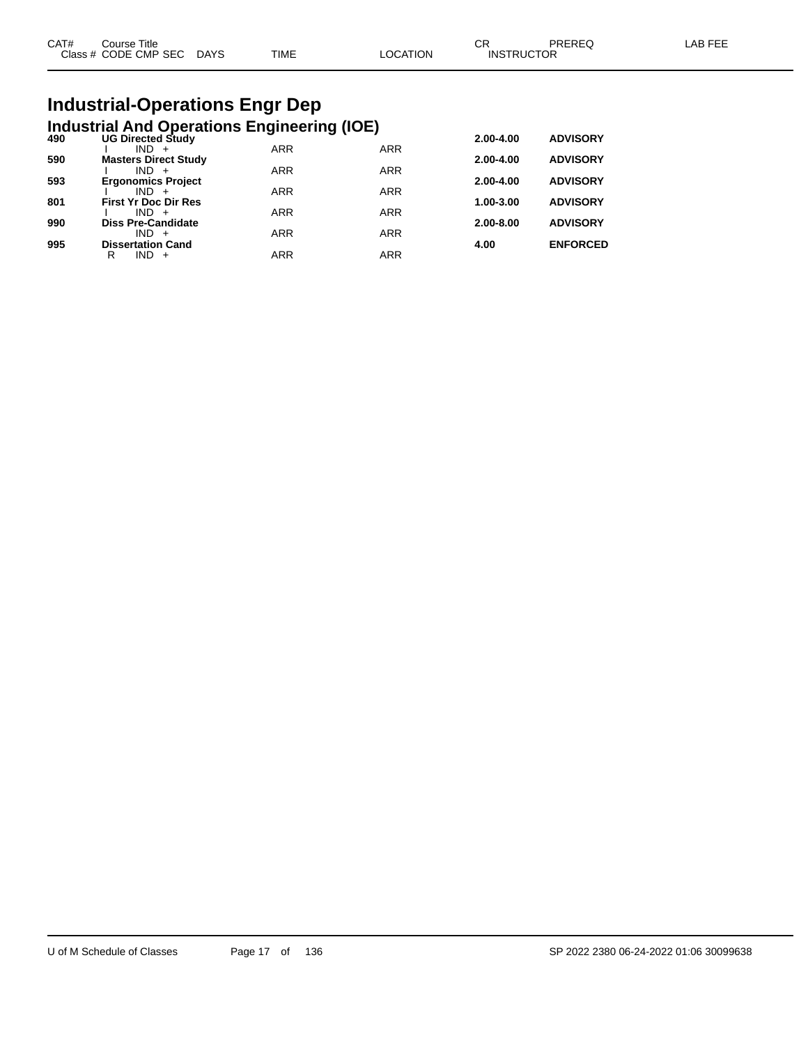| CAT# | Course Title         |             |      |          | ∩⊓<br>◡๙          | PREREQ | _AB FEE |
|------|----------------------|-------------|------|----------|-------------------|--------|---------|
|      | Class # CODE CMP SEC | <b>DAYS</b> | TIME | LOCATION | <b>INSTRUCTOR</b> |        |         |
|      |                      |             |      |          |                   |        |         |

# **Industrial-Operations Engr Dep**

|     | <b>Industrial And Operations Engineering (IOE)</b> |            |            |           |                 |
|-----|----------------------------------------------------|------------|------------|-----------|-----------------|
| 490 | <b>UG Directed Study</b>                           |            |            | 2.00-4.00 | <b>ADVISORY</b> |
|     | $IND +$                                            | <b>ARR</b> | <b>ARR</b> |           |                 |
| 590 | <b>Masters Direct Study</b>                        |            |            | 2.00-4.00 | <b>ADVISORY</b> |
| 593 | $IND +$<br><b>Ergonomics Project</b>               | <b>ARR</b> | <b>ARR</b> | 2.00-4.00 | <b>ADVISORY</b> |
|     | $IND +$                                            | <b>ARR</b> | <b>ARR</b> |           |                 |
| 801 | <b>First Yr Doc Dir Res</b>                        |            |            | 1.00-3.00 | <b>ADVISORY</b> |
|     | $IND +$                                            | <b>ARR</b> | <b>ARR</b> |           |                 |
| 990 | <b>Diss Pre-Candidate</b>                          |            |            | 2.00-8.00 | <b>ADVISORY</b> |
| 995 | $IND +$                                            | <b>ARR</b> | <b>ARR</b> | 4.00      |                 |
|     | <b>Dissertation Cand</b><br>$IND +$<br>R           | <b>ARR</b> | <b>ARR</b> |           | <b>ENFORCED</b> |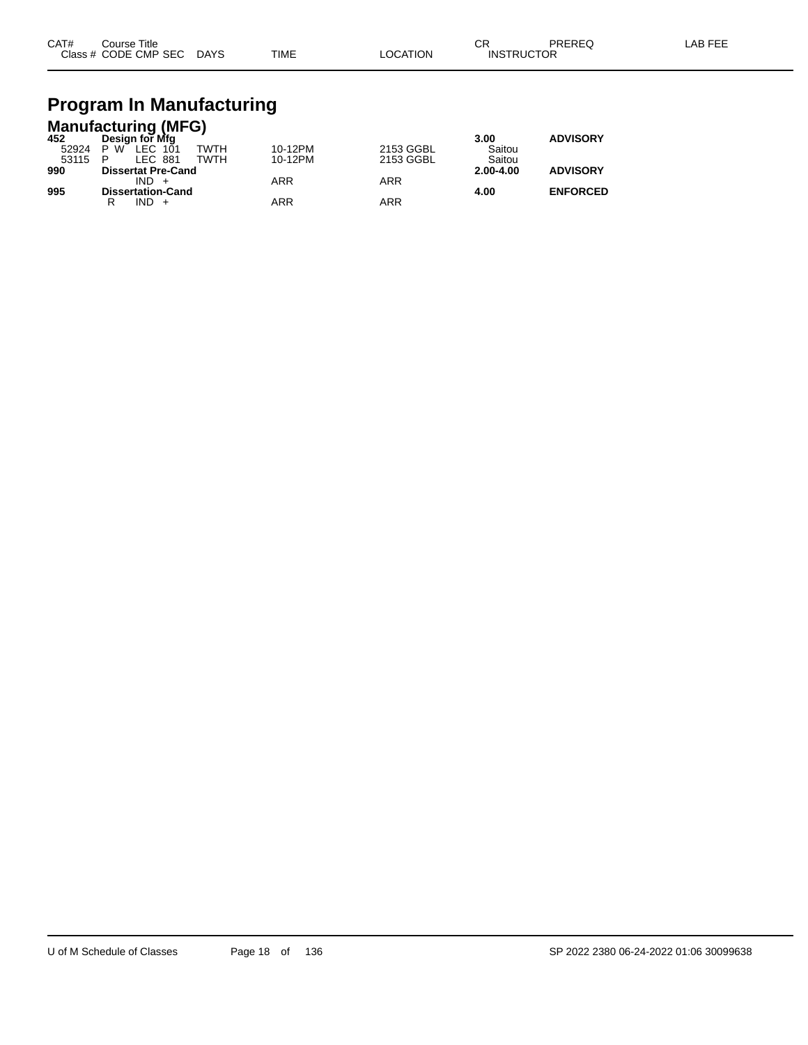| CAT# | Course Title              |             |          | ◠⊏<br>◡◚          | PREREQ | LAB FEE |
|------|---------------------------|-------------|----------|-------------------|--------|---------|
|      | Class # CODE CMP SEC DAYS | <b>TIME</b> | LOCATION | <b>INSTRUCTOR</b> |        |         |

# **Program In Manufacturing**

|       | <b>Manufacturing (MFG)</b> |            |           |               |                 |
|-------|----------------------------|------------|-----------|---------------|-----------------|
| 452   | Design for Mfg             |            |           | 3.00          | <b>ADVISORY</b> |
| 52924 | TWTH<br>LEC 101<br>P W     | 10-12PM    | 2153 GGBL | Saitou        |                 |
| 53115 | LEC 881<br>TWTH<br>P       | 10-12PM    | 2153 GGBL | Saitou        |                 |
| 990   | <b>Dissertat Pre-Cand</b>  |            |           | $2.00 - 4.00$ | <b>ADVISORY</b> |
|       | $IND +$                    | <b>ARR</b> | ARR       |               |                 |
| 995   | <b>Dissertation-Cand</b>   |            |           | 4.00          | <b>ENFORCED</b> |
|       | $IND +$                    | ARR        | ARR       |               |                 |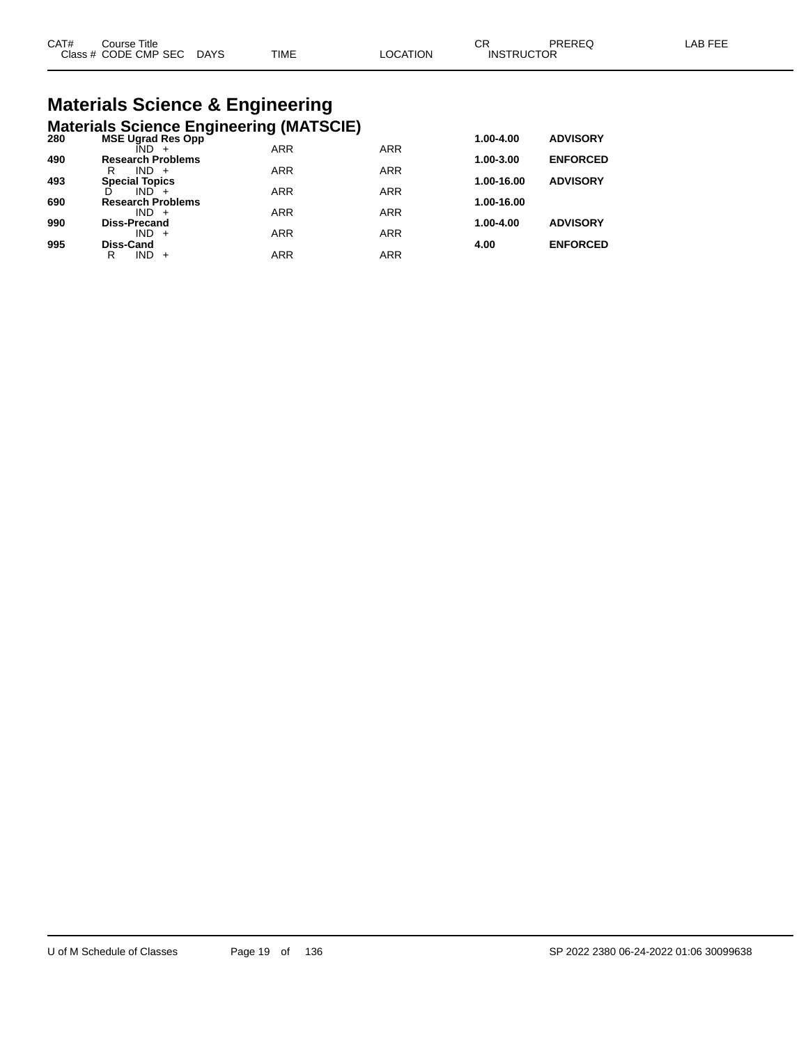#### **Materials Science & Engineering Materials Science Engineering (MATSCIE)**

| 280 | <b>MSE Ugrad Res Opp</b> |            |            | $1.00 - 4.00$ | <b>ADVISORY</b> |
|-----|--------------------------|------------|------------|---------------|-----------------|
|     |                          | <b>ARR</b> | <b>ARR</b> |               |                 |
| 490 | <b>Research Problems</b> |            |            | 1.00-3.00     | <b>ENFORCED</b> |
|     | R<br>$IND +$             | <b>ARR</b> | <b>ARR</b> |               |                 |
| 493 | <b>Special Topics</b>    |            |            | 1.00-16.00    | <b>ADVISORY</b> |
|     | $IND +$                  | <b>ARR</b> | <b>ARR</b> |               |                 |
| 690 | <b>Research Problems</b> |            |            | 1.00-16.00    |                 |
|     | $IND +$                  | <b>ARR</b> | <b>ARR</b> |               |                 |
| 990 | <b>Diss-Precand</b>      |            |            | 1.00-4.00     | <b>ADVISORY</b> |
|     | $IND +$                  | <b>ARR</b> | <b>ARR</b> |               |                 |
| 995 | <b>Diss-Cand</b>         |            |            | 4.00          | <b>ENFORCED</b> |
|     | R<br>IND                 | ARR        | ARR        |               |                 |
|     |                          |            |            |               |                 |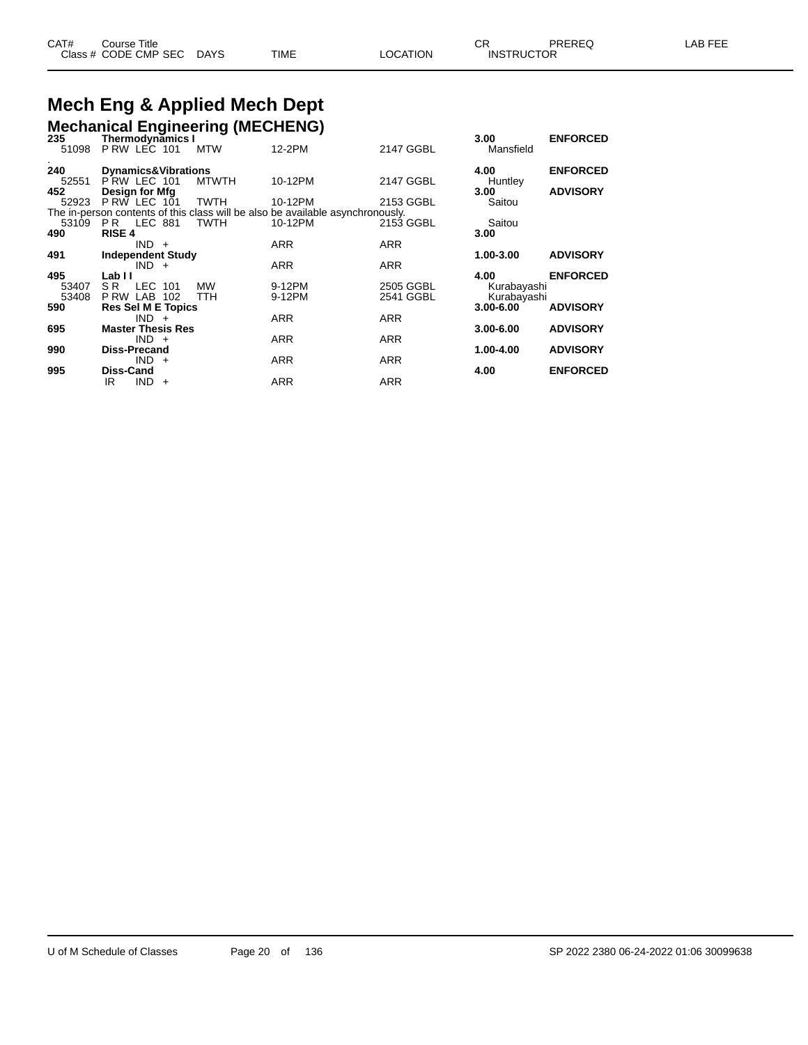#### **Mech Eng & Applied Mech Dept Mechanical Engineering (MECHENG)**

| 235   | <b>Thermodynamics I</b>             | <b>McGhamcar Engineering (MEOTIERO)</b> |                                                                                |            | 3.00        | <b>ENFORCED</b> |
|-------|-------------------------------------|-----------------------------------------|--------------------------------------------------------------------------------|------------|-------------|-----------------|
| 51098 | PRW LEC 101 MTW                     |                                         | 12-2PM                                                                         | 2147 GGBL  | Mansfield   |                 |
| 240   | <b>Dynamics&amp;Vibrations</b>      |                                         |                                                                                |            | 4.00        | <b>ENFORCED</b> |
| 52551 | PRW LEC 101                         | MTWTH                                   | 10-12PM                                                                        | 2147 GGBL  | Huntley     |                 |
| 452   | <b>Desian for Mfa</b>               |                                         |                                                                                |            | 3.00        | <b>ADVISORY</b> |
|       | 52923 P RW LEC 101                  | TWTH                                    | 10-12PM                                                                        | 2153 GGBL  | Saitou      |                 |
|       |                                     |                                         | The in-person contents of this class will be also be available asynchronously. |            |             |                 |
|       | 53109 PR LEC 881                    | TWTH                                    | 10-12PM                                                                        | 2153 GGBL  | Saitou      |                 |
| 490   | <b>RISE 4</b>                       |                                         |                                                                                |            | 3.00        |                 |
|       | $IND +$                             |                                         | <b>ARR</b>                                                                     | <b>ARR</b> |             |                 |
| 491   | <b>Independent Study</b><br>$IND +$ |                                         | <b>ARR</b>                                                                     | <b>ARR</b> | 1.00-3.00   | <b>ADVISORY</b> |
| 495   | Lab II                              |                                         |                                                                                |            | 4.00        | <b>ENFORCED</b> |
| 53407 | LEC 101<br>S R                      | MW                                      | 9-12PM                                                                         | 2505 GGBL  | Kurabayashi |                 |
| 53408 | PRW LAB 102                         | <b>TTH</b>                              | 9-12PM                                                                         | 2541 GGBL  | Kurabayashi |                 |
| 590   | <b>Res Sel M E Topics</b>           |                                         |                                                                                |            | 3.00-6.00   | <b>ADVISORY</b> |
|       | $IND +$                             |                                         | <b>ARR</b>                                                                     | <b>ARR</b> |             |                 |
| 695   | <b>Master Thesis Res</b>            |                                         |                                                                                |            | 3.00-6.00   | <b>ADVISORY</b> |
|       | $IND +$                             |                                         | <b>ARR</b>                                                                     | <b>ARR</b> |             |                 |
| 990   | <b>Diss-Precand</b>                 |                                         |                                                                                |            | 1.00-4.00   | <b>ADVISORY</b> |
|       | $IND +$                             |                                         | <b>ARR</b>                                                                     | <b>ARR</b> |             |                 |
| 995   | Diss-Cand                           |                                         |                                                                                |            | 4.00        | <b>ENFORCED</b> |
|       | $IND +$<br>IR                       |                                         | <b>ARR</b>                                                                     | ARR        |             |                 |
|       |                                     |                                         |                                                                                |            |             |                 |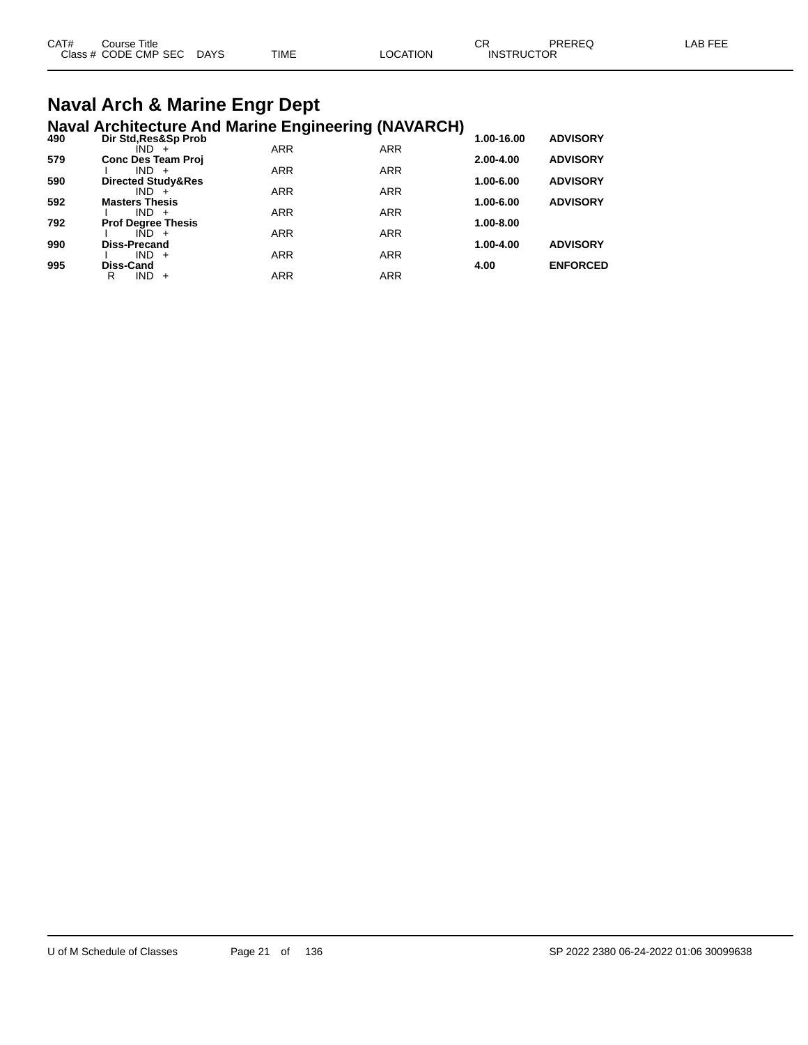| CAT# | Course Title              |      |          | ◠◻                | PREREQ | LAB FEE |
|------|---------------------------|------|----------|-------------------|--------|---------|
|      | Class # CODE CMP SEC DAYS | TIME | LOCATION | <b>INSTRUCTOR</b> |        |         |

#### **Naval Arch & Marine Engr Dept Naval Architecture And Marine Engineering (NAVARCH)**

| 490 | Dir Std, Res&Sp Prob                 |            |            | 1.00-16.00 | <b>ADVISORY</b> |
|-----|--------------------------------------|------------|------------|------------|-----------------|
|     | $IND +$                              | <b>ARR</b> | <b>ARR</b> |            |                 |
| 579 | <b>Conc Des Team Proj</b>            |            |            | 2.00-4.00  | <b>ADVISORY</b> |
|     | $IND +$                              | <b>ARR</b> | <b>ARR</b> |            |                 |
| 590 | Directed Study&Res                   |            |            | 1.00-6.00  | <b>ADVISORY</b> |
|     | $IND +$                              | <b>ARR</b> | <b>ARR</b> |            |                 |
| 592 | <b>Masters Thesis</b>                | <b>ARR</b> |            | 1.00-6.00  | <b>ADVISORY</b> |
| 792 | $IND +$                              |            | <b>ARR</b> | 1.00-8.00  |                 |
|     | <b>Prof Degree Thesis</b><br>$IND +$ | <b>ARR</b> | <b>ARR</b> |            |                 |
| 990 | <b>Diss-Precand</b>                  |            |            | 1.00-4.00  | <b>ADVISORY</b> |
|     | $IND +$                              | <b>ARR</b> | <b>ARR</b> |            |                 |
| 995 | Diss-Cand                            |            |            | 4.00       | <b>ENFORCED</b> |
|     | IND<br>R<br>$+$                      | ARR        | <b>ARR</b> |            |                 |
|     |                                      |            |            |            |                 |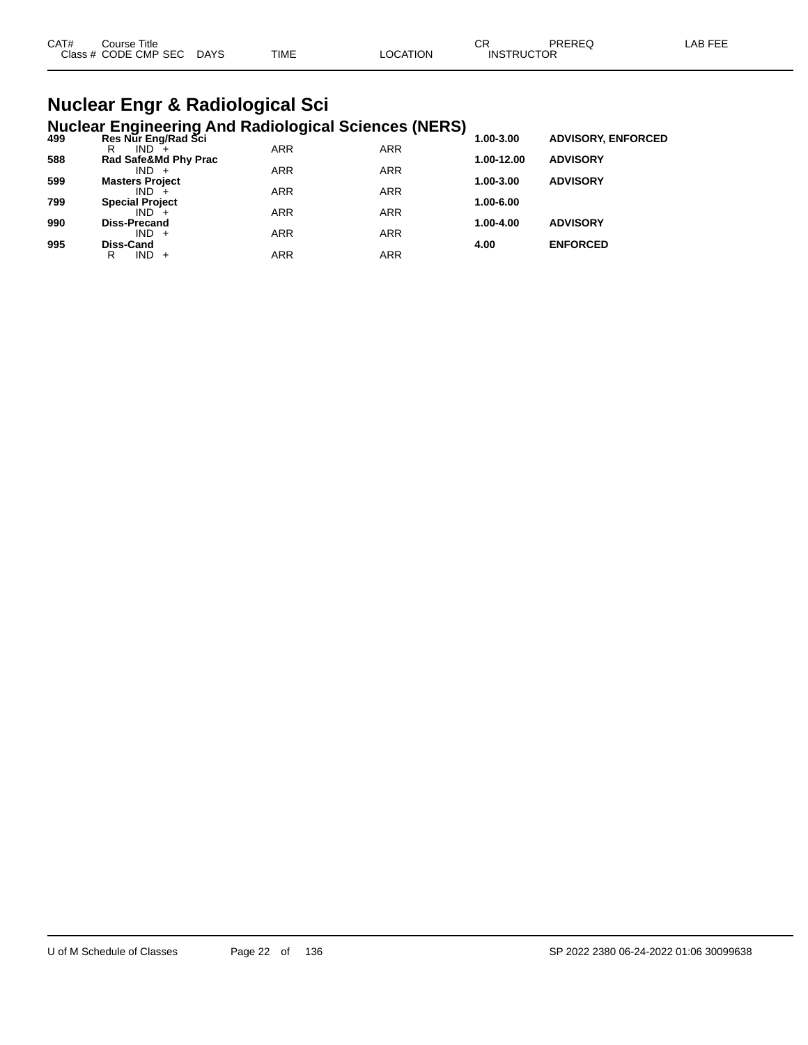| TIME<br>Class # CODE CMP SEC<br><b>DAYS</b><br>LOCATION<br><b>INSTRUCTOR</b> |  |
|------------------------------------------------------------------------------|--|
|                                                                              |  |

### **Nuclear Engr & Radiological Sci Nuclear Engineering And Radiological Sciences (NERS)**

| 499 | Res Nur Eng/Rad Sci    | ~          |            | 1.00-3.00  | <b>ADVISORY, ENFORCED</b> |
|-----|------------------------|------------|------------|------------|---------------------------|
|     | $IND^{-}$<br>R         | <b>ARR</b> | <b>ARR</b> |            |                           |
| 588 | Rad Safe&Md Phy Prac   |            |            | 1.00-12.00 | <b>ADVISORY</b>           |
|     | $IND +$                | <b>ARR</b> | <b>ARR</b> |            |                           |
| 599 | <b>Masters Project</b> |            |            | 1.00-3.00  | <b>ADVISORY</b>           |
|     | $IND +$                | <b>ARR</b> | <b>ARR</b> |            |                           |
| 799 | <b>Special Project</b> |            |            | 1.00-6.00  |                           |
|     | $IND +$                | <b>ARR</b> | <b>ARR</b> |            |                           |
| 990 | <b>Diss-Precand</b>    |            |            | 1.00-4.00  | <b>ADVISORY</b>           |
|     | $IND +$                | <b>ARR</b> | <b>ARR</b> |            |                           |
| 995 | Diss-Cand              |            |            | 4.00       | <b>ENFORCED</b>           |
|     | $IND +$<br>R           | ARR        | ARR        |            |                           |
|     |                        |            |            |            |                           |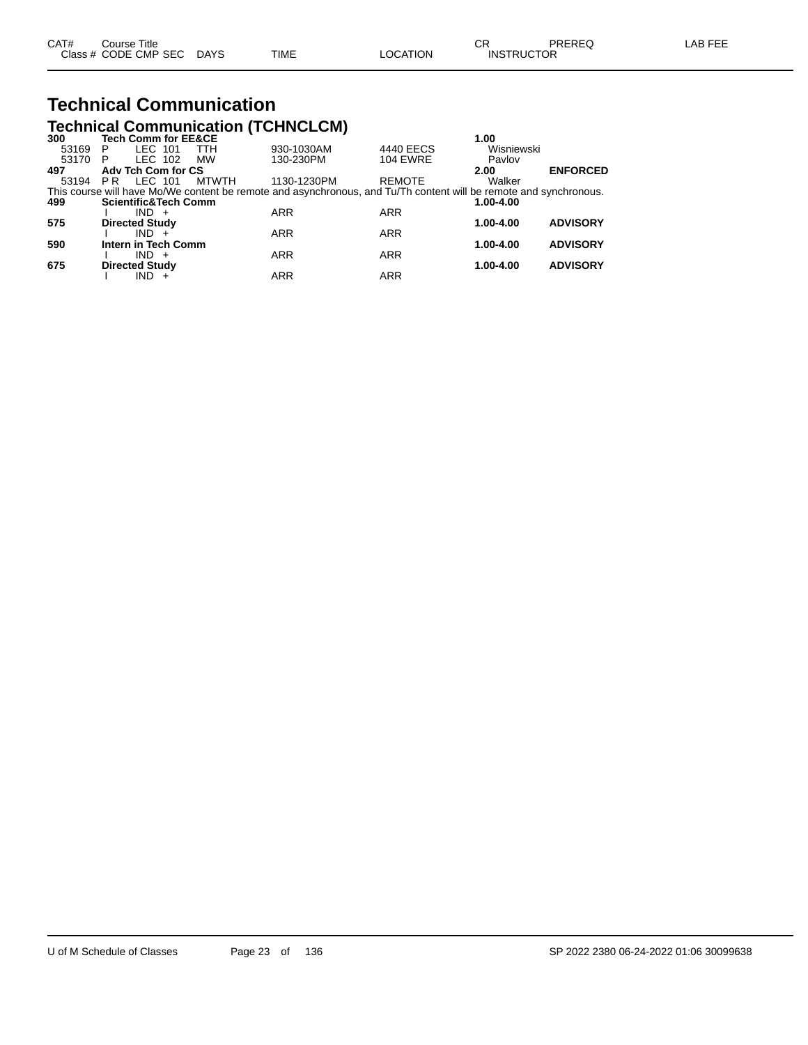# **Technical Communication**

|       |                                 |              | <b>Technical Communication (TCHNCLCM)</b> |                                                                                                                   |            |                 |
|-------|---------------------------------|--------------|-------------------------------------------|-------------------------------------------------------------------------------------------------------------------|------------|-----------------|
| 300   | <b>Tech Comm for EE&amp;CE</b>  |              |                                           |                                                                                                                   | 1.00       |                 |
| 53169 | LEC 101<br>P                    | <b>TTH</b>   | 930-1030AM                                | 4440 EECS                                                                                                         | Wisniewski |                 |
| 53170 | LEC 102<br>P                    | <b>MW</b>    | 130-230PM                                 | <b>104 EWRE</b>                                                                                                   | Pavlov     |                 |
| 497   | Adv Tch Com for CS              |              |                                           |                                                                                                                   | 2.00       | <b>ENFORCED</b> |
| 53194 | LEC 101<br>PR                   | <b>MTWTH</b> | 1130-1230PM                               | <b>REMOTE</b>                                                                                                     | Walker     |                 |
|       |                                 |              |                                           | This course will have Mo/We content be remote and asynchronous, and Tu/Th content will be remote and synchronous. |            |                 |
| 499   | <b>Scientific&amp;Tech Comm</b> |              |                                           |                                                                                                                   | 1.00-4.00  |                 |
|       | $IND +$                         |              | <b>ARR</b>                                | <b>ARR</b>                                                                                                        |            |                 |
| 575   | <b>Directed Study</b>           |              |                                           |                                                                                                                   | 1.00-4.00  | <b>ADVISORY</b> |
|       | $IND +$                         |              | <b>ARR</b>                                | <b>ARR</b>                                                                                                        |            |                 |
| 590   | Intern in Tech Comm             |              |                                           |                                                                                                                   | 1.00-4.00  | <b>ADVISORY</b> |
|       | $IND +$                         |              | <b>ARR</b>                                | <b>ARR</b>                                                                                                        |            |                 |
| 675   | <b>Directed Study</b>           |              |                                           |                                                                                                                   | 1.00-4.00  | <b>ADVISORY</b> |
|       | IND                             |              | <b>ARR</b>                                | <b>ARR</b>                                                                                                        |            |                 |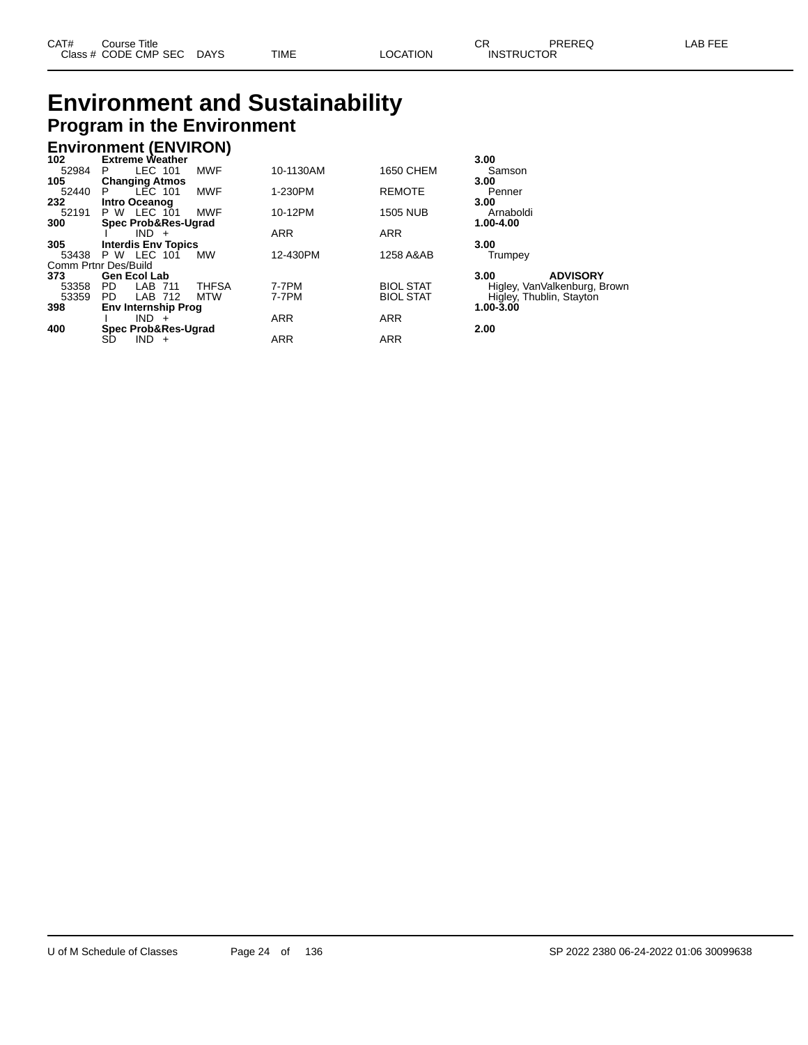## **Environment and Sustainability Program in the Environment**

# **Environment (ENVIRON) 102 Extreme Weather 3.00**

| 102.  | <b>Extreme weather</b>         |              |            |                  | 3.UU                         |
|-------|--------------------------------|--------------|------------|------------------|------------------------------|
| 52984 | LEC 101<br>P.                  | <b>MWF</b>   | 10-1130AM  | 1650 CHEM        | Samson                       |
| 105   | <b>Changing Atmos</b>          |              |            |                  | 3.00                         |
| 52440 | LEC 101<br>P                   | <b>MWF</b>   | 1-230PM    | <b>REMOTE</b>    | Penner                       |
| 232   | Intro Oceanog                  |              |            |                  | 3.00                         |
| 52191 | <b>P W LEC 101</b>             | <b>MWF</b>   | 10-12PM    | <b>1505 NUB</b>  | Arnaboldi                    |
| 300   | <b>Spec Prob&amp;Res-Ugrad</b> |              |            |                  | 1.00-4.00                    |
|       | $IND +$                        |              | <b>ARR</b> | <b>ARR</b>       |                              |
| 305   | <b>Interdis Env Topics</b>     |              |            |                  | 3.00                         |
| 53438 | <b>P W LEC 101</b>             | <b>MW</b>    | 12-430PM   | 1258 A&AB        | Trumpey                      |
|       | Comm Prtnr Des/Build           |              |            |                  |                              |
| 373   | <b>Gen Ecol Lab</b>            |              |            |                  | <b>ADVISORY</b><br>3.00      |
| 53358 | PD.<br>LAB 711                 | <b>THFSA</b> | 7-7PM      | <b>BIOL STAT</b> | Higley, VanValkenburg, Brown |
| 53359 | LAB 712<br>PD.                 | MTW          | 7-7PM      | <b>BIOL STAT</b> | Higley, Thublin, Stayton     |
| 398   | <b>Env Internship Prog</b>     |              |            |                  | $1.00 - 3.00$                |
|       | $IND +$                        |              | <b>ARR</b> | <b>ARR</b>       |                              |
| 400   | <b>Spec Prob&amp;Res-Ugrad</b> |              |            |                  | 2.00                         |
|       | $IND +$<br>SD                  |              | <b>ARR</b> | <b>ARR</b>       |                              |
|       |                                |              |            |                  |                              |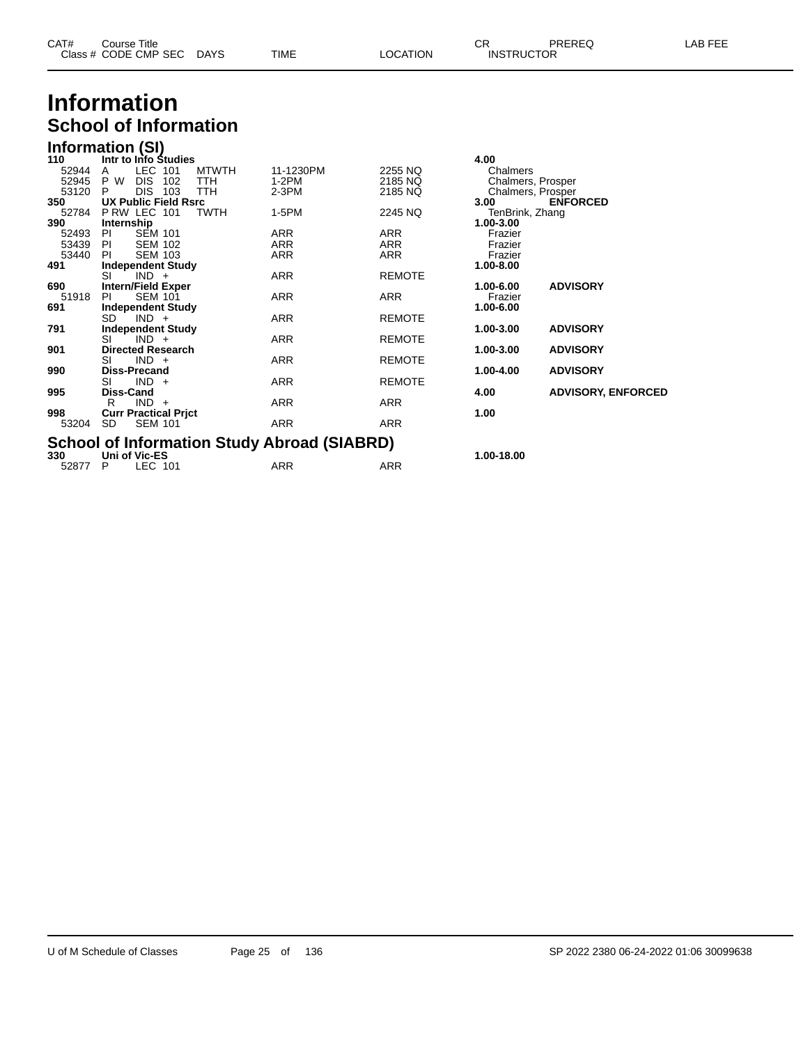| CAT# | ourse Titleٽ         |             |      |          | ⌒冖<br>◡⊓          | PREREQ | , EEF<br>AR. |
|------|----------------------|-------------|------|----------|-------------------|--------|--------------|
|      | Class # CODE CMP SEC | <b>DAYS</b> | TIME | LOCATION | <b>INSTRUCTOR</b> |        |              |

## **Information School of Information**

|       | <b>Information (SI)</b>                            |              |            |               |                   |                           |  |  |  |  |  |  |
|-------|----------------------------------------------------|--------------|------------|---------------|-------------------|---------------------------|--|--|--|--|--|--|
| 110   | Intr to Info Studies                               |              |            |               | 4.00              |                           |  |  |  |  |  |  |
| 52944 | LEC<br>101<br>A                                    | <b>MTWTH</b> | 11-1230PM  | 2255 NQ       | Chalmers          |                           |  |  |  |  |  |  |
| 52945 | P W<br><b>DIS</b><br>102                           | TTH          | $1-2PM$    | 2185 NQ       | Chalmers, Prosper |                           |  |  |  |  |  |  |
| 53120 | <b>DIS</b><br>103<br>P                             | <b>TTH</b>   | $2-3PM$    | 2185 NQ       | Chalmers, Prosper |                           |  |  |  |  |  |  |
| 350   | <b>UX Public Field Rsrc</b>                        |              |            |               | 3.00              | <b>ENFORCED</b>           |  |  |  |  |  |  |
| 52784 | PRW LEC 101                                        | <b>TWTH</b>  | $1-5PM$    | 2245 NQ       | TenBrink, Zhang   |                           |  |  |  |  |  |  |
| 390   | Internship                                         |              |            |               | 1.00-3.00         |                           |  |  |  |  |  |  |
| 52493 | <b>SEM 101</b><br>PI                               |              | <b>ARR</b> | <b>ARR</b>    | Frazier           |                           |  |  |  |  |  |  |
| 53439 | <b>SEM 102</b><br>PI.                              |              | <b>ARR</b> | <b>ARR</b>    | Frazier           |                           |  |  |  |  |  |  |
| 53440 | <b>SEM 103</b><br><b>PI</b>                        |              | ARR        | ARR           | Frazier           |                           |  |  |  |  |  |  |
| 491   | <b>Independent Study</b>                           |              |            |               | 1.00-8.00         |                           |  |  |  |  |  |  |
|       | SI<br>$IND +$                                      |              | ARR        | <b>REMOTE</b> |                   |                           |  |  |  |  |  |  |
| 690   | <b>Intern/Field Exper</b>                          |              |            |               | 1.00-6.00         | <b>ADVISORY</b>           |  |  |  |  |  |  |
| 51918 | <b>SEM 101</b><br>PI                               |              | ARR        | ARR           | Frazier           |                           |  |  |  |  |  |  |
| 691   | <b>Independent Study</b>                           |              |            |               | 1.00-6.00         |                           |  |  |  |  |  |  |
|       | SD.<br>$IND +$                                     |              | <b>ARR</b> | <b>REMOTE</b> |                   |                           |  |  |  |  |  |  |
| 791   | <b>Independent Study</b>                           |              |            |               | 1.00-3.00         | <b>ADVISORY</b>           |  |  |  |  |  |  |
|       | SI<br>$IND +$                                      |              | ARR        | <b>REMOTE</b> |                   |                           |  |  |  |  |  |  |
| 901   | <b>Directed Research</b>                           |              |            |               | 1.00-3.00         | <b>ADVISORY</b>           |  |  |  |  |  |  |
|       | $IND +$<br>SI                                      |              | ARR        | <b>REMOTE</b> |                   |                           |  |  |  |  |  |  |
| 990   | <b>Diss-Precand</b>                                |              |            |               | 1.00-4.00         | <b>ADVISORY</b>           |  |  |  |  |  |  |
|       | SI<br>$IND +$                                      |              | <b>ARR</b> | <b>REMOTE</b> |                   |                           |  |  |  |  |  |  |
| 995   | Diss-Cand                                          |              |            |               | 4.00              | <b>ADVISORY, ENFORCED</b> |  |  |  |  |  |  |
|       | $IND +$<br>R                                       |              | <b>ARR</b> | <b>ARR</b>    |                   |                           |  |  |  |  |  |  |
| 998   | <b>Curr Practical Prict</b>                        |              |            |               | 1.00              |                           |  |  |  |  |  |  |
| 53204 | SD.<br><b>SEM 101</b>                              |              | <b>ARR</b> | <b>ARR</b>    |                   |                           |  |  |  |  |  |  |
|       | <b>School of Information Study Abroad (SIABRD)</b> |              |            |               |                   |                           |  |  |  |  |  |  |
|       |                                                    |              |            |               |                   |                           |  |  |  |  |  |  |
| 330   | Uni of Vic-ES                                      |              |            |               | 1.00-18.00        |                           |  |  |  |  |  |  |
| 52877 | LEC 101<br>P                                       |              | <b>ARR</b> | ARR           |                   |                           |  |  |  |  |  |  |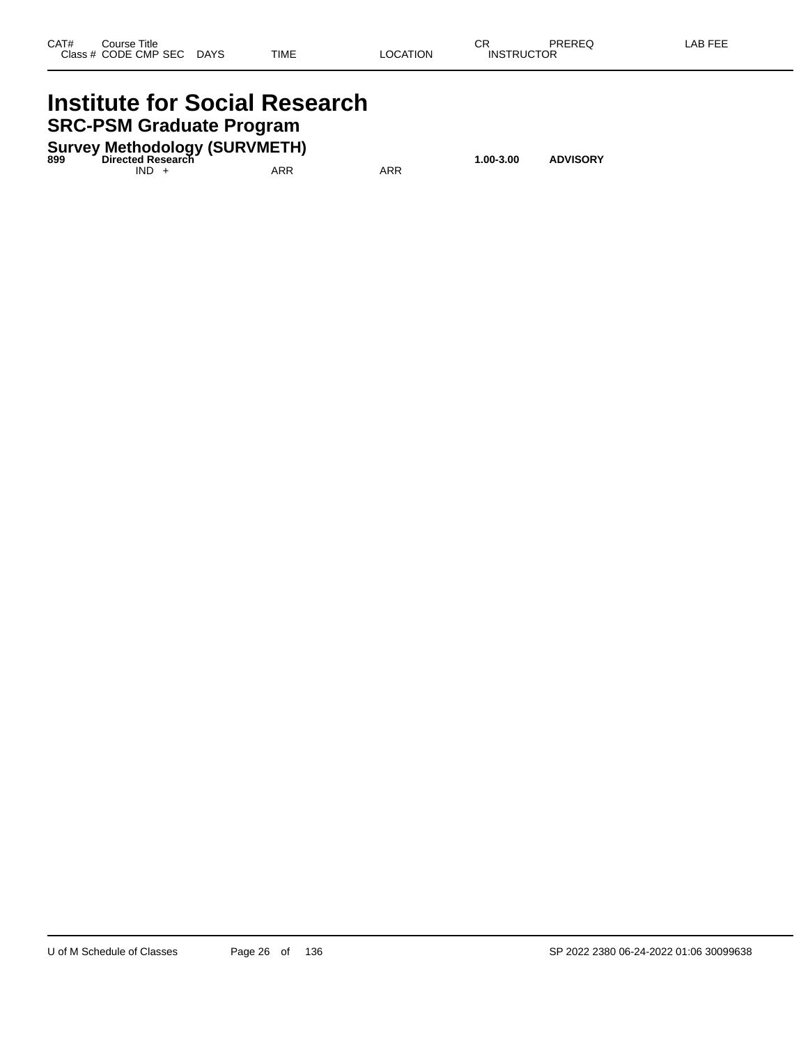### **Institute for Social Research SRC-PSM Graduate Program**

**Survey Methodology (SURVMETH) 899 Directed Research 1.00-3.00 ADVISORY**

 $IND + ARR$  ARR ARR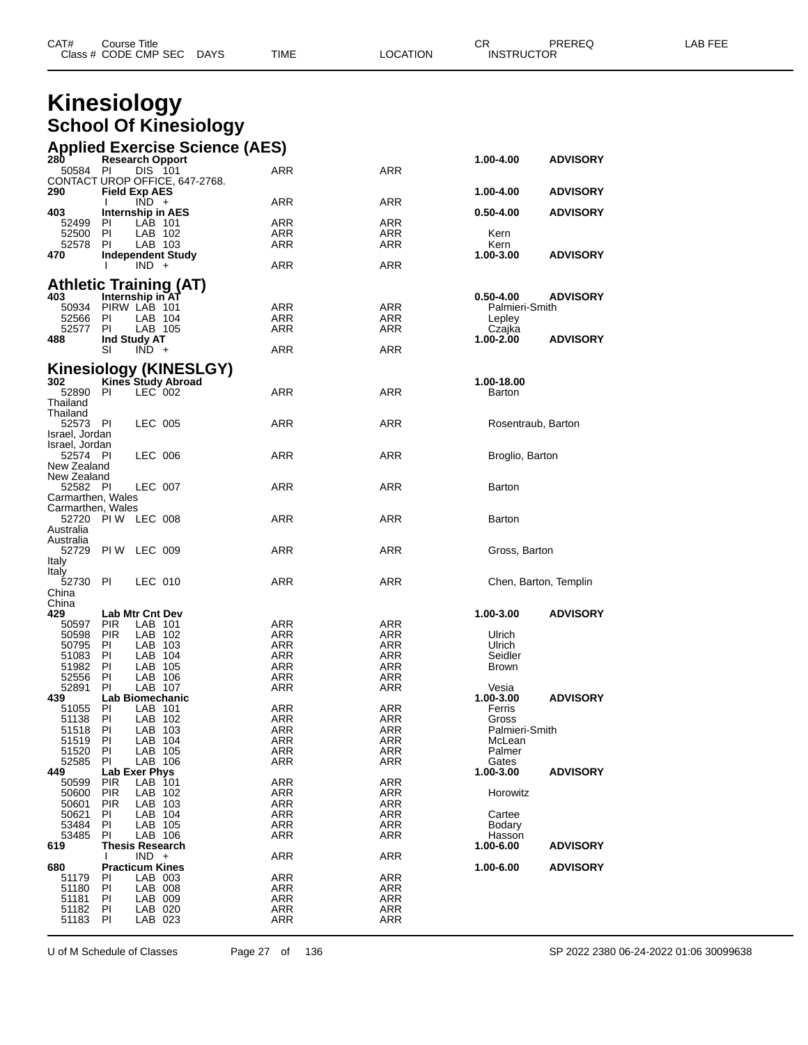| CAT# | Title<br>∴ourse      |             |      |          | ⌒冖<br>- UN | PREREQ            | AR FFF |
|------|----------------------|-------------|------|----------|------------|-------------------|--------|
|      | Class # CODE CMP SEC | <b>DAYS</b> | TIME | LOCATION |            | <b>INSTRUCTOR</b> |        |

# **Kinesiology**

| <b>School Of Kinesiology</b><br><b>Applied Exercise Science (AES)</b><br>28Ò<br><b>Research Opport</b><br>1.00-4.00<br><b>ADVISORY</b><br>50584<br>ARR<br>ARR<br>PI<br>DIS 101<br>CONTACT UROP OFFICE, 647-2768.<br>290<br><b>Field Exp AES</b><br><b>ADVISORY</b><br>1.00-4.00<br>ARR<br>ARR<br>$IND +$<br>I.<br>403<br>Internship in AES<br><b>ADVISORY</b><br>$0.50 - 4.00$<br>52499 PI<br>LAB 101<br>ARR<br>ARR<br>LAB 102<br>ARR<br>ARR<br>52500<br>PI.<br>Kern<br>ARR<br>52578<br>PI.<br>LAB 103<br>ARR<br>Kern<br><b>Independent Study</b><br>1.00-3.00<br><b>ADVISORY</b><br>470<br>ARR<br>ARR<br>L<br>$IND +$<br><b>Athletic Training (AT)</b><br>403<br>Internship in AT<br><b>ADVISORY</b><br>$0.50 - 4.00$<br>PIRW LAB 101<br>ARR<br>ARR<br>Palmieri-Smith<br>50934<br>ARR<br>52566<br>PL<br>LAB 104<br>ARR<br>Lepley<br>LAB 105<br>ARR<br>52577<br>PL<br>ARR<br>Czajka<br>Ind Study AT<br>1.00-2.00<br><b>ADVISORY</b><br>488<br>$IND +$<br>ARR<br>ARR<br>SI<br>Kinesiology (KINESLGY)<br><b>Kines Study Abroad</b><br>302<br>1.00-18.00<br>ARR<br>ARR<br>52890<br>LEC 002<br>PL<br>Barton<br>Thailand<br>Thailand<br>ARR<br>LEC 005<br>ARR<br>52573 PI<br>Rosentraub, Barton<br>Israel, Jordan<br>Israel, Jordan<br>LEC 006<br>ARR<br>ARR<br>52574 PI<br>Broglio, Barton<br>New Zealand<br>New Zealand<br>LEC 007<br>ARR<br>ARR<br>52582 PI<br>Barton<br>Carmarthen, Wales<br>Carmarthen, Wales<br>ARR<br>52720 PIW LEC 008<br>ARR<br>Barton<br>Australia<br>Australia<br>52729 PIW LEC 009<br>ARR<br>ARR<br>Gross, Barton<br>Italy<br>Italy<br>52730 PI<br>ARR<br>LEC 010<br>ARR<br>Chen, Barton, Templin<br>China<br>China<br>429<br>Lab Mtr Cnt Dev<br>1.00-3.00<br><b>PIR</b><br>LAB 101<br>ARR<br>ARR<br>50597<br>LAB 102<br>ARR<br><b>PIR</b><br>ARR<br>50598<br>Ulrich<br>LAB 103<br><b>ARR</b><br>ARR<br>50795<br>PI.<br>Ulrich<br>LAB 104<br>51083<br>PI.<br>ARR<br>ARR<br>Seidler<br>LAB 105<br>ARR<br>51982<br>PI<br>ARR<br><b>Brown</b><br>ΡI<br>LAB 106<br>ARR<br>52556<br>ARR<br>Vesia<br>PI.<br>LAB 107<br>ARR<br>52891<br>ARR<br><b>ADVISORY</b><br>439<br>Lab Biomechanic<br>1.00-3.00<br><b>ARR</b><br>51055<br>LAB 101<br>ARR<br>PL<br>Ferris<br>LAB 102<br>ARR<br>51138<br>PI.<br>ARR<br>Gross<br>51518<br>LAB 103<br>ARR<br>ARR<br>PI.<br>Palmieri-Smith<br><b>ARR</b><br>51519<br>PI.<br>LAB 104<br>ARR<br>McLean<br>LAB 105<br>ARR<br>51520<br>PI.<br>ARR<br>Palmer<br>52585<br>PI.<br>LAB 106<br>ARR<br>ARR<br>Gates<br>449<br>Lab Exer Phys<br>1.00-3.00<br>ARR<br>ARR<br>50599<br><b>PIR</b><br>LAB 101<br>LAB 102<br>ARR<br>ARR<br>50600<br><b>PIR</b><br>Horowitz<br><b>ARR</b><br><b>PIR</b><br>LAB 103<br>ARR<br>50601<br>ARR<br>50621<br>PL<br>LAB 104<br>ARR<br>Cartee<br>PI.<br>LAB 105<br>ARR<br>ARR<br>53484<br>Bodary<br>53485<br>PL<br>LAB 106<br>ARR<br>ARR<br>Hasson<br><b>Thesis Research</b><br>1.00-6.00<br><b>ADVISORY</b><br>619<br>$IND +$<br><b>ARR</b><br>ARR<br>I.<br><b>Practicum Kines</b><br>1.00-6.00<br>680<br><b>ADVISORY</b><br>ARR<br>ARR<br>LAB 003<br>51179<br>PI.<br>51180<br>LAB 008<br>ARR<br>ARR<br>PI.<br><b>ARR</b><br>51181<br>PI<br>LAB 009<br>ARR |       |    | <b>Kinesiology</b> |            |     |                 |
|------------------------------------------------------------------------------------------------------------------------------------------------------------------------------------------------------------------------------------------------------------------------------------------------------------------------------------------------------------------------------------------------------------------------------------------------------------------------------------------------------------------------------------------------------------------------------------------------------------------------------------------------------------------------------------------------------------------------------------------------------------------------------------------------------------------------------------------------------------------------------------------------------------------------------------------------------------------------------------------------------------------------------------------------------------------------------------------------------------------------------------------------------------------------------------------------------------------------------------------------------------------------------------------------------------------------------------------------------------------------------------------------------------------------------------------------------------------------------------------------------------------------------------------------------------------------------------------------------------------------------------------------------------------------------------------------------------------------------------------------------------------------------------------------------------------------------------------------------------------------------------------------------------------------------------------------------------------------------------------------------------------------------------------------------------------------------------------------------------------------------------------------------------------------------------------------------------------------------------------------------------------------------------------------------------------------------------------------------------------------------------------------------------------------------------------------------------------------------------------------------------------------------------------------------------------------------------------------------------------------------------------------------------------------------------------------------------------------------------------------------------------------------------------------------------------------------------------------------------------------------------------------------------------------------------------------------------------------------------------------------------------------------------------------------------------------------------------------------------------------------------|-------|----|--------------------|------------|-----|-----------------|
|                                                                                                                                                                                                                                                                                                                                                                                                                                                                                                                                                                                                                                                                                                                                                                                                                                                                                                                                                                                                                                                                                                                                                                                                                                                                                                                                                                                                                                                                                                                                                                                                                                                                                                                                                                                                                                                                                                                                                                                                                                                                                                                                                                                                                                                                                                                                                                                                                                                                                                                                                                                                                                                                                                                                                                                                                                                                                                                                                                                                                                                                                                                                    |       |    |                    |            |     |                 |
|                                                                                                                                                                                                                                                                                                                                                                                                                                                                                                                                                                                                                                                                                                                                                                                                                                                                                                                                                                                                                                                                                                                                                                                                                                                                                                                                                                                                                                                                                                                                                                                                                                                                                                                                                                                                                                                                                                                                                                                                                                                                                                                                                                                                                                                                                                                                                                                                                                                                                                                                                                                                                                                                                                                                                                                                                                                                                                                                                                                                                                                                                                                                    |       |    |                    |            |     |                 |
|                                                                                                                                                                                                                                                                                                                                                                                                                                                                                                                                                                                                                                                                                                                                                                                                                                                                                                                                                                                                                                                                                                                                                                                                                                                                                                                                                                                                                                                                                                                                                                                                                                                                                                                                                                                                                                                                                                                                                                                                                                                                                                                                                                                                                                                                                                                                                                                                                                                                                                                                                                                                                                                                                                                                                                                                                                                                                                                                                                                                                                                                                                                                    |       |    |                    |            |     |                 |
|                                                                                                                                                                                                                                                                                                                                                                                                                                                                                                                                                                                                                                                                                                                                                                                                                                                                                                                                                                                                                                                                                                                                                                                                                                                                                                                                                                                                                                                                                                                                                                                                                                                                                                                                                                                                                                                                                                                                                                                                                                                                                                                                                                                                                                                                                                                                                                                                                                                                                                                                                                                                                                                                                                                                                                                                                                                                                                                                                                                                                                                                                                                                    |       |    |                    |            |     |                 |
|                                                                                                                                                                                                                                                                                                                                                                                                                                                                                                                                                                                                                                                                                                                                                                                                                                                                                                                                                                                                                                                                                                                                                                                                                                                                                                                                                                                                                                                                                                                                                                                                                                                                                                                                                                                                                                                                                                                                                                                                                                                                                                                                                                                                                                                                                                                                                                                                                                                                                                                                                                                                                                                                                                                                                                                                                                                                                                                                                                                                                                                                                                                                    |       |    |                    |            |     |                 |
|                                                                                                                                                                                                                                                                                                                                                                                                                                                                                                                                                                                                                                                                                                                                                                                                                                                                                                                                                                                                                                                                                                                                                                                                                                                                                                                                                                                                                                                                                                                                                                                                                                                                                                                                                                                                                                                                                                                                                                                                                                                                                                                                                                                                                                                                                                                                                                                                                                                                                                                                                                                                                                                                                                                                                                                                                                                                                                                                                                                                                                                                                                                                    |       |    |                    |            |     |                 |
|                                                                                                                                                                                                                                                                                                                                                                                                                                                                                                                                                                                                                                                                                                                                                                                                                                                                                                                                                                                                                                                                                                                                                                                                                                                                                                                                                                                                                                                                                                                                                                                                                                                                                                                                                                                                                                                                                                                                                                                                                                                                                                                                                                                                                                                                                                                                                                                                                                                                                                                                                                                                                                                                                                                                                                                                                                                                                                                                                                                                                                                                                                                                    |       |    |                    |            |     |                 |
|                                                                                                                                                                                                                                                                                                                                                                                                                                                                                                                                                                                                                                                                                                                                                                                                                                                                                                                                                                                                                                                                                                                                                                                                                                                                                                                                                                                                                                                                                                                                                                                                                                                                                                                                                                                                                                                                                                                                                                                                                                                                                                                                                                                                                                                                                                                                                                                                                                                                                                                                                                                                                                                                                                                                                                                                                                                                                                                                                                                                                                                                                                                                    |       |    |                    |            |     |                 |
|                                                                                                                                                                                                                                                                                                                                                                                                                                                                                                                                                                                                                                                                                                                                                                                                                                                                                                                                                                                                                                                                                                                                                                                                                                                                                                                                                                                                                                                                                                                                                                                                                                                                                                                                                                                                                                                                                                                                                                                                                                                                                                                                                                                                                                                                                                                                                                                                                                                                                                                                                                                                                                                                                                                                                                                                                                                                                                                                                                                                                                                                                                                                    |       |    |                    |            |     |                 |
|                                                                                                                                                                                                                                                                                                                                                                                                                                                                                                                                                                                                                                                                                                                                                                                                                                                                                                                                                                                                                                                                                                                                                                                                                                                                                                                                                                                                                                                                                                                                                                                                                                                                                                                                                                                                                                                                                                                                                                                                                                                                                                                                                                                                                                                                                                                                                                                                                                                                                                                                                                                                                                                                                                                                                                                                                                                                                                                                                                                                                                                                                                                                    |       |    |                    |            |     |                 |
|                                                                                                                                                                                                                                                                                                                                                                                                                                                                                                                                                                                                                                                                                                                                                                                                                                                                                                                                                                                                                                                                                                                                                                                                                                                                                                                                                                                                                                                                                                                                                                                                                                                                                                                                                                                                                                                                                                                                                                                                                                                                                                                                                                                                                                                                                                                                                                                                                                                                                                                                                                                                                                                                                                                                                                                                                                                                                                                                                                                                                                                                                                                                    |       |    |                    |            |     |                 |
|                                                                                                                                                                                                                                                                                                                                                                                                                                                                                                                                                                                                                                                                                                                                                                                                                                                                                                                                                                                                                                                                                                                                                                                                                                                                                                                                                                                                                                                                                                                                                                                                                                                                                                                                                                                                                                                                                                                                                                                                                                                                                                                                                                                                                                                                                                                                                                                                                                                                                                                                                                                                                                                                                                                                                                                                                                                                                                                                                                                                                                                                                                                                    |       |    |                    |            |     |                 |
|                                                                                                                                                                                                                                                                                                                                                                                                                                                                                                                                                                                                                                                                                                                                                                                                                                                                                                                                                                                                                                                                                                                                                                                                                                                                                                                                                                                                                                                                                                                                                                                                                                                                                                                                                                                                                                                                                                                                                                                                                                                                                                                                                                                                                                                                                                                                                                                                                                                                                                                                                                                                                                                                                                                                                                                                                                                                                                                                                                                                                                                                                                                                    |       |    |                    |            |     |                 |
|                                                                                                                                                                                                                                                                                                                                                                                                                                                                                                                                                                                                                                                                                                                                                                                                                                                                                                                                                                                                                                                                                                                                                                                                                                                                                                                                                                                                                                                                                                                                                                                                                                                                                                                                                                                                                                                                                                                                                                                                                                                                                                                                                                                                                                                                                                                                                                                                                                                                                                                                                                                                                                                                                                                                                                                                                                                                                                                                                                                                                                                                                                                                    |       |    |                    |            |     |                 |
|                                                                                                                                                                                                                                                                                                                                                                                                                                                                                                                                                                                                                                                                                                                                                                                                                                                                                                                                                                                                                                                                                                                                                                                                                                                                                                                                                                                                                                                                                                                                                                                                                                                                                                                                                                                                                                                                                                                                                                                                                                                                                                                                                                                                                                                                                                                                                                                                                                                                                                                                                                                                                                                                                                                                                                                                                                                                                                                                                                                                                                                                                                                                    |       |    |                    |            |     |                 |
|                                                                                                                                                                                                                                                                                                                                                                                                                                                                                                                                                                                                                                                                                                                                                                                                                                                                                                                                                                                                                                                                                                                                                                                                                                                                                                                                                                                                                                                                                                                                                                                                                                                                                                                                                                                                                                                                                                                                                                                                                                                                                                                                                                                                                                                                                                                                                                                                                                                                                                                                                                                                                                                                                                                                                                                                                                                                                                                                                                                                                                                                                                                                    |       |    |                    |            |     |                 |
|                                                                                                                                                                                                                                                                                                                                                                                                                                                                                                                                                                                                                                                                                                                                                                                                                                                                                                                                                                                                                                                                                                                                                                                                                                                                                                                                                                                                                                                                                                                                                                                                                                                                                                                                                                                                                                                                                                                                                                                                                                                                                                                                                                                                                                                                                                                                                                                                                                                                                                                                                                                                                                                                                                                                                                                                                                                                                                                                                                                                                                                                                                                                    |       |    |                    |            |     |                 |
|                                                                                                                                                                                                                                                                                                                                                                                                                                                                                                                                                                                                                                                                                                                                                                                                                                                                                                                                                                                                                                                                                                                                                                                                                                                                                                                                                                                                                                                                                                                                                                                                                                                                                                                                                                                                                                                                                                                                                                                                                                                                                                                                                                                                                                                                                                                                                                                                                                                                                                                                                                                                                                                                                                                                                                                                                                                                                                                                                                                                                                                                                                                                    |       |    |                    |            |     |                 |
|                                                                                                                                                                                                                                                                                                                                                                                                                                                                                                                                                                                                                                                                                                                                                                                                                                                                                                                                                                                                                                                                                                                                                                                                                                                                                                                                                                                                                                                                                                                                                                                                                                                                                                                                                                                                                                                                                                                                                                                                                                                                                                                                                                                                                                                                                                                                                                                                                                                                                                                                                                                                                                                                                                                                                                                                                                                                                                                                                                                                                                                                                                                                    |       |    |                    |            |     |                 |
|                                                                                                                                                                                                                                                                                                                                                                                                                                                                                                                                                                                                                                                                                                                                                                                                                                                                                                                                                                                                                                                                                                                                                                                                                                                                                                                                                                                                                                                                                                                                                                                                                                                                                                                                                                                                                                                                                                                                                                                                                                                                                                                                                                                                                                                                                                                                                                                                                                                                                                                                                                                                                                                                                                                                                                                                                                                                                                                                                                                                                                                                                                                                    |       |    |                    |            |     |                 |
|                                                                                                                                                                                                                                                                                                                                                                                                                                                                                                                                                                                                                                                                                                                                                                                                                                                                                                                                                                                                                                                                                                                                                                                                                                                                                                                                                                                                                                                                                                                                                                                                                                                                                                                                                                                                                                                                                                                                                                                                                                                                                                                                                                                                                                                                                                                                                                                                                                                                                                                                                                                                                                                                                                                                                                                                                                                                                                                                                                                                                                                                                                                                    |       |    |                    |            |     |                 |
|                                                                                                                                                                                                                                                                                                                                                                                                                                                                                                                                                                                                                                                                                                                                                                                                                                                                                                                                                                                                                                                                                                                                                                                                                                                                                                                                                                                                                                                                                                                                                                                                                                                                                                                                                                                                                                                                                                                                                                                                                                                                                                                                                                                                                                                                                                                                                                                                                                                                                                                                                                                                                                                                                                                                                                                                                                                                                                                                                                                                                                                                                                                                    |       |    |                    |            |     | <b>ADVISORY</b> |
|                                                                                                                                                                                                                                                                                                                                                                                                                                                                                                                                                                                                                                                                                                                                                                                                                                                                                                                                                                                                                                                                                                                                                                                                                                                                                                                                                                                                                                                                                                                                                                                                                                                                                                                                                                                                                                                                                                                                                                                                                                                                                                                                                                                                                                                                                                                                                                                                                                                                                                                                                                                                                                                                                                                                                                                                                                                                                                                                                                                                                                                                                                                                    |       |    |                    |            |     |                 |
|                                                                                                                                                                                                                                                                                                                                                                                                                                                                                                                                                                                                                                                                                                                                                                                                                                                                                                                                                                                                                                                                                                                                                                                                                                                                                                                                                                                                                                                                                                                                                                                                                                                                                                                                                                                                                                                                                                                                                                                                                                                                                                                                                                                                                                                                                                                                                                                                                                                                                                                                                                                                                                                                                                                                                                                                                                                                                                                                                                                                                                                                                                                                    |       |    |                    |            |     |                 |
|                                                                                                                                                                                                                                                                                                                                                                                                                                                                                                                                                                                                                                                                                                                                                                                                                                                                                                                                                                                                                                                                                                                                                                                                                                                                                                                                                                                                                                                                                                                                                                                                                                                                                                                                                                                                                                                                                                                                                                                                                                                                                                                                                                                                                                                                                                                                                                                                                                                                                                                                                                                                                                                                                                                                                                                                                                                                                                                                                                                                                                                                                                                                    |       |    |                    |            |     |                 |
|                                                                                                                                                                                                                                                                                                                                                                                                                                                                                                                                                                                                                                                                                                                                                                                                                                                                                                                                                                                                                                                                                                                                                                                                                                                                                                                                                                                                                                                                                                                                                                                                                                                                                                                                                                                                                                                                                                                                                                                                                                                                                                                                                                                                                                                                                                                                                                                                                                                                                                                                                                                                                                                                                                                                                                                                                                                                                                                                                                                                                                                                                                                                    |       |    |                    |            |     |                 |
|                                                                                                                                                                                                                                                                                                                                                                                                                                                                                                                                                                                                                                                                                                                                                                                                                                                                                                                                                                                                                                                                                                                                                                                                                                                                                                                                                                                                                                                                                                                                                                                                                                                                                                                                                                                                                                                                                                                                                                                                                                                                                                                                                                                                                                                                                                                                                                                                                                                                                                                                                                                                                                                                                                                                                                                                                                                                                                                                                                                                                                                                                                                                    |       |    |                    |            |     |                 |
|                                                                                                                                                                                                                                                                                                                                                                                                                                                                                                                                                                                                                                                                                                                                                                                                                                                                                                                                                                                                                                                                                                                                                                                                                                                                                                                                                                                                                                                                                                                                                                                                                                                                                                                                                                                                                                                                                                                                                                                                                                                                                                                                                                                                                                                                                                                                                                                                                                                                                                                                                                                                                                                                                                                                                                                                                                                                                                                                                                                                                                                                                                                                    |       |    |                    |            |     |                 |
|                                                                                                                                                                                                                                                                                                                                                                                                                                                                                                                                                                                                                                                                                                                                                                                                                                                                                                                                                                                                                                                                                                                                                                                                                                                                                                                                                                                                                                                                                                                                                                                                                                                                                                                                                                                                                                                                                                                                                                                                                                                                                                                                                                                                                                                                                                                                                                                                                                                                                                                                                                                                                                                                                                                                                                                                                                                                                                                                                                                                                                                                                                                                    |       |    |                    |            |     |                 |
|                                                                                                                                                                                                                                                                                                                                                                                                                                                                                                                                                                                                                                                                                                                                                                                                                                                                                                                                                                                                                                                                                                                                                                                                                                                                                                                                                                                                                                                                                                                                                                                                                                                                                                                                                                                                                                                                                                                                                                                                                                                                                                                                                                                                                                                                                                                                                                                                                                                                                                                                                                                                                                                                                                                                                                                                                                                                                                                                                                                                                                                                                                                                    |       |    |                    |            |     |                 |
|                                                                                                                                                                                                                                                                                                                                                                                                                                                                                                                                                                                                                                                                                                                                                                                                                                                                                                                                                                                                                                                                                                                                                                                                                                                                                                                                                                                                                                                                                                                                                                                                                                                                                                                                                                                                                                                                                                                                                                                                                                                                                                                                                                                                                                                                                                                                                                                                                                                                                                                                                                                                                                                                                                                                                                                                                                                                                                                                                                                                                                                                                                                                    |       |    |                    |            |     |                 |
|                                                                                                                                                                                                                                                                                                                                                                                                                                                                                                                                                                                                                                                                                                                                                                                                                                                                                                                                                                                                                                                                                                                                                                                                                                                                                                                                                                                                                                                                                                                                                                                                                                                                                                                                                                                                                                                                                                                                                                                                                                                                                                                                                                                                                                                                                                                                                                                                                                                                                                                                                                                                                                                                                                                                                                                                                                                                                                                                                                                                                                                                                                                                    |       |    |                    |            |     |                 |
|                                                                                                                                                                                                                                                                                                                                                                                                                                                                                                                                                                                                                                                                                                                                                                                                                                                                                                                                                                                                                                                                                                                                                                                                                                                                                                                                                                                                                                                                                                                                                                                                                                                                                                                                                                                                                                                                                                                                                                                                                                                                                                                                                                                                                                                                                                                                                                                                                                                                                                                                                                                                                                                                                                                                                                                                                                                                                                                                                                                                                                                                                                                                    |       |    |                    |            |     | <b>ADVISORY</b> |
|                                                                                                                                                                                                                                                                                                                                                                                                                                                                                                                                                                                                                                                                                                                                                                                                                                                                                                                                                                                                                                                                                                                                                                                                                                                                                                                                                                                                                                                                                                                                                                                                                                                                                                                                                                                                                                                                                                                                                                                                                                                                                                                                                                                                                                                                                                                                                                                                                                                                                                                                                                                                                                                                                                                                                                                                                                                                                                                                                                                                                                                                                                                                    |       |    |                    |            |     |                 |
|                                                                                                                                                                                                                                                                                                                                                                                                                                                                                                                                                                                                                                                                                                                                                                                                                                                                                                                                                                                                                                                                                                                                                                                                                                                                                                                                                                                                                                                                                                                                                                                                                                                                                                                                                                                                                                                                                                                                                                                                                                                                                                                                                                                                                                                                                                                                                                                                                                                                                                                                                                                                                                                                                                                                                                                                                                                                                                                                                                                                                                                                                                                                    |       |    |                    |            |     |                 |
|                                                                                                                                                                                                                                                                                                                                                                                                                                                                                                                                                                                                                                                                                                                                                                                                                                                                                                                                                                                                                                                                                                                                                                                                                                                                                                                                                                                                                                                                                                                                                                                                                                                                                                                                                                                                                                                                                                                                                                                                                                                                                                                                                                                                                                                                                                                                                                                                                                                                                                                                                                                                                                                                                                                                                                                                                                                                                                                                                                                                                                                                                                                                    |       |    |                    |            |     |                 |
|                                                                                                                                                                                                                                                                                                                                                                                                                                                                                                                                                                                                                                                                                                                                                                                                                                                                                                                                                                                                                                                                                                                                                                                                                                                                                                                                                                                                                                                                                                                                                                                                                                                                                                                                                                                                                                                                                                                                                                                                                                                                                                                                                                                                                                                                                                                                                                                                                                                                                                                                                                                                                                                                                                                                                                                                                                                                                                                                                                                                                                                                                                                                    |       |    |                    |            |     |                 |
|                                                                                                                                                                                                                                                                                                                                                                                                                                                                                                                                                                                                                                                                                                                                                                                                                                                                                                                                                                                                                                                                                                                                                                                                                                                                                                                                                                                                                                                                                                                                                                                                                                                                                                                                                                                                                                                                                                                                                                                                                                                                                                                                                                                                                                                                                                                                                                                                                                                                                                                                                                                                                                                                                                                                                                                                                                                                                                                                                                                                                                                                                                                                    |       |    |                    |            |     |                 |
|                                                                                                                                                                                                                                                                                                                                                                                                                                                                                                                                                                                                                                                                                                                                                                                                                                                                                                                                                                                                                                                                                                                                                                                                                                                                                                                                                                                                                                                                                                                                                                                                                                                                                                                                                                                                                                                                                                                                                                                                                                                                                                                                                                                                                                                                                                                                                                                                                                                                                                                                                                                                                                                                                                                                                                                                                                                                                                                                                                                                                                                                                                                                    |       |    |                    |            |     |                 |
|                                                                                                                                                                                                                                                                                                                                                                                                                                                                                                                                                                                                                                                                                                                                                                                                                                                                                                                                                                                                                                                                                                                                                                                                                                                                                                                                                                                                                                                                                                                                                                                                                                                                                                                                                                                                                                                                                                                                                                                                                                                                                                                                                                                                                                                                                                                                                                                                                                                                                                                                                                                                                                                                                                                                                                                                                                                                                                                                                                                                                                                                                                                                    |       |    |                    |            |     |                 |
|                                                                                                                                                                                                                                                                                                                                                                                                                                                                                                                                                                                                                                                                                                                                                                                                                                                                                                                                                                                                                                                                                                                                                                                                                                                                                                                                                                                                                                                                                                                                                                                                                                                                                                                                                                                                                                                                                                                                                                                                                                                                                                                                                                                                                                                                                                                                                                                                                                                                                                                                                                                                                                                                                                                                                                                                                                                                                                                                                                                                                                                                                                                                    |       |    |                    |            |     |                 |
|                                                                                                                                                                                                                                                                                                                                                                                                                                                                                                                                                                                                                                                                                                                                                                                                                                                                                                                                                                                                                                                                                                                                                                                                                                                                                                                                                                                                                                                                                                                                                                                                                                                                                                                                                                                                                                                                                                                                                                                                                                                                                                                                                                                                                                                                                                                                                                                                                                                                                                                                                                                                                                                                                                                                                                                                                                                                                                                                                                                                                                                                                                                                    | 51182 | ΡI | LAB 020            | <b>ARR</b> | ARR |                 |

PI LAB 023 ARR ARR

U of M Schedule of Classes Page 27 of 136 SP 2022 2380 06-24-2022 01:06 30099638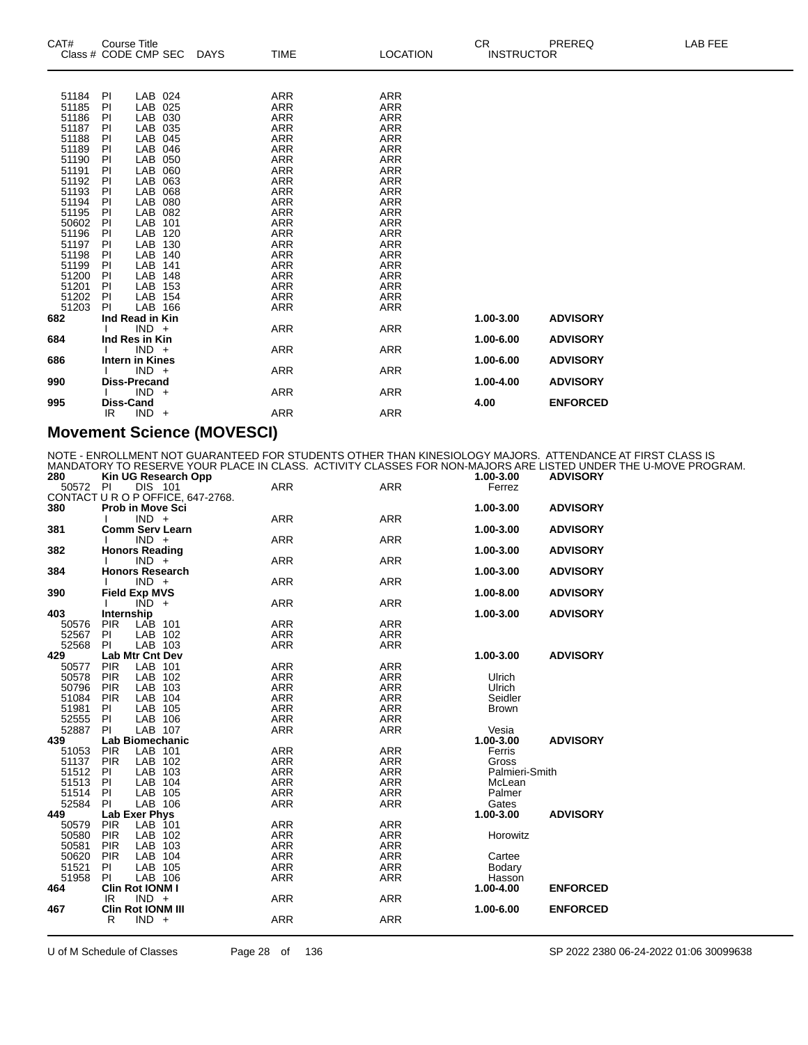| CAT#           | <b>Course Title</b><br>Class # CODE CMP SEC | DAYS | <b>TIME</b>       | <b>LOCATION</b>          | CR.<br><b>INSTRUCTOR</b> | LAB FEE<br>PREREQ |
|----------------|---------------------------------------------|------|-------------------|--------------------------|--------------------------|-------------------|
|                |                                             |      |                   |                          |                          |                   |
| 51184          | LAB 024<br>PI                               |      | <b>ARR</b>        | <b>ARR</b>               |                          |                   |
| 51185          | LAB 025<br><b>PI</b>                        |      | ARR               | <b>ARR</b>               |                          |                   |
| 51186          | LAB 030<br>PI                               |      | ARR               | <b>ARR</b>               |                          |                   |
| 51187          | LAB 035<br><b>PI</b>                        |      | ARR               | <b>ARR</b>               |                          |                   |
| 51188          | LAB 045<br><b>PI</b>                        |      | <b>ARR</b>        | <b>ARR</b>               |                          |                   |
| 51189          | LAB 046<br>PI                               |      | ARR               | <b>ARR</b>               |                          |                   |
| 51190          | LAB 050<br><b>PI</b>                        |      | <b>ARR</b>        | <b>ARR</b>               |                          |                   |
| 51191          | <b>LAB</b><br>060<br>PI                     |      | <b>ARR</b>        | <b>ARR</b>               |                          |                   |
| 51192          | LAB<br>063<br>PI                            |      | <b>ARR</b>        | <b>ARR</b>               |                          |                   |
| 51193          | LAB<br>068<br><b>PI</b>                     |      | <b>ARR</b>        | <b>ARR</b>               |                          |                   |
| 51194          | <b>LAB</b><br>080<br><b>PI</b>              |      | ARR               | <b>ARR</b>               |                          |                   |
| 51195          | LAB<br>082<br>PI                            |      | ARR               | <b>ARR</b>               |                          |                   |
| 50602          | <b>PI</b><br>LAB<br>101                     |      | ARR               | <b>ARR</b>               |                          |                   |
| 51196          | LAB<br>120<br><b>PI</b>                     |      | ARR               | <b>ARR</b>               |                          |                   |
| 51197          | LAB<br>PI<br>130                            |      | ARR               | <b>ARR</b>               |                          |                   |
| 51198          | LAB<br><b>PI</b><br>140<br>LAB              |      | ARR               | <b>ARR</b>               |                          |                   |
| 51199<br>51200 | PI<br>141<br>LAB<br>PI<br>148               |      | <b>ARR</b><br>ARR | <b>ARR</b><br><b>ARR</b> |                          |                   |
| 51201          | LAB<br>PI<br>153                            |      | ARR               | <b>ARR</b>               |                          |                   |
| 51202          | LAB 154<br>PI                               |      | ARR               | ARR                      |                          |                   |
| 51203          | LAB 166<br>PI                               |      | <b>ARR</b>        | <b>ARR</b>               |                          |                   |
| 682            | Ind Read in Kin                             |      |                   |                          | 1.00-3.00                | <b>ADVISORY</b>   |
|                | $IND +$                                     |      | <b>ARR</b>        | <b>ARR</b>               |                          |                   |
| 684            | Ind Res in Kin                              |      |                   |                          | 1.00-6.00                | <b>ADVISORY</b>   |
|                | $IND +$                                     |      | <b>ARR</b>        | <b>ARR</b>               |                          |                   |
| 686            | Intern in Kines                             |      |                   |                          | 1.00-6.00                | <b>ADVISORY</b>   |
|                | $IND +$                                     |      | <b>ARR</b>        | <b>ARR</b>               |                          |                   |
| 990            | <b>Diss-Precand</b>                         |      |                   |                          | 1.00-4.00                | <b>ADVISORY</b>   |
|                | $IND +$                                     |      | ARR               | ARR                      |                          |                   |
| 995            | <b>Diss-Cand</b>                            |      |                   |                          | 4.00                     | <b>ENFORCED</b>   |
|                | $IND +$<br>IR.                              |      | ARR               | <b>ARR</b>               |                          |                   |

#### **Movement Science (MOVESCI)**

NOTE - ENROLLMENT NOT GUARANTEED FOR STUDENTS OTHER THAN KINESIOLOGY MAJORS. ATTENDANCE AT FIRST CLASS IS MANDATORY TO RESERVE YOUR PLACE IN CLASS. ACTIVITY CLASSES FOR NON-MAJORS ARE LISTED UNDER THE U-MOVE PROGRAM.

| 50572<br>Ferrez<br>CONTACT U R O P OFFICE, 647-2768.<br>380<br>1.00-3.00<br><b>Prob in Move Sci</b><br><b>ADVISORY</b><br>$IND +$<br><b>ARR</b><br><b>ARR</b><br>381<br><b>Comm Serv Learn</b><br>1.00-3.00<br><b>ADVISORY</b><br><b>ARR</b><br><b>ARR</b><br>$IND +$<br>382<br><b>Honors Reading</b><br>1.00-3.00<br><b>ADVISORY</b><br><b>ARR</b><br><b>ARR</b><br>$IND +$<br><b>Honors Research</b><br>384<br>1.00-3.00<br><b>ADVISORY</b><br>$IND +$<br><b>ARR</b><br><b>ARR</b><br>390<br><b>Field Exp MVS</b><br><b>ADVISORY</b><br>1.00-8.00<br>$\overline{IND}$ +<br><b>ARR</b><br><b>ARR</b><br>403<br>Internship<br>1.00-3.00<br><b>ADVISORY</b><br><b>ARR</b><br><b>ARR</b><br><b>PIR</b><br>LAB 101<br>50576<br>52567<br>LAB 102<br><b>ARR</b><br><b>ARR</b><br>PI<br>52568<br>PI<br>LAB 103<br><b>ARR</b><br><b>ARR</b><br>429<br>Lab Mtr Cnt Dev<br>1.00-3.00<br><b>ADVISORY</b><br>LAB 101<br><b>PIR</b><br><b>ARR</b><br><b>ARR</b><br>50577<br>LAB 102<br>50578<br><b>PIR</b><br><b>ARR</b><br><b>ARR</b><br>Ulrich<br>LAB 103<br>50796<br><b>ARR</b><br><b>ARR</b><br><b>PIR</b><br>Ulrich<br>LAB 104<br>Seidler<br>51084<br><b>PIR</b><br>ARR<br><b>ARR</b><br><b>ARR</b><br><b>ARR</b><br>51981<br>LAB 105<br>PI.<br><b>Brown</b><br>52555<br>LAB 106<br><b>ARR</b><br><b>ARR</b><br><b>PI</b><br>LAB 107<br>52887<br>PI<br><b>ARR</b><br><b>ARR</b><br>Vesia<br><b>Lab Biomechanic</b><br>1.00-3.00<br><b>ADVISORY</b><br>439<br>51053<br><b>PIR</b><br>LAB 101<br><b>ARR</b><br><b>ARR</b><br>Ferris<br>51137<br><b>PIR</b><br>LAB 102<br><b>ARR</b><br><b>ARR</b><br>Gross<br>51512<br>LAB 103<br><b>ARR</b><br><b>ARR</b><br>Palmieri-Smith<br>PI<br>51513<br>LAB 104<br><b>ARR</b><br><b>ARR</b><br>PI<br>McLean<br>LAB 105<br>51514<br><b>ARR</b><br><b>ARR</b><br>Palmer<br><b>PI</b><br>52584<br>LAB 106<br><b>ARR</b><br><b>ARR</b><br>Gates<br>PI<br><b>ADVISORY</b><br>449<br>Lab Exer Phys<br>1.00-3.00<br><b>PIR</b><br>LAB 101<br><b>ARR</b><br>50579<br><b>ARR</b><br>50580<br>LAB 102<br><b>ARR</b><br><b>PIR</b><br>ARR<br>Horowitz<br><b>ARR</b><br><b>ARR</b><br>50581<br>LAB 103<br><b>PIR</b><br>LAB 104<br>50620<br><b>ARR</b><br><b>ARR</b><br><b>PIR</b><br>Cartee<br>51521<br>LAB 105<br><b>ARR</b><br><b>ARR</b><br>PI.<br>Bodary<br>51958<br>PI<br>LAB 106<br><b>ARR</b><br><b>ARR</b><br>Hasson<br>Clin Rot IONM I<br>1.00-4.00<br><b>ENFORCED</b><br>464<br>$IND +$<br><b>ARR</b><br><b>ARR</b><br>IR.<br><b>Clin Rot IONM III</b><br>1.00-6.00<br><b>ENFORCED</b><br>467<br>$IND +$<br><b>ARR</b><br><b>ARR</b><br>R | 280 | Kin UG Research Opp  |            |            | 1.00-3.00 | <b>ADVISORY</b> |  |
|------------------------------------------------------------------------------------------------------------------------------------------------------------------------------------------------------------------------------------------------------------------------------------------------------------------------------------------------------------------------------------------------------------------------------------------------------------------------------------------------------------------------------------------------------------------------------------------------------------------------------------------------------------------------------------------------------------------------------------------------------------------------------------------------------------------------------------------------------------------------------------------------------------------------------------------------------------------------------------------------------------------------------------------------------------------------------------------------------------------------------------------------------------------------------------------------------------------------------------------------------------------------------------------------------------------------------------------------------------------------------------------------------------------------------------------------------------------------------------------------------------------------------------------------------------------------------------------------------------------------------------------------------------------------------------------------------------------------------------------------------------------------------------------------------------------------------------------------------------------------------------------------------------------------------------------------------------------------------------------------------------------------------------------------------------------------------------------------------------------------------------------------------------------------------------------------------------------------------------------------------------------------------------------------------------------------------------------------------------------------------------------------------------------------------------------------------------------------------------------------------------------------------------------------------------------------|-----|----------------------|------------|------------|-----------|-----------------|--|
|                                                                                                                                                                                                                                                                                                                                                                                                                                                                                                                                                                                                                                                                                                                                                                                                                                                                                                                                                                                                                                                                                                                                                                                                                                                                                                                                                                                                                                                                                                                                                                                                                                                                                                                                                                                                                                                                                                                                                                                                                                                                                                                                                                                                                                                                                                                                                                                                                                                                                                                                                                        |     | PI<br><b>DIS 101</b> | <b>ARR</b> | <b>ARR</b> |           |                 |  |
|                                                                                                                                                                                                                                                                                                                                                                                                                                                                                                                                                                                                                                                                                                                                                                                                                                                                                                                                                                                                                                                                                                                                                                                                                                                                                                                                                                                                                                                                                                                                                                                                                                                                                                                                                                                                                                                                                                                                                                                                                                                                                                                                                                                                                                                                                                                                                                                                                                                                                                                                                                        |     |                      |            |            |           |                 |  |
|                                                                                                                                                                                                                                                                                                                                                                                                                                                                                                                                                                                                                                                                                                                                                                                                                                                                                                                                                                                                                                                                                                                                                                                                                                                                                                                                                                                                                                                                                                                                                                                                                                                                                                                                                                                                                                                                                                                                                                                                                                                                                                                                                                                                                                                                                                                                                                                                                                                                                                                                                                        |     |                      |            |            |           |                 |  |
|                                                                                                                                                                                                                                                                                                                                                                                                                                                                                                                                                                                                                                                                                                                                                                                                                                                                                                                                                                                                                                                                                                                                                                                                                                                                                                                                                                                                                                                                                                                                                                                                                                                                                                                                                                                                                                                                                                                                                                                                                                                                                                                                                                                                                                                                                                                                                                                                                                                                                                                                                                        |     |                      |            |            |           |                 |  |
|                                                                                                                                                                                                                                                                                                                                                                                                                                                                                                                                                                                                                                                                                                                                                                                                                                                                                                                                                                                                                                                                                                                                                                                                                                                                                                                                                                                                                                                                                                                                                                                                                                                                                                                                                                                                                                                                                                                                                                                                                                                                                                                                                                                                                                                                                                                                                                                                                                                                                                                                                                        |     |                      |            |            |           |                 |  |
|                                                                                                                                                                                                                                                                                                                                                                                                                                                                                                                                                                                                                                                                                                                                                                                                                                                                                                                                                                                                                                                                                                                                                                                                                                                                                                                                                                                                                                                                                                                                                                                                                                                                                                                                                                                                                                                                                                                                                                                                                                                                                                                                                                                                                                                                                                                                                                                                                                                                                                                                                                        |     |                      |            |            |           |                 |  |
|                                                                                                                                                                                                                                                                                                                                                                                                                                                                                                                                                                                                                                                                                                                                                                                                                                                                                                                                                                                                                                                                                                                                                                                                                                                                                                                                                                                                                                                                                                                                                                                                                                                                                                                                                                                                                                                                                                                                                                                                                                                                                                                                                                                                                                                                                                                                                                                                                                                                                                                                                                        |     |                      |            |            |           |                 |  |
|                                                                                                                                                                                                                                                                                                                                                                                                                                                                                                                                                                                                                                                                                                                                                                                                                                                                                                                                                                                                                                                                                                                                                                                                                                                                                                                                                                                                                                                                                                                                                                                                                                                                                                                                                                                                                                                                                                                                                                                                                                                                                                                                                                                                                                                                                                                                                                                                                                                                                                                                                                        |     |                      |            |            |           |                 |  |
|                                                                                                                                                                                                                                                                                                                                                                                                                                                                                                                                                                                                                                                                                                                                                                                                                                                                                                                                                                                                                                                                                                                                                                                                                                                                                                                                                                                                                                                                                                                                                                                                                                                                                                                                                                                                                                                                                                                                                                                                                                                                                                                                                                                                                                                                                                                                                                                                                                                                                                                                                                        |     |                      |            |            |           |                 |  |
|                                                                                                                                                                                                                                                                                                                                                                                                                                                                                                                                                                                                                                                                                                                                                                                                                                                                                                                                                                                                                                                                                                                                                                                                                                                                                                                                                                                                                                                                                                                                                                                                                                                                                                                                                                                                                                                                                                                                                                                                                                                                                                                                                                                                                                                                                                                                                                                                                                                                                                                                                                        |     |                      |            |            |           |                 |  |
|                                                                                                                                                                                                                                                                                                                                                                                                                                                                                                                                                                                                                                                                                                                                                                                                                                                                                                                                                                                                                                                                                                                                                                                                                                                                                                                                                                                                                                                                                                                                                                                                                                                                                                                                                                                                                                                                                                                                                                                                                                                                                                                                                                                                                                                                                                                                                                                                                                                                                                                                                                        |     |                      |            |            |           |                 |  |
|                                                                                                                                                                                                                                                                                                                                                                                                                                                                                                                                                                                                                                                                                                                                                                                                                                                                                                                                                                                                                                                                                                                                                                                                                                                                                                                                                                                                                                                                                                                                                                                                                                                                                                                                                                                                                                                                                                                                                                                                                                                                                                                                                                                                                                                                                                                                                                                                                                                                                                                                                                        |     |                      |            |            |           |                 |  |
|                                                                                                                                                                                                                                                                                                                                                                                                                                                                                                                                                                                                                                                                                                                                                                                                                                                                                                                                                                                                                                                                                                                                                                                                                                                                                                                                                                                                                                                                                                                                                                                                                                                                                                                                                                                                                                                                                                                                                                                                                                                                                                                                                                                                                                                                                                                                                                                                                                                                                                                                                                        |     |                      |            |            |           |                 |  |
|                                                                                                                                                                                                                                                                                                                                                                                                                                                                                                                                                                                                                                                                                                                                                                                                                                                                                                                                                                                                                                                                                                                                                                                                                                                                                                                                                                                                                                                                                                                                                                                                                                                                                                                                                                                                                                                                                                                                                                                                                                                                                                                                                                                                                                                                                                                                                                                                                                                                                                                                                                        |     |                      |            |            |           |                 |  |
|                                                                                                                                                                                                                                                                                                                                                                                                                                                                                                                                                                                                                                                                                                                                                                                                                                                                                                                                                                                                                                                                                                                                                                                                                                                                                                                                                                                                                                                                                                                                                                                                                                                                                                                                                                                                                                                                                                                                                                                                                                                                                                                                                                                                                                                                                                                                                                                                                                                                                                                                                                        |     |                      |            |            |           |                 |  |
|                                                                                                                                                                                                                                                                                                                                                                                                                                                                                                                                                                                                                                                                                                                                                                                                                                                                                                                                                                                                                                                                                                                                                                                                                                                                                                                                                                                                                                                                                                                                                                                                                                                                                                                                                                                                                                                                                                                                                                                                                                                                                                                                                                                                                                                                                                                                                                                                                                                                                                                                                                        |     |                      |            |            |           |                 |  |
|                                                                                                                                                                                                                                                                                                                                                                                                                                                                                                                                                                                                                                                                                                                                                                                                                                                                                                                                                                                                                                                                                                                                                                                                                                                                                                                                                                                                                                                                                                                                                                                                                                                                                                                                                                                                                                                                                                                                                                                                                                                                                                                                                                                                                                                                                                                                                                                                                                                                                                                                                                        |     |                      |            |            |           |                 |  |
|                                                                                                                                                                                                                                                                                                                                                                                                                                                                                                                                                                                                                                                                                                                                                                                                                                                                                                                                                                                                                                                                                                                                                                                                                                                                                                                                                                                                                                                                                                                                                                                                                                                                                                                                                                                                                                                                                                                                                                                                                                                                                                                                                                                                                                                                                                                                                                                                                                                                                                                                                                        |     |                      |            |            |           |                 |  |
|                                                                                                                                                                                                                                                                                                                                                                                                                                                                                                                                                                                                                                                                                                                                                                                                                                                                                                                                                                                                                                                                                                                                                                                                                                                                                                                                                                                                                                                                                                                                                                                                                                                                                                                                                                                                                                                                                                                                                                                                                                                                                                                                                                                                                                                                                                                                                                                                                                                                                                                                                                        |     |                      |            |            |           |                 |  |
|                                                                                                                                                                                                                                                                                                                                                                                                                                                                                                                                                                                                                                                                                                                                                                                                                                                                                                                                                                                                                                                                                                                                                                                                                                                                                                                                                                                                                                                                                                                                                                                                                                                                                                                                                                                                                                                                                                                                                                                                                                                                                                                                                                                                                                                                                                                                                                                                                                                                                                                                                                        |     |                      |            |            |           |                 |  |
|                                                                                                                                                                                                                                                                                                                                                                                                                                                                                                                                                                                                                                                                                                                                                                                                                                                                                                                                                                                                                                                                                                                                                                                                                                                                                                                                                                                                                                                                                                                                                                                                                                                                                                                                                                                                                                                                                                                                                                                                                                                                                                                                                                                                                                                                                                                                                                                                                                                                                                                                                                        |     |                      |            |            |           |                 |  |
|                                                                                                                                                                                                                                                                                                                                                                                                                                                                                                                                                                                                                                                                                                                                                                                                                                                                                                                                                                                                                                                                                                                                                                                                                                                                                                                                                                                                                                                                                                                                                                                                                                                                                                                                                                                                                                                                                                                                                                                                                                                                                                                                                                                                                                                                                                                                                                                                                                                                                                                                                                        |     |                      |            |            |           |                 |  |
|                                                                                                                                                                                                                                                                                                                                                                                                                                                                                                                                                                                                                                                                                                                                                                                                                                                                                                                                                                                                                                                                                                                                                                                                                                                                                                                                                                                                                                                                                                                                                                                                                                                                                                                                                                                                                                                                                                                                                                                                                                                                                                                                                                                                                                                                                                                                                                                                                                                                                                                                                                        |     |                      |            |            |           |                 |  |
|                                                                                                                                                                                                                                                                                                                                                                                                                                                                                                                                                                                                                                                                                                                                                                                                                                                                                                                                                                                                                                                                                                                                                                                                                                                                                                                                                                                                                                                                                                                                                                                                                                                                                                                                                                                                                                                                                                                                                                                                                                                                                                                                                                                                                                                                                                                                                                                                                                                                                                                                                                        |     |                      |            |            |           |                 |  |
|                                                                                                                                                                                                                                                                                                                                                                                                                                                                                                                                                                                                                                                                                                                                                                                                                                                                                                                                                                                                                                                                                                                                                                                                                                                                                                                                                                                                                                                                                                                                                                                                                                                                                                                                                                                                                                                                                                                                                                                                                                                                                                                                                                                                                                                                                                                                                                                                                                                                                                                                                                        |     |                      |            |            |           |                 |  |
|                                                                                                                                                                                                                                                                                                                                                                                                                                                                                                                                                                                                                                                                                                                                                                                                                                                                                                                                                                                                                                                                                                                                                                                                                                                                                                                                                                                                                                                                                                                                                                                                                                                                                                                                                                                                                                                                                                                                                                                                                                                                                                                                                                                                                                                                                                                                                                                                                                                                                                                                                                        |     |                      |            |            |           |                 |  |
|                                                                                                                                                                                                                                                                                                                                                                                                                                                                                                                                                                                                                                                                                                                                                                                                                                                                                                                                                                                                                                                                                                                                                                                                                                                                                                                                                                                                                                                                                                                                                                                                                                                                                                                                                                                                                                                                                                                                                                                                                                                                                                                                                                                                                                                                                                                                                                                                                                                                                                                                                                        |     |                      |            |            |           |                 |  |
|                                                                                                                                                                                                                                                                                                                                                                                                                                                                                                                                                                                                                                                                                                                                                                                                                                                                                                                                                                                                                                                                                                                                                                                                                                                                                                                                                                                                                                                                                                                                                                                                                                                                                                                                                                                                                                                                                                                                                                                                                                                                                                                                                                                                                                                                                                                                                                                                                                                                                                                                                                        |     |                      |            |            |           |                 |  |
|                                                                                                                                                                                                                                                                                                                                                                                                                                                                                                                                                                                                                                                                                                                                                                                                                                                                                                                                                                                                                                                                                                                                                                                                                                                                                                                                                                                                                                                                                                                                                                                                                                                                                                                                                                                                                                                                                                                                                                                                                                                                                                                                                                                                                                                                                                                                                                                                                                                                                                                                                                        |     |                      |            |            |           |                 |  |
|                                                                                                                                                                                                                                                                                                                                                                                                                                                                                                                                                                                                                                                                                                                                                                                                                                                                                                                                                                                                                                                                                                                                                                                                                                                                                                                                                                                                                                                                                                                                                                                                                                                                                                                                                                                                                                                                                                                                                                                                                                                                                                                                                                                                                                                                                                                                                                                                                                                                                                                                                                        |     |                      |            |            |           |                 |  |
|                                                                                                                                                                                                                                                                                                                                                                                                                                                                                                                                                                                                                                                                                                                                                                                                                                                                                                                                                                                                                                                                                                                                                                                                                                                                                                                                                                                                                                                                                                                                                                                                                                                                                                                                                                                                                                                                                                                                                                                                                                                                                                                                                                                                                                                                                                                                                                                                                                                                                                                                                                        |     |                      |            |            |           |                 |  |
|                                                                                                                                                                                                                                                                                                                                                                                                                                                                                                                                                                                                                                                                                                                                                                                                                                                                                                                                                                                                                                                                                                                                                                                                                                                                                                                                                                                                                                                                                                                                                                                                                                                                                                                                                                                                                                                                                                                                                                                                                                                                                                                                                                                                                                                                                                                                                                                                                                                                                                                                                                        |     |                      |            |            |           |                 |  |
|                                                                                                                                                                                                                                                                                                                                                                                                                                                                                                                                                                                                                                                                                                                                                                                                                                                                                                                                                                                                                                                                                                                                                                                                                                                                                                                                                                                                                                                                                                                                                                                                                                                                                                                                                                                                                                                                                                                                                                                                                                                                                                                                                                                                                                                                                                                                                                                                                                                                                                                                                                        |     |                      |            |            |           |                 |  |
|                                                                                                                                                                                                                                                                                                                                                                                                                                                                                                                                                                                                                                                                                                                                                                                                                                                                                                                                                                                                                                                                                                                                                                                                                                                                                                                                                                                                                                                                                                                                                                                                                                                                                                                                                                                                                                                                                                                                                                                                                                                                                                                                                                                                                                                                                                                                                                                                                                                                                                                                                                        |     |                      |            |            |           |                 |  |
|                                                                                                                                                                                                                                                                                                                                                                                                                                                                                                                                                                                                                                                                                                                                                                                                                                                                                                                                                                                                                                                                                                                                                                                                                                                                                                                                                                                                                                                                                                                                                                                                                                                                                                                                                                                                                                                                                                                                                                                                                                                                                                                                                                                                                                                                                                                                                                                                                                                                                                                                                                        |     |                      |            |            |           |                 |  |
|                                                                                                                                                                                                                                                                                                                                                                                                                                                                                                                                                                                                                                                                                                                                                                                                                                                                                                                                                                                                                                                                                                                                                                                                                                                                                                                                                                                                                                                                                                                                                                                                                                                                                                                                                                                                                                                                                                                                                                                                                                                                                                                                                                                                                                                                                                                                                                                                                                                                                                                                                                        |     |                      |            |            |           |                 |  |
|                                                                                                                                                                                                                                                                                                                                                                                                                                                                                                                                                                                                                                                                                                                                                                                                                                                                                                                                                                                                                                                                                                                                                                                                                                                                                                                                                                                                                                                                                                                                                                                                                                                                                                                                                                                                                                                                                                                                                                                                                                                                                                                                                                                                                                                                                                                                                                                                                                                                                                                                                                        |     |                      |            |            |           |                 |  |
|                                                                                                                                                                                                                                                                                                                                                                                                                                                                                                                                                                                                                                                                                                                                                                                                                                                                                                                                                                                                                                                                                                                                                                                                                                                                                                                                                                                                                                                                                                                                                                                                                                                                                                                                                                                                                                                                                                                                                                                                                                                                                                                                                                                                                                                                                                                                                                                                                                                                                                                                                                        |     |                      |            |            |           |                 |  |
|                                                                                                                                                                                                                                                                                                                                                                                                                                                                                                                                                                                                                                                                                                                                                                                                                                                                                                                                                                                                                                                                                                                                                                                                                                                                                                                                                                                                                                                                                                                                                                                                                                                                                                                                                                                                                                                                                                                                                                                                                                                                                                                                                                                                                                                                                                                                                                                                                                                                                                                                                                        |     |                      |            |            |           |                 |  |
|                                                                                                                                                                                                                                                                                                                                                                                                                                                                                                                                                                                                                                                                                                                                                                                                                                                                                                                                                                                                                                                                                                                                                                                                                                                                                                                                                                                                                                                                                                                                                                                                                                                                                                                                                                                                                                                                                                                                                                                                                                                                                                                                                                                                                                                                                                                                                                                                                                                                                                                                                                        |     |                      |            |            |           |                 |  |
|                                                                                                                                                                                                                                                                                                                                                                                                                                                                                                                                                                                                                                                                                                                                                                                                                                                                                                                                                                                                                                                                                                                                                                                                                                                                                                                                                                                                                                                                                                                                                                                                                                                                                                                                                                                                                                                                                                                                                                                                                                                                                                                                                                                                                                                                                                                                                                                                                                                                                                                                                                        |     |                      |            |            |           |                 |  |
|                                                                                                                                                                                                                                                                                                                                                                                                                                                                                                                                                                                                                                                                                                                                                                                                                                                                                                                                                                                                                                                                                                                                                                                                                                                                                                                                                                                                                                                                                                                                                                                                                                                                                                                                                                                                                                                                                                                                                                                                                                                                                                                                                                                                                                                                                                                                                                                                                                                                                                                                                                        |     |                      |            |            |           |                 |  |
|                                                                                                                                                                                                                                                                                                                                                                                                                                                                                                                                                                                                                                                                                                                                                                                                                                                                                                                                                                                                                                                                                                                                                                                                                                                                                                                                                                                                                                                                                                                                                                                                                                                                                                                                                                                                                                                                                                                                                                                                                                                                                                                                                                                                                                                                                                                                                                                                                                                                                                                                                                        |     |                      |            |            |           |                 |  |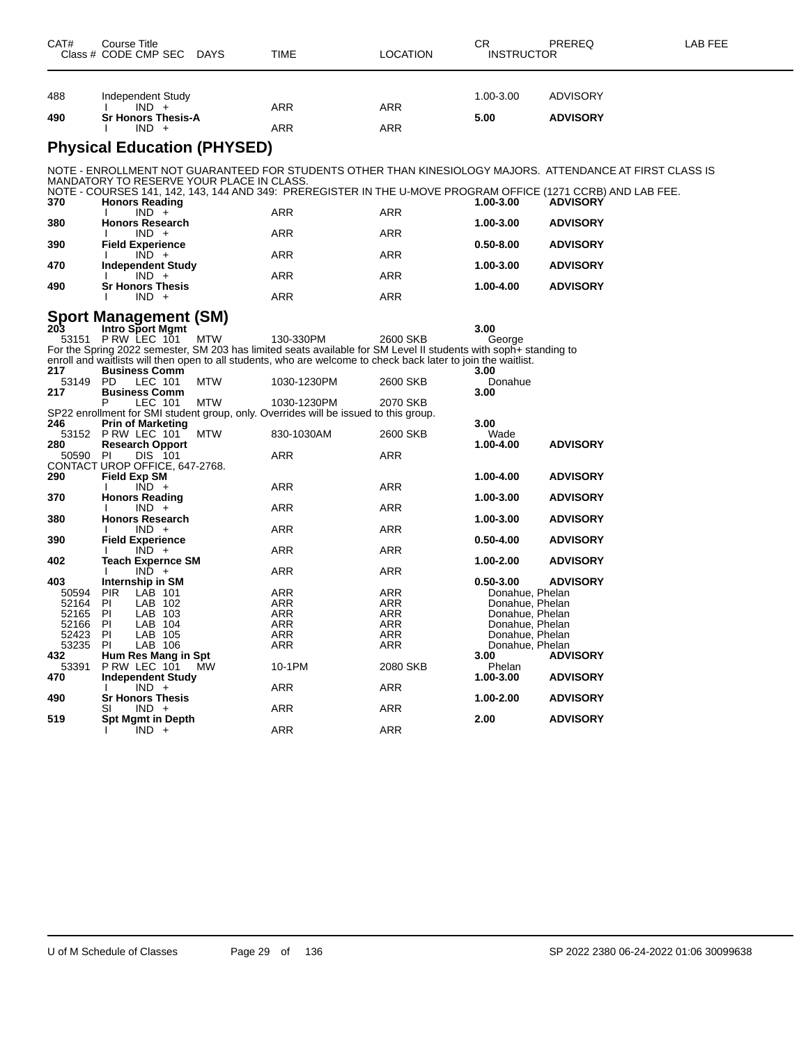| CAT# | Course Title<br>Class # CODE CMP SEC DAYS | TIME       | <b>LOCATION</b> | CR.<br><b>INSTRUCTOR</b> | <b>PREREQ</b>                                                                                                                   | LAB FEE |
|------|-------------------------------------------|------------|-----------------|--------------------------|---------------------------------------------------------------------------------------------------------------------------------|---------|
| 488  | Independent Study                         |            |                 | 1.00-3.00                | <b>ADVISORY</b>                                                                                                                 |         |
| 490  | $IND +$<br><b>Sr Honors Thesis-A</b>      | <b>ARR</b> | <b>ARR</b>      | 5.00                     | <b>ADVISORY</b>                                                                                                                 |         |
|      | $IND +$                                   | <b>ARR</b> | <b>ARR</b>      |                          |                                                                                                                                 |         |
|      | <b>Physical Education (PHYSED)</b>        |            |                 |                          |                                                                                                                                 |         |
|      | MANDATORY TO RESERVE YOUR PLACE IN CLASS. |            |                 |                          | NOTE - ENROLLMENT NOT GUARANTEED FOR STUDENTS OTHER THAN KINESIOLOGY MAJORS. ATTENDANCE AT FIRST CLASS IS                       |         |
| 370  | <b>Honors Reading</b>                     |            |                 | 1.00-3.00                | NOTE - COURSES 141, 142, 143, 144 AND 349: PREREGISTER IN THE U-MOVE PROGRAM OFFICE (1271 CCRB) AND LAB FEE.<br><b>ADVISORY</b> |         |
|      | $IND +$                                   | <b>ARR</b> | <b>ARR</b>      |                          |                                                                                                                                 |         |
| 380  | <b>Honors Research</b><br>$IND +$         | <b>ARR</b> | <b>ARR</b>      | 1.00-3.00                | <b>ADVISORY</b>                                                                                                                 |         |
| 390  | <b>Field Experience</b>                   |            |                 | $0.50 - 8.00$            | <b>ADVISORY</b>                                                                                                                 |         |
| 470  | $IND +$<br><b>Independent Study</b>       | <b>ARR</b> | <b>ARR</b>      | 1.00-3.00                | <b>ADVISORY</b>                                                                                                                 |         |
| 490  | $IND +$<br><b>Sr Honors Thesis</b>        | <b>ARR</b> | <b>ARR</b>      | 1.00-4.00                | <b>ADVISORY</b>                                                                                                                 |         |
|      | $IND +$                                   | <b>ARR</b> | <b>ARR</b>      |                          |                                                                                                                                 |         |

| <b>Sport Management (SM)</b>   |             |                                               |                          |            |                                                                                      |            |                                                                                                                  |         |                 |
|--------------------------------|-------------|-----------------------------------------------|--------------------------|------------|--------------------------------------------------------------------------------------|------------|------------------------------------------------------------------------------------------------------------------|---------|-----------------|
| 203                            |             |                                               | Intro Sport Mgmt         |            |                                                                                      |            | 3.00                                                                                                             |         |                 |
| 53151                          |             | PRW LEC 101                                   |                          | MTW        | 130-330PM                                                                            | 2600 SKB   |                                                                                                                  | George  |                 |
|                                |             |                                               |                          |            |                                                                                      |            | For the Spring 2022 semester, SM 203 has limited seats available for SM Level II students with soph+ standing to |         |                 |
|                                |             |                                               |                          |            |                                                                                      |            | enroll and waitlists will then open to all students, who are welcome to check back later to join the waitlist.   |         |                 |
| 217                            |             | <b>Business Comm</b>                          |                          |            |                                                                                      |            | 3.00                                                                                                             |         |                 |
| 53149                          | <b>PD</b>   | LEC 101                                       |                          | <b>MTW</b> | 1030-1230PM                                                                          | 2600 SKB   |                                                                                                                  | Donahue |                 |
| 217                            |             | <b>Business Comm</b>                          |                          |            |                                                                                      |            | 3.00                                                                                                             |         |                 |
|                                | P           | LEC 101                                       |                          | <b>MTW</b> | 1030-1230PM                                                                          | 2070 SKB   |                                                                                                                  |         |                 |
|                                |             |                                               |                          |            | SP22 enrollment for SMI student group, only. Overrides will be issued to this group. |            |                                                                                                                  |         |                 |
| 246                            |             |                                               | <b>Prin of Marketing</b> |            |                                                                                      |            | 3.00                                                                                                             |         |                 |
| 53152                          | PRW LEC 101 |                                               |                          | <b>MTW</b> | 830-1030AM                                                                           | 2600 SKB   | Wade                                                                                                             |         |                 |
| 280                            |             |                                               | <b>Research Opport</b>   |            |                                                                                      |            | 1.00-4.00                                                                                                        |         | <b>ADVISORY</b> |
| 50590                          | PI.         | DIS 101                                       |                          |            | <b>ARR</b>                                                                           | <b>ARR</b> |                                                                                                                  |         |                 |
| CONTACT UROP OFFICE, 647-2768. |             |                                               |                          |            |                                                                                      |            |                                                                                                                  |         |                 |
| 290                            |             | <b>Field Exp SM</b>                           |                          |            | <b>ARR</b>                                                                           |            | 1.00-4.00                                                                                                        |         | <b>ADVISORY</b> |
|                                |             | $IND +$                                       |                          |            |                                                                                      | <b>ARR</b> |                                                                                                                  |         | <b>ADVISORY</b> |
| 370                            |             | <b>Honors Reading</b><br>$IND +$              |                          |            |                                                                                      |            | 1.00-3.00                                                                                                        |         |                 |
| 380                            |             |                                               | <b>Honors Research</b>   |            | <b>ARR</b>                                                                           | <b>ARR</b> | 1.00-3.00                                                                                                        |         | <b>ADVISORY</b> |
|                                |             | $IND +$                                       |                          |            | <b>ARR</b>                                                                           | <b>ARR</b> |                                                                                                                  |         |                 |
| 390                            |             |                                               |                          |            |                                                                                      |            | $0.50 - 4.00$                                                                                                    |         | <b>ADVISORY</b> |
|                                |             | <b>Field Experience</b><br>$\overline{IND}$ + |                          |            | <b>ARR</b>                                                                           | <b>ARR</b> |                                                                                                                  |         |                 |
| 402                            |             |                                               | <b>Teach Expernce SM</b> |            |                                                                                      |            | 1.00-2.00                                                                                                        |         | <b>ADVISORY</b> |
|                                |             | $IND +$                                       |                          |            | <b>ARR</b>                                                                           | <b>ARR</b> |                                                                                                                  |         |                 |
| 403                            |             | Internship in SM                              |                          |            |                                                                                      |            | $0.50 - 3.00$                                                                                                    |         | <b>ADVISORY</b> |
| 50594                          | <b>PIR</b>  | LAB 101                                       |                          |            | <b>ARR</b>                                                                           | <b>ARR</b> |                                                                                                                  |         | Donahue, Phelan |
| 52164                          | PI          | LAB 102                                       |                          |            | <b>ARR</b>                                                                           | <b>ARR</b> |                                                                                                                  |         | Donahue, Phelan |
| 52165                          | PI          | LAB 103                                       |                          |            | <b>ARR</b>                                                                           | <b>ARR</b> |                                                                                                                  |         | Donahue, Phelan |
| 52166                          | PI          | LAB 104                                       |                          |            | <b>ARR</b>                                                                           | <b>ARR</b> |                                                                                                                  |         | Donahue, Phelan |
| 52423                          | PI          | LAB 105                                       |                          |            | <b>ARR</b>                                                                           | <b>ARR</b> |                                                                                                                  |         | Donahue, Phelan |
| 53235                          | PI          | LAB 106                                       |                          |            | <b>ARR</b>                                                                           | <b>ARR</b> |                                                                                                                  |         | Donahue, Phelan |
| 432                            |             |                                               | Hum Res Mang in Spt      |            |                                                                                      |            | 3.00                                                                                                             |         | <b>ADVISORY</b> |
| 53391                          |             | PRW LEC 101                                   |                          | <b>MW</b>  | 10-1PM                                                                               | 2080 SKB   | Phelan                                                                                                           |         |                 |
| 470                            |             |                                               | <b>Independent Study</b> |            |                                                                                      |            | 1.00-3.00                                                                                                        |         | <b>ADVISORY</b> |
|                                |             | $IND +$                                       |                          |            | <b>ARR</b>                                                                           | <b>ARR</b> |                                                                                                                  |         |                 |
| 490                            |             |                                               | <b>Sr Honors Thesis</b>  |            |                                                                                      |            | 1.00-2.00                                                                                                        |         | <b>ADVISORY</b> |
|                                | SI          | $IND +$                                       |                          |            | <b>ARR</b>                                                                           | <b>ARR</b> |                                                                                                                  |         |                 |
| 519                            |             |                                               | <b>Spt Mgmt in Depth</b> |            |                                                                                      |            | 2.00                                                                                                             |         | <b>ADVISORY</b> |
|                                |             | $IND +$                                       |                          |            | <b>ARR</b>                                                                           | <b>ARR</b> |                                                                                                                  |         |                 |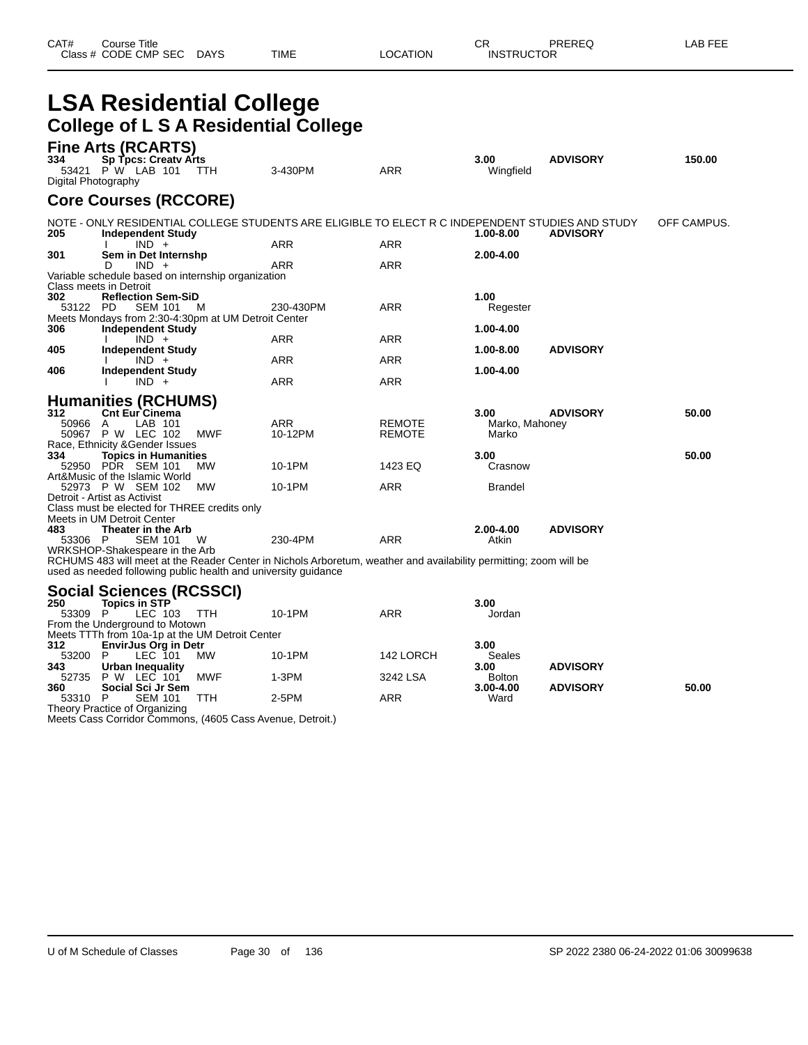| CAT# | Course Title              |      |          | СR                | PREREQ | _AB FEE |
|------|---------------------------|------|----------|-------------------|--------|---------|
|      | Class # CODE CMP SEC DAYS | TIME | LOCATION | <b>INSTRUCTOR</b> |        |         |

### **LSA Residential College College of L S A Residential College**

| 334<br>Digital Photography | <b>Fine Arts (RCARTS)</b><br>Sp Tpcs: Creaty Arts<br>53421 P W LAB 101                                                | TTH        | 3-430PM                                                                                                           | <b>ARR</b>              | 3.00<br>Wingfield               | <b>ADVISORY</b> | 150.00      |
|----------------------------|-----------------------------------------------------------------------------------------------------------------------|------------|-------------------------------------------------------------------------------------------------------------------|-------------------------|---------------------------------|-----------------|-------------|
|                            | <b>Core Courses (RCCORE)</b>                                                                                          |            |                                                                                                                   |                         |                                 |                 |             |
| 205                        | <b>Independent Study</b>                                                                                              |            | NOTE - ONLY RESIDENTIAL COLLEGE STUDENTS ARE ELIGIBLE TO ELECT R C INDEPENDENT STUDIES AND STUDY                  |                         | 1.00-8.00                       | <b>ADVISORY</b> | OFF CAMPUS. |
| 301                        | $IND +$<br>Sem in Det Internshp<br>$IND +$<br>D                                                                       |            | <b>ARR</b><br>ARR                                                                                                 | ARR<br>ARR              | 2.00-4.00                       |                 |             |
| 302                        | Variable schedule based on internship organization<br>Class meets in Detroit                                          |            |                                                                                                                   |                         | 1.00                            |                 |             |
| 53122 PD                   | <b>Reflection Sem-SiD</b><br>SEM 101<br>Meets Mondays from 2:30-4:30pm at UM Detroit Center                           | M          | 230-430PM                                                                                                         | ARR                     | Regester                        |                 |             |
| 306<br>405                 | <b>Independent Study</b><br>$IND +$<br><b>Independent Study</b>                                                       |            | <b>ARR</b>                                                                                                        | <b>ARR</b>              | 1.00-4.00<br>1.00-8.00          | <b>ADVISORY</b> |             |
| 406                        | $IND +$<br>Independent Study                                                                                          |            | <b>ARR</b>                                                                                                        | ARR                     | 1.00-4.00                       |                 |             |
|                            | $IND +$<br><b>Humanities (RCHUMS)</b>                                                                                 |            | <b>ARR</b>                                                                                                        | <b>ARR</b>              |                                 |                 |             |
| 312<br>50966<br>50967      | <b>Cnt Eur Cinema</b><br>LAB 101<br>A<br>P W LEC 102                                                                  | <b>MWF</b> | ARR<br>10-12PM                                                                                                    | REMOTE<br><b>REMOTE</b> | 3.00<br>Marko, Mahoney<br>Marko | <b>ADVISORY</b> | 50.00       |
| 334                        | Race, Ethnicity & Gender Issues<br><b>Topics in Humanities</b><br>52950 PDR SEM 101<br>Art&Music of the Islamic World | МW         | 10-1PM                                                                                                            | 1423 EQ                 | 3.00<br>Crasnow                 |                 | 50.00       |
|                            | 52973 P W SEM 102<br>Detroit - Artist as Activist<br>Class must be elected for THREE credits only                     | MW         | 10-1PM                                                                                                            | <b>ARR</b>              | <b>Brandel</b>                  |                 |             |
| 483<br>53306 P             | Meets in UM Detroit Center<br>Theater in the Arb<br><b>SEM 101</b>                                                    | W          | 230-4PM                                                                                                           | <b>ARR</b>              | 2.00-4.00<br>Atkin              | <b>ADVISORY</b> |             |
|                            | WRKSHOP-Shakespeare in the Arb<br>used as needed following public health and university guidance                      |            | RCHUMS 483 will meet at the Reader Center in Nichols Arboretum, weather and availability permitting; zoom will be |                         |                                 |                 |             |
| 250<br>53309 P             | Social Sciences (RCSSCI)<br><b>Topics in STP</b><br>LEC 103<br>From the Underground to Motown                         | <b>TTH</b> | 10-1PM                                                                                                            | <b>ARR</b>              | 3.00<br>Jordan                  |                 |             |
| 312<br>53200               | Meets TTTh from 10a-1p at the UM Detroit Center<br><b>EnvirJus Org in Detr</b><br>P<br>LEC 101                        | <b>MW</b>  | 10-1PM                                                                                                            | 142 LORCH               | 3.00<br>Seales                  |                 |             |
| 343<br>52735               | Urban Inequality<br><b>P W LEC 101</b>                                                                                | <b>MWF</b> | $1-3PM$                                                                                                           | 3242 LSA                | 3.00<br><b>Bolton</b>           | <b>ADVISORY</b> |             |
| 360                        | Social Sci Jr Sem                                                                                                     |            |                                                                                                                   |                         | 3.00-4.00                       | <b>ADVISORY</b> | 50.00       |

53310 P SEM 101 TTH 2-5PM ARR Ward Theory Practice of Organizing Meets Cass Corridor Commons, (4605 Cass Avenue, Detroit.)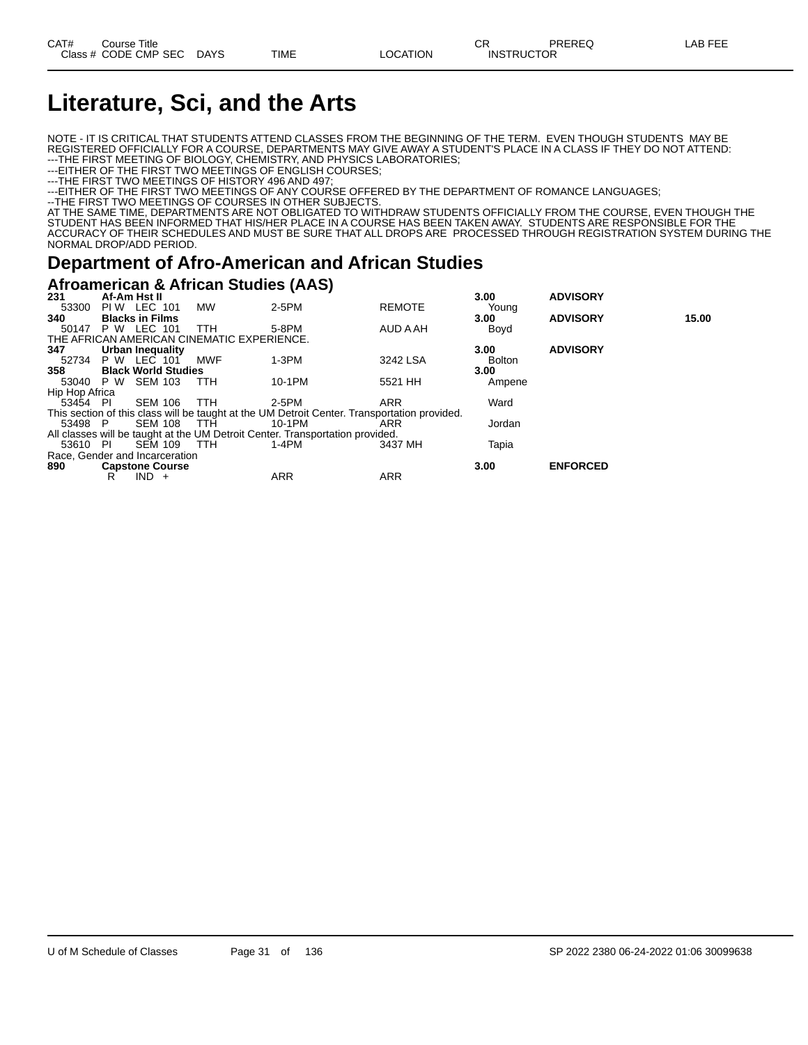# **Literature, Sci, and the Arts**

NOTE - IT IS CRITICAL THAT STUDENTS ATTEND CLASSES FROM THE BEGINNING OF THE TERM. EVEN THOUGH STUDENTS MAY BE REGISTERED OFFICIALLY FOR A COURSE, DEPARTMENTS MAY GIVE AWAY A STUDENT'S PLACE IN A CLASS IF THEY DO NOT ATTEND: ---THE FIRST MEETING OF BIOLOGY, CHEMISTRY, AND PHYSICS LABORATORIES;

---EITHER OF THE FIRST TWO MEETINGS OF ENGLISH COURSES;

---THE FIRST TWO MEETINGS OF HISTORY 496 AND 497;

---EITHER OF THE FIRST TWO MEETINGS OF ANY COURSE OFFERED BY THE DEPARTMENT OF ROMANCE LANGUAGES;

--THE FIRST TWO MEETINGS OF COURSES IN OTHER SUBJECTS.

AT THE SAME TIME, DEPARTMENTS ARE NOT OBLIGATED TO WITHDRAW STUDENTS OFFICIALLY FROM THE COURSE, EVEN THOUGH THE STUDENT HAS BEEN INFORMED THAT HIS/HER PLACE IN A COURSE HAS BEEN TAKEN AWAY. STUDENTS ARE RESPONSIBLE FOR THE ACCURACY OF THEIR SCHEDULES AND MUST BE SURE THAT ALL DROPS ARE PROCESSED THROUGH REGISTRATION SYSTEM DURING THE NORMAL DROP/ADD PERIOD.

#### **Department of Afro-American and African Studies**

#### **Afroamerican & African Studies (AAS)**

| 231                            | Af-Am Hst II           |         |                            |                                            |                                                                                              |               | 3.00          | <b>ADVISORY</b> |       |
|--------------------------------|------------------------|---------|----------------------------|--------------------------------------------|----------------------------------------------------------------------------------------------|---------------|---------------|-----------------|-------|
| 53300                          | <b>PIW LEC 101</b>     |         |                            | MW                                         | 2-5PM                                                                                        | <b>REMOTE</b> | Young         |                 |       |
| 340                            | <b>Blacks in Films</b> |         |                            |                                            |                                                                                              |               | 3.00          | <b>ADVISORY</b> | 15.00 |
| 50147                          | P W LEC 101            |         |                            | <b>TTH</b>                                 | 5-8PM                                                                                        | AUD A AH      | Boyd          |                 |       |
|                                |                        |         |                            | THE AFRICAN AMERICAN CINEMATIC EXPERIENCE. |                                                                                              |               |               |                 |       |
| 347                            | Urban Inequality       |         |                            |                                            |                                                                                              |               | 3.00          | <b>ADVISORY</b> |       |
| 52734                          | <b>P W LEC 101</b>     |         |                            | <b>MWF</b>                                 | $1-3PM$                                                                                      | 3242 LSA      | <b>Bolton</b> |                 |       |
| 358                            |                        |         | <b>Black World Studies</b> |                                            |                                                                                              |               | 3.00          |                 |       |
| 53040 P W                      |                        | SEM 103 |                            | TTH                                        | 10-1PM                                                                                       | 5521 HH       | Ampene        |                 |       |
| Hip Hop Africa                 |                        |         |                            |                                            |                                                                                              |               |               |                 |       |
| 53454 PI                       |                        | SEM 106 |                            | TTH                                        | 2-5PM                                                                                        | <b>ARR</b>    | Ward          |                 |       |
|                                |                        |         |                            |                                            | This section of this class will be taught at the UM Detroit Center. Transportation provided. |               |               |                 |       |
| 53498 P                        |                        | SEM 108 |                            | <b>TTH</b>                                 | 10-1PM                                                                                       | ARR           | Jordan        |                 |       |
|                                |                        |         |                            |                                            | All classes will be taught at the UM Detroit Center. Transportation provided.                |               |               |                 |       |
| 53610 PI                       |                        | SEM 109 |                            | - ттн                                      | 1-4PM                                                                                        | 3437 MH       | Tapia         |                 |       |
| Race, Gender and Incarceration |                        |         |                            |                                            |                                                                                              |               |               |                 |       |
| 890                            | <b>Capstone Course</b> |         |                            |                                            |                                                                                              |               | 3.00          | <b>ENFORCED</b> |       |
|                                | R                      | $IND +$ |                            |                                            | <b>ARR</b>                                                                                   | <b>ARR</b>    |               |                 |       |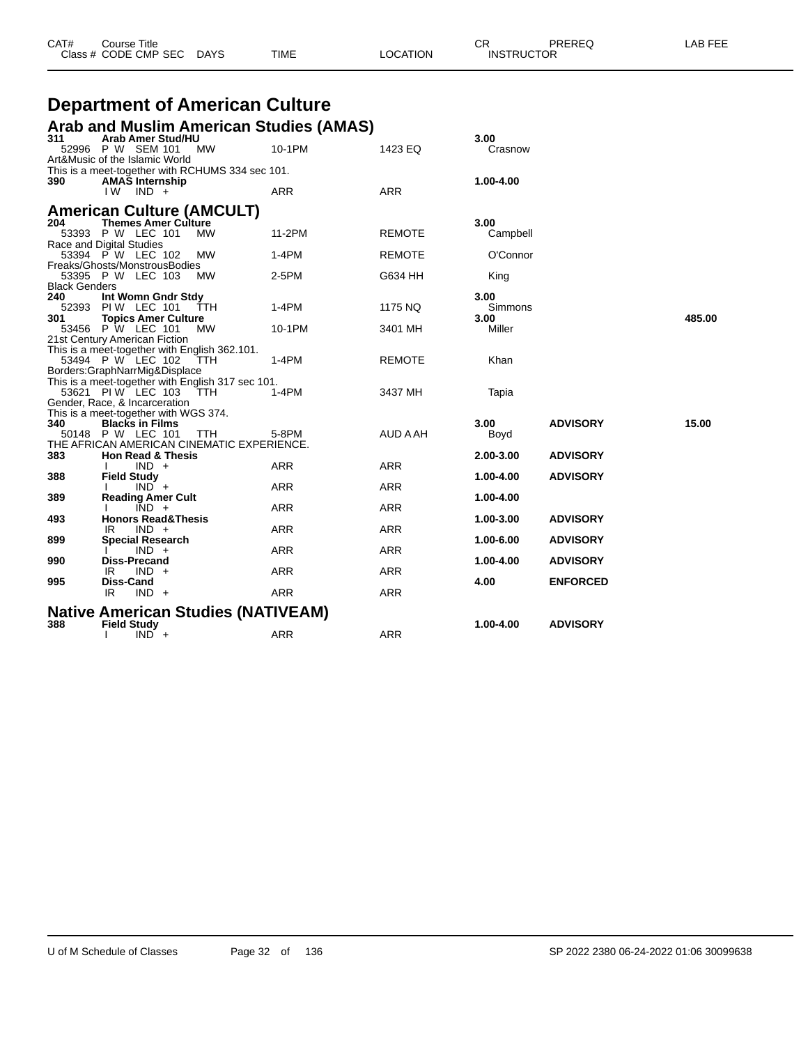| Class # CODE CMP SEC DAYS                                                         | TIME       | LOCATION      | <b>INSTRUCTOR</b> |                 |        |
|-----------------------------------------------------------------------------------|------------|---------------|-------------------|-----------------|--------|
|                                                                                   |            |               |                   |                 |        |
| <b>Department of American Culture</b>                                             |            |               |                   |                 |        |
| Arab and Muslim American Studies (AMAS)                                           |            |               |                   |                 |        |
| Arab Amer Stud/HU<br>311                                                          |            |               | 3.00              |                 |        |
| 52996 P W SEM 101<br><b>MW</b>                                                    | 10-1PM     | 1423 EQ       | Crasnow           |                 |        |
| Art&Music of the Islamic World                                                    |            |               |                   |                 |        |
| This is a meet-together with RCHUMS 334 sec 101.<br>390<br><b>AMAS Internship</b> |            |               | 1.00-4.00         |                 |        |
| I W<br>IND +                                                                      | <b>ARR</b> | <b>ARR</b>    |                   |                 |        |
|                                                                                   |            |               |                   |                 |        |
| <b>American Culture (AMCULT)</b>                                                  |            |               |                   |                 |        |
| <b>Themes Amer Culture</b><br>204<br>53393 P W LEC 101<br><b>MW</b>               | 11-2PM     | <b>REMOTE</b> | 3.00<br>Campbell  |                 |        |
| Race and Digital Studies                                                          |            |               |                   |                 |        |
| 53394 P W LEC 102<br><b>MW</b>                                                    | $1-4PM$    | <b>REMOTE</b> | O'Connor          |                 |        |
| Freaks/Ghosts/MonstrousBodies                                                     |            |               |                   |                 |        |
| 53395 P W LEC 103<br><b>MW</b><br><b>Black Genders</b>                            | $2-5PM$    | G634 HH       | King              |                 |        |
| Int Womn Gndr Stdy<br>240                                                         |            |               | 3.00              |                 |        |
| 52393 PIW LEC 101<br><b>TTH</b>                                                   | $1-4PM$    | 1175 NQ       | Simmons           |                 |        |
| 301<br><b>Topics Amer Culture</b>                                                 |            |               | 3.00              |                 | 485.00 |
| 53456 P W LEC 101<br><b>MW</b><br>21st Century American Fiction                   | 10-1PM     | 3401 MH       | Miller            |                 |        |
| This is a meet-together with English 362.101.                                     |            |               |                   |                 |        |
| 53494 P W LEC 102<br><b>TTH</b>                                                   | $1-4PM$    | <b>REMOTE</b> | Khan              |                 |        |
| Borders:GraphNarrMig&Displace                                                     |            |               |                   |                 |        |
| This is a meet-together with English 317 sec 101.<br>53621 PIW LEC 103 TTH        | $1-4PM$    | 3437 MH       |                   |                 |        |
| Gender, Race, & Incarceration                                                     |            |               | Tapia             |                 |        |
| This is a meet-together with WGS 374.                                             |            |               |                   |                 |        |
| 340<br><b>Blacks in Films</b>                                                     |            |               | 3.00              | <b>ADVISORY</b> | 15.00  |
| 50148 P W LEC 101<br><b>TTH</b>                                                   | 5-8PM      | AUD A AH      | Boyd              |                 |        |
| THE AFRICAN AMERICAN CINEMATIC EXPERIENCE.<br>383<br><b>Hon Read &amp; Thesis</b> |            |               | 2.00-3.00         | <b>ADVISORY</b> |        |
| $IND +$                                                                           | <b>ARR</b> | <b>ARR</b>    |                   |                 |        |

CAT# Course Title Case CR PREREQ LAB FEE

**388 Field Study 1.00-4.00 ADVISORY**

**493 Honors Read&Thesis 1.00-3.00 ADVISORY**

**899 Special Research 1.00-6.00 ADVISORY**

**990 Diss-Precand 1.00-4.00 ADVISORY**

**995 Diss-Cand Diss-Cand Diss-Cand ARR ARR ARR 4.00 ENFORCED** 

**Native American Studies (NATIVEAM) 388 Field Study 1.00-4.00 ADVISORY**

I IND + ARR ARR ARR

I IND + ARR ARR ARR

IR IND + ARR ARR ARR

I IND + ARR ARR

IR IND + ARR ARR ARR

I IND + ARR ARR ARR

**389 Reading Amer Cult 1.00-4.00**

 $IND +$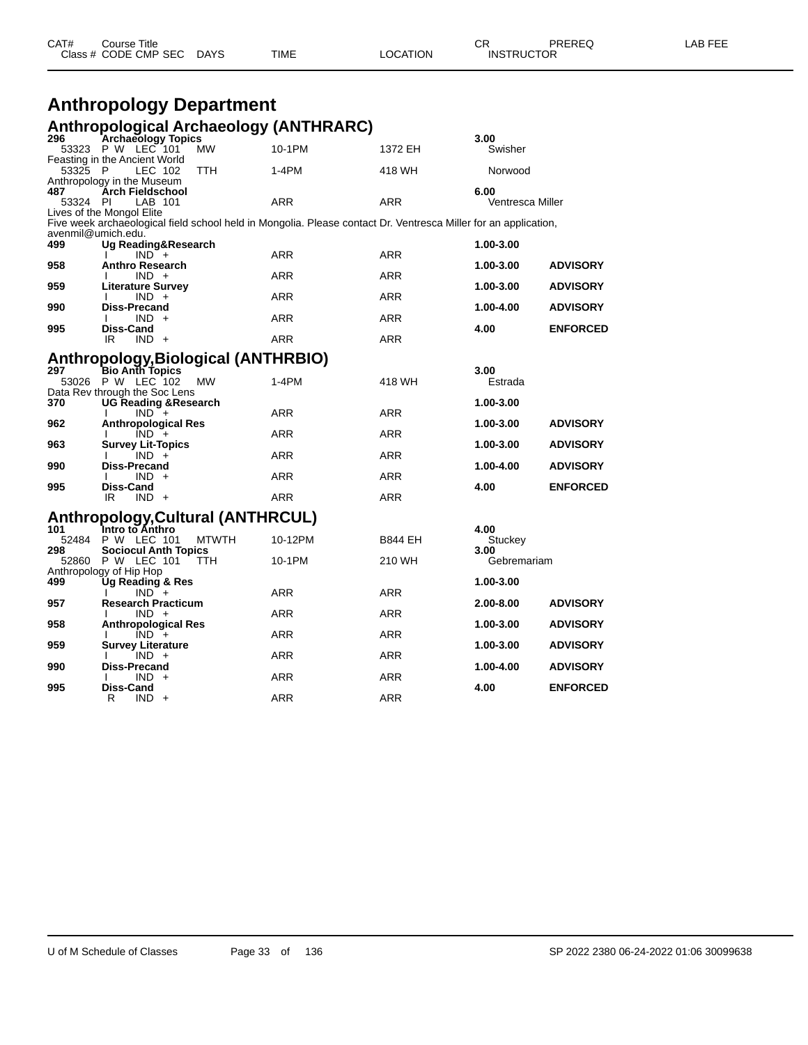| CAT# | Course Title              |      |                 | ∩⊓<br><b>UN</b>   | PREREQ | LAB FEE |
|------|---------------------------|------|-----------------|-------------------|--------|---------|
|      | Class # CODE CMP SEC DAYS | TIME | <b>LOCATION</b> | <b>INSTRUCTOR</b> |        |         |

#### **Anthropology Department Anthropological Archaeology (ANTHRARC)**

| 296                | <b>Archaeology Topics</b>                                                                                       |            |                | 3.00             |                 |
|--------------------|-----------------------------------------------------------------------------------------------------------------|------------|----------------|------------------|-----------------|
|                    | 53323 P W LEC 101<br>MW                                                                                         | 10-1PM     | 1372 EH        | Swisher          |                 |
|                    | Feasting in the Ancient World                                                                                   |            |                |                  |                 |
| 53325 P            | LEC 102<br>TTH<br>Anthropology in the Museum                                                                    | $1-4PM$    | 418 WH         | Norwood          |                 |
| 487                | <b>Arch Fieldschool</b>                                                                                         |            |                | 6.00             |                 |
| 53324 PI           | LAB 101                                                                                                         | <b>ARR</b> | <b>ARR</b>     | Ventresca Miller |                 |
|                    | Lives of the Mongol Elite                                                                                       |            |                |                  |                 |
|                    | Five week archaeological field school held in Mongolia. Please contact Dr. Ventresca Miller for an application, |            |                |                  |                 |
| avenmil@umich.edu. |                                                                                                                 |            |                |                  |                 |
| 499                | Ug Reading&Research<br>$IND +$                                                                                  | <b>ARR</b> | <b>ARR</b>     | 1.00-3.00        |                 |
| 958                | <b>Anthro Research</b>                                                                                          |            |                | 1.00-3.00        | <b>ADVISORY</b> |
|                    | $IND +$                                                                                                         | ARR        | ARR            |                  |                 |
| 959                | <b>Literature Survey</b>                                                                                        |            |                | 1.00-3.00        | <b>ADVISORY</b> |
|                    | $IND +$<br>I.                                                                                                   | <b>ARR</b> | <b>ARR</b>     |                  |                 |
| 990                | Diss-Precand                                                                                                    |            |                | 1.00-4.00        | <b>ADVISORY</b> |
| 995                | $IND +$<br>Ι.<br>Diss-Cand                                                                                      | <b>ARR</b> | <b>ARR</b>     | 4.00             | <b>ENFORCED</b> |
|                    | $IND +$<br>IR                                                                                                   | <b>ARR</b> | <b>ARR</b>     |                  |                 |
|                    |                                                                                                                 |            |                |                  |                 |
|                    | Anthropology, Biological (ANTHRBIO)<br>297 Bio Anth Topics                                                      |            |                |                  |                 |
|                    |                                                                                                                 |            |                | 3.00             |                 |
|                    | 53026 P W LEC 102<br><b>MW</b>                                                                                  | $1-4PM$    | 418 WH         | Estrada          |                 |
| 370                | Data Rev through the Soc Lens<br><b>UG Reading &amp; Research</b>                                               |            |                | 1.00-3.00        |                 |
|                    | $IND +$                                                                                                         | ARR        | ARR            |                  |                 |
| 962                | <b>Anthropological Res</b>                                                                                      |            |                | 1.00-3.00        | <b>ADVISORY</b> |
|                    | $IND +$                                                                                                         | <b>ARR</b> | <b>ARR</b>     |                  |                 |
| 963                | <b>Survey Lit-Topics</b>                                                                                        |            |                | 1.00-3.00        | <b>ADVISORY</b> |
| 990                | $IND +$<br>Diss-Precand                                                                                         | <b>ARR</b> | <b>ARR</b>     | 1.00-4.00        | <b>ADVISORY</b> |
|                    | $IND +$                                                                                                         | <b>ARR</b> | <b>ARR</b>     |                  |                 |
| 995                | Diss-Cand                                                                                                       |            |                | 4.00             | <b>ENFORCED</b> |
|                    | $IND +$<br>IR                                                                                                   | <b>ARR</b> | <b>ARR</b>     |                  |                 |
|                    |                                                                                                                 |            |                |                  |                 |
| 101                | <b>Anthropology, Cultural (ANTHRCUL)</b><br>1ntro to Anthro                                                     |            |                | 4.00             |                 |
| 52484              | P W LEC 101<br><b>MTWTH</b>                                                                                     | 10-12PM    | <b>B844 EH</b> | Stuckey          |                 |
| 298                | <b>Sociocul Anth Topics</b>                                                                                     |            |                | 3.00             |                 |
|                    | 52860 P W LEC 101<br><b>TTH</b>                                                                                 | 10-1PM     | 210 WH         | Gebremariam      |                 |
|                    | Anthropology of Hip Hop                                                                                         |            |                |                  |                 |
| 499                | <b>Ug Reading &amp; Res</b>                                                                                     |            |                | 1.00-3.00        |                 |
| 957                | $IND +$<br><b>Research Practicum</b>                                                                            | <b>ARR</b> | <b>ARR</b>     | 2.00-8.00        | <b>ADVISORY</b> |
|                    | $IND +$                                                                                                         | <b>ARR</b> | ARR            |                  |                 |
| 958                | Anthropological Res                                                                                             |            |                | 1.00-3.00        | <b>ADVISORY</b> |
|                    | $IND +$                                                                                                         | <b>ARR</b> | <b>ARR</b>     |                  |                 |
| 959                | <b>Survey Literature</b>                                                                                        |            |                | 1.00-3.00        | <b>ADVISORY</b> |
|                    | $IND +$                                                                                                         | <b>ARR</b> | <b>ARR</b>     |                  |                 |
| 990                | Diss-Precand<br>$IND +$                                                                                         | <b>ARR</b> | <b>ARR</b>     | 1.00-4.00        | <b>ADVISORY</b> |
| 995                | Diss-Cand                                                                                                       |            |                | 4.00             | <b>ENFORCED</b> |
|                    | R<br>$IND +$                                                                                                    | <b>ARR</b> | <b>ARR</b>     |                  |                 |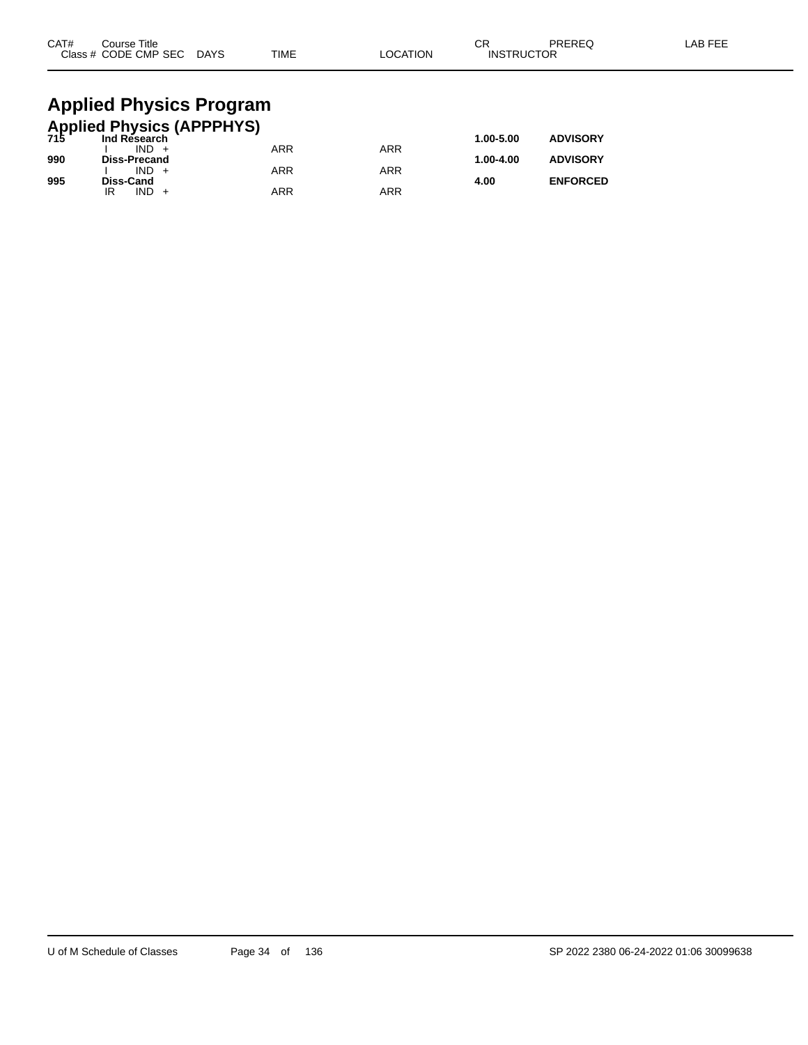| CAT# | Course Title<br>Class # CODE CMP SEC DAYS            | <b>TIME</b> | <b>LOCATION</b> | СR<br><b>INSTRUCTOR</b> | PREREQ          | LAB FEE |
|------|------------------------------------------------------|-------------|-----------------|-------------------------|-----------------|---------|
|      | <b>Applied Physics Program</b>                       |             |                 |                         |                 |         |
|      | <b>Applied Physics (APPPHYS)</b><br>715 Ind Research |             |                 |                         |                 |         |
|      | $IND +$                                              | <b>ARR</b>  | <b>ARR</b>      | 1.00-5.00               | <b>ADVISORY</b> |         |
| 990  | <b>Diss-Precand</b>                                  |             |                 | 1.00-4.00               | <b>ADVISORY</b> |         |
|      | $IND +$                                              | ARR         | <b>ARR</b>      |                         |                 |         |

**995 Diss-Cand 4.00 ENFORCED**

IR IND + ARR ARR ARR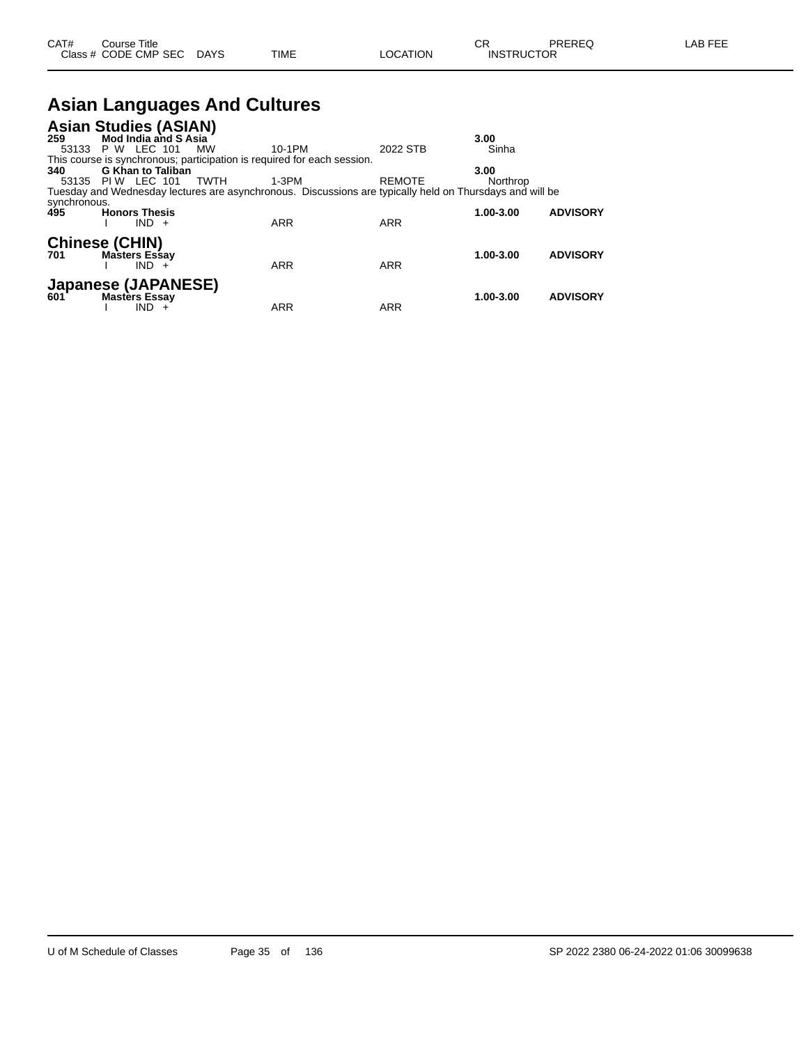| CAT# | Course Title         |             |      |          | Ωn<br>- UN        | PREREQ | _AB FEE |
|------|----------------------|-------------|------|----------|-------------------|--------|---------|
|      | Class # CODE CMP SEC | <b>DAYS</b> | TIME | LOCATION | <b>INSTRUCTOR</b> |        |         |

# **Asian Languages And Cultures**

| <b>Mod India and S Asia</b><br>259<br>3.00<br><b>P W LEC 101</b><br>Sinha<br>10-1PM<br>2022 STB<br>MW<br>53133<br>This course is synchronous; participation is required for each session.<br><b>G Khan to Taliban</b><br>340<br>3.00<br>53135 PIW LEC 101<br>$1-3PM$<br>TWTH<br><b>REMOTE</b><br>Northrop<br>Tuesday and Wednesday lectures are asynchronous. Discussions are typically held on Thursdays and will be<br>synchronous.<br>1.00-3.00<br>495<br><b>Honors Thesis</b><br><b>ARR</b><br><b>ARR</b><br>$IND +$<br><b>Chinese (CHIN)</b> | <b>Asian Studies (ASIAN)</b> |  |                 |
|---------------------------------------------------------------------------------------------------------------------------------------------------------------------------------------------------------------------------------------------------------------------------------------------------------------------------------------------------------------------------------------------------------------------------------------------------------------------------------------------------------------------------------------------------|------------------------------|--|-----------------|
|                                                                                                                                                                                                                                                                                                                                                                                                                                                                                                                                                   |                              |  |                 |
|                                                                                                                                                                                                                                                                                                                                                                                                                                                                                                                                                   |                              |  |                 |
|                                                                                                                                                                                                                                                                                                                                                                                                                                                                                                                                                   |                              |  |                 |
|                                                                                                                                                                                                                                                                                                                                                                                                                                                                                                                                                   |                              |  |                 |
|                                                                                                                                                                                                                                                                                                                                                                                                                                                                                                                                                   |                              |  |                 |
|                                                                                                                                                                                                                                                                                                                                                                                                                                                                                                                                                   |                              |  |                 |
|                                                                                                                                                                                                                                                                                                                                                                                                                                                                                                                                                   |                              |  |                 |
|                                                                                                                                                                                                                                                                                                                                                                                                                                                                                                                                                   |                              |  | <b>ADVISORY</b> |
|                                                                                                                                                                                                                                                                                                                                                                                                                                                                                                                                                   |                              |  |                 |
|                                                                                                                                                                                                                                                                                                                                                                                                                                                                                                                                                   |                              |  |                 |
|                                                                                                                                                                                                                                                                                                                                                                                                                                                                                                                                                   |                              |  |                 |
| <b>Masters Essay</b><br>1.00-3.00<br>701<br><b>ARR</b><br><b>ARR</b><br>$IND +$                                                                                                                                                                                                                                                                                                                                                                                                                                                                   |                              |  | <b>ADVISORY</b> |
|                                                                                                                                                                                                                                                                                                                                                                                                                                                                                                                                                   |                              |  |                 |
| Japanese (JAPANESE)<br>601 Masters Essay                                                                                                                                                                                                                                                                                                                                                                                                                                                                                                          |                              |  |                 |
| 1.00-3.00                                                                                                                                                                                                                                                                                                                                                                                                                                                                                                                                         |                              |  | <b>ADVISORY</b> |
| $IND +$<br><b>ARR</b><br><b>ARR</b>                                                                                                                                                                                                                                                                                                                                                                                                                                                                                                               |                              |  |                 |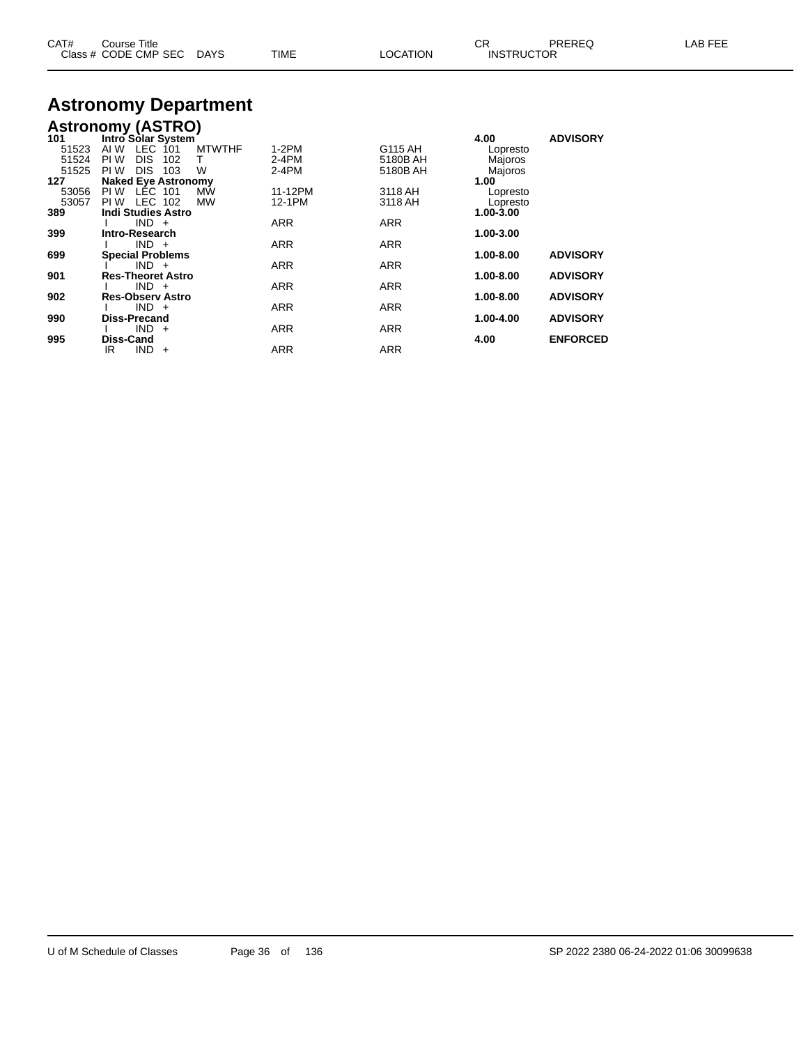| CAT# | Course Title              |             |                 | ∩⊓<br>◡ド          | PREREQ | LAB FEE |
|------|---------------------------|-------------|-----------------|-------------------|--------|---------|
|      | Class # CODE CMP SEC DAYS | <b>TIME</b> | <b>LOCATION</b> | <b>INSTRUCTOR</b> |        |         |

# **Astronomy Department**

## **Astronomy (ASTRO)**

| 101   | Intro Solar System               |            |            | 4.00      | <b>ADVISORY</b> |
|-------|----------------------------------|------------|------------|-----------|-----------------|
| 51523 | LEC 101<br>AI W<br><b>MTWTHF</b> | $1-2PM$    | G115 AH    | Lopresto  |                 |
| 51524 | <b>DIS</b><br>102<br>PI W<br>т   | 2-4PM      | 5180B AH   | Majoros   |                 |
| 51525 | PI W<br><b>DIS</b><br>103<br>W   | 2-4PM      | 5180B AH   | Majoros   |                 |
| 127   | <b>Naked Eye Astronomy</b>       |            |            | 1.00      |                 |
| 53056 | LEC 101<br>PI W<br>MW            | 11-12PM    | 3118 AH    | Lopresto  |                 |
| 53057 | LEC 102<br><b>MW</b><br>PI W     | 12-1PM     | 3118 AH    | Lopresto  |                 |
| 389   | <b>Indi Studies Astro</b>        |            |            | 1.00-3.00 |                 |
|       | $IND +$                          | <b>ARR</b> | <b>ARR</b> |           |                 |
| 399   | Intro-Research                   |            |            | 1.00-3.00 |                 |
|       | $IND +$                          | <b>ARR</b> | <b>ARR</b> |           |                 |
| 699   | <b>Special Problems</b>          |            |            | 1.00-8.00 | <b>ADVISORY</b> |
|       | $IND +$                          | <b>ARR</b> | <b>ARR</b> |           |                 |
| 901   | <b>Res-Theoret Astro</b>         |            |            | 1.00-8.00 | <b>ADVISORY</b> |
|       | $IND +$                          | <b>ARR</b> | <b>ARR</b> |           |                 |
| 902   | <b>Res-Observ Astro</b>          |            |            | 1.00-8.00 | <b>ADVISORY</b> |
|       | $IND +$                          | <b>ARR</b> | <b>ARR</b> |           |                 |
| 990   | <b>Diss-Precand</b>              |            |            | 1.00-4.00 | <b>ADVISORY</b> |
|       | $IND +$                          | <b>ARR</b> | <b>ARR</b> |           |                 |
| 995   | <b>Diss-Cand</b>                 |            |            | 4.00      | <b>ENFORCED</b> |
|       | <b>IND</b><br>IR<br>$+$          | <b>ARR</b> | <b>ARR</b> |           |                 |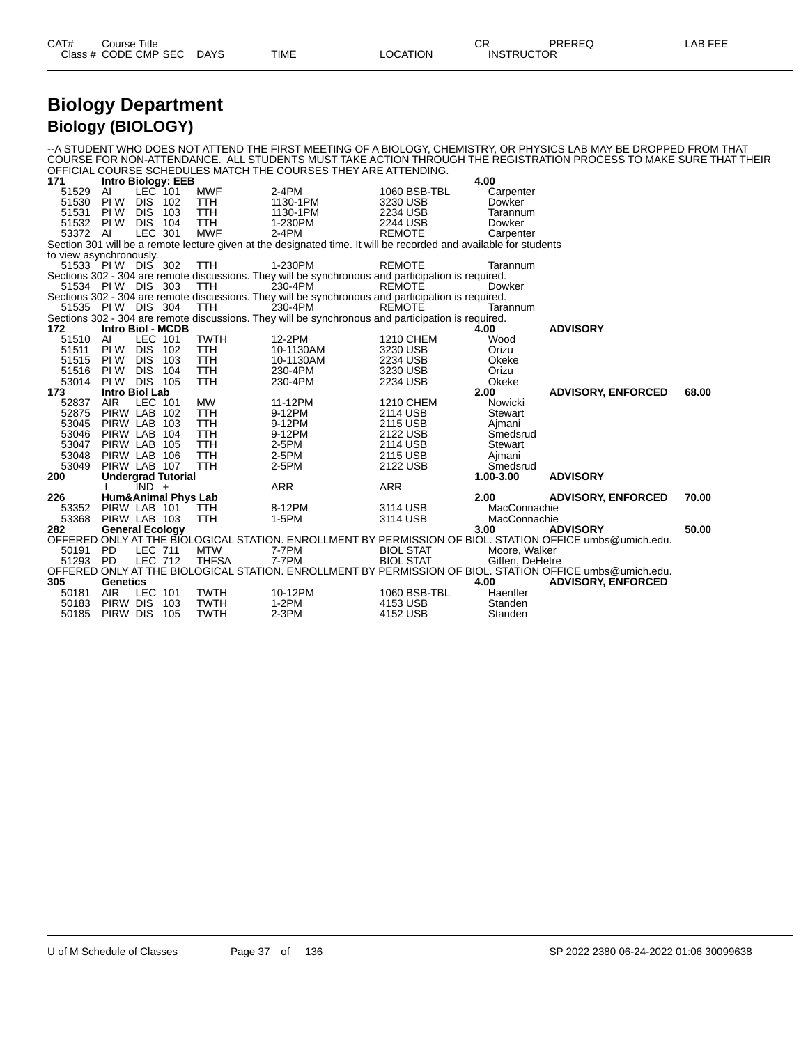| CAT# | Title<br>Course      |             |             |          | ~~<br>- UN        | <b>PREREC</b> | ----<br>ΔR<br>--- |
|------|----------------------|-------------|-------------|----------|-------------------|---------------|-------------------|
|      | Class # CODE CMP SEC | <b>DAYS</b> | <b>TIME</b> | ∟OCATION | <b>INSTRUCTOR</b> |               |                   |

### **Biology Department Biology (BIOLOGY)**

--A STUDENT WHO DOES NOT ATTEND THE FIRST MEETING OF A BIOLOGY, CHEMISTRY, OR PHYSICS LAB MAY BE DROPPED FROM THAT COURSE FOR NON-ATTENDANCE. ALL STUDENTS MUST TAKE ACTION THROUGH THE REGISTRATION PROCESS TO MAKE SURE THAT THEIR OFFICIAL COURSE SCHEDULES MATCH THE COURSES THEY ARE ATTENDING.

| 171                     |                        |                | <b>Intro Biology: EEB</b>      |              |                                                                                                                   |                  | 4.00            |                                                                                                          |       |
|-------------------------|------------------------|----------------|--------------------------------|--------------|-------------------------------------------------------------------------------------------------------------------|------------------|-----------------|----------------------------------------------------------------------------------------------------------|-------|
| 51529                   | AI                     | LEC 101        |                                | <b>MWF</b>   | $2-4PM$                                                                                                           | 1060 BSB-TBL     | Carpenter       |                                                                                                          |       |
| 51530                   | PI W                   | <b>DIS 102</b> |                                | TTH          | 1130-1PM                                                                                                          | 3230 USB         | Dowker          |                                                                                                          |       |
| 51531                   | PI W                   | <b>DIS</b>     | 103                            | <b>TTH</b>   | 1130-1PM                                                                                                          | 2234 USB         | Tarannum        |                                                                                                          |       |
| 51532                   | PI W                   | <b>DIS</b>     | 104                            | <b>TTH</b>   | 1-230PM                                                                                                           | 2244 USB         | Dowker          |                                                                                                          |       |
| 53372 AI                |                        | LEC 301        |                                | <b>MWF</b>   | $2-4PM$                                                                                                           | <b>REMOTE</b>    | Carpenter       |                                                                                                          |       |
|                         |                        |                |                                |              | Section 301 will be a remote lecture given at the designated time. It will be recorded and available for students |                  |                 |                                                                                                          |       |
| to view asynchronously. |                        |                |                                |              |                                                                                                                   |                  |                 |                                                                                                          |       |
| 51533 PIW DIS 302       |                        |                |                                | <b>TTH</b>   | 1-230PM                                                                                                           | <b>REMOTE</b>    | Tarannum        |                                                                                                          |       |
|                         |                        |                |                                |              | Sections 302 - 304 are remote discussions. They will be synchronous and participation is required.                |                  |                 |                                                                                                          |       |
| 51534 PIW DIS 303       |                        |                |                                | <b>TTH</b>   | 230-4PM                                                                                                           | <b>REMOTE</b>    | Dowker          |                                                                                                          |       |
|                         |                        |                |                                |              | Sections 302 - 304 are remote discussions. They will be synchronous and participation is required.                |                  |                 |                                                                                                          |       |
| 51535 PIW DIS 304       |                        |                |                                | <b>TTH</b>   | 230-4PM                                                                                                           | <b>REMOTE</b>    | Tarannum        |                                                                                                          |       |
|                         |                        |                |                                |              | Sections 302 - 304 are remote discussions. They will be synchronous and participation is required.                |                  |                 |                                                                                                          |       |
| 172                     | Intro Biol - MCDB      |                |                                |              |                                                                                                                   |                  | 4.00            | <b>ADVISORY</b>                                                                                          |       |
| 51510                   | AI                     | LEC 101        |                                | <b>TWTH</b>  | 12-2PM                                                                                                            | 1210 CHEM        | Wood            |                                                                                                          |       |
| 51511                   | PI W                   | DIS.           | - 102                          | TTH          | 10-1130AM                                                                                                         | 3230 USB         | Orizu           |                                                                                                          |       |
| 51515                   | PI W                   | <b>DIS</b>     | 103                            | TTH          | 10-1130AM                                                                                                         | 2234 USB         | Okeke           |                                                                                                          |       |
| 51516                   | PI W                   | <b>DIS</b>     | 104                            | <b>TTH</b>   | 230-4PM                                                                                                           | 3230 USB         | Orizu           |                                                                                                          |       |
| 53014                   | PI W                   | <b>DIS 105</b> |                                | <b>TTH</b>   | 230-4PM                                                                                                           | 2234 USB         | Okeke           |                                                                                                          |       |
| 173                     | <b>Intro Biol Lab</b>  |                |                                |              |                                                                                                                   |                  | 2.00            | <b>ADVISORY, ENFORCED</b>                                                                                | 68.00 |
| 52837                   | <b>AIR</b>             | LEC 101        |                                | <b>MW</b>    | 11-12PM                                                                                                           | 1210 CHEM        | Nowicki         |                                                                                                          |       |
| 52875                   | PIRW LAB 102           |                |                                | <b>TTH</b>   | 9-12PM                                                                                                            | 2114 USB         | Stewart         |                                                                                                          |       |
| 53045                   | PIRW LAB 103           |                |                                | TTH          | 9-12PM                                                                                                            | 2115 USB         | Ajmani          |                                                                                                          |       |
| 53046                   | PIRW LAB               |                | 104                            | TTH          | 9-12PM                                                                                                            | 2122 USB         | Smedsrud        |                                                                                                          |       |
| 53047                   | PIRW LAB 105           |                |                                | <b>TTH</b>   | $2-5PM$                                                                                                           | 2114 USB         | Stewart         |                                                                                                          |       |
| 53048                   | PIRW LAB 106           |                |                                | <b>TTH</b>   | 2-5PM                                                                                                             | 2115 USB         | Ajmani          |                                                                                                          |       |
| 53049                   | PIRW LAB 107           |                |                                | <b>TTH</b>   | 2-5PM                                                                                                             | 2122 USB         | Smedsrud        |                                                                                                          |       |
| 200                     |                        |                | <b>Undergrad Tutorial</b>      |              |                                                                                                                   |                  | 1.00-3.00       | <b>ADVISORY</b>                                                                                          |       |
|                         |                        | $IND +$        |                                |              | <b>ARR</b>                                                                                                        | <b>ARR</b>       |                 |                                                                                                          |       |
| 226                     |                        |                | <b>Hum&amp;Animal Phys Lab</b> |              |                                                                                                                   |                  | 2.00            | <b>ADVISORY, ENFORCED</b>                                                                                | 70.00 |
| 53352                   | PIRW LAB 101           |                |                                | <b>TTH</b>   | 8-12PM                                                                                                            | 3114 USB         | MacConnachie    |                                                                                                          |       |
| 53368                   | PIRW LAB 103           |                |                                | TTH          | 1-5PM                                                                                                             | 3114 USB         | MacConnachie    |                                                                                                          |       |
| 282                     | <b>General Ecology</b> |                |                                |              |                                                                                                                   |                  | 3.00            | <b>ADVISORY</b>                                                                                          | 50.00 |
|                         |                        |                |                                |              |                                                                                                                   |                  |                 | OFFERED ONLY AT THE BIOLOGICAL STATION. ENROLLMENT BY PERMISSION OF BIOL. STATION OFFICE umbs@umich.edu. |       |
| 50191                   | PD.                    | <b>LEC 711</b> |                                | <b>MTW</b>   | 7-7PM                                                                                                             | <b>BIOL STAT</b> | Moore, Walker   |                                                                                                          |       |
| 51293                   | <b>PD</b>              | <b>LEC 712</b> |                                | <b>THFSA</b> | 7-7PM                                                                                                             | <b>BIOL STAT</b> | Giffen, DeHetre |                                                                                                          |       |
|                         |                        |                |                                |              |                                                                                                                   |                  |                 | OFFERED ONLY AT THE BIOLOGICAL STATION. ENROLLMENT BY PERMISSION OF BIOL. STATION OFFICE umbs@umich.edu. |       |
| 305                     | Genetics               |                |                                |              |                                                                                                                   |                  | 4.00            | <b>ADVISORY, ENFORCED</b>                                                                                |       |
| 50181                   | AIR                    | LEC 101        |                                | <b>TWTH</b>  | 10-12PM                                                                                                           | 1060 BSB-TBL     | Haenfler        |                                                                                                          |       |
| 50183                   | PIRW DIS               |                | 103                            | <b>TWTH</b>  | $1-2PM$                                                                                                           | 4153 USB         | Standen         |                                                                                                          |       |
| 50185                   | PIRW DIS               |                | -105                           | <b>TWTH</b>  | $2-3PM$                                                                                                           | 4152 USB         | Standen         |                                                                                                          |       |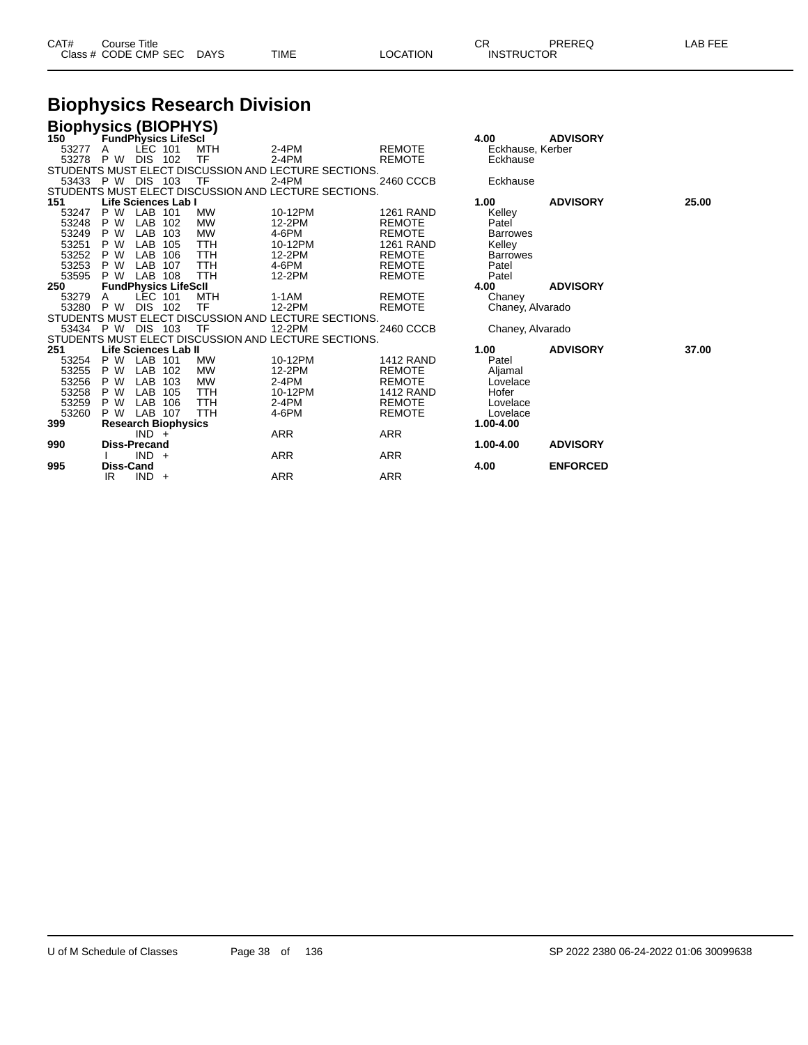| CAT# | Title<br>Course      |      |      |          | Ωn<br>◡∩          | PREREQ | . EEF<br>AR. |
|------|----------------------|------|------|----------|-------------------|--------|--------------|
|      | Class # CODE CMP SEC | DAYS | TIME | LOCATION | <b>INSTRUCTOR</b> |        |              |

# **Biophysics Research Division**

| <b>Biophysics (BIOPHYS)</b> |                  |                             |     |            |                                                      |                  |                  |                 |       |
|-----------------------------|------------------|-----------------------------|-----|------------|------------------------------------------------------|------------------|------------------|-----------------|-------|
| 150                         |                  | <b>FundPhysics LifeScl</b>  |     |            |                                                      |                  | 4.00             | <b>ADVISORY</b> |       |
| 53277                       |                  | LEC 101                     |     | <b>MTH</b> | $2-4PM$                                              | <b>REMOTE</b>    | Eckhause, Kerber |                 |       |
| 53278                       | P W              | DIS.                        | 102 | TF         | $2-4PM$                                              | <b>REMOTE</b>    | Eckhause         |                 |       |
|                             |                  |                             |     |            | STUDENTS MUST ELECT DISCUSSION AND LECTURE SECTIONS. |                  |                  |                 |       |
| 53433 P W DIS               |                  |                             | 103 | TF         | $2-4PM$                                              | 2460 CCCB        | Eckhause         |                 |       |
|                             |                  |                             |     |            | STUDENTS MUST ELECT DISCUSSION AND LECTURE SECTIONS. |                  |                  |                 |       |
| 151                         |                  | Life Sciences Lab I         |     |            |                                                      |                  | 1.00             | <b>ADVISORY</b> | 25.00 |
| 53247                       | P W              | LAB 101                     |     | <b>MW</b>  | 10-12PM                                              | <b>1261 RAND</b> | Kelley           |                 |       |
| 53248                       | P W              | LAB                         | 102 | <b>MW</b>  | 12-2PM                                               | <b>REMOTE</b>    | Patel            |                 |       |
| 53249                       | P W              | <b>LAB</b>                  | 103 | <b>MW</b>  | 4-6PM                                                | <b>REMOTE</b>    | <b>Barrowes</b>  |                 |       |
| 53251                       | P W              | LAB                         | 105 | <b>TTH</b> | 10-12PM                                              | <b>1261 RAND</b> | Kelley           |                 |       |
| 53252                       | P W              | LAB                         | 106 | TTH        | 12-2PM                                               | <b>REMOTE</b>    | <b>Barrowes</b>  |                 |       |
| 53253                       | P W              | LAB                         | 107 | TTH        | 4-6PM                                                | <b>REMOTE</b>    | Patel            |                 |       |
| 53595                       | P W              | LAB                         | 108 | TTH        | 12-2PM                                               | <b>REMOTE</b>    | Patel            |                 |       |
| 250                         |                  | <b>FundPhysics LifeScll</b> |     |            |                                                      |                  | 4.00             | <b>ADVISORY</b> |       |
| 53279                       |                  | LEC 101                     |     | MTH        | 1-1AM                                                | <b>REMOTE</b>    | Chaney           |                 |       |
| 53280                       | P W              | <b>DIS</b>                  | 102 | TF         | 12-2PM                                               | <b>REMOTE</b>    | Chaney, Alvarado |                 |       |
|                             |                  |                             |     |            | STUDENTS MUST ELECT DISCUSSION AND LECTURE SECTIONS. |                  |                  |                 |       |
| 53434                       | P W              | DIS.                        | 103 | TF         | 12-2PM                                               | 2460 CCCB        | Chaney, Alvarado |                 |       |
|                             |                  |                             |     |            | STUDENTS MUST ELECT DISCUSSION AND LECTURE SECTIONS. |                  |                  |                 |       |
| 251                         |                  | <b>Life Sciences Lab II</b> |     |            |                                                      |                  | 1.00             | <b>ADVISORY</b> | 37.00 |
| 53254                       | P W              | <b>LAB</b>                  | 101 | <b>MW</b>  | 10-12PM                                              | <b>1412 RAND</b> | Patel            |                 |       |
| 53255                       | P W              | <b>LAB</b>                  | 102 | <b>MW</b>  | 12-2PM                                               | <b>REMOTE</b>    | Aljamal          |                 |       |
| 53256                       | P W              | LAB                         | 103 | <b>MW</b>  | $2-4PM$                                              | <b>REMOTE</b>    | Lovelace         |                 |       |
| 53258                       | P W              | LAB                         | 105 | TTH        | 10-12PM                                              | <b>1412 RAND</b> | Hofer            |                 |       |
| 53259                       | P W              | LAB                         | 106 | TTH        | $2-4PM$                                              | <b>REMOTE</b>    | Lovelace         |                 |       |
| 53260                       | P W              | LAB 107                     |     | TTH        | 4-6PM                                                | <b>REMOTE</b>    | Lovelace         |                 |       |
| 399                         |                  | <b>Research Biophysics</b>  |     |            |                                                      |                  | 1.00-4.00        |                 |       |
|                             |                  | $IND +$                     |     |            | <b>ARR</b>                                           | <b>ARR</b>       |                  |                 |       |
| 990                         |                  | <b>Diss-Precand</b>         |     |            |                                                      |                  | 1.00-4.00        | <b>ADVISORY</b> |       |
|                             |                  | $IND +$                     |     |            | ARR                                                  | <b>ARR</b>       |                  |                 |       |
| 995                         | <b>Diss-Cand</b> |                             |     |            |                                                      |                  | 4.00             | <b>ENFORCED</b> |       |
|                             | IR.              | $IND +$                     |     |            | <b>ARR</b>                                           | <b>ARR</b>       |                  |                 |       |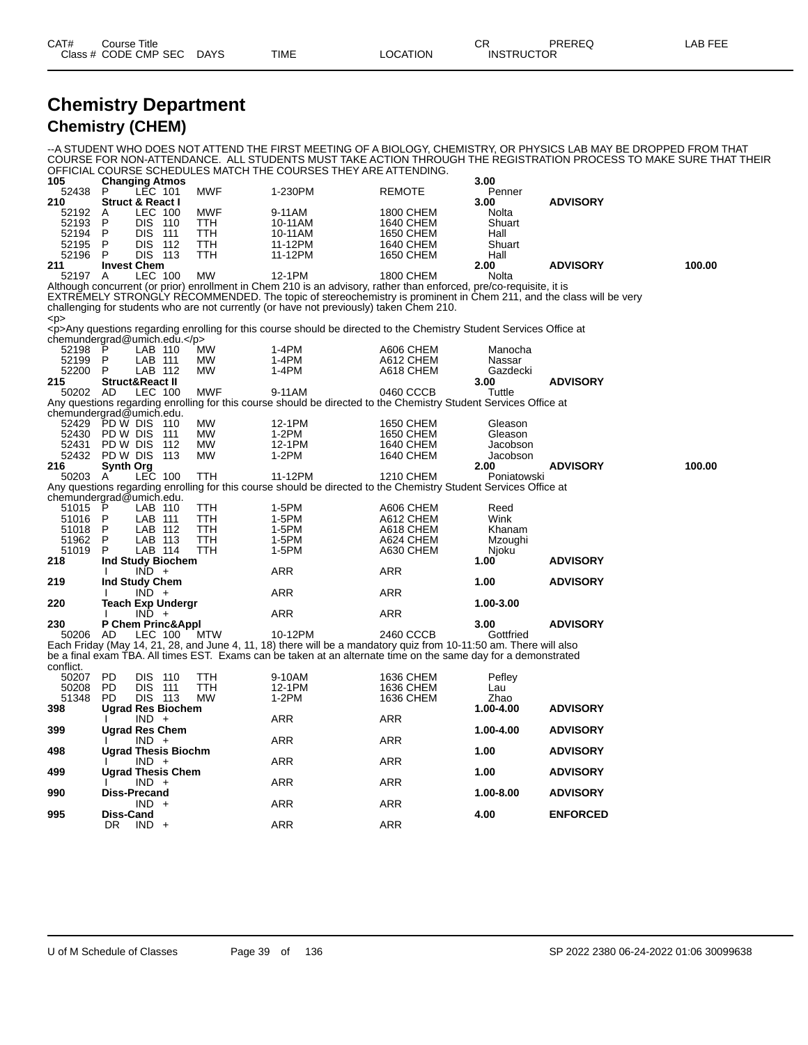#### **Chemistry Department Chemistry (CHEM)**

--A STUDENT WHO DOES NOT ATTEND THE FIRST MEETING OF A BIOLOGY, CHEMISTRY, OR PHYSICS LAB MAY BE DROPPED FROM THAT COURSE FOR NON-ATTENDANCE. ALL STUDENTS MUST TAKE ACTION THROUGH THE REGISTRATION PROCESS TO MAKE SURE THAT THEIR OFFICIAL COURSE SCHEDULES MATCH THE COURSES THEY ARE ATTENDING.

| 105                      |           | <b>Changing Atmos</b>       |            |                                                                                                                         |               | 3.00        |                 |        |
|--------------------------|-----------|-----------------------------|------------|-------------------------------------------------------------------------------------------------------------------------|---------------|-------------|-----------------|--------|
| 52438                    | P         | LEC 101                     | <b>MWF</b> | 1-230PM                                                                                                                 | <b>REMOTE</b> | Penner      |                 |        |
| 210                      |           | <b>Struct &amp; React I</b> |            |                                                                                                                         |               | 3.00        | <b>ADVISORY</b> |        |
| 52192                    | A         | LEC 100                     | <b>MWF</b> | 9-11AM                                                                                                                  | 1800 CHEM     | Nolta       |                 |        |
| 52193                    | P         | <b>DIS 110</b>              | TTH        | 10-11AM                                                                                                                 | 1640 CHEM     | Shuart      |                 |        |
| 52194                    | P         | DIS.<br>111                 | TTH        | 10-11AM                                                                                                                 | 1650 CHEM     | Hall        |                 |        |
| 52195                    | P         | <b>DIS</b><br>112           | TTH        | 11-12PM                                                                                                                 | 1640 CHEM     | Shuart      |                 |        |
| 52196                    | P         | DIS 113                     | TTH        | 11-12PM                                                                                                                 | 1650 CHEM     | Hall        |                 |        |
| 211                      |           | <b>Invest Chem</b>          |            |                                                                                                                         |               | 2.00        | <b>ADVISORY</b> | 100.00 |
| 52197 A                  |           | LEC 100                     | <b>MW</b>  | 12-1PM                                                                                                                  | 1800 CHEM     | Nolta       |                 |        |
|                          |           |                             |            | Although concurrent (or prior) enrollment in Chem 210 is an advisory, rather than enforced, pre/co-requisite, it is     |               |             |                 |        |
|                          |           |                             |            | EXTREMELY STRONGLY RECOMMENDED. The topic of stereochemistry is prominent in Chem 211, and the class will be very       |               |             |                 |        |
|                          |           |                             |            | challenging for students who are not currently (or have not previously) taken Chem 210.                                 |               |             |                 |        |
| < p                      |           |                             |            |                                                                                                                         |               |             |                 |        |
|                          |           |                             |            | <p>Any questions regarding enrolling for this course should be directed to the Chemistry Student Services Office at</p> |               |             |                 |        |
|                          |           | chemundergrad@umich.edu.    |            |                                                                                                                         |               |             |                 |        |
| 52198                    | P         | LAB 110                     | MW         | $1-4PM$                                                                                                                 | A606 CHEM     | Manocha     |                 |        |
| 52199                    | P         | LAB 111                     | MW         | 1-4PM                                                                                                                   | A612 CHEM     | Nassar      |                 |        |
| 52200                    | P         | LAB 112                     | <b>MW</b>  | $1-4PM$                                                                                                                 | A618 CHEM     | Gazdecki    |                 |        |
| 215                      |           | <b>Struct&amp;React II</b>  |            |                                                                                                                         |               | 3.00        | <b>ADVISORY</b> |        |
| 50202 AD                 |           | LEC 100                     | <b>MWF</b> | 9-11AM                                                                                                                  | 0460 CCCB     | Tuttle      |                 |        |
|                          |           |                             |            | Any questions regarding enrolling for this course should be directed to the Chemistry Student Services Office at        |               |             |                 |        |
| chemundergrad@umich.edu. |           |                             |            |                                                                                                                         |               |             |                 |        |
| 52429                    |           | PD W DIS 110                | MW         | 12-1PM                                                                                                                  | 1650 CHEM     | Gleason     |                 |        |
| 52430                    | PD W DIS  | 111                         | <b>MW</b>  | $1-2PM$                                                                                                                 | 1650 CHEM     | Gleason     |                 |        |
| 52431                    | PD W DIS  | 112                         | <b>MW</b>  | 12-1PM                                                                                                                  | 1640 CHEM     | Jacobson    |                 |        |
| 52432                    | PD W DIS  | 113                         | <b>MW</b>  | $1-2PM$                                                                                                                 | 1640 CHEM     | Jacobson    |                 |        |
| 216                      | Synth Org |                             |            |                                                                                                                         |               | 2.00        | <b>ADVISORY</b> | 100.00 |
| 50203 A                  |           | <b>LEC 100</b>              | TTH        | 11-12PM                                                                                                                 | 1210 CHEM     | Poniatowski |                 |        |
|                          |           |                             |            | Any questions regarding enrolling for this course should be directed to the Chemistry Student Services Office at        |               |             |                 |        |
| chemundergrad@umich.edu. |           |                             |            |                                                                                                                         |               |             |                 |        |
| 51015                    | P         | LAB 110                     | ттн        | 1-5PM                                                                                                                   | A606 CHEM     | Reed        |                 |        |
| 51016                    | P         | LAB 111                     | TTH        | 1-5PM                                                                                                                   | A612 CHEM     | Wink        |                 |        |
| 51018                    | P         | LAB 112                     | TTH        | 1-5PM                                                                                                                   | A618 CHEM     | Khanam      |                 |        |
| 51962                    | P         | LAB 113                     | TTH        | 1-5PM                                                                                                                   | A624 CHEM     | Mzoughi     |                 |        |
| 51019                    | P         | LAB 114                     | TTH        | 1-5PM                                                                                                                   | A630 CHEM     | Njoku       |                 |        |
| 218                      |           | Ind Study Biochem           |            |                                                                                                                         |               | 1.00        | <b>ADVISORY</b> |        |
|                          |           | $IND +$                     |            | ARR                                                                                                                     | <b>ARR</b>    |             |                 |        |
| 219                      |           | Ind Study Chem              |            |                                                                                                                         |               | 1.00        | <b>ADVISORY</b> |        |
|                          |           | $IND +$                     |            | ARR                                                                                                                     | <b>ARR</b>    |             |                 |        |
| 220                      |           | <b>Teach Exp Undergr</b>    |            |                                                                                                                         |               | 1.00-3.00   |                 |        |
|                          |           | $IND +$                     |            | ARR                                                                                                                     | <b>ARR</b>    |             |                 |        |
| 230                      |           | P Chem Princ&Appl           |            |                                                                                                                         |               | 3.00        | <b>ADVISORY</b> |        |
| 50206                    | AD        | LEC 100                     | MTW        | 10-12PM                                                                                                                 | 2460 CCCB     | Gottfried   |                 |        |
|                          |           |                             |            | Each Friday (May 14, 21, 28, and June 4, 11, 18) there will be a mandatory quiz from 10-11:50 am. There will also       |               |             |                 |        |
|                          |           |                             |            | be a final exam TBA. All times EST. Exams can be taken at an alternate time on the same day for a demonstrated          |               |             |                 |        |
| conflict.                |           |                             |            |                                                                                                                         |               |             |                 |        |
| 50207                    | <b>PD</b> | <b>DIS 110</b>              | TTH        | 9-10AM                                                                                                                  | 1636 CHEM     | Pefley      |                 |        |
| 50208                    | <b>PD</b> | DIS.<br>- 111               | TTH        | 12-1PM                                                                                                                  | 1636 CHEM     | Lau         |                 |        |
| 51348                    | PD.       | DIS 113                     | <b>MW</b>  | $1-2PM$                                                                                                                 | 1636 CHEM     | Zhao        |                 |        |
| 398                      |           | <b>Ugrad Res Biochem</b>    |            |                                                                                                                         |               | 1.00-4.00   | <b>ADVISORY</b> |        |
|                          |           | $IND +$                     |            | ARR                                                                                                                     | <b>ARR</b>    |             |                 |        |
| 399                      |           | <b>Ugrad Res Chem</b>       |            |                                                                                                                         |               | 1.00-4.00   | <b>ADVISORY</b> |        |
|                          |           | $IND +$                     |            | <b>ARR</b>                                                                                                              | <b>ARR</b>    |             |                 |        |
| 498                      |           | <b>Ugrad Thesis Biochm</b>  |            |                                                                                                                         |               | 1.00        | <b>ADVISORY</b> |        |
|                          |           | $IND +$                     |            | <b>ARR</b>                                                                                                              | <b>ARR</b>    |             |                 |        |
| 499                      |           | <b>Ugrad Thesis Chem</b>    |            |                                                                                                                         |               | 1.00        | <b>ADVISORY</b> |        |
|                          |           | IND +                       |            | ARR                                                                                                                     | <b>ARR</b>    |             |                 |        |
| 990                      |           | <b>Diss-Precand</b>         |            |                                                                                                                         |               | 1.00-8.00   | <b>ADVISORY</b> |        |
|                          |           | IND.<br>$+$                 |            | ARR                                                                                                                     | <b>ARR</b>    |             |                 |        |
| 995                      | Diss-Cand |                             |            |                                                                                                                         |               | 4.00        | <b>ENFORCED</b> |        |
|                          | DR.       | $IND +$                     |            | ARR                                                                                                                     | <b>ARR</b>    |             |                 |        |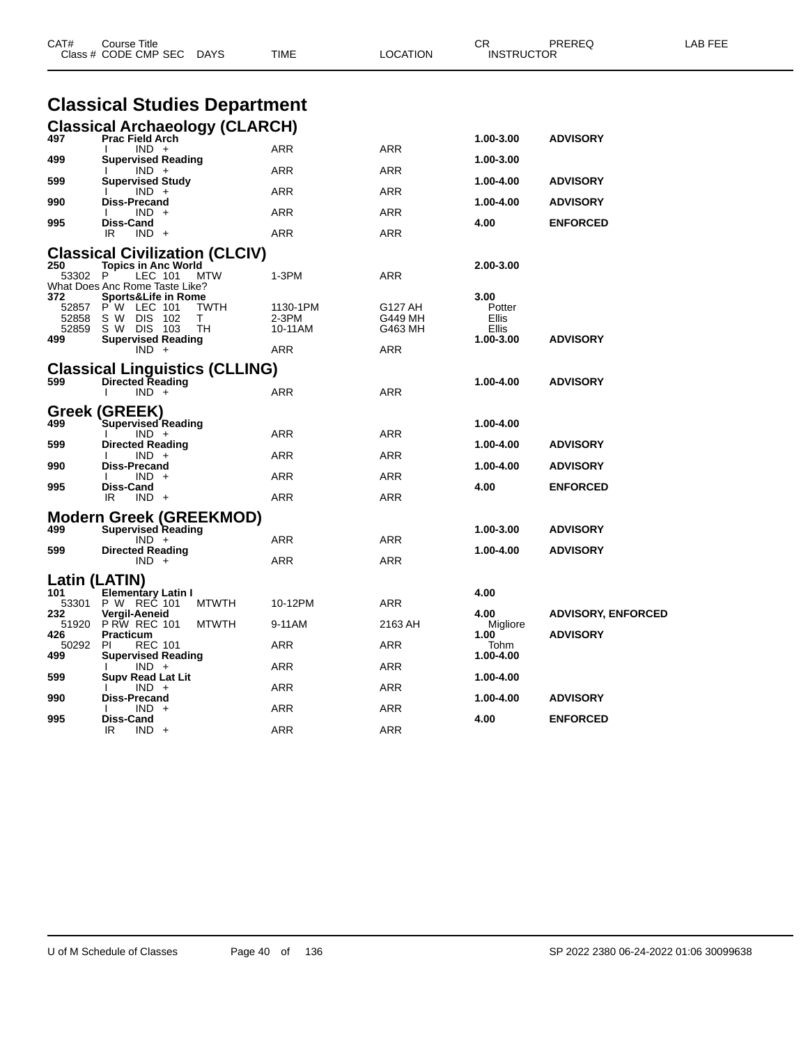| CAT#                         | Course Title<br>Class # CODE CMP SEC                                                                                                  | DAYS                   | TIME                         | <b>LOCATION</b>               | СR<br><b>INSTRUCTOR</b>                       | PREREQ                    | LAB FEE |
|------------------------------|---------------------------------------------------------------------------------------------------------------------------------------|------------------------|------------------------------|-------------------------------|-----------------------------------------------|---------------------------|---------|
|                              | <b>Classical Studies Department</b>                                                                                                   |                        |                              |                               |                                               |                           |         |
| 497                          | <b>Classical Archaeology (CLARCH)</b>                                                                                                 |                        |                              |                               | 1.00-3.00                                     | <b>ADVISORY</b>           |         |
|                              | <b>Prac Field Arch</b><br>$IND +$                                                                                                     |                        | ARR                          | ARR                           |                                               |                           |         |
| 499                          | <b>Supervised Reading</b><br>$IND +$                                                                                                  |                        | ARR                          | ARR                           | 1.00-3.00                                     |                           |         |
| 599                          | <b>Supervised Study</b><br>$IND +$                                                                                                    |                        | ARR                          | ARR                           | 1.00-4.00                                     | <b>ADVISORY</b>           |         |
| 990                          | <b>Diss-Precand</b><br>$IND +$                                                                                                        |                        | ARR                          | ARR                           | 1.00-4.00                                     | <b>ADVISORY</b>           |         |
| 995                          | Diss-Cand<br>$IND +$<br>IR                                                                                                            |                        | ARR                          | ARR                           | 4.00                                          | <b>ENFORCED</b>           |         |
|                              | <b>Classical Civilization (CLCIV)</b>                                                                                                 |                        |                              |                               |                                               |                           |         |
| 250<br>53302 P               | <b>Topics in Anc World</b><br>LEC 101                                                                                                 | MTW                    | 1-3PM                        | ARR                           | 2.00-3.00                                     |                           |         |
| 372<br>52858<br>52859<br>499 | What Does Anc Rome Taste Like?<br>Sports&Life in Rome<br>52857 P W LEC 101<br>S W DIS 102<br>S W DIS 103<br><b>Supervised Reading</b> | <b>TWTH</b><br>т<br>TН | 1130-1PM<br>2-3PM<br>10-11AM | G127 AH<br>G449 MH<br>G463 MH | 3.00<br>Potter<br>Ellis<br>Ellis<br>1.00-3.00 | <b>ADVISORY</b>           |         |
|                              | $IND +$                                                                                                                               |                        | ARR                          | ARR                           |                                               |                           |         |
| 599                          | <b>Classical Linguistics (CLLING)</b><br><b>Directed Reading</b><br>$IND +$                                                           |                        | ARR                          | ARR                           | 1.00-4.00                                     | <b>ADVISORY</b>           |         |
| 499                          | Greek (GREEK)<br>Supervised Reading                                                                                                   |                        |                              |                               | 1.00-4.00                                     |                           |         |
| 599                          | $IND +$<br><b>Directed Reading</b>                                                                                                    |                        | ARR                          | ARR                           | 1.00-4.00                                     | <b>ADVISORY</b>           |         |
| 990                          | $IND +$<br>Diss-Precand                                                                                                               |                        | ARR                          | ARR                           | 1.00-4.00                                     | <b>ADVISORY</b>           |         |
| 995                          | $IND +$<br>Diss-Cand                                                                                                                  |                        | ARR                          | ARR                           | 4.00                                          | <b>ENFORCED</b>           |         |
|                              | IR.<br>$IND +$                                                                                                                        |                        | ARR                          | ARR                           |                                               |                           |         |
| 499                          | <b>Modern Greek (GREEKMOD)</b><br><b>Supervised Reading</b>                                                                           |                        |                              |                               | 1.00-3.00                                     | <b>ADVISORY</b>           |         |
| 599                          | $IND +$<br><b>Directed Reading</b>                                                                                                    |                        | ARR                          | ARR                           | 1.00-4.00                                     | <b>ADVISORY</b>           |         |
|                              | $IND +$                                                                                                                               |                        | ARR                          | ARR                           |                                               |                           |         |
| Latin (LATIN)<br>101         |                                                                                                                                       |                        |                              |                               |                                               |                           |         |
| 53301                        | <b>Elementary Latin I</b><br>P W REC 101                                                                                              | <b>MTWTH</b>           | 10-12PM                      | ARR                           | 4.00                                          |                           |         |
| 232                          | Vergil-Aeneid<br>51920 P RW REC 101                                                                                                   | <b>MTWTH</b>           | 9-11AM                       | 2163 AH                       | 4.00<br>Migliore                              | <b>ADVISORY, ENFORCED</b> |         |
| 426<br>50292                 | <b>Practicum</b><br><b>PI</b><br><b>REC 101</b>                                                                                       |                        | ARR                          | ARR                           | 1.00<br>Tohm                                  | <b>ADVISORY</b>           |         |
| 499                          | <b>Supervised Reading</b><br>$IND +$                                                                                                  |                        | ARR                          | ARR                           | 1.00-4.00                                     |                           |         |
| 599                          | <b>Supv Read Lat Lit</b><br>$IND +$                                                                                                   |                        | ARR                          | ARR                           | 1.00-4.00                                     |                           |         |
| 990                          | Diss-Precand<br>$IND +$                                                                                                               |                        | ARR                          | ARR                           | 1.00-4.00                                     | <b>ADVISORY</b>           |         |
| 995                          | Diss-Cand<br>IR<br>$IND +$                                                                                                            |                        | ARR                          | ARR                           | 4.00                                          | <b>ENFORCED</b>           |         |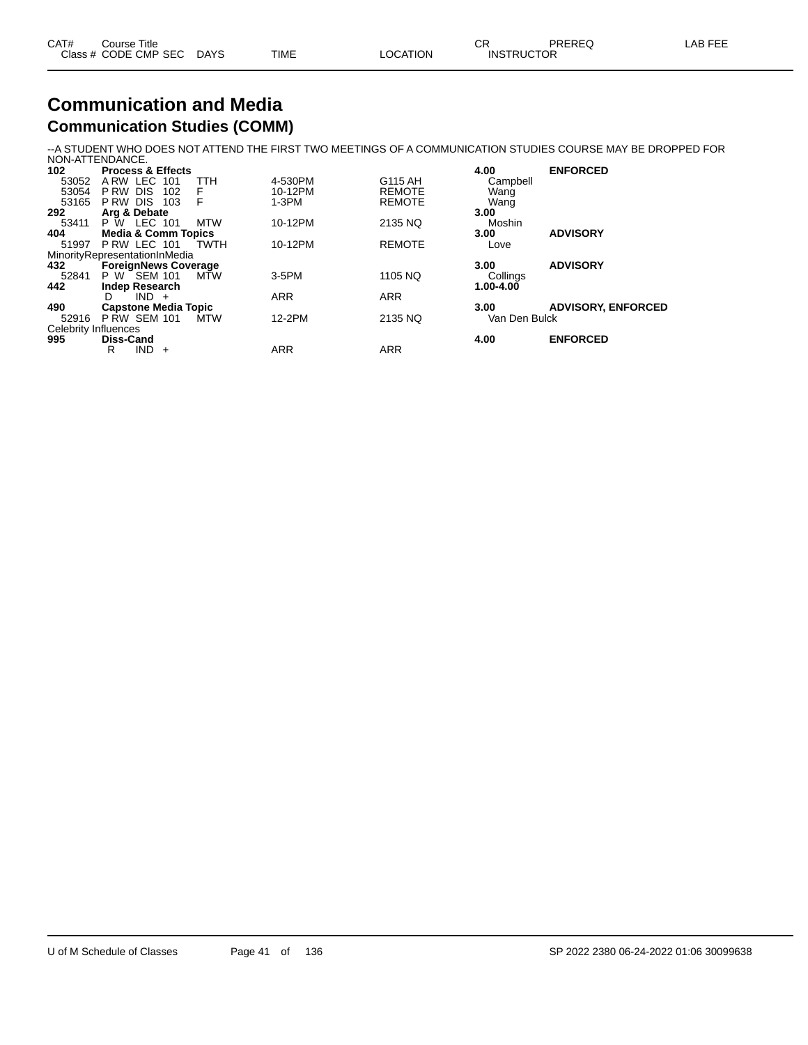| CAT# | Course Title              |      |          | $\cap$<br>◡◚      | PREREQ | LAB FEE |
|------|---------------------------|------|----------|-------------------|--------|---------|
|      | Class # CODE CMP SEC DAYS | TIME | LOCATION | <b>INSTRUCTOR</b> |        |         |

#### **Communication and Media Communication Studies (COMM)**

--A STUDENT WHO DOES NOT ATTEND THE FIRST TWO MEETINGS OF A COMMUNICATION STUDIES COURSE MAY BE DROPPED FOR

|                      | NON-ATTENDANCE.                |             |            |               |               |                           |
|----------------------|--------------------------------|-------------|------------|---------------|---------------|---------------------------|
| 102                  | <b>Process &amp; Effects</b>   |             |            |               | 4.00          | <b>ENFORCED</b>           |
| 53052                | ARW LEC 101                    | TTH         | 4-530PM    | G115 AH       | Campbell      |                           |
| 53054                | P RW<br><b>DIS</b><br>102      | F           | 10-12PM    | <b>REMOTE</b> | Wang          |                           |
| 53165                | P RW DIS<br>103                | F           | $1-3PM$    | <b>REMOTE</b> | Wang          |                           |
| 292                  | Arg & Debate                   |             |            |               | 3.00          |                           |
| 53411                | P W LEC 101                    | MTW         | 10-12PM    | 2135 NQ       | Moshin        |                           |
| 404                  | <b>Media &amp; Comm Topics</b> |             |            |               | 3.00          | <b>ADVISORY</b>           |
| 51997                | PRW LEC 101                    | <b>TWTH</b> | 10-12PM    | <b>REMOTE</b> | Love          |                           |
|                      | MinorityRepresentationInMedia  |             |            |               |               |                           |
| 432                  | <b>ForeignNews Coverage</b>    |             |            |               | 3.00          | <b>ADVISORY</b>           |
| 52841                | P W SEM 101                    | MŤW         | 3-5PM      | 1105 NQ       | Collings      |                           |
| 442                  | <b>Indep Research</b>          |             |            |               | 1.00-4.00     |                           |
|                      | $IND +$<br>D                   |             | <b>ARR</b> | <b>ARR</b>    |               |                           |
| 490                  | <b>Capstone Media Topic</b>    |             |            |               | 3.00          | <b>ADVISORY, ENFORCED</b> |
| 52916                | <b>P RW SEM 101</b>            | <b>MTW</b>  | 12-2PM     | 2135 NQ       | Van Den Bulck |                           |
| Celebrity Influences |                                |             |            |               |               |                           |
| 995                  | <b>Diss-Cand</b>               |             |            |               | 4.00          | <b>ENFORCED</b>           |
|                      | <b>IND</b><br>R<br>$+$         |             | <b>ARR</b> | <b>ARR</b>    |               |                           |
|                      |                                |             |            |               |               |                           |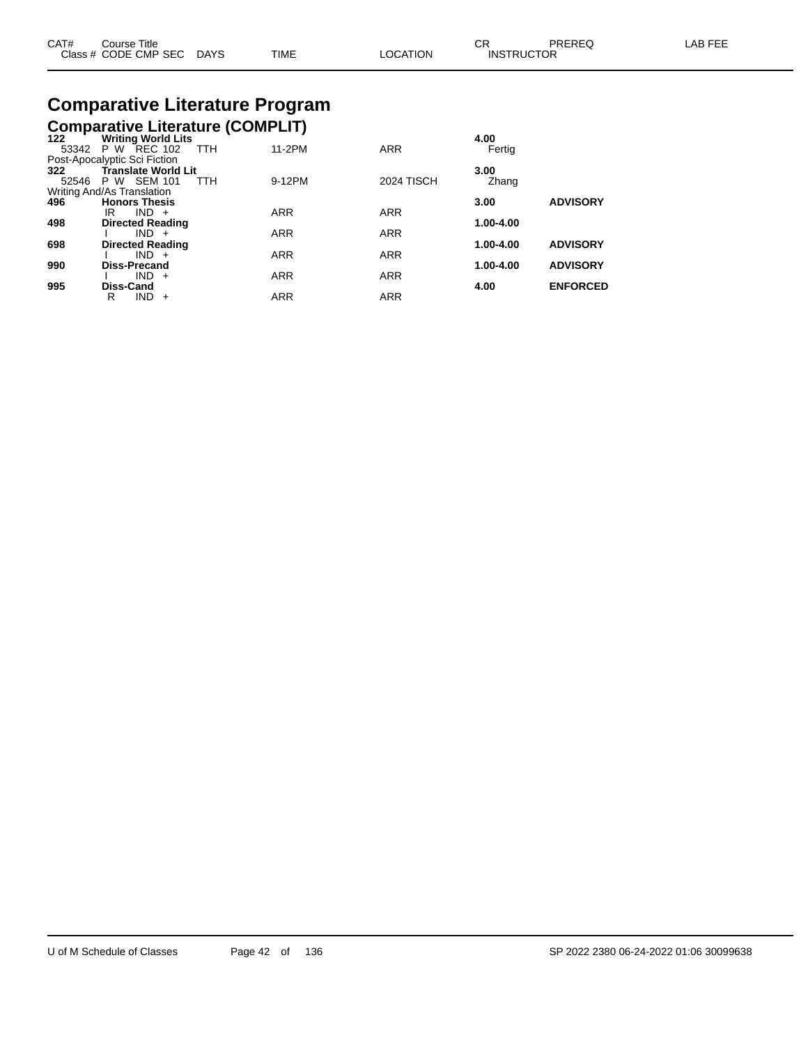| CAT# | Title<br>Course      |             |             |                | ~~                | PREREQ | AB FFF |
|------|----------------------|-------------|-------------|----------------|-------------------|--------|--------|
|      | Class # CODE CMP SEC | <b>DAYS</b> | <b>TIME</b> | <b>OCATION</b> | <b>INSTRUCTOR</b> |        |        |

# **Comparative Literature Program**

# **Comparative Literature (COMPLIT) 122 Writing World Lits 4.00**

| 122   | <b>Writing World Lits</b>       |            |                   | 4.UU      |                 |
|-------|---------------------------------|------------|-------------------|-----------|-----------------|
|       | 53342 P W REC 102<br><b>TTH</b> | 11-2PM     | <b>ARR</b>        | Fertig    |                 |
|       | Post-Apocalyptic Sci Fiction    |            |                   |           |                 |
| 322   | <b>Translate World Lit</b>      |            |                   | 3.00      |                 |
| 52546 | P W SEM 101<br><b>TTH</b>       | 9-12PM     | <b>2024 TISCH</b> | Zhang     |                 |
|       | Writing And/As Translation      |            |                   |           |                 |
| 496   | <b>Honors Thesis</b>            |            |                   | 3.00      | <b>ADVISORY</b> |
|       | IR<br>$IND +$                   | <b>ARR</b> | <b>ARR</b>        |           |                 |
| 498   | <b>Directed Reading</b>         |            |                   | 1.00-4.00 |                 |
|       | $IND +$                         | <b>ARR</b> | <b>ARR</b>        |           |                 |
| 698   | <b>Directed Reading</b>         |            |                   | 1.00-4.00 | <b>ADVISORY</b> |
|       | $IND +$                         | <b>ARR</b> | <b>ARR</b>        |           |                 |
| 990   | <b>Diss-Precand</b>             |            |                   | 1.00-4.00 | <b>ADVISORY</b> |
|       | $IND +$                         | <b>ARR</b> | <b>ARR</b>        |           |                 |
| 995   | Diss-Cand                       |            |                   | 4.00      | <b>ENFORCED</b> |
|       | <b>IND</b><br>R<br>$+$          | <b>ARR</b> | <b>ARR</b>        |           |                 |
|       |                                 |            |                   |           |                 |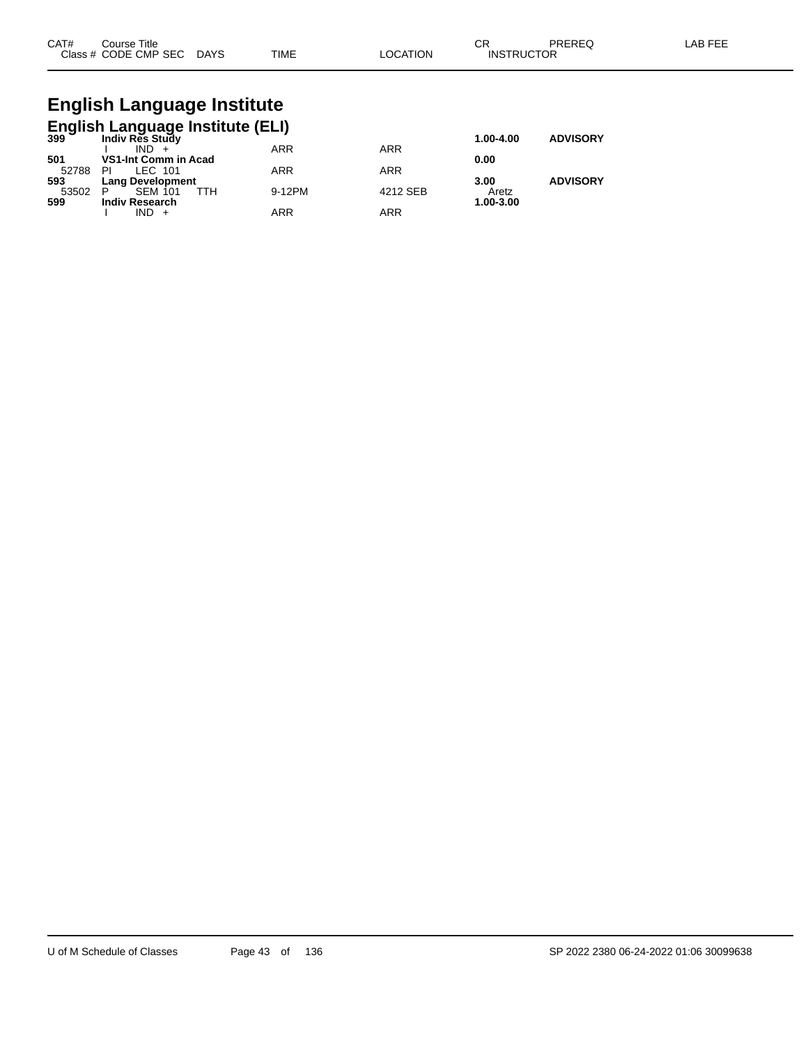| CAT# | Course Title         |             |             |                | ⌒冖<br>◡           | <b>PREREQ</b> | LAB FF' |
|------|----------------------|-------------|-------------|----------------|-------------------|---------------|---------|
|      | Class # CODE CMP SEC | <b>DAYS</b> | <b>TIME</b> | <b>OCATION</b> | <b>INSTRUCTOR</b> |               |         |

### **English Language Institute English Language Institute (ELI)**

| $399$ $\sim$ | Indiv Res Study            |            |            | 1.00-4.00 | <b>ADVISORY</b> |
|--------------|----------------------------|------------|------------|-----------|-----------------|
|              | $IND +$                    | <b>ARR</b> | <b>ARR</b> |           |                 |
| 501          | VS1-Int Comm in Acad       |            |            | 0.00      |                 |
| 52788        | ΡI<br>LEC 101              | <b>ARR</b> | <b>ARR</b> |           |                 |
| 593          | <b>Lang Development</b>    |            |            | 3.00      | <b>ADVISORY</b> |
| 53502        | <b>SEM 101</b><br>ттн<br>P | 9-12PM     | 4212 SEB   | Aretz     |                 |
| 599          | <b>Indiv Research</b>      |            |            | 1.00-3.00 |                 |
|              | IND.                       | ARR        | <b>ARR</b> |           |                 |
|              |                            |            |            |           |                 |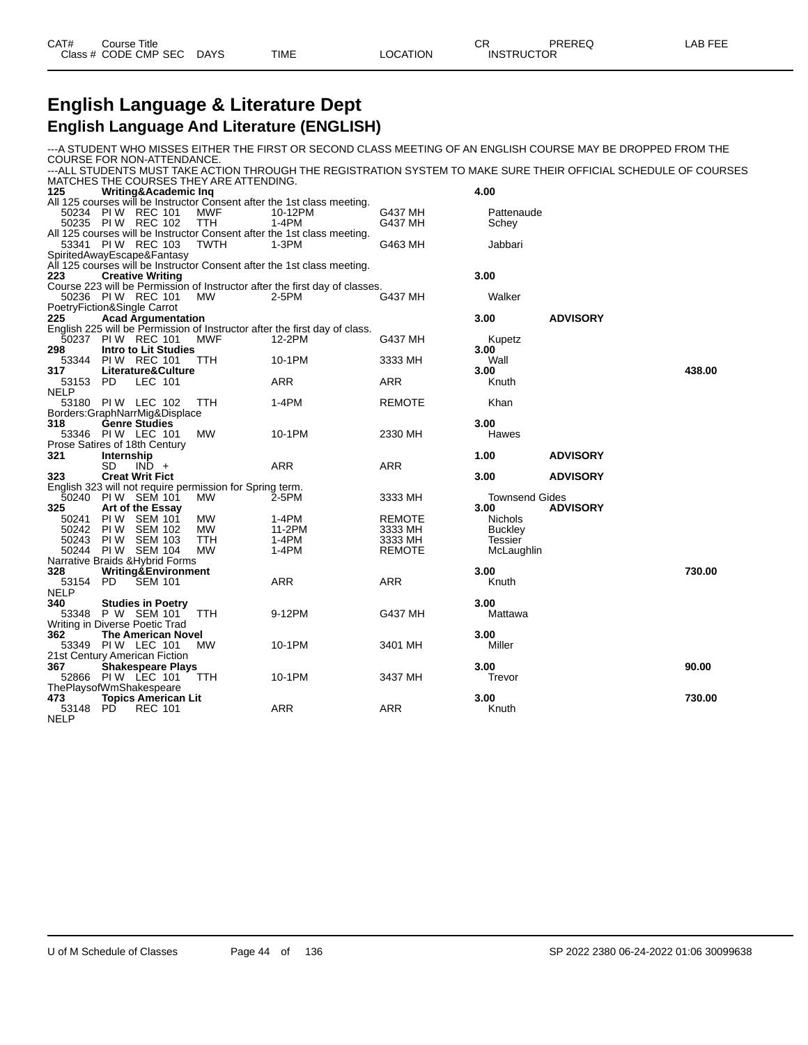| CAT# | Course Title         |             |      |          | ∼г<br>◡∩          | PREREQ | LAB FEE |
|------|----------------------|-------------|------|----------|-------------------|--------|---------|
|      | Class # CODE CMP SEC | <b>DAYS</b> | TIME | _OCATION | <b>INSTRUCTOR</b> |        |         |

#### **English Language & Literature Dept English Language And Literature (ENGLISH)**

-A STUDENT WHO MISSES EITHER THE FIRST OR SECOND CLASS MEETING OF AN ENGLISH COURSE MAY BE DROPPED FROM THE COURSE FOR NON-ATTENDANCE. ---ALL STUDENTS MUST TAKE ACTION THROUGH THE REGISTRATION SYSTEM TO MAKE SURE THEIR OFFICIAL SCHEDULE OF COURSES MATCHES THE COURSES THEY ARE ATTENDING.<br>125 **Writing&Academic Ing 125 Writing&Academic Inq 4.00** All 125 courses will be Instructor Consent after the 1st class meeting.<br>50234 PIW REC 101 MWF 10-12PM 50234 PI W REC 101 MWF 10-12PM G437 MH Pattenaude 50235 PI W REC 102 TTH 1-4PM G437 MH Schey All 125 courses will be Instructor Consent after the 1st class meeting.<br>53341 PIW REC 103 TWTH 1-3PM 53341 PIW REC 103 TWTH 1-3PM C463 MH Jabbari SpiritedAwayEscape&Fantasy All 125 courses will be Instructor Consent after the 1st class meeting.<br>223 **Creative Writing 223 Creative Writing 3.00** Course 223 will be Permission of Instructor after the first day of classes. 50236 PI W REC 101 MW 2-5PM G437 MH Walker PoetryFiction&Single Carrot **225 Acad Argumentation 3.00 ADVISORY** English 225 will be Permission of Instructor after the first day of class.<br>50237 PIW REC 101 MWF 12-2PM  $50237$  PIW REC 101 MWF 12-2PM G437 MH Kupetz<br>298 Intro-to-Lit-Studies **298 Intro to Lit Studies 3.00** 53344 PI W REC 101 TTH 10-1PM 3333 MH Wall **317 Literature&Culture 3.00 438.00** 53153 PD LEC 101 **ARR** ARR ARR Knuth NELP<br>53180 PIW LEC 102 TTH 1-4PM REMOTE Khan Borders:GraphNarrMig&Displace **318 Genre Studies 3.00** PI W LEC 101 Prose Satires of 18th Century<br>321 **Internship 321 Internship 1.00 ADVISORY** SD IND + ARR ARR ARR **323 Creat Writ Fict 3.00 ADVISORY** English 323 will not require permission for Spring term. 50240 PI W SEM 101 MW 2-5PM 3333 MH Townsend Gides **5 Art of the Essay 3.00 3.00 3.00 3.00 ADVISORY ADVISORY ADVISORY ADVISORY ADVISORY ADVISORY ADVISORY ADVISORY ADVISORY ADVISORY ADVISORY ADVISORY ADVISORY ADVISORY ADVISORY ADVIS** 50241 PI W SEM 101 MW 1-4PM REMOTE Nichols 50242 PI W SEM 102 MW 11-2PM 3333 MH Buckley 50243 PI W SEM 103 TTH 1-4PM 3333 MH Tessier 50244 PI W SEM 104 MW 1-4PM REMOTE McLaughlin Narrative Braids & Hybrid Forms<br>328 Writing & Environme **328 Writing&Environment 3.00 730.00** 53154 PD SEM 101 ARR ARR Knuth NELP<br>340 **53348 P W SEM 101 TH CONSERVITY SEM 101 CALL STATE STATE STATE STATE STATE STATE STATE STATE STATE STATE STATE S<br><b>53348 P W SEM 101 TTH CONSERVITY** SATE STATE STATE STATE STATE STATE STATE STATE STATE STATE STATE STATE ST **P W SEM 101** Writing in Diverse Poetic Trad<br>362 The American No **362 The American Novel 3.00** 53349 PIW LEC 101 21st Century American Fiction **367 Shakespeare Plays 3.00 90.00** 52866 PI W LEC 101 TTH 10-1PM 3437 MH Trevor ThePlaysofWmShakespeare<br>473 **Topics Americar 4730.00 4730.00 4730.00 4730.00 4730.00 4730.00 4730.00 4730.00 4730.00 4730.00 4730.00 4730.00** 53148 PD NELP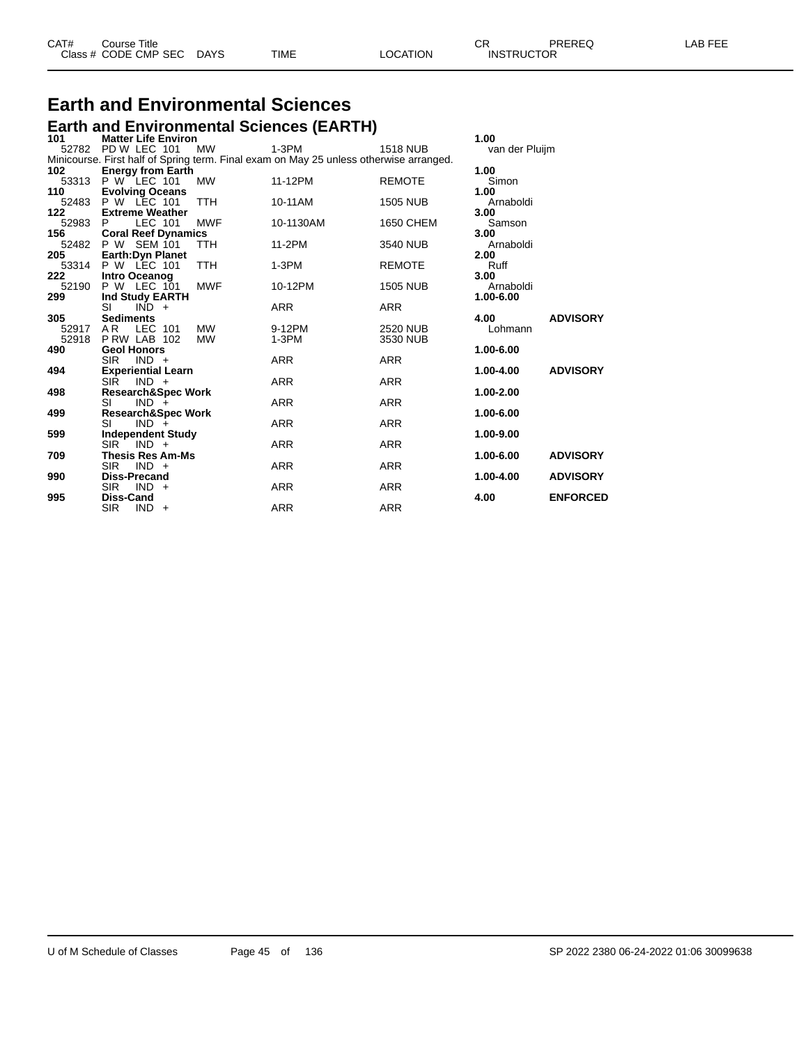| CAT# | Course Title         |             |      |          | ⌒冖<br>◡⊓          | PREREQ | AR FFF |
|------|----------------------|-------------|------|----------|-------------------|--------|--------|
|      | Class # CODE CMP SEC | <b>DAYS</b> | TIME | LOCATION | <b>INSTRUCTOR</b> |        |        |

# **Earth and Environmental Sciences**

|                    |                    |                     |                               |                        | <b>Earth and Environmental Sciences (EARTH)</b> |                                                                                        |                |                 |
|--------------------|--------------------|---------------------|-------------------------------|------------------------|-------------------------------------------------|----------------------------------------------------------------------------------------|----------------|-----------------|
| 101                |                    |                     | <b>Matter Life Environ</b>    |                        |                                                 |                                                                                        | 1.00           |                 |
| 52782 PD W LEC 101 |                    |                     |                               | <b>MW</b>              | $1-3PM$                                         | <b>1518 NUB</b>                                                                        | van der Pluijm |                 |
| 102                |                    |                     | <b>Energy from Earth</b>      |                        |                                                 | Minicourse. First half of Spring term. Final exam on May 25 unless otherwise arranged. | 1.00           |                 |
| 53313 P W LEC 101  |                    |                     |                               | <b>MW</b>              | 11-12PM                                         | <b>REMOTE</b>                                                                          | Simon          |                 |
| 110                |                    |                     | <b>Evolving Oceans</b>        |                        |                                                 |                                                                                        | 1.00           |                 |
| 52483 P W LEC 101  |                    |                     |                               | TTH                    | 10-11AM                                         | <b>1505 NUB</b>                                                                        | Arnaboldi      |                 |
| 122                |                    |                     | <b>Extreme Weather</b>        |                        |                                                 |                                                                                        | 3.00           |                 |
| 52983 P            |                    | LEC 101             |                               | <b>MWF</b>             | 10-1130AM                                       | 1650 CHEM                                                                              | Samson         |                 |
| 156                |                    |                     | <b>Coral Reef Dynamics</b>    |                        |                                                 |                                                                                        | 3.00           |                 |
| 52482 P W SEM 101  |                    |                     |                               | TTH                    | 11-2PM                                          | 3540 NUB                                                                               | Arnaboldi      |                 |
| 205                |                    |                     | <b>Earth:Dyn Planet</b>       |                        |                                                 |                                                                                        | 2.00           |                 |
| 53314 P W LEC 101  |                    |                     |                               | TTH                    | $1-3PM$                                         | <b>REMOTE</b>                                                                          | Ruff           |                 |
| 222                | Intro Oceanog      |                     |                               |                        |                                                 |                                                                                        | 3.00           |                 |
| 52190              | P W LEC 101        |                     |                               | <b>MWF</b>             | 10-12PM                                         | <b>1505 NUB</b>                                                                        | Arnaboldi      |                 |
| 299                |                    |                     | Ind Study EARTH               |                        |                                                 |                                                                                        | 1.00-6.00      |                 |
|                    | SI                 | $IND +$             |                               |                        | <b>ARR</b>                                      | <b>ARR</b>                                                                             |                |                 |
| 305                | <b>Sediments</b>   |                     |                               |                        |                                                 |                                                                                        | 4.00           | <b>ADVISORY</b> |
| 52917<br>52918     | AR.<br>PRW LAB 102 | LEC 101             |                               | <b>MW</b><br><b>MW</b> | 9-12PM<br>1-3PM                                 | <b>2520 NUB</b><br>3530 NUB                                                            | Lohmann        |                 |
| 490                | <b>Geol Honors</b> |                     |                               |                        |                                                 |                                                                                        | 1.00-6.00      |                 |
|                    | <b>SIR</b>         | $IND +$             |                               |                        | <b>ARR</b>                                      | <b>ARR</b>                                                                             |                |                 |
| 494                |                    |                     | <b>Experiential Learn</b>     |                        |                                                 |                                                                                        | 1.00-4.00      | <b>ADVISORY</b> |
|                    | <b>SIR</b>         | $IND +$             |                               |                        | <b>ARR</b>                                      | ARR                                                                                    |                |                 |
| 498                |                    |                     | Research&Spec Work            |                        |                                                 |                                                                                        | 1.00-2.00      |                 |
|                    | SI                 | $IND +$             |                               |                        | <b>ARR</b>                                      | <b>ARR</b>                                                                             |                |                 |
| 499                |                    |                     | <b>Research&amp;Spec Work</b> |                        |                                                 |                                                                                        | 1.00-6.00      |                 |
|                    | SI                 | $IND +$             |                               |                        | <b>ARR</b>                                      | <b>ARR</b>                                                                             |                |                 |
| 599                |                    |                     | <b>Independent Study</b>      |                        |                                                 |                                                                                        | 1.00-9.00      |                 |
|                    | <b>SIR</b>         | $IND +$             |                               |                        | <b>ARR</b>                                      | <b>ARR</b>                                                                             |                |                 |
| 709                |                    |                     | <b>Thesis Res Am-Ms</b>       |                        |                                                 |                                                                                        | 1.00-6.00      | <b>ADVISORY</b> |
|                    | <b>SIR</b>         | $IND +$             |                               |                        | ARR                                             | ARR                                                                                    |                |                 |
| 990                |                    | <b>Diss-Precand</b> |                               |                        |                                                 |                                                                                        | 1.00-4.00      | <b>ADVISORY</b> |
|                    | <b>SIR</b>         | $IND +$             |                               |                        | <b>ARR</b>                                      | <b>ARR</b>                                                                             |                |                 |
| 995                | <b>Diss-Cand</b>   |                     |                               |                        |                                                 |                                                                                        | 4.00           | <b>ENFORCED</b> |
|                    | <b>SIR</b>         | $IND +$             |                               |                        | <b>ARR</b>                                      | <b>ARR</b>                                                                             |                |                 |
|                    |                    |                     |                               |                        |                                                 |                                                                                        |                |                 |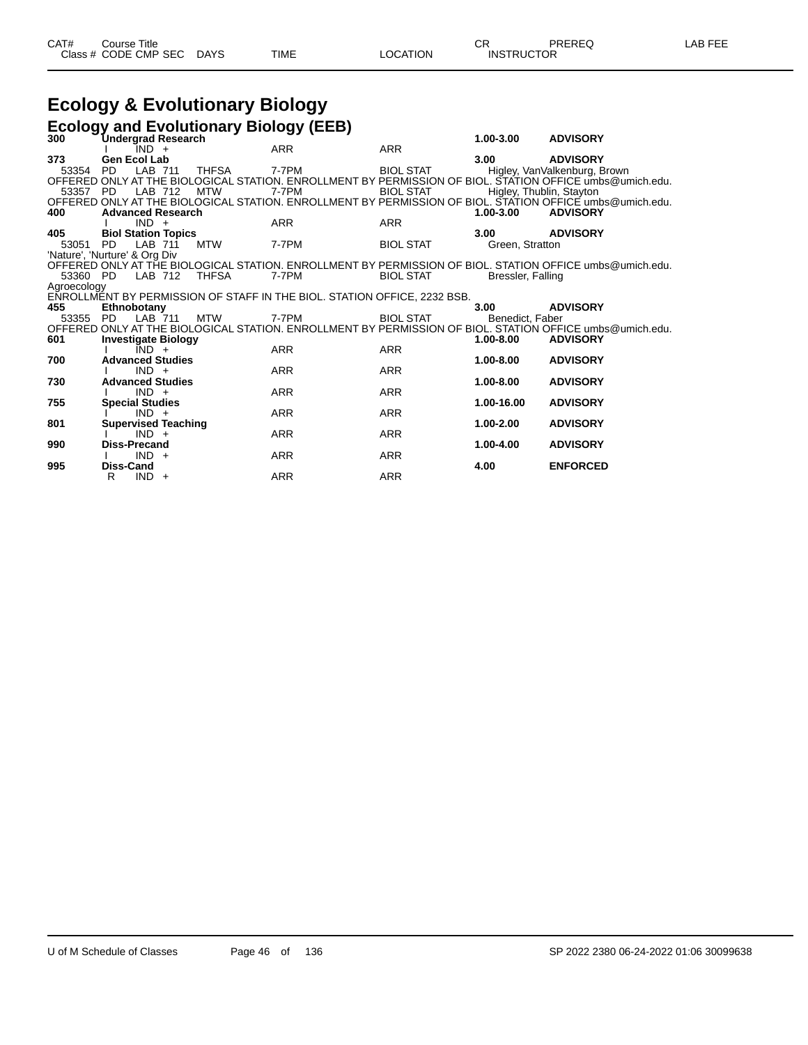# **Ecology & Evolutionary Biology**

|             | <b>Ecology and Evolutionary Biology (EEB)</b> |                                                                                                          |                  |                          |                              |  |  |  |  |
|-------------|-----------------------------------------------|----------------------------------------------------------------------------------------------------------|------------------|--------------------------|------------------------------|--|--|--|--|
| 300         | Undergrad Research                            |                                                                                                          |                  | $1.00 - 3.00$            | <b>ADVISORY</b>              |  |  |  |  |
|             | IND +                                         | <b>ARR</b>                                                                                               | <b>ARR</b>       |                          |                              |  |  |  |  |
| 373         | <b>Gen Ecol Lab</b>                           |                                                                                                          |                  | 3.00                     | <b>ADVISORY</b>              |  |  |  |  |
| 53354       | <b>PD</b><br>LAB 711<br><b>THFSA</b>          | 7-7PM                                                                                                    | <b>BIOL STAT</b> |                          | Higley, VanValkenburg, Brown |  |  |  |  |
|             |                                               | OFFERED ONLY AT THE BIOLOGICAL STATION. ENROLLMENT BY PERMISSION OF BIOL. STATION OFFICE umbs@umich.edu. |                  |                          |                              |  |  |  |  |
| 53357 PD    | LAB 712<br><b>MTW</b>                         | 7-7PM                                                                                                    | <b>BIOL STAT</b> | Higley, Thublin, Stayton |                              |  |  |  |  |
| 400         | <b>Advanced Research</b>                      | OFFERED ONLY AT THE BIOLOGICAL STATION. ENROLLMENT BY PERMISSION OF BIOL. STATION OFFICE umbs@umich.edu. |                  | 1.00-3.00                | <b>ADVISORY</b>              |  |  |  |  |
|             | $IND +$                                       | ARR                                                                                                      | <b>ARR</b>       |                          |                              |  |  |  |  |
| 405         | <b>Biol Station Topics</b>                    |                                                                                                          |                  | 3.00                     | <b>ADVISORY</b>              |  |  |  |  |
| 53051       | <b>PD</b><br>LAB 711<br><b>MTW</b>            | 7-7PM                                                                                                    | <b>BIOL STAT</b> | Green, Stratton          |                              |  |  |  |  |
|             | 'Nature', 'Nurture' & Org Div                 |                                                                                                          |                  |                          |                              |  |  |  |  |
|             |                                               | OFFERED ONLY AT THE BIOLOGICAL STATION. ENROLLMENT BY PERMISSION OF BIOL. STATION OFFICE umbs@umich.edu. |                  |                          |                              |  |  |  |  |
| 53360 PD    | LAB 712<br><b>THFSA</b>                       | 7-7PM                                                                                                    | <b>BIOL STAT</b> | Bressler, Falling        |                              |  |  |  |  |
| Agroecology |                                               |                                                                                                          |                  |                          |                              |  |  |  |  |
|             |                                               | ENROLLMENT BY PERMISSION OF STAFF IN THE BIOL. STATION OFFICE, 2232 BSB.                                 |                  |                          |                              |  |  |  |  |
| 455         | Ethnobotany                                   |                                                                                                          |                  | 3.00                     | <b>ADVISORY</b>              |  |  |  |  |
| 53355       | LAB 711<br><b>MTW</b><br><b>PD</b>            | 7-7PM                                                                                                    | <b>BIOL STAT</b> | Benedict, Faber          |                              |  |  |  |  |
|             |                                               | OFFERED ONLY AT THE BIOLOGICAL STATION. ENROLLMENT BY PERMISSION OF BIOL. STATION OFFICE umbs@umich.edu. |                  |                          |                              |  |  |  |  |
| 601         | <b>Investigate Biology</b>                    |                                                                                                          |                  | $1.00 - 8.00$            | <b>ADVISORY</b>              |  |  |  |  |
| 700         | $IND +$<br><b>Advanced Studies</b>            | ARR                                                                                                      | <b>ARR</b>       | $1.00 - 8.00$            |                              |  |  |  |  |
|             | $IND +$                                       | <b>ARR</b>                                                                                               | <b>ARR</b>       |                          | <b>ADVISORY</b>              |  |  |  |  |
| 730         | <b>Advanced Studies</b>                       |                                                                                                          |                  | 1.00-8.00                | <b>ADVISORY</b>              |  |  |  |  |
|             | $IND +$                                       | <b>ARR</b>                                                                                               | <b>ARR</b>       |                          |                              |  |  |  |  |
| 755         | <b>Special Studies</b>                        |                                                                                                          |                  | 1.00-16.00               | <b>ADVISORY</b>              |  |  |  |  |
|             | $IND +$                                       | <b>ARR</b>                                                                                               | <b>ARR</b>       |                          |                              |  |  |  |  |
| 801         | <b>Supervised Teaching</b>                    |                                                                                                          |                  | 1.00-2.00                | <b>ADVISORY</b>              |  |  |  |  |
|             | $IND +$                                       | <b>ARR</b>                                                                                               | <b>ARR</b>       |                          |                              |  |  |  |  |
| 990         | Diss-Precand                                  |                                                                                                          |                  | 1.00-4.00                | <b>ADVISORY</b>              |  |  |  |  |
|             | $IND +$                                       | <b>ARR</b>                                                                                               | <b>ARR</b>       |                          |                              |  |  |  |  |
| 995         | <b>Diss-Cand</b>                              |                                                                                                          |                  | 4.00                     | <b>ENFORCED</b>              |  |  |  |  |
|             | $IND +$<br>R                                  | <b>ARR</b>                                                                                               | <b>ARR</b>       |                          |                              |  |  |  |  |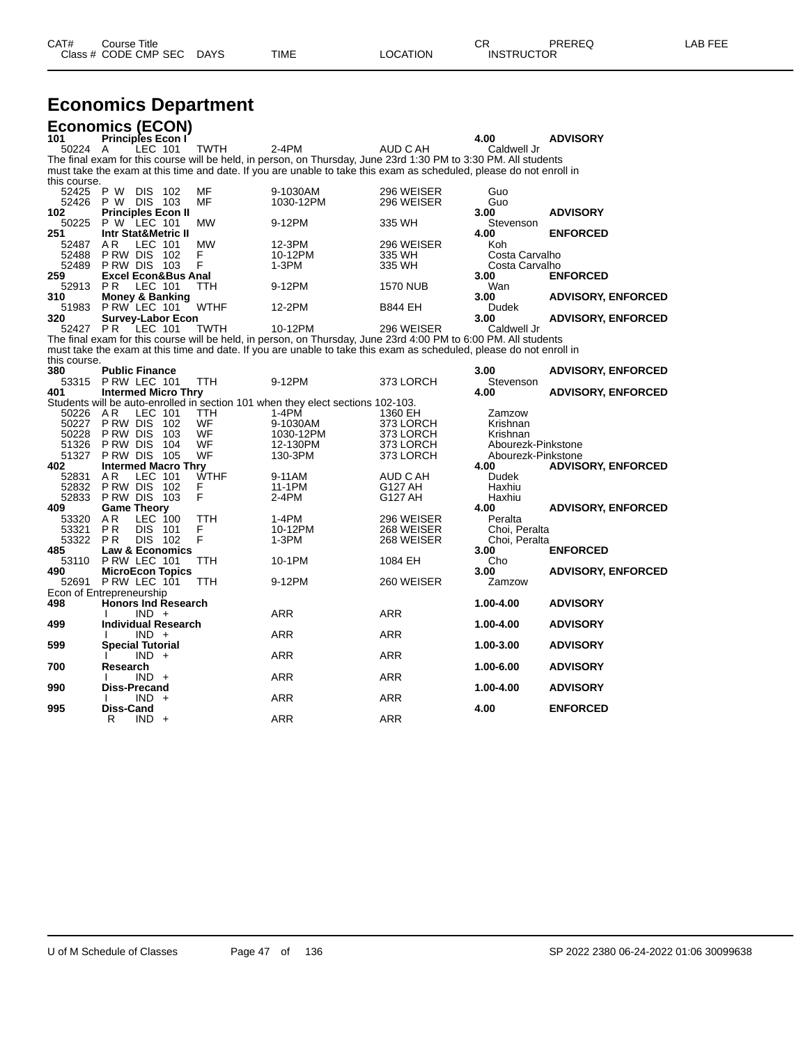| CAT# | Title<br>Sourse∴     |             |             |          | ⌒冖<br>- UN        | PREREQ | 6 EEF<br>AR |
|------|----------------------|-------------|-------------|----------|-------------------|--------|-------------|
|      | Class # CODE CMP SEC | <b>DAYS</b> | <b>TIME</b> | LOCATION | <b>INSTRUCTOR</b> |        |             |

# **Economics Department**

|              |                | <b>Economics (ECON)</b>        |                       |      |             |                                                                                                                     |                          |                                  |                           |
|--------------|----------------|--------------------------------|-----------------------|------|-------------|---------------------------------------------------------------------------------------------------------------------|--------------------------|----------------------------------|---------------------------|
| 101          |                | <b>Principles Econ I</b>       | LEC 101               |      |             | $2-4PM$                                                                                                             | AUD C AH                 | 4.00                             | <b>ADVISORY</b>           |
|              | 50224          | A                              |                       |      | <b>TWTH</b> | The final exam for this course will be held, in person, on Thursday, June 23rd 1:30 PM to 3:30 PM. All students     |                          | Caldwell Jr                      |                           |
| this course. |                |                                |                       |      |             | must take the exam at this time and date. If you are unable to take this exam as scheduled, please do not enroll in |                          |                                  |                           |
|              | 52425          | P W                            | <b>DIS</b>            | -102 | MF          | 9-1030AM                                                                                                            | 296 WEISER               | Guo                              |                           |
|              | 52426          | P W DIS 103                    |                       |      | MF          | 1030-12PM                                                                                                           | 296 WEISER               | Guo                              |                           |
| 102          |                | <b>Principles Econ II</b>      |                       |      |             |                                                                                                                     |                          | 3.00                             | <b>ADVISORY</b>           |
|              | 50225          | P W LEC 101                    |                       |      | <b>MW</b>   | 9-12PM                                                                                                              | 335 WH                   | Stevenson                        |                           |
| 251          |                | <b>Intr Stat&amp;Metric II</b> |                       |      |             |                                                                                                                     |                          | 4.00                             | <b>ENFORCED</b>           |
|              | 52487          | A R                            | LEC 101               |      | <b>MW</b>   | 12-3PM                                                                                                              | 296 WEISER               | Koh                              |                           |
|              | 52488<br>52489 | P RW DIS<br><b>PRW DIS 103</b> |                       | -102 | F<br>F      | 10-12PM<br>$1-3PM$                                                                                                  | 335 WH<br>335 WH         | Costa Carvalho<br>Costa Carvalho |                           |
| 259          |                | <b>Excel Econ&amp;Bus Anal</b> |                       |      |             |                                                                                                                     |                          | 3.00                             | <b>ENFORCED</b>           |
|              | 52913          | P <sub>R</sub>                 | LEC 101               |      | TTH         | 9-12PM                                                                                                              | <b>1570 NUB</b>          | Wan                              |                           |
| 310          |                | <b>Money &amp; Banking</b>     |                       |      |             |                                                                                                                     |                          | 3.00                             | <b>ADVISORY, ENFORCED</b> |
|              | 51983          | PRW LEC 101                    |                       |      | <b>WTHF</b> | 12-2PM                                                                                                              | <b>B844 EH</b>           | Dudek                            |                           |
| 320          |                | <b>Survey-Labor Econ</b>       |                       |      |             |                                                                                                                     |                          | 3.00                             | <b>ADVISORY, ENFORCED</b> |
|              | 52427          | P <sub>R</sub>                 | LEC 101               |      | TWTH        | 10-12PM                                                                                                             | 296 WEISER               | Caldwell Jr                      |                           |
|              |                |                                |                       |      |             | The final exam for this course will be held, in person, on Thursday, June 23rd 4:00 PM to 6:00 PM. All students     |                          |                                  |                           |
| this course. |                |                                |                       |      |             | must take the exam at this time and date. If you are unable to take this exam as scheduled, please do not enroll in |                          |                                  |                           |
| 380          |                | <b>Public Finance</b>          |                       |      |             |                                                                                                                     |                          | 3.00                             | <b>ADVISORY, ENFORCED</b> |
|              | 53315          | PRW LEC 101                    |                       |      | <b>TTH</b>  | 9-12PM                                                                                                              | 373 LORCH                | Stevenson                        |                           |
| 401          |                | <b>Intermed Micro Thry</b>     |                       |      |             |                                                                                                                     |                          | 4.00                             | <b>ADVISORY, ENFORCED</b> |
|              | 50226          | A <sub>R</sub>                 | LEC 101               |      | TTH         | Students will be auto-enrolled in section 101 when they elect sections 102-103.<br>$1-4PM$                          |                          |                                  |                           |
|              | 50227          | P RW DIS                       |                       | 102  | WF          | 9-1030AM                                                                                                            | 1360 EH<br>373 LORCH     | Zamzow<br>Krishnan               |                           |
|              | 50228          | P RW DIS                       |                       | 103  | WF          | 1030-12PM                                                                                                           | 373 LORCH                | Krishnan                         |                           |
|              | 51326          | P RW DIS                       |                       | 104  | WF          | 12-130PM                                                                                                            | 373 LORCH                | Abourezk-Pinkstone               |                           |
|              | 51327          | P RW DIS                       |                       | 105  | WF          | 130-3PM                                                                                                             | 373 LORCH                | Abourezk-Pinkstone               |                           |
| 402          |                | <b>Intermed Macro Thry</b>     |                       |      |             |                                                                                                                     |                          | 4.00                             | <b>ADVISORY, ENFORCED</b> |
|              | 52831          | A R                            | LEC 101               |      | <b>WTHF</b> | 9-11AM                                                                                                              | AUD C AH                 | Dudek                            |                           |
|              | 52832          | P RW DIS                       |                       | 102  | F<br>F      | 11-1PM                                                                                                              | G127 AH                  | Haxhiu                           |                           |
|              | 52833          | P RW DIS                       |                       | 103  |             | 2-4PM                                                                                                               | G127 AH                  | Haxhiu                           |                           |
| 409          |                | <b>Game Theory</b>             |                       |      |             |                                                                                                                     |                          | 4.00                             | <b>ADVISORY, ENFORCED</b> |
|              | 53320<br>53321 | AR                             | LEC 100<br><b>DIS</b> |      | TTH<br>F    | $1-4PM$<br>10-12PM                                                                                                  | 296 WEISER               | Peralta                          |                           |
|              | 53322          | ΡR<br><b>PR</b>                | <b>DIS 102</b>        | -101 | F           | $1-3PM$                                                                                                             | 268 WEISER<br>268 WEISER | Choi, Peralta<br>Choi, Peralta   |                           |
| 485          |                | <b>Law &amp; Economics</b>     |                       |      |             |                                                                                                                     |                          | 3.00                             | <b>ENFORCED</b>           |
|              | 53110          | PRW LEC 101                    |                       |      | TTH         | 10-1PM                                                                                                              | 1084 EH                  | Cho                              |                           |
| 490          |                | <b>MicroEcon Topics</b>        |                       |      |             |                                                                                                                     |                          | 3.00                             | <b>ADVISORY, ENFORCED</b> |
|              | 52691          | P RW LEC 101                   |                       |      | <b>TTH</b>  | 9-12PM                                                                                                              | 260 WEISER               | Zamzow                           |                           |
|              |                | Econ of Entrepreneurship       |                       |      |             |                                                                                                                     |                          |                                  |                           |
| 498          |                | <b>Honors Ind Research</b>     |                       |      |             |                                                                                                                     |                          | 1.00-4.00                        | <b>ADVISORY</b>           |
|              |                |                                | $IND +$               |      |             | <b>ARR</b>                                                                                                          | <b>ARR</b>               |                                  |                           |
| 499          |                | <b>Individual Research</b>     |                       |      |             |                                                                                                                     |                          | 1.00-4.00                        | <b>ADVISORY</b>           |
|              |                | <b>Special Tutorial</b>        | $IND +$               |      |             | <b>ARR</b>                                                                                                          | <b>ARR</b>               | 1.00-3.00                        | <b>ADVISORY</b>           |
| 599          |                |                                | $IND +$               |      |             | <b>ARR</b>                                                                                                          | <b>ARR</b>               |                                  |                           |
| 700          |                | Research                       |                       |      |             |                                                                                                                     |                          | 1.00-6.00                        | <b>ADVISORY</b>           |
|              |                |                                | $IND +$               |      |             | ARR                                                                                                                 | ARR                      |                                  |                           |
| 990          |                | <b>Diss-Precand</b>            |                       |      |             |                                                                                                                     |                          | 1.00-4.00                        | <b>ADVISORY</b>           |
|              |                |                                | <b>IND</b>            | $+$  |             | ARR                                                                                                                 | <b>ARR</b>               |                                  |                           |
| 995          |                | <b>Diss-Cand</b>               |                       |      |             |                                                                                                                     |                          | 4.00                             | <b>ENFORCED</b>           |
|              |                | R                              | $IND +$               |      |             | <b>ARR</b>                                                                                                          | <b>ARR</b>               |                                  |                           |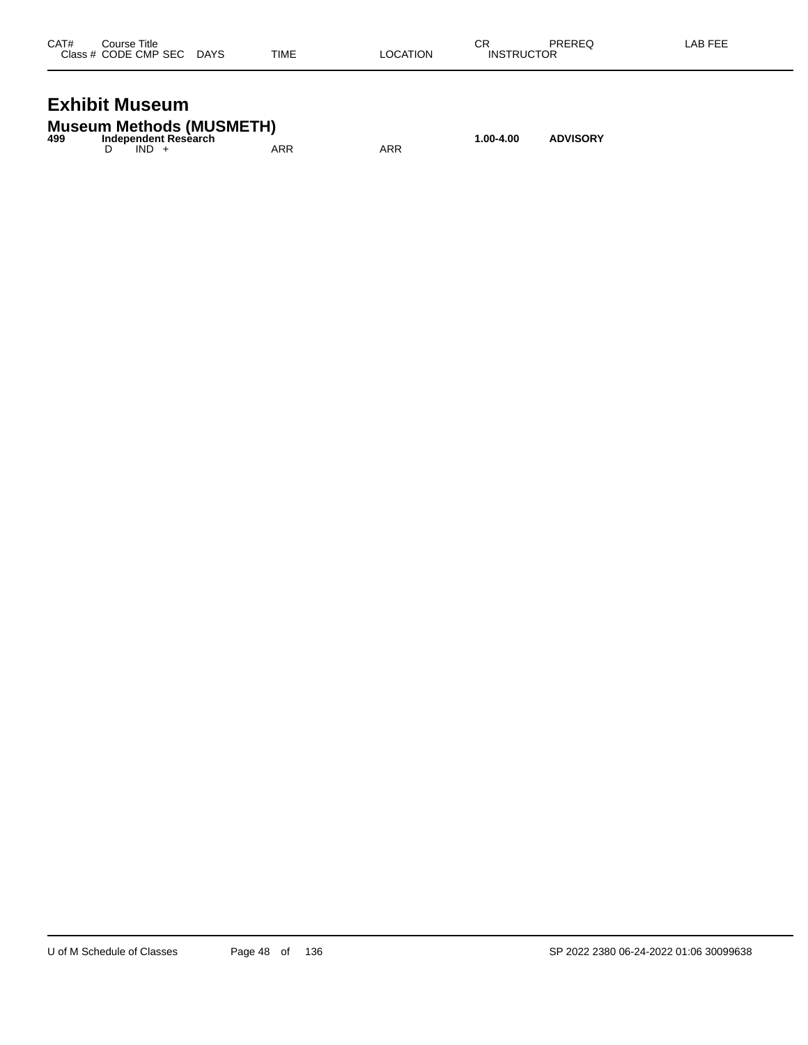| CAT# | Course Title              |      |          | СR                | PREREQ | LAB FEE |
|------|---------------------------|------|----------|-------------------|--------|---------|
|      | Class # CODE CMP SEC DAYS | TIME | LOCATION | <b>INSTRUCTOR</b> |        |         |
|      |                           |      |          |                   |        |         |

# **Exhibit Museum**

|     | <b>Museum Methods (MUSMETH)</b> |     |     |           |                 |
|-----|---------------------------------|-----|-----|-----------|-----------------|
| 499 | Independent Research            |     |     | 1.00-4.00 | <b>ADVISORY</b> |
|     | $IND +$                         | ARR | ARR |           |                 |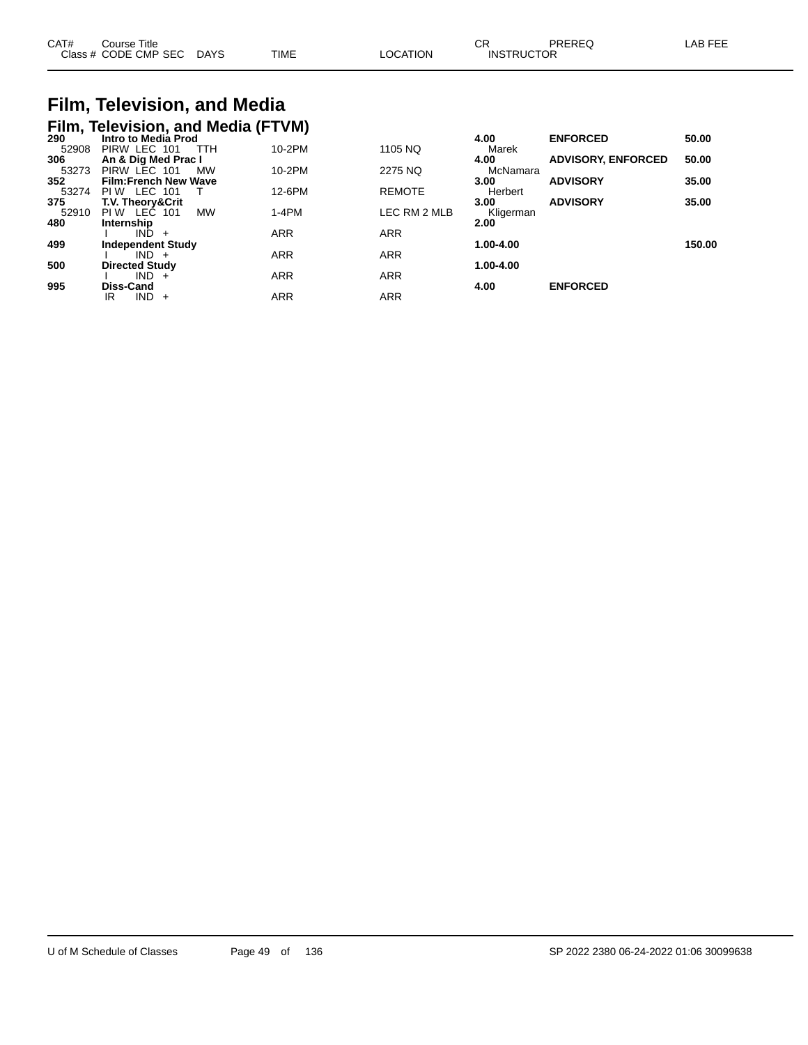| CAT# | Course Title<br>Class # CODE CMP SEC | <b>DAYS</b> | <b>TIME</b> | LOCATION | ⌒冖<br>◡┍<br><b>INSTRUCTOR</b> | PREREQ | AB FEE |
|------|--------------------------------------|-------------|-------------|----------|-------------------------------|--------|--------|
|      |                                      |             |             |          |                               |        |        |

## **Film, Television, and Media Film, Television, and Media (FTVM)**

| $\overline{\phantom{a}}$<br>290 | Intro to Media Prod             |            |               | 4.00      | <b>ENFORCED</b>           | 50.00  |
|---------------------------------|---------------------------------|------------|---------------|-----------|---------------------------|--------|
| 52908                           | PIRW LEC 101<br>TTH             | 10-2PM     | 1105 NQ       | Marek     |                           |        |
| 306                             | An & Dig Med Prac I             |            |               | 4.00      | <b>ADVISORY, ENFORCED</b> | 50.00  |
| 53273                           | PIRW LEC 101<br><b>MW</b>       | 10-2PM     | 2275 NQ       | McNamara  |                           |        |
| 352                             | <b>Film:French New Wave</b>     |            |               | 3.00      | <b>ADVISORY</b>           | 35.00  |
| 53274                           | LEC 101<br>PI W                 | 12-6PM     | <b>REMOTE</b> | Herbert   |                           |        |
| 375                             | <b>T.V. Theorv&amp;Crit</b>     |            |               | 3.00      | <b>ADVISORY</b>           | 35.00  |
| 52910                           | <b>MW</b><br>PI W<br>LEC<br>101 | $1-4PM$    | LEC RM 2 MLB  | Kligerman |                           |        |
| 480                             | Internship                      |            |               | 2.00      |                           |        |
|                                 | IND.                            | <b>ARR</b> | <b>ARR</b>    |           |                           |        |
| 499                             | <b>Independent Study</b>        |            |               | 1.00-4.00 |                           | 150.00 |
|                                 | $IND +$                         | <b>ARR</b> | <b>ARR</b>    |           |                           |        |
| 500                             | <b>Directed Study</b>           |            |               | 1.00-4.00 |                           |        |
|                                 | IND -                           | <b>ARR</b> | <b>ARR</b>    |           |                           |        |
| 995                             | Diss-Cand                       |            |               | 4.00      | <b>ENFORCED</b>           |        |
|                                 | IND -<br>IR<br>$+$              | <b>ARR</b> | <b>ARR</b>    |           |                           |        |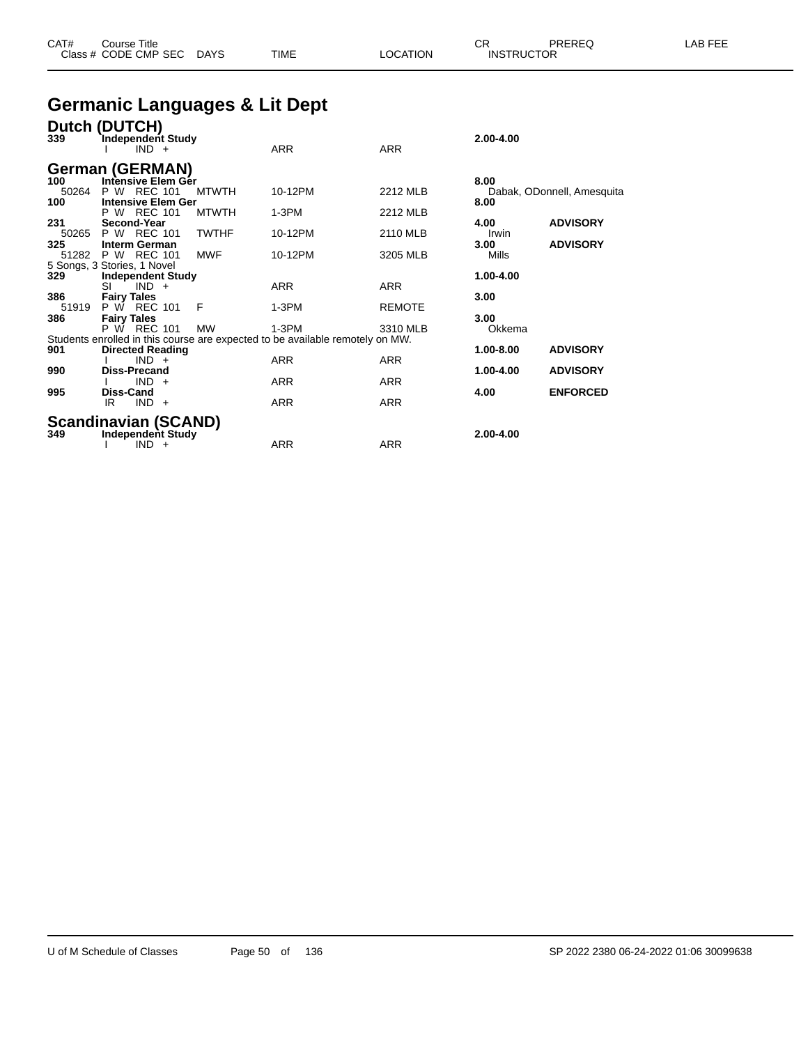| CAT# | Course Title              |      |                 | ∩⊓<br>◡⊓          | PREREQ | <b>AB FEE</b> |
|------|---------------------------|------|-----------------|-------------------|--------|---------------|
|      | Class # CODE CMP SEC DAYS | TIME | <b>LOCATION</b> | <b>INSTRUCTOR</b> |        |               |

# **Germanic Languages & Lit Dept**

| 339                 | Dutch (DUTCH)<br>Independent Study<br>$IND +$           |              | <b>ARR</b>                                                                               | <b>ARR</b>      | 2.00-4.00     |                            |
|---------------------|---------------------------------------------------------|--------------|------------------------------------------------------------------------------------------|-----------------|---------------|----------------------------|
| 100                 | <b>German (GERMAN)</b><br>Intensive Elem Ger            |              |                                                                                          |                 | 8.00          |                            |
| 50264<br>100        | P W REC 101<br><b>Intensive Elem Ger</b>                | <b>MTWTH</b> | 10-12PM                                                                                  | <b>2212 MLB</b> | 8.00          | Dabak, ODonnell, Amesquita |
| 231                 | P W REC 101<br>Second-Year                              | <b>MTWTH</b> | $1-3PM$                                                                                  | 2212 MLB        | 4.00          | <b>ADVISORY</b>            |
| 325                 | 50265 P W REC 101<br><b>Interm German</b>               | <b>TWTHF</b> | 10-12PM                                                                                  | 2110 MLB        | Irwin<br>3.00 | <b>ADVISORY</b>            |
| 51282               | P W REC 101<br>5 Songs, 3 Stories, 1 Novel              | <b>MWF</b>   | 10-12PM                                                                                  | 3205 MLB        | Mills         |                            |
| 329                 | <b>Independent Study</b><br>$IND +$<br>SI               |              | <b>ARR</b>                                                                               | ARR             | 1.00-4.00     |                            |
| 386<br>51919<br>386 | <b>Fairy Tales</b><br>P W REC 101<br><b>Fairy Tales</b> | F            | $1-3PM$                                                                                  | <b>REMOTE</b>   | 3.00<br>3.00  |                            |
|                     | P W REC 101                                             | <b>MW</b>    | $1-3PM$<br>Students enrolled in this course are expected to be available remotely on MW. | 3310 MLB        | Okkema        |                            |
| 901                 | <b>Directed Reading</b><br>$IND +$                      |              | <b>ARR</b>                                                                               | <b>ARR</b>      | 1.00-8.00     | <b>ADVISORY</b>            |
| 990                 | <b>Diss-Precand</b><br>$IND +$                          |              | <b>ARR</b>                                                                               | <b>ARR</b>      | 1.00-4.00     | <b>ADVISORY</b>            |
| 995                 | Diss-Cand<br>$IND +$<br>IR                              |              | <b>ARR</b>                                                                               | <b>ARR</b>      | 4.00          | <b>ENFORCED</b>            |
|                     | <b>Scandinavian (SCAND)</b>                             |              |                                                                                          |                 |               |                            |
| 349                 | Independent Study<br><b>IND</b><br>$+$                  |              | <b>ARR</b>                                                                               | ARR             | $2.00 - 4.00$ |                            |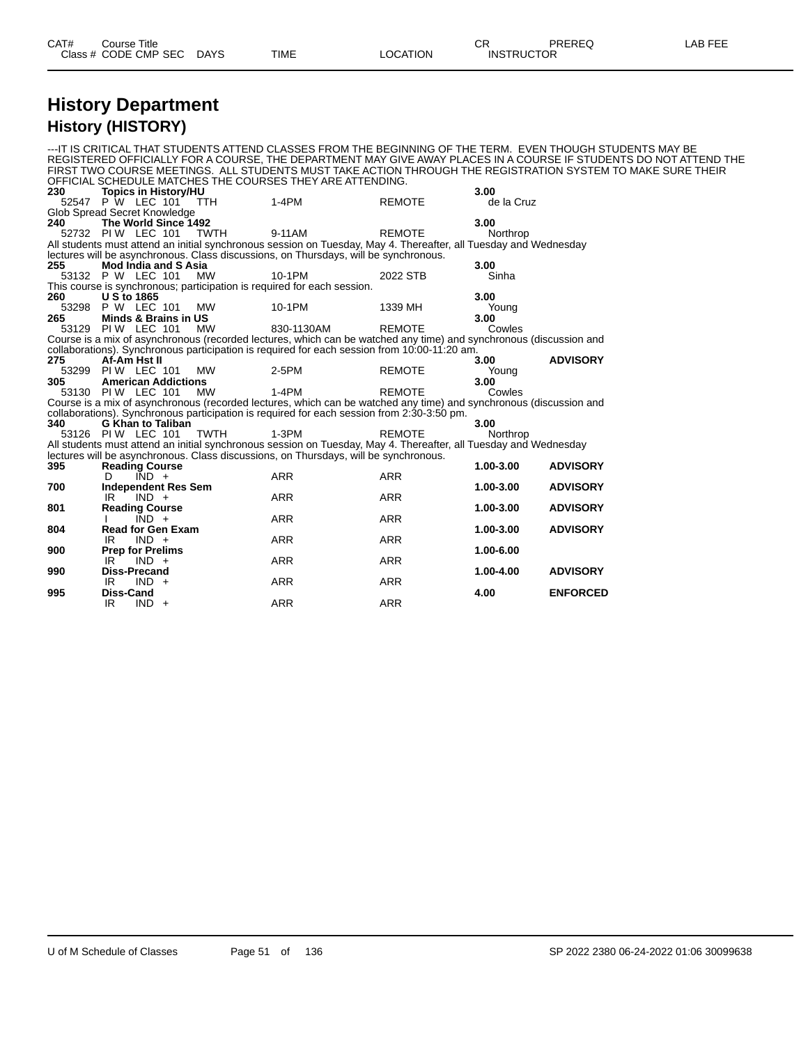## **History Department History (HISTORY)**

|       | ---IT IS CRITICAL THAT STUDENTS ATTEND CLASSES FROM THE BEGINNING OF THE TERM.  EVEN THOUGH STUDENTS MAY BE                                                                                              |            |               |            |                                                                                                                   |
|-------|----------------------------------------------------------------------------------------------------------------------------------------------------------------------------------------------------------|------------|---------------|------------|-------------------------------------------------------------------------------------------------------------------|
|       |                                                                                                                                                                                                          |            |               |            | REGISTERED OFFICIALLY FOR A COURSE, THE DEPARTMENT MAY GIVE AWAY PLACES IN A COURSE IF STUDENTS DO NOT ATTEND THE |
|       |                                                                                                                                                                                                          |            |               |            | FIRST TWO COURSE MEETINGS. ALL STUDENTS MUST TAKE ACTION THROUGH THE REGISTRATION SYSTEM TO MAKE SURE THEIR       |
|       | OFFICIAL SCHEDULE MATCHES THE COURSES THEY ARE ATTENDING.                                                                                                                                                |            |               |            |                                                                                                                   |
| 230   | <b>Topics in History/HU</b>                                                                                                                                                                              |            |               | 3.00       |                                                                                                                   |
|       | 52547 P W LEC 101 TTH                                                                                                                                                                                    | $1-4PM$    | <b>REMOTE</b> | de la Cruz |                                                                                                                   |
|       | Glob Spread Secret Knowledge                                                                                                                                                                             |            |               |            |                                                                                                                   |
| 240   | The World Since 1492                                                                                                                                                                                     |            |               | 3.00       |                                                                                                                   |
|       | 52732 PIW LEC 101<br><b>TWTH</b>                                                                                                                                                                         | 9-11AM     | <b>REMOTE</b> | Northrop   |                                                                                                                   |
|       | All students must attend an initial synchronous session on Tuesday, May 4. Thereafter, all Tuesday and Wednesday<br>lectures will be asynchronous. Class discussions, on Thursdays, will be synchronous. |            |               |            |                                                                                                                   |
| 255   | Mod India and S Asia                                                                                                                                                                                     |            |               | 3.00       |                                                                                                                   |
|       | 53132 P W LEC 101<br>МW                                                                                                                                                                                  | 10-1PM     | 2022 STB      | Sinha      |                                                                                                                   |
|       | This course is synchronous; participation is required for each session.                                                                                                                                  |            |               |            |                                                                                                                   |
| 260   | <b>U S to 1865</b>                                                                                                                                                                                       |            |               | 3.00       |                                                                                                                   |
|       | 53298 P W LEC 101<br><b>MW</b>                                                                                                                                                                           | 10-1PM     | 1339 MH       | Young      |                                                                                                                   |
| 265   | Minds & Brains in US                                                                                                                                                                                     |            |               | 3.00       |                                                                                                                   |
| 53129 | <b>PIW LEC 101</b><br>MW                                                                                                                                                                                 | 830-1130AM | <b>REMOTE</b> | Cowles     |                                                                                                                   |
|       | Course is a mix of asynchronous (recorded lectures, which can be watched any time) and synchronous (discussion and                                                                                       |            |               |            |                                                                                                                   |
|       | collaborations). Synchronous participation is required for each session from 10:00-11:20 am.                                                                                                             |            |               |            |                                                                                                                   |
| 275   | Af-Am Hst II                                                                                                                                                                                             |            |               | 3.00       | <b>ADVISORY</b>                                                                                                   |
|       | 53299 PIW LEC 101<br><b>MW</b>                                                                                                                                                                           | 2-5PM      | <b>REMOTE</b> | Young      |                                                                                                                   |
| 305   | <b>American Addictions</b>                                                                                                                                                                               |            |               | 3.00       |                                                                                                                   |
|       | 53130 PIW LEC 101<br>MW                                                                                                                                                                                  | $1-4PM$    | <b>REMOTE</b> | Cowles     |                                                                                                                   |
|       | Course is a mix of asynchronous (recorded lectures, which can be watched any time) and synchronous (discussion and                                                                                       |            |               |            |                                                                                                                   |
|       | collaborations). Synchronous participation is required for each session from 2:30-3:50 pm.                                                                                                               |            |               |            |                                                                                                                   |
| 340   | <b>G Khan to Taliban</b>                                                                                                                                                                                 |            |               | 3.00       |                                                                                                                   |
|       | <b>TWTH</b><br>53126 PIW LEC 101                                                                                                                                                                         | $1-3PM$    | <b>REMOTE</b> | Northrop   |                                                                                                                   |
|       | All students must attend an initial synchronous session on Tuesday, May 4. Thereafter, all Tuesday and Wednesday                                                                                         |            |               |            |                                                                                                                   |
| 395   | lectures will be asynchronous. Class discussions, on Thursdays, will be synchronous.                                                                                                                     |            |               | 1.00-3.00  | <b>ADVISORY</b>                                                                                                   |
|       | <b>Reading Course</b><br>$\overline{IND}$ +<br>D.                                                                                                                                                        | <b>ARR</b> | <b>ARR</b>    |            |                                                                                                                   |
| 700   | <b>Independent Res Sem</b>                                                                                                                                                                               |            |               | 1.00-3.00  | <b>ADVISORY</b>                                                                                                   |
|       | $IND +$<br>IR                                                                                                                                                                                            | <b>ARR</b> | <b>ARR</b>    |            |                                                                                                                   |
| 801   | <b>Reading Course</b>                                                                                                                                                                                    |            |               | 1.00-3.00  | <b>ADVISORY</b>                                                                                                   |
|       | $\overline{IND}$ +                                                                                                                                                                                       | <b>ARR</b> | <b>ARR</b>    |            |                                                                                                                   |
| 804   | <b>Read for Gen Exam</b>                                                                                                                                                                                 |            |               | 1.00-3.00  | <b>ADVISORY</b>                                                                                                   |
|       | $IND +$<br>IR.                                                                                                                                                                                           | <b>ARR</b> | <b>ARR</b>    |            |                                                                                                                   |
| 900   | <b>Prep for Prelims</b>                                                                                                                                                                                  |            |               | 1.00-6.00  |                                                                                                                   |
|       | $IND +$<br>IR                                                                                                                                                                                            | <b>ARR</b> | <b>ARR</b>    |            |                                                                                                                   |
| 990   | <b>Diss-Precand</b>                                                                                                                                                                                      |            |               | 1.00-4.00  | <b>ADVISORY</b>                                                                                                   |
|       | $IND +$<br>IR.                                                                                                                                                                                           | <b>ARR</b> | <b>ARR</b>    |            |                                                                                                                   |
| 995   | Diss-Cand                                                                                                                                                                                                |            |               | 4.00       | <b>ENFORCED</b>                                                                                                   |
|       | $IND +$<br>IR.                                                                                                                                                                                           | <b>ARR</b> | <b>ARR</b>    |            |                                                                                                                   |
|       |                                                                                                                                                                                                          |            |               |            |                                                                                                                   |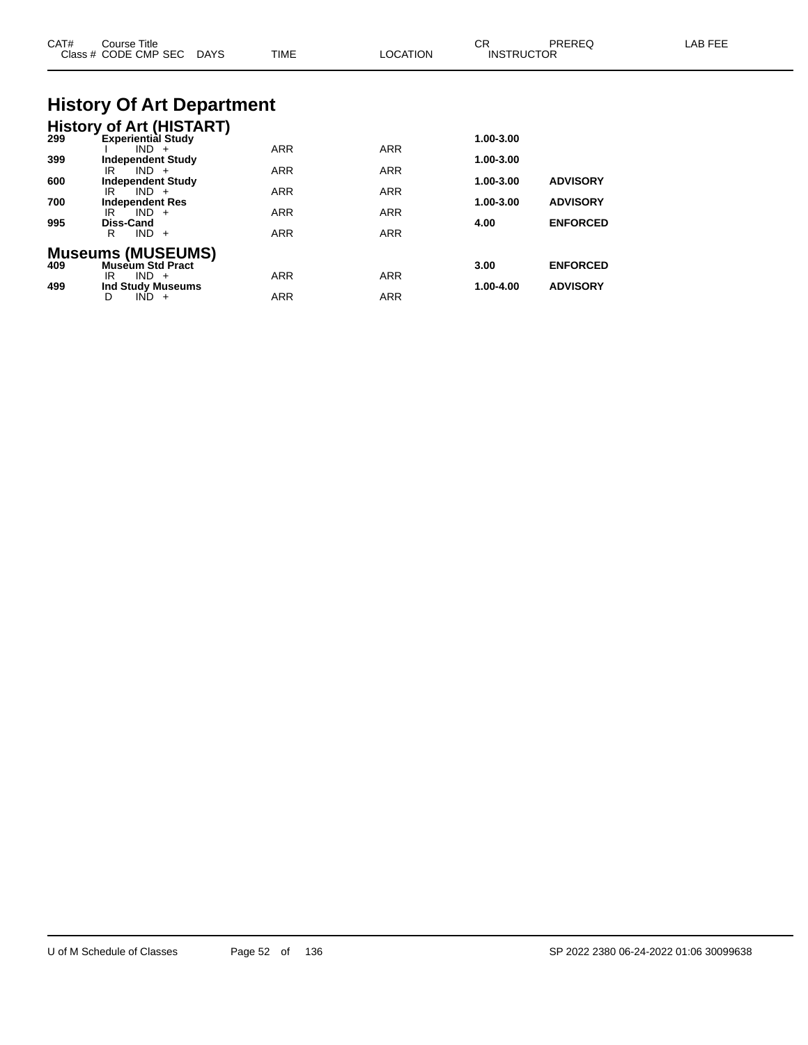| CAT#       | Course Title<br>Class # CODE CMP SEC DAYS                               | <b>TIME</b> | <b>LOCATION</b> | СR<br><b>INSTRUCTOR</b> | PREREQ                             | LAB FEE |
|------------|-------------------------------------------------------------------------|-------------|-----------------|-------------------------|------------------------------------|---------|
|            | <b>History Of Art Department</b>                                        |             |                 |                         |                                    |         |
| 299        | <b>History of Art (HISTART)</b><br><b>Experiential Study</b><br>$IND +$ | ARR         | <b>ARR</b>      | 1.00-3.00               |                                    |         |
| 399<br>600 | <b>Independent Study</b><br>$IND +$<br>IR<br><b>Independent Study</b>   | ARR         | ARR             | 1.00-3.00<br>1.00-3.00  | <b>ADVISORY</b>                    |         |
| 700<br>995 | $IND +$<br>IR<br><b>Independent Res</b><br>$IND +$<br>IR<br>Diss-Cand   | ARR<br>ARR  | ARR<br>ARR      | 1.00-3.00<br>4.00       | <b>ADVISORY</b><br><b>ENFORCED</b> |         |
|            | $IND +$<br>R<br><b>Museums (MUSEUMS)</b>                                | ARR         | ARR             |                         |                                    |         |
| 409<br>499 | <b>Museum Std Pract</b><br>$IND +$<br>IR<br><b>Ind Study Museums</b>    | ARR         | <b>ARR</b>      | 3.00<br>1.00-4.00       | <b>ENFORCED</b><br><b>ADVISORY</b> |         |
|            | $IND +$<br>D                                                            | ARR         | ARR             |                         |                                    |         |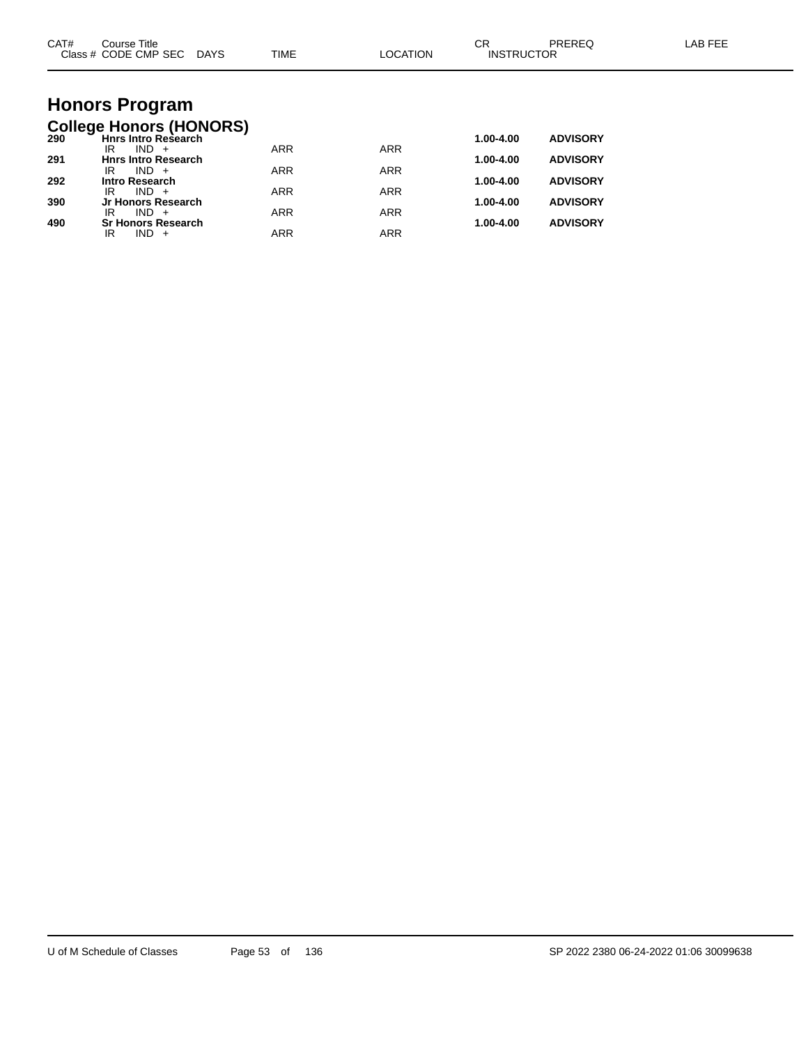| CAT# | Course Title<br>Class # CODE CMP SEC DAYS                    | TIME       | <b>LOCATION</b> | <b>CR</b><br><b>INSTRUCTOR</b> | PREREQ          | <b>LAB FEE</b> |
|------|--------------------------------------------------------------|------------|-----------------|--------------------------------|-----------------|----------------|
|      |                                                              |            |                 |                                |                 |                |
|      | <b>Honors Program</b>                                        |            |                 |                                |                 |                |
| 290  | <b>College Honors (HONORS)</b><br><b>Hnrs Intro Research</b> |            |                 | 1.00-4.00                      | <b>ADVISORY</b> |                |
| 291  | $IND +$<br>IR<br><b>Hnrs Intro Research</b>                  | <b>ARR</b> | <b>ARR</b>      | 1.00-4.00                      | <b>ADVISORY</b> |                |
| 292  | $IND +$<br>IR<br><b>Intro Research</b>                       | <b>ARR</b> | <b>ARR</b>      | 1.00-4.00                      | <b>ADVISORY</b> |                |
|      | $IND +$<br>IR                                                | <b>ARR</b> | <b>ARR</b>      |                                |                 |                |
| 390  | Jr Honors Research<br>$IND +$<br>IR                          | <b>ARR</b> | <b>ARR</b>      | 1.00-4.00                      | <b>ADVISORY</b> |                |
| 490  | <b>Sr Honors Research</b><br>$IND +$<br>IR                   | <b>ARR</b> | <b>ARR</b>      | 1.00-4.00                      | <b>ADVISORY</b> |                |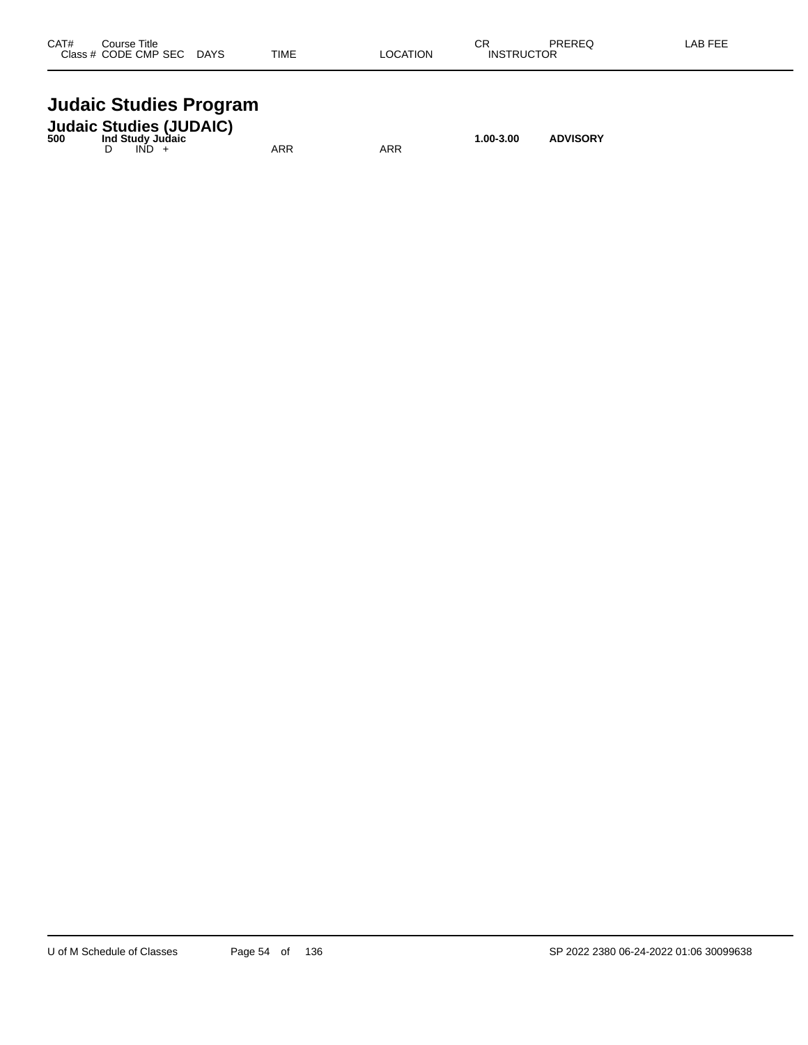| CAT#    | Title<br>Course |             |             |                 | rг<br>◡┌          | PREREQ | AB FFF |
|---------|-----------------|-------------|-------------|-----------------|-------------------|--------|--------|
| Class # | / CODE CMP SEC  | <b>DAYS</b> | <b>TIME</b> | <b>LOCATION</b> | <b>INSTRUCTOR</b> |        |        |
|         |                 |             |             |                 |                   |        |        |

# **Judaic Studies Program**

| 500 | <b>Judaic Studies (JUDAIC)</b><br>Ind Study Juḋaic |         |     |     | 1.00-3.00 | <b>ADVISORY</b> |
|-----|----------------------------------------------------|---------|-----|-----|-----------|-----------------|
|     |                                                    | $IND +$ | ARR | ARR |           |                 |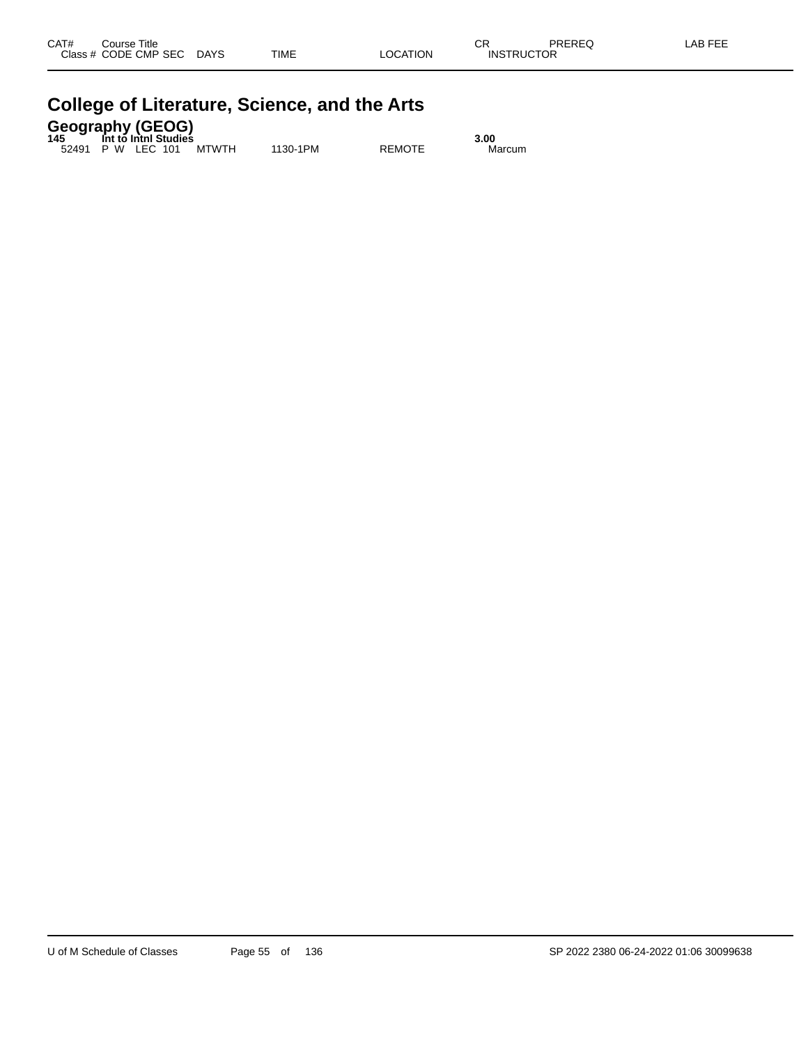| CAT#<br><b>Class</b> | Title<br>Course<br>CODE CMP SEC | <b>DAYS</b> | <b>TIME</b> | <b>LOCATION</b> | СR<br><b>INSTRUCTOR</b> | <b>DDEDEC</b><br>TREREW. | . FFF<br>_AB |
|----------------------|---------------------------------|-------------|-------------|-----------------|-------------------------|--------------------------|--------------|
|                      |                                 |             |             |                 |                         |                          |              |

| College of Literature, Science, and the Arts        |      |
|-----------------------------------------------------|------|
| <b>Geography (GEOG)</b><br>145 Int to Inthi Studies | 3.00 |

52491 P W LEC 101 MTWTH 1130-1PM REMOTE Marcum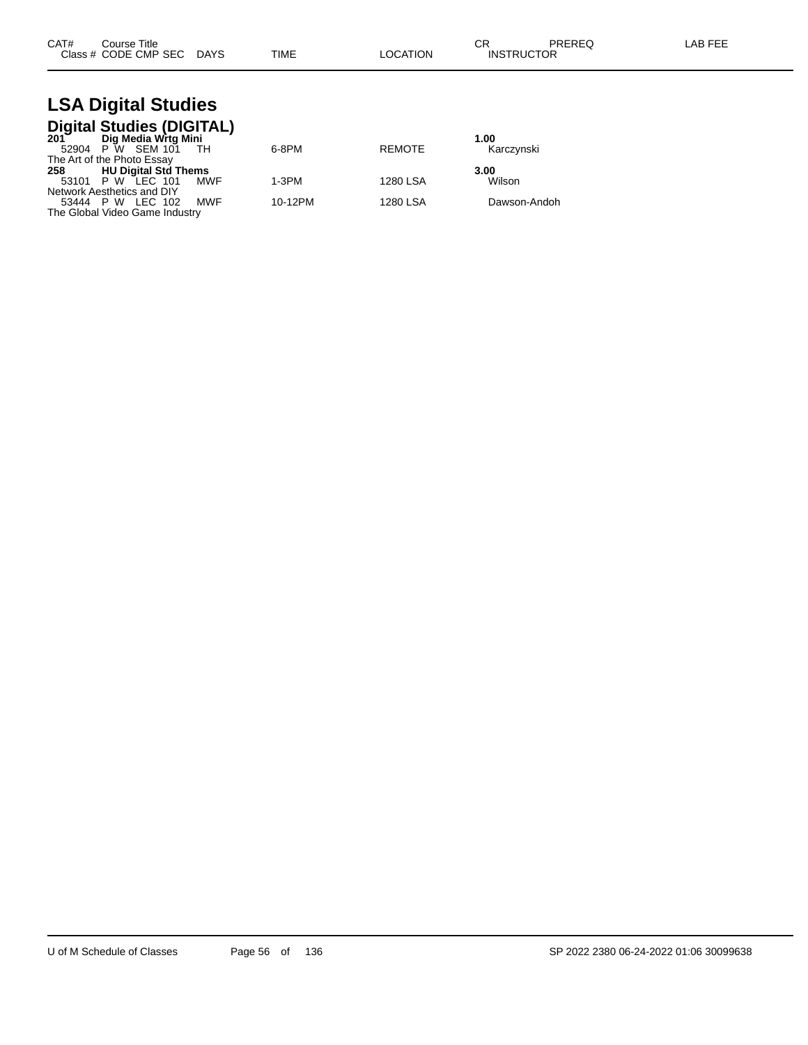| CAT# | Course Title         |             |      |          | ∩⊓<br>◡           | PREREQ | _AB FEE |
|------|----------------------|-------------|------|----------|-------------------|--------|---------|
|      | Class # CODE CMP SEC | <b>DAYS</b> | TIME | LOCATION | <b>INSTRUCTOR</b> |        |         |

#### **LSA Digital Studies Digital Studies (DIGITAL)**

| 201 Dig Media Wrtg Mini        |            |         |               | 1.00         |
|--------------------------------|------------|---------|---------------|--------------|
| 52904 P W SEM 101 TH           |            | 6-8PM   | <b>REMOTE</b> | Karczynski   |
| The Art of the Photo Essay     |            |         |               |              |
| 258 HU Digital Std Thems       |            |         |               | 3.00         |
| 53101 P W LEC 101              | <b>MWF</b> | $1-3PM$ | 1280 LSA      | Wilson       |
| Network Aesthetics and DIY     |            |         |               |              |
| 53444 P W LEC 102              | <b>MWF</b> | 10-12PM | 1280 LSA      | Dawson-Andoh |
| The Global Video Game Industry |            |         |               |              |
|                                |            |         |               |              |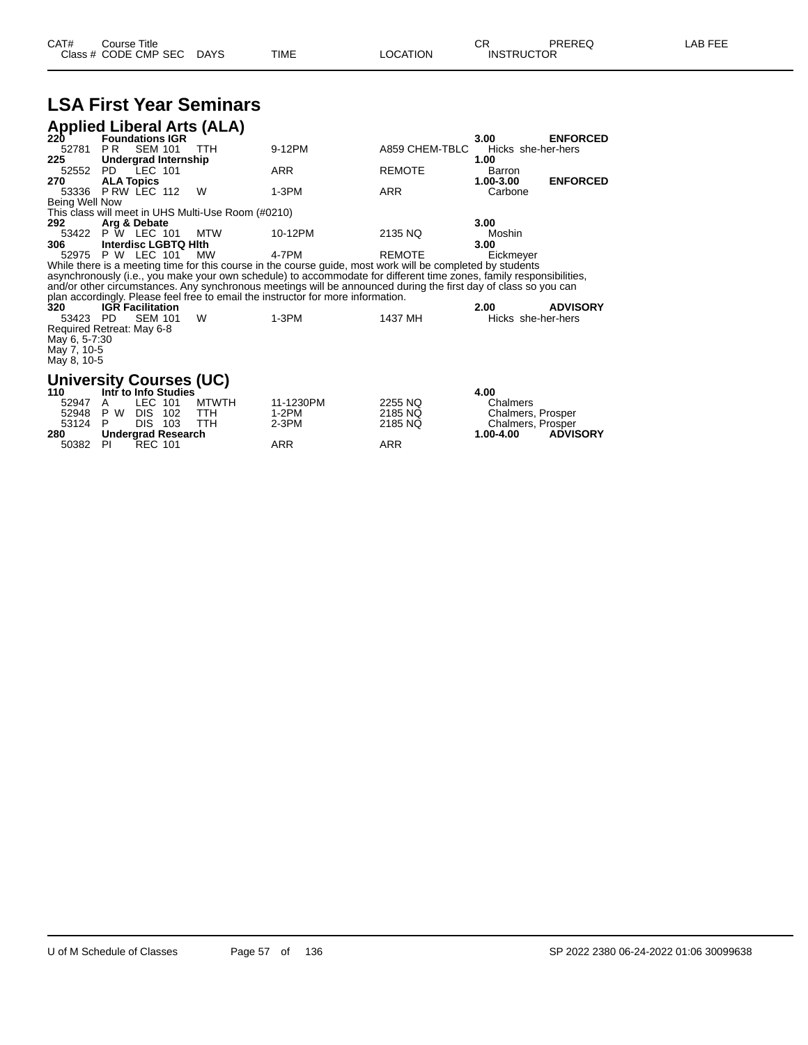| CAT# | ourse Titleٽ         |             |             |          | ◠г<br>◡           | PREREQ | LAB FEF |
|------|----------------------|-------------|-------------|----------|-------------------|--------|---------|
|      | Class # CODE CMP SEC | <b>DAYS</b> | <b>TIME</b> | ∟OCATION | <b>INSTRUCTOR</b> |        |         |

|                | <b>LSA First Year Seminars</b>                           |            |                                                                                                                     |                |                    |                 |  |  |
|----------------|----------------------------------------------------------|------------|---------------------------------------------------------------------------------------------------------------------|----------------|--------------------|-----------------|--|--|
|                | <b>Applied Liberal Arts (ALA)</b><br>220 Foundations IGR |            |                                                                                                                     |                |                    |                 |  |  |
|                |                                                          |            |                                                                                                                     |                | 3.00               | <b>ENFORCED</b> |  |  |
| 52781          | PR -<br><b>SEM 101</b>                                   | <b>TTH</b> | 9-12PM                                                                                                              | A859 CHEM-TBLC | Hicks she-her-hers |                 |  |  |
| 225            | Undergrad Internship                                     |            |                                                                                                                     |                | 1.00               |                 |  |  |
| 52552          | PD LEC 101                                               |            | <b>ARR</b>                                                                                                          | <b>REMOTE</b>  | Barron             |                 |  |  |
| 270            | <b>ALA Topics</b>                                        |            |                                                                                                                     |                | 1.00-3.00          | <b>ENFORCED</b> |  |  |
| 53336          | PRW LEC 112                                              | W          | $1-3PM$                                                                                                             | <b>ARR</b>     | Carbone            |                 |  |  |
| Being Well Now |                                                          |            |                                                                                                                     |                |                    |                 |  |  |
|                | This class will meet in UHS Multi-Use Room (#0210)       |            |                                                                                                                     |                |                    |                 |  |  |
| 292            | Arg & Debate                                             |            |                                                                                                                     |                | 3.00               |                 |  |  |
| 53422          | P W LEC 101                                              | MTW        | 10-12PM                                                                                                             | 2135 NQ        | Moshin             |                 |  |  |
| 306            | Interdisc LGBTQ Hith                                     |            |                                                                                                                     |                | 3.00               |                 |  |  |
|                | 52975 P W LEC 101                                        | МW         | 4-7PM                                                                                                               | <b>REMOTE</b>  | Eickmeyer          |                 |  |  |
|                |                                                          |            | While there is a meeting time for this course in the course guide, most work will be completed by students          |                |                    |                 |  |  |
|                |                                                          |            | asynchronously (i.e., you make your own schedule) to accommodate for different time zones, family responsibilities, |                |                    |                 |  |  |
|                |                                                          |            | and/or other circumstances. Any synchronous meetings will be announced during the first day of class so you can     |                |                    |                 |  |  |
|                |                                                          |            | plan accordingly. Please feel free to email the instructor for more information.                                    |                |                    | <b>ADVISORY</b> |  |  |
| 320            | <b>IGR Facilitation</b>                                  |            |                                                                                                                     |                | 2.00               |                 |  |  |
| 53423          | PD.<br><b>SEM 101</b>                                    | W          | $1-3PM$                                                                                                             | 1437 MH        | Hicks she-her-hers |                 |  |  |
|                | Required Retreat: May 6-8                                |            |                                                                                                                     |                |                    |                 |  |  |
| May 6, 5-7:30  |                                                          |            |                                                                                                                     |                |                    |                 |  |  |
| May 7, 10-5    |                                                          |            |                                                                                                                     |                |                    |                 |  |  |
| May 8, 10-5    |                                                          |            |                                                                                                                     |                |                    |                 |  |  |

# **University Courses (UC) 110 Intr to Info Studies 4.00**

|         |    | <b>THE TO THE ORDER</b> |            |           |         | 4.UU                         |
|---------|----|-------------------------|------------|-----------|---------|------------------------------|
| 52947   | A  | LEC 101 MTWTH           |            | 11-1230PM | 2255 NQ | <b>Chalmers</b>              |
|         |    | 52948 P W DIS 102 TTH   |            | 1-2PM     | 2185 NQ | Chalmers, Prosper            |
| 53124 P |    | DIS 103                 | <b>TTH</b> | 2-3PM     | 2185 NO | Chalmers, Prosper            |
| 280     |    | Undergrad Research      |            |           |         | <b>ADVISORY</b><br>1.00-4.00 |
| 50382   | PL | REC 101                 |            | ARR       | ARR     |                              |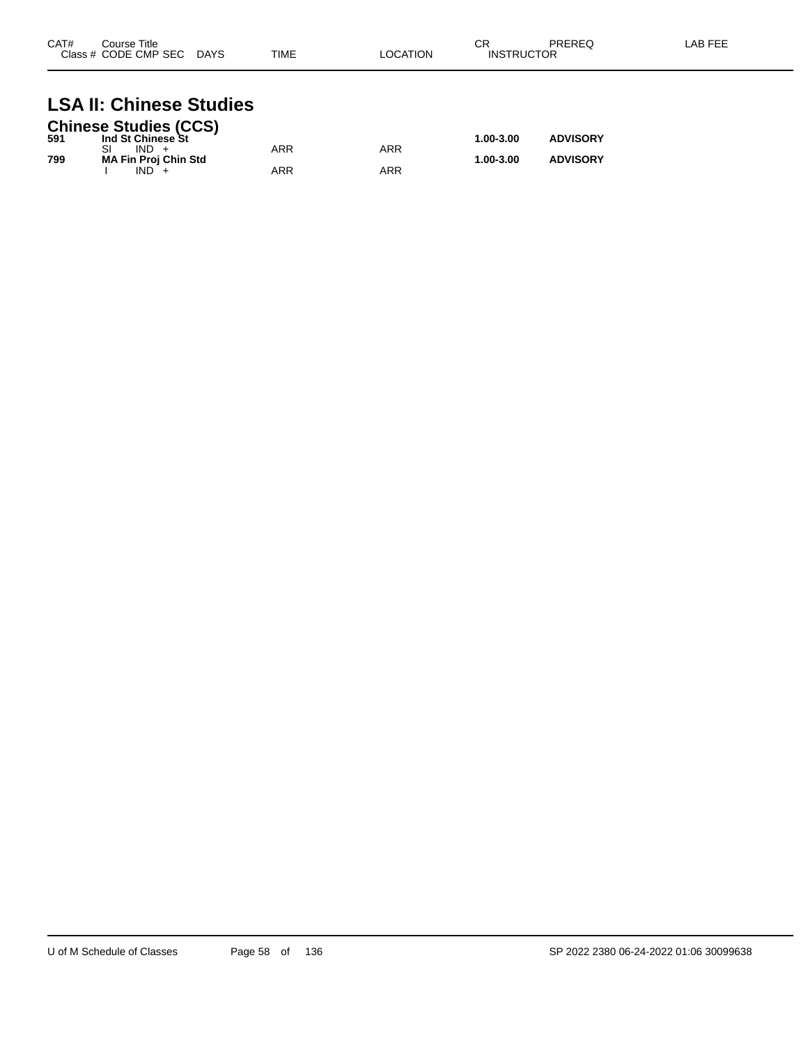| CAT#<br>Class. | Course Title<br>CODE CMP SEC | <b>DAYS</b> | TIME | <b>ATION</b> | ⌒冖<br>◡∩<br><b>INCT</b><br>. D'<br>ПC | <b>DDEDEA</b><br><b>NLITEW</b> |  |
|----------------|------------------------------|-------------|------|--------------|---------------------------------------|--------------------------------|--|
|                |                              |             |      |              |                                       |                                |  |

# **LSA II: Chinese Studies**

|     | <b>Chinese Studies (CCS)</b> |     |     |           |                 |
|-----|------------------------------|-----|-----|-----------|-----------------|
| 591 | Ind St Chinese St            |     |     | 1.00-3.00 | <b>ADVISORY</b> |
|     | $IND +$                      | ARR | ARR |           |                 |
| 799 | <b>MA Fin Proj Chin Std</b>  |     |     | 1.00-3.00 | <b>ADVISORY</b> |
|     | $IND +$                      | ARR | ARR |           |                 |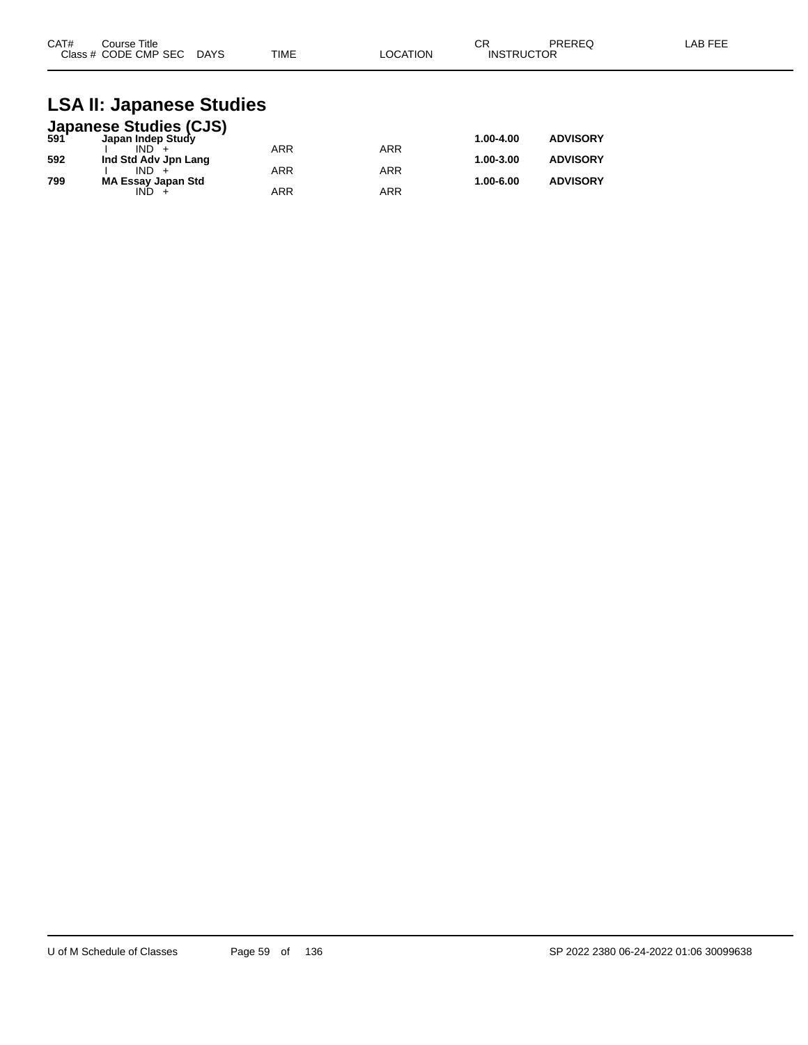| CAT#<br>Course Title      |             | ⌒冖<br>◡г |                   | PREREQ | LAB FEE |
|---------------------------|-------------|----------|-------------------|--------|---------|
| Class # CODE CMP SEC DAYS | <b>TIME</b> | LOCATION | <b>INSTRUCTOR</b> |        |         |

### **LSA II: Japanese Studies**

|     | <b>Japanese Studies (CJS)</b><br>591 Japan Indep Study |            |            |           |                 |
|-----|--------------------------------------------------------|------------|------------|-----------|-----------------|
|     |                                                        |            |            | 1.00-4.00 | <b>ADVISORY</b> |
|     | $IND +$                                                | <b>ARR</b> | ARR        |           |                 |
| 592 | Ind Std Adv Jpn Lang                                   |            |            | 1.00-3.00 | <b>ADVISORY</b> |
|     | $IND +$                                                | <b>ARR</b> | <b>ARR</b> |           |                 |
| 799 | <b>MA Essay Japan Std</b>                              |            |            | 1.00-6.00 | <b>ADVISORY</b> |
|     | IND.                                                   | <b>ARR</b> | ARR        |           |                 |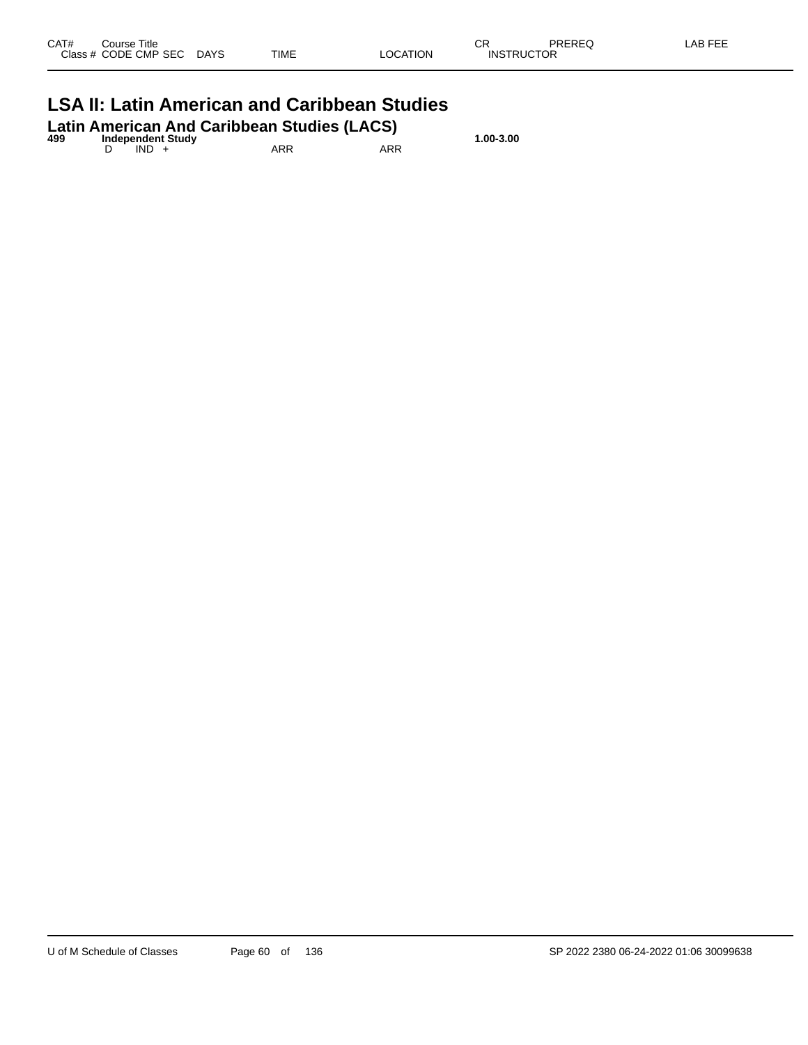| CAT#<br><b>Class</b> | Title<br>Course<br>CODE CMP<br><b>SEC</b><br>$\sim$ $\sim$ | <b>DAYS</b><br>______ | <b>TIME</b> | <b>TION</b><br>nr | СR<br>INS | DDEDEA | AB FFF |
|----------------------|------------------------------------------------------------|-----------------------|-------------|-------------------|-----------|--------|--------|
|                      |                                                            |                       |             |                   |           |        |        |

# **LSA II: Latin American and Caribbean Studies**

| 499 |         | <b>Independent Study</b> | Latin American And Caribbean Studies (LACS) |     | 1.00-3.00 |
|-----|---------|--------------------------|---------------------------------------------|-----|-----------|
|     | $IND +$ |                          | ARR                                         | ARR |           |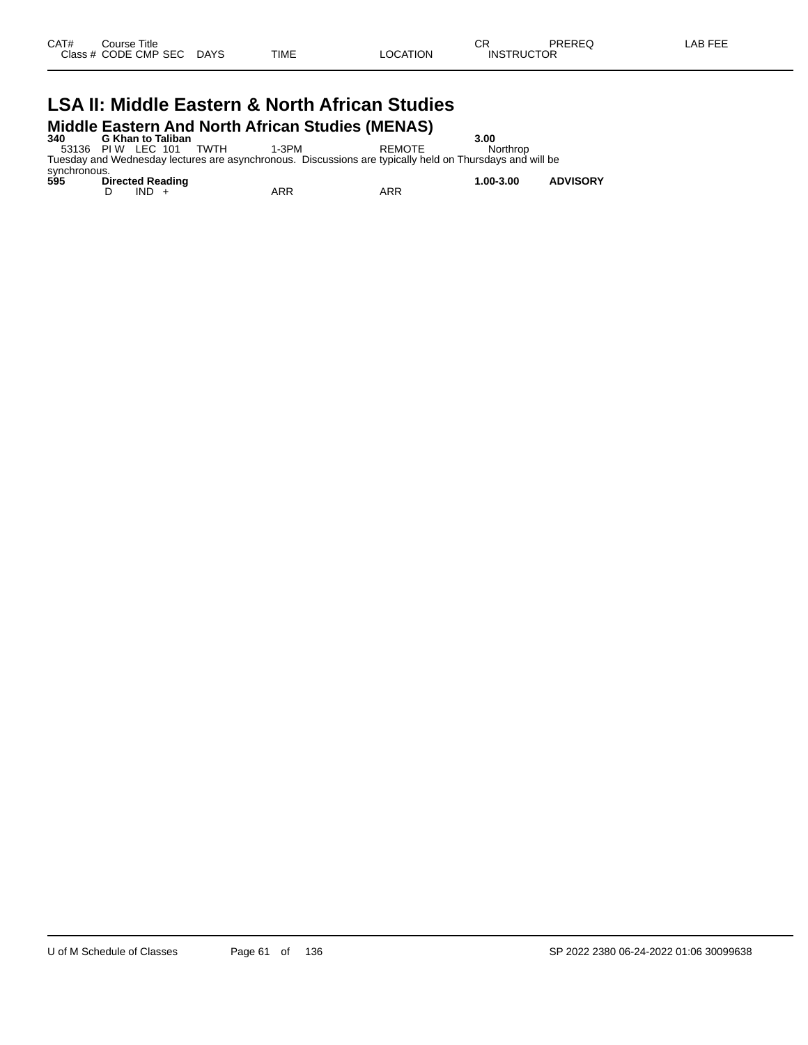# **LSA II: Middle Eastern & North African Studies Middle Eastern And North African Studies (MENAS)**<br>340 G Khan to Taliban<br>53136 PIW LEC 101 TWTH 1-3PM REMOTE

**340 G Khan to Taliban 3.00**

53136 PI W LEC 101 TWTH 1-3PM REMOTE Northrop Tuesday and Wednesday lectures are asynchronous. Discussions are typically held on Thursdays and will be

synchronous.<br>595 Di **595 Directed Reading 1.00-3.00 ADVISORY** D IND + ARR ARR ARR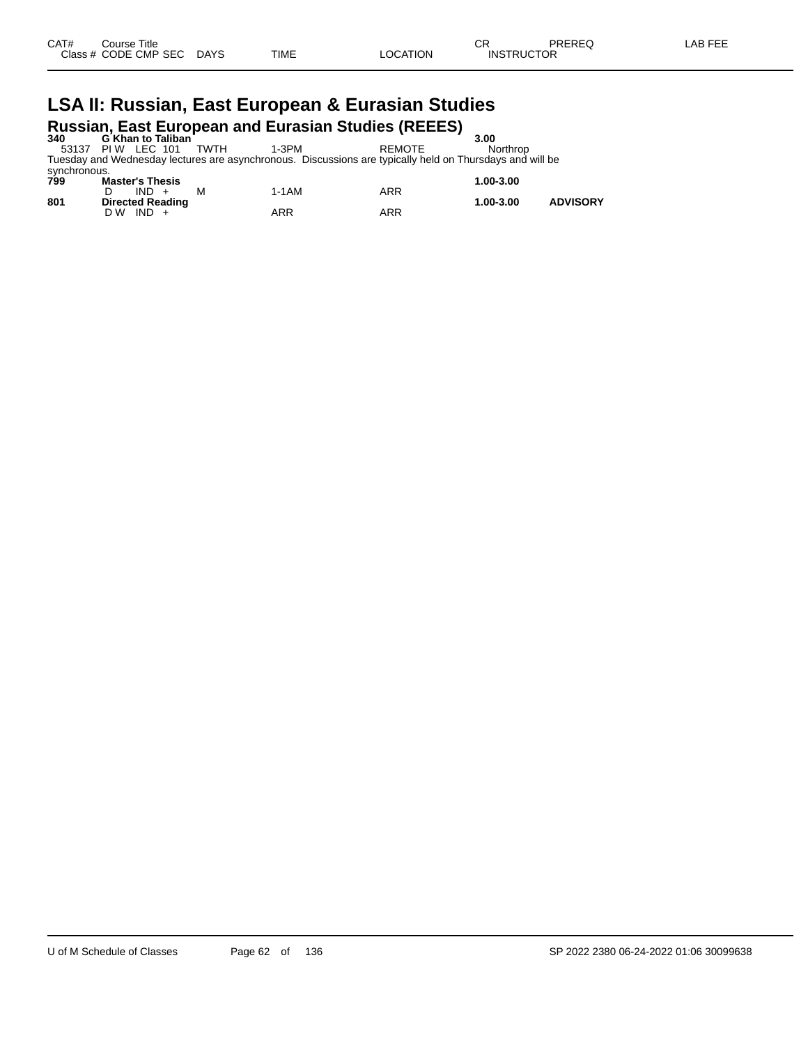# **LSA II: Russian, East European & Eurasian Studies Russian, East European and Eurasian Studies (REEES) 340 G Khan to Taliban 3.00**

53137 PI W LEC 101 TWTH 1-3PM REMOTE Northrop Tuesday and Wednesday lectures are asynchronous. Discussions are typically held on Thursdays and will be synchronous.

| oviituituud.<br>799 | <b>Master's Thesis</b>                  |       |     | 1.00-3.00 |                 |
|---------------------|-----------------------------------------|-------|-----|-----------|-----------------|
| 801                 | $IND +$<br>M<br><b>Directed Reading</b> | 1-1AM | ARR | 1.00-3.00 | <b>ADVISORY</b> |
|                     | $IND +$<br>D W                          | ARR   | ARR |           |                 |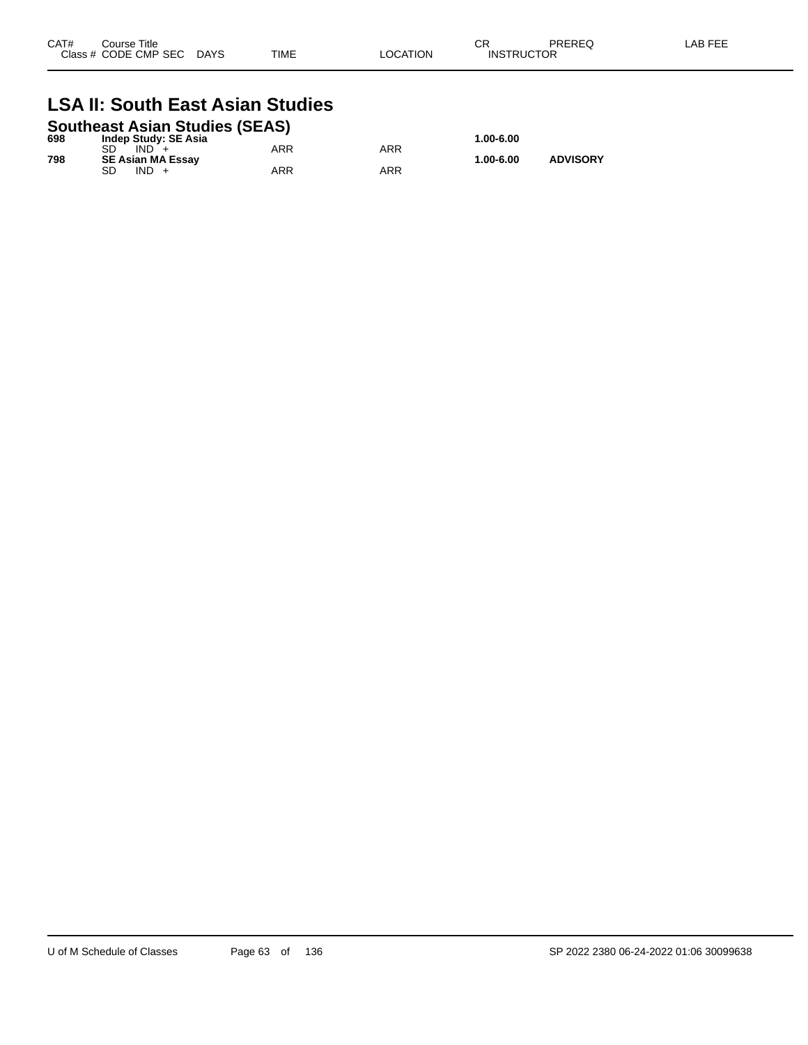| CAT# | Course Title<br>Class # CODE CMP SEC | <b>DAYS</b> | TIME | LOCATION | Ωn<br>◡<br><b>INSTRUCTOR</b> | PREREQ | LAB FEE |
|------|--------------------------------------|-------------|------|----------|------------------------------|--------|---------|
|      |                                      |             |      |          |                              |        |         |

# **LSA II: South East Asian Studies**

| <b>Southeast Asian Studies (SEAS)</b> |                             |     |     |           |                 |  |  |  |  |
|---------------------------------------|-----------------------------|-----|-----|-----------|-----------------|--|--|--|--|
| 698                                   | <b>Indep Study: SE Asia</b> |     |     | 1.00-6.00 |                 |  |  |  |  |
|                                       | $IND +$                     | ARR | ARR |           |                 |  |  |  |  |
| 798                                   | <b>SE Asian MA Essav</b>    |     |     | 1.00-6.00 | <b>ADVISORY</b> |  |  |  |  |
|                                       | SD<br>$IND +$               | ARR | ARR |           |                 |  |  |  |  |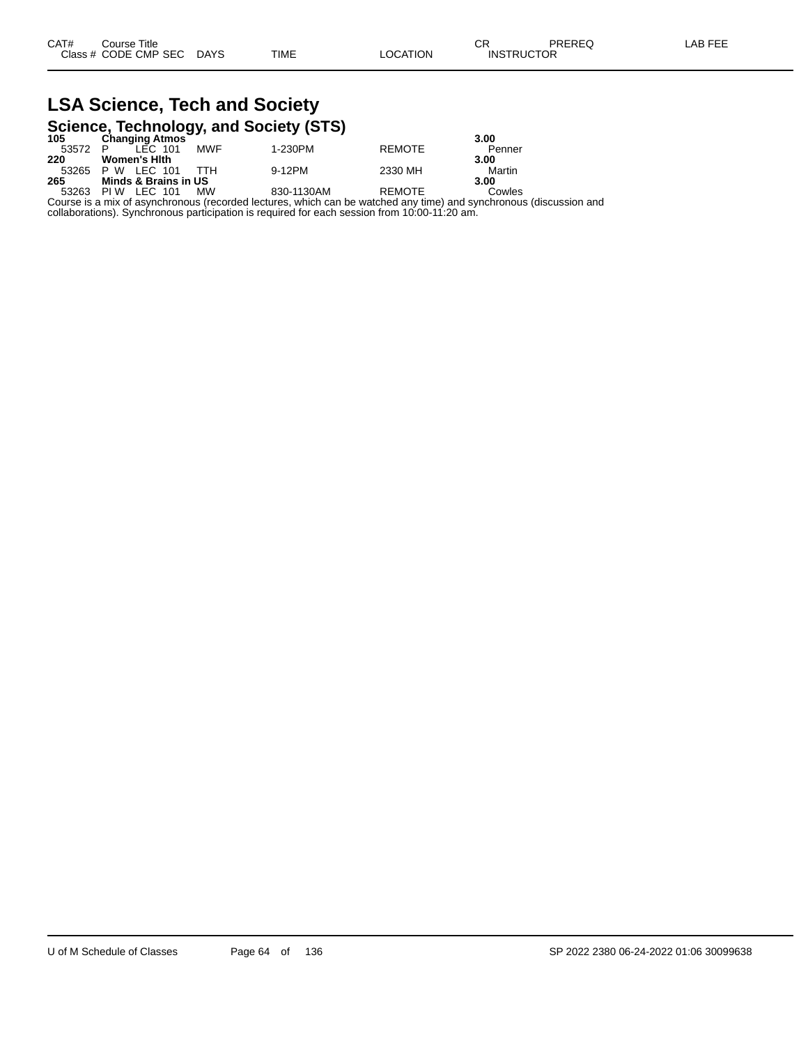#### **LSA Science, Tech and Society Science, Technology, and Society (STS)**

| 105   | .<br><b>Changing Atmos</b>          | . .        |               | 3.00   |
|-------|-------------------------------------|------------|---------------|--------|
| 53572 | LEC 101<br><b>MWF</b>               | 1-230PM    | <b>REMOTE</b> | Penner |
| 220   | <b>Women's Hith</b>                 |            |               | 3.00   |
| 53265 | ттн<br>LEC 101<br>P W               | 9-12PM     | 2330 MH       | Martin |
| 265   | Minds & Brains in US                |            |               | 3.00   |
| 53263 | <b>MW</b><br><b>IFC 101</b><br>PI W | 830-1130AM | <b>REMOTE</b> | Cowles |

Course is a mix of asynchronous (recorded lectures, which can be watched any time) and synchronous (discussion and collaborations). Synchronous participation is required for each session from 10:00-11:20 am.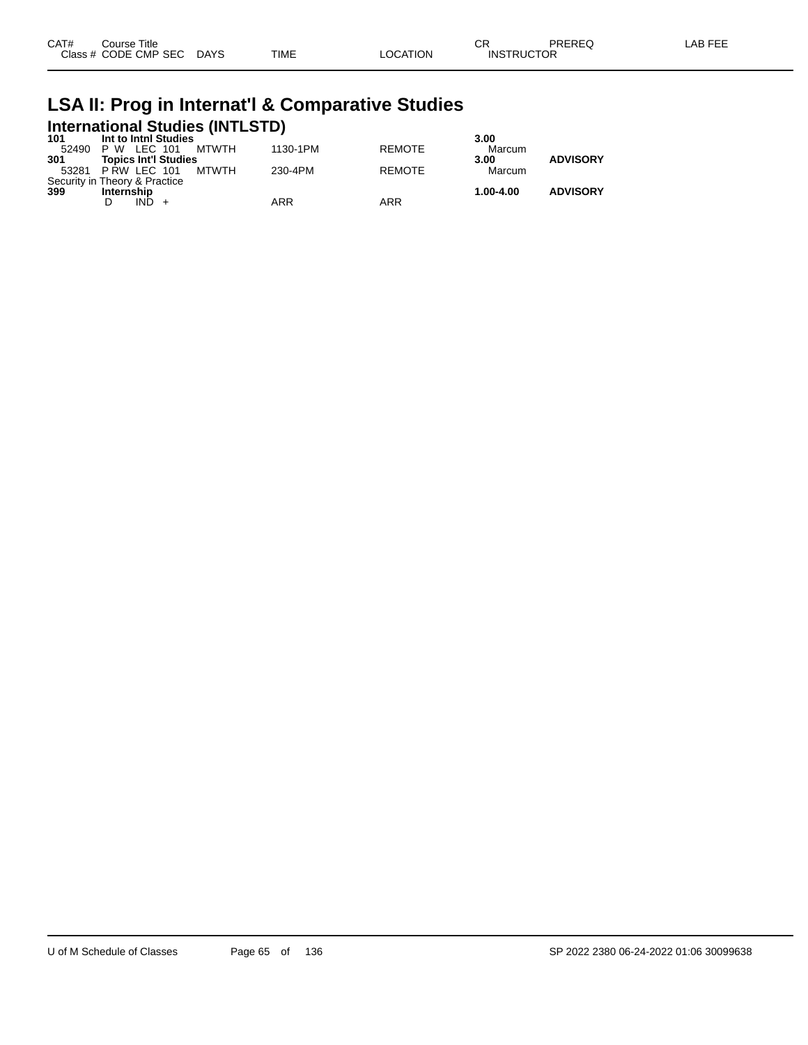| CAT# | Course Title         |             |             |          | ⌒冖<br>◡Ⴡ          | PREREQ | ∟AB FEE |
|------|----------------------|-------------|-------------|----------|-------------------|--------|---------|
|      | Class # CODE CMP SEC | <b>DAYS</b> | <b>TIME</b> | _OCATION | <b>INSTRUCTOR</b> |        |         |

# **LSA II: Prog in Internat'l & Comparative Studies International Studies (INTLSTD) 101 Int to Intnl Studies 3.00**

| .     | .v  v.uurv                    |       |          |               | .         |                 |
|-------|-------------------------------|-------|----------|---------------|-----------|-----------------|
| 52490 | P W LEC 101                   | MTWTH | 1130-1PM | <b>REMOTE</b> | Marcum    |                 |
| 301   | <b>Topics Int'l Studies</b>   |       |          |               | 3.00      | <b>ADVISORY</b> |
|       | 53281 PRW LEC 101             | MTWTH | 230-4PM  | <b>REMOTE</b> | Marcum    |                 |
|       | Security in Theory & Practice |       |          |               |           |                 |
| 399   | Internship                    |       |          |               | 1.00-4.00 | <b>ADVISORY</b> |
|       | IND                           |       | ARR      | ARR           |           |                 |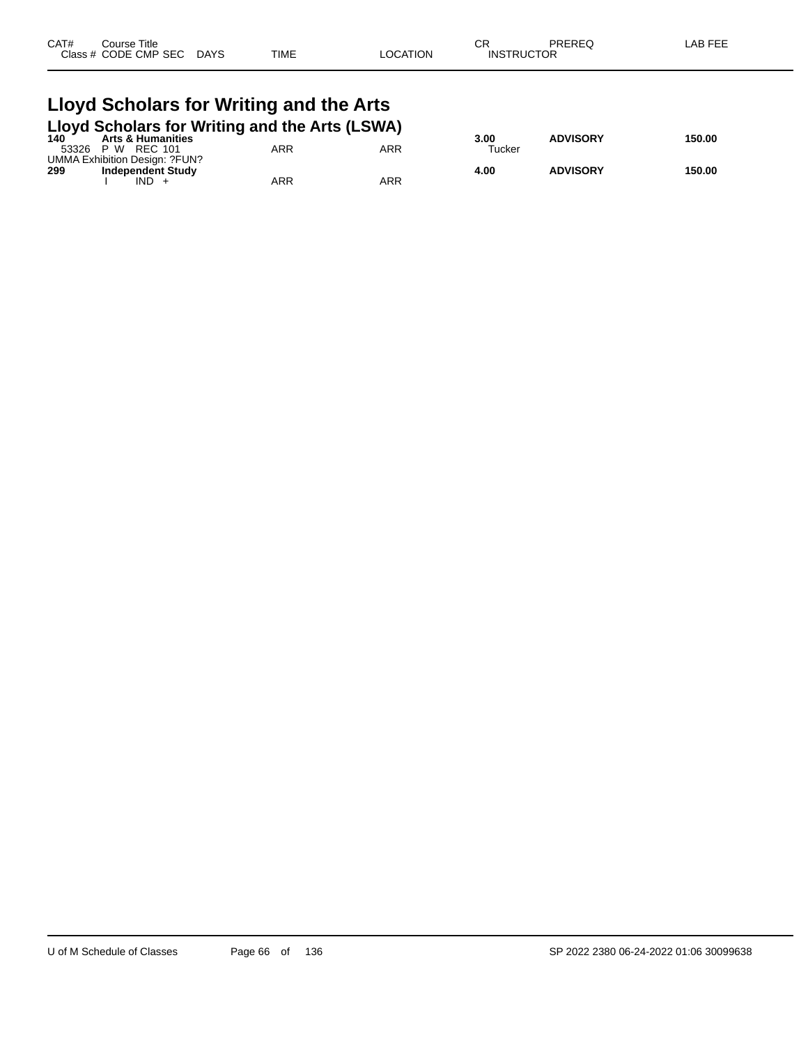| CAT# | Course Title         |             |             |          | СR                | PREREQ | AB FEE |
|------|----------------------|-------------|-------------|----------|-------------------|--------|--------|
|      | Class # CODE CMP SEC | <b>DAYS</b> | <b>TIME</b> | LOCATION | <b>INSTRUCTOR</b> |        |        |
|      |                      |             |             |          |                   |        |        |

#### **Lloyd Scholars for Writing and the Arts Lloyd Scholars for Writing and the Arts (LSWA)**

|                               | 140 Arts & Humanities |     | 3.00   | <b>ADVISORY</b> | 150.00 |
|-------------------------------|-----------------------|-----|--------|-----------------|--------|
| 53326<br>P W<br>REC 101       | ARR                   | ARR | Tucker |                 |        |
| UMMA Exhibition Design: ?FUN? |                       |     |        |                 |        |
| 299<br>Independent Study      |                       |     | 4.00   | <b>ADVISORY</b> | 150.00 |
| <b>IND</b>                    | ARR                   | ARR |        |                 |        |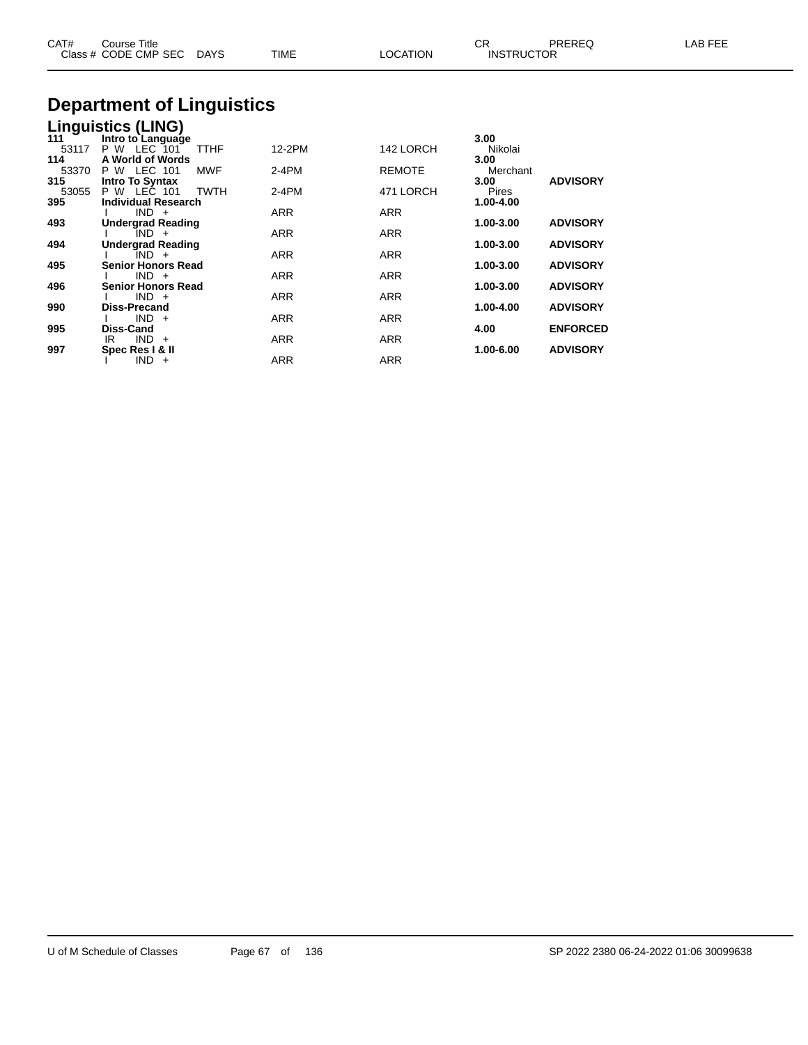| CAT#                         | Course Title<br>Class # CODE CMP SEC                                            | DAYS               | TIME             | <b>LOCATION</b>            | CR.<br><b>INSTRUCTOR</b>                 | PREREQ                             | LAB FEE |
|------------------------------|---------------------------------------------------------------------------------|--------------------|------------------|----------------------------|------------------------------------------|------------------------------------|---------|
|                              | <b>Department of Linguistics</b>                                                |                    |                  |                            |                                          |                                    |         |
| 111<br>53117                 | <b>Linguistics (LING)</b><br>Intro to Language<br>P W LEC 101                   | TTHF               | 12-2PM           | 142 LORCH                  | 3.00<br>Nikolai                          |                                    |         |
| 114<br>53370<br>315<br>53055 | A World of Words<br><b>P W LEC 101</b><br><b>Intro To Syntax</b><br>P W LEC 101 | MWF<br><b>TWTH</b> | 2-4PM<br>$2-4PM$ | <b>REMOTE</b><br>471 LORCH | 3.00<br>Merchant<br>3.00<br><b>Pires</b> | <b>ADVISORY</b>                    |         |
| 395                          | <b>Individual Research</b><br>$IND +$                                           |                    | ARR              | ARR                        | 1.00-4.00                                |                                    |         |
| 493                          | <b>Undergrad Reading</b><br>IND +                                               |                    | ARR              | ARR                        | 1.00-3.00                                | <b>ADVISORY</b>                    |         |
| 494                          | <b>Undergrad Reading</b><br>$IND +$                                             |                    | <b>ARR</b>       | <b>ARR</b>                 | 1.00-3.00                                | <b>ADVISORY</b>                    |         |
| 495<br>496                   | <b>Senior Honors Read</b><br>$IND +$<br><b>Senior Honors Read</b>               |                    | <b>ARR</b>       | ARR                        | 1.00-3.00<br>1.00-3.00                   | <b>ADVISORY</b><br><b>ADVISORY</b> |         |
| 990                          | $IND +$<br><b>Diss-Precand</b>                                                  |                    | <b>ARR</b>       | <b>ARR</b>                 | 1.00-4.00                                | <b>ADVISORY</b>                    |         |
|                              | $IND +$                                                                         |                    | ARR              | <b>ARR</b>                 |                                          |                                    |         |

**995 Diss-Cand 4.00 ENFORCED**

**997 Spec Res I & II 1.00-6.00 ADVISORY**

IR IND + ARR ARR ARR

I IND + ARR ARR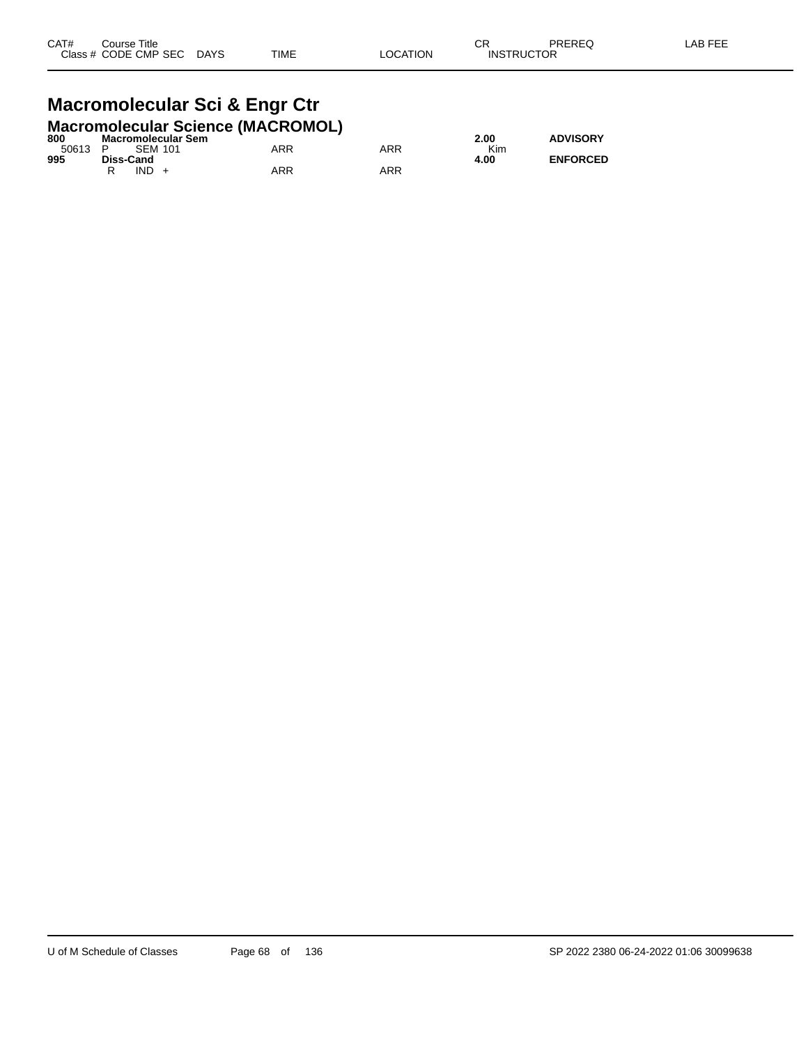#### **Macromolecular Sci & Engr Ctr Macromolecular Science (MACROMOL)**

|     | $1.11$ $1.11$ $1.11$ $1.11$ $1.11$ $1.11$ $1.11$ $1.11$ $1.11$ $1.11$ $1.11$ $1.11$ $1.11$ |     |     |      |                 |
|-----|--------------------------------------------------------------------------------------------|-----|-----|------|-----------------|
| 800 | Macromolecular Sem                                                                         |     |     | 2.00 | <b>ADVISORY</b> |
|     | 50613 P SEM 101                                                                            | ARR | ARR | Kim  |                 |
| 995 | Diss-Cand                                                                                  |     |     | 4.00 | <b>ENFORCED</b> |
|     | $IND +$                                                                                    | ARR | ARR |      |                 |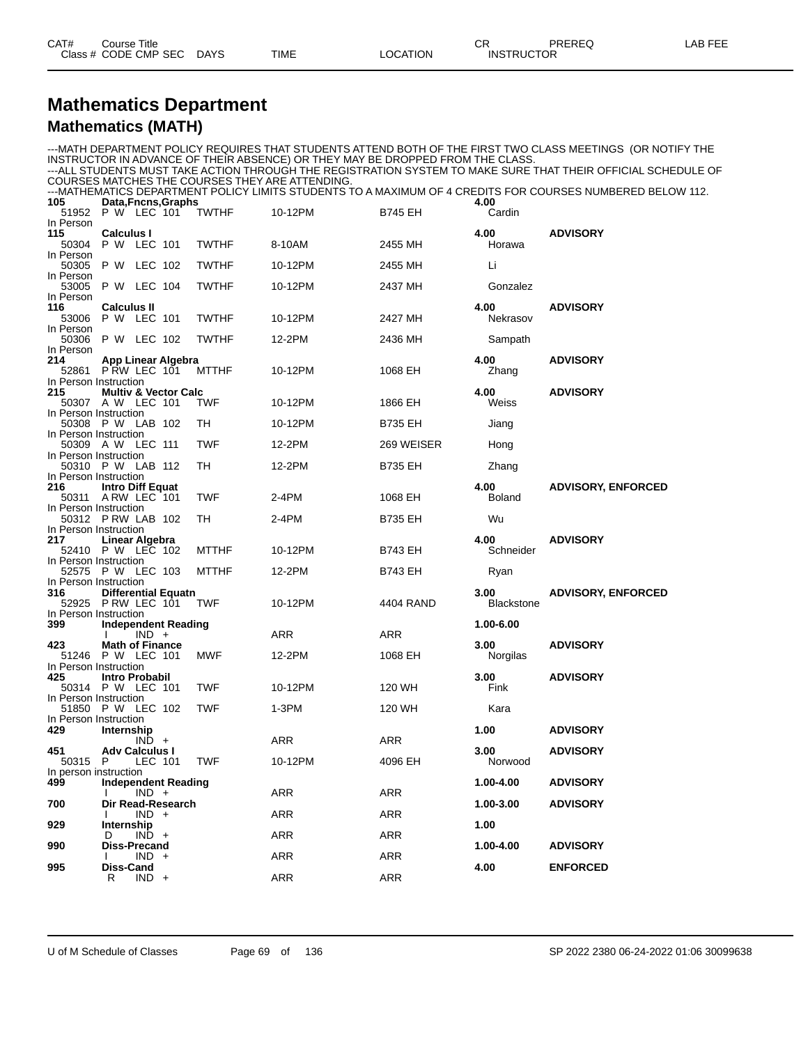## **Mathematics Department Mathematics (MATH)**

|                              |                                                  |         |                            |              |                                                                                |                |                           | ---MATH DEPARTMENT POLICY REQUIRES THAT STUDENTS ATTEND BOTH OF THE FIRST TWO CLASS MEETINGS  (OR NOTIFY THE  |
|------------------------------|--------------------------------------------------|---------|----------------------------|--------------|--------------------------------------------------------------------------------|----------------|---------------------------|---------------------------------------------------------------------------------------------------------------|
|                              |                                                  |         |                            |              | INSTRUCTOR IN ADVANCE OF THEIR ABSENCE) OR THEY MAY BE DROPPED FROM THE CLASS. |                |                           |                                                                                                               |
|                              |                                                  |         |                            |              | COURSES MATCHES THE COURSES THEY ARE ATTENDING.                                |                |                           | ---ALL STUDENTS MUST TAKE ACTION THROUGH THE REGISTRATION SYSTEM TO MAKE SURE THAT THEIR OFFICIAL SCHEDULE OF |
|                              |                                                  |         |                            |              |                                                                                |                |                           | ---MATHEMATICS DEPARTMENT POLICY LIMITS STUDENTS TO A MAXIMUM OF 4 CREDITS FOR COURSES NUMBERED BELOW 112.    |
| 105                          |                                                  |         | Data, Fncns, Graphs        |              |                                                                                |                | 4.00                      |                                                                                                               |
|                              | 51952 P W LEC 101                                |         |                            | <b>TWTHF</b> | 10-12PM                                                                        | <b>B745 EH</b> | Cardin                    |                                                                                                               |
| In Person<br>115             | <b>Calculus I</b>                                |         |                            |              |                                                                                |                | 4.00                      | <b>ADVISORY</b>                                                                                               |
| 50304                        | P W LEC 101                                      |         |                            | <b>TWTHF</b> | 8-10AM                                                                         | 2455 MH        | Horawa                    |                                                                                                               |
| In Person                    |                                                  |         |                            |              |                                                                                |                |                           |                                                                                                               |
| 50305                        | P W LEC 102                                      |         |                            | <b>TWTHF</b> | 10-12PM                                                                        | 2455 MH        | Li                        |                                                                                                               |
| In Person<br>53005           | <b>P W LEC 104</b>                               |         |                            | <b>TWTHF</b> | 10-12PM                                                                        | 2437 MH        | Gonzalez                  |                                                                                                               |
| In Person                    |                                                  |         |                            |              |                                                                                |                |                           |                                                                                                               |
| 116                          | <b>Calculus II</b>                               |         |                            |              |                                                                                |                | 4.00                      | <b>ADVISORY</b>                                                                                               |
| 53006                        | P W LEC 101                                      |         |                            | <b>TWTHF</b> | 10-12PM                                                                        | 2427 MH        | Nekrasov                  |                                                                                                               |
| In Person<br>50306           | <b>P W LEC 102</b>                               |         |                            | <b>TWTHF</b> | 12-2PM                                                                         | 2436 MH        | Sampath                   |                                                                                                               |
| In Person                    |                                                  |         |                            |              |                                                                                |                |                           |                                                                                                               |
| 214                          | App Linear Algebra                               |         |                            |              |                                                                                |                | 4.00                      | <b>ADVISORY</b>                                                                                               |
|                              | 52861 PRW LEC 101                                |         |                            | <b>MTTHF</b> | 10-12PM                                                                        | 1068 EH        | Zhang                     |                                                                                                               |
| In Person Instruction<br>215 | Multiv & Vector Calc                             |         |                            |              |                                                                                |                | 4.00                      | <b>ADVISORY</b>                                                                                               |
|                              | 50307 A W LEC 101                                |         |                            | TWF          | 10-12PM                                                                        | 1866 EH        | Weiss                     |                                                                                                               |
| In Person Instruction        |                                                  |         |                            |              |                                                                                |                |                           |                                                                                                               |
|                              | 50308 P W LAB 102                                |         |                            | TH           | 10-12PM                                                                        | <b>B735 EH</b> | Jiang                     |                                                                                                               |
| In Person Instruction        | 50309 A W LEC 111                                |         |                            | <b>TWF</b>   | 12-2PM                                                                         | 269 WEISER     | Hong                      |                                                                                                               |
| In Person Instruction        |                                                  |         |                            |              |                                                                                |                |                           |                                                                                                               |
|                              | 50310 P W LAB 112                                |         |                            | TH           | 12-2PM                                                                         | <b>B735 EH</b> | Zhang                     |                                                                                                               |
| In Person Instruction        |                                                  |         |                            |              |                                                                                |                |                           |                                                                                                               |
| 216                          | <b>Intro Diff Equat</b><br>50311 A RW LEC 101    |         |                            | TWF          | 2-4PM                                                                          | 1068 EH        | 4.00<br>Boland            | <b>ADVISORY, ENFORCED</b>                                                                                     |
| In Person Instruction        |                                                  |         |                            |              |                                                                                |                |                           |                                                                                                               |
|                              | 50312 P RW LAB 102                               |         |                            | TH           | 2-4PM                                                                          | <b>B735 EH</b> | Wu                        |                                                                                                               |
| In Person Instruction        |                                                  |         |                            |              |                                                                                |                |                           |                                                                                                               |
| 217                          | <b>Linear Algebra</b><br>52410 P W LEC 102       |         |                            | <b>MTTHF</b> | 10-12PM                                                                        | <b>B743 EH</b> | 4.00<br>Schneider         | <b>ADVISORY</b>                                                                                               |
| In Person Instruction        |                                                  |         |                            |              |                                                                                |                |                           |                                                                                                               |
|                              | 52575 P W LEC 103                                |         |                            | <b>MTTHF</b> | 12-2PM                                                                         | B743 EH        | Ryan                      |                                                                                                               |
| In Person Instruction        |                                                  |         |                            |              |                                                                                |                |                           |                                                                                                               |
| 316                          | <b>Differential Equatn</b><br>52925 P RW LEC 101 |         |                            | TWF          | 10-12PM                                                                        | 4404 RAND      | 3.00<br><b>Blackstone</b> | <b>ADVISORY, ENFORCED</b>                                                                                     |
| In Person Instruction        |                                                  |         |                            |              |                                                                                |                |                           |                                                                                                               |
| 399                          |                                                  |         | <b>Independent Reading</b> |              |                                                                                |                | 1.00-6.00                 |                                                                                                               |
| 423                          | Ι.<br><b>Math of Finance</b>                     | $IND +$ |                            |              | ARR                                                                            | ARR            | 3.00                      | <b>ADVISORY</b>                                                                                               |
|                              | 51246 P W LEC 101                                |         |                            | MWF          | 12-2PM                                                                         | 1068 EH        | Norgilas                  |                                                                                                               |
| In Person Instruction        |                                                  |         |                            |              |                                                                                |                |                           |                                                                                                               |
| 425                          | <b>Intro Probabil</b>                            |         |                            |              |                                                                                |                | 3.00                      | <b>ADVISORY</b>                                                                                               |
| In Person Instruction        | 50314 P W LEC 101                                |         |                            | <b>TWF</b>   | 10-12PM                                                                        | 120 WH         | Fink                      |                                                                                                               |
|                              | 51850 P W LEC 102                                |         |                            | TWF          | 1-3PM                                                                          | 120 WH         | Kara                      |                                                                                                               |
| In Person Instruction        |                                                  |         |                            |              |                                                                                |                |                           |                                                                                                               |
| 429                          | Internship                                       |         |                            |              |                                                                                |                | 1.00                      | <b>ADVISORY</b>                                                                                               |
| 451                          | <b>Adv Calculus I</b>                            | $IND +$ |                            |              | ARR                                                                            | ARR            | 3.00                      | <b>ADVISORY</b>                                                                                               |
| 50315 P                      |                                                  | LEC 101 |                            | <b>TWF</b>   | 10-12PM                                                                        | 4096 EH        | Norwood                   |                                                                                                               |
| In person instruction        |                                                  |         |                            |              |                                                                                |                |                           |                                                                                                               |
| 499                          |                                                  |         | <b>Independent Reading</b> |              | ARR                                                                            | ARR            | 1.00-4.00                 | <b>ADVISORY</b>                                                                                               |
| 700                          |                                                  | $IND +$ | Dir Read-Research          |              |                                                                                |                | 1.00-3.00                 | <b>ADVISORY</b>                                                                                               |
|                              |                                                  | $IND +$ |                            |              | ARR                                                                            | ARR            |                           |                                                                                                               |
| 929                          | Internship                                       |         |                            |              |                                                                                |                | 1.00                      |                                                                                                               |
| 990                          | D<br>Diss-Precand                                | $IND +$ |                            |              | <b>ARR</b>                                                                     | ARR            | 1.00-4.00                 | <b>ADVISORY</b>                                                                                               |
|                              |                                                  | $IND +$ |                            |              | ARR                                                                            | ARR            |                           |                                                                                                               |
| 995                          | Diss-Cand                                        |         |                            |              |                                                                                |                | 4.00                      | <b>ENFORCED</b>                                                                                               |
|                              | R                                                | $IND +$ |                            |              | ARR                                                                            | <b>ARR</b>     |                           |                                                                                                               |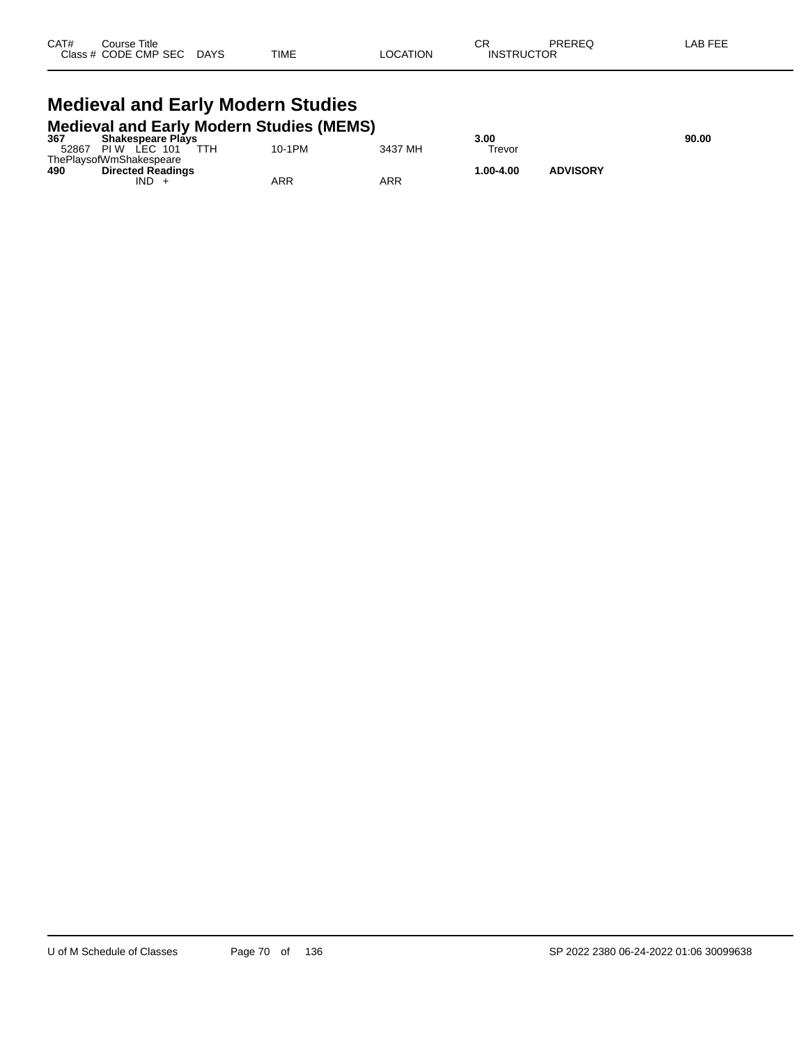| CAT# | Course Title         |             |             |          | ⌒冖<br>◡           | <b>PREREQ</b> | AB FEF |
|------|----------------------|-------------|-------------|----------|-------------------|---------------|--------|
|      | Class # CODE CMP SEC | <b>DAYS</b> | <b>TIME</b> | LOCATION | <b>INSTRUCTOR</b> |               |        |

#### **Medieval and Early Modern Studies Medieval and Early Modern Studies (MEMS)**

| 367   | <b>Shakespeare Plays</b> |        |         | 3.00      |                 | 90.00 |
|-------|--------------------------|--------|---------|-----------|-----------------|-------|
| 52867 | TTH.<br>LEC 101<br>PI W  | 10-1PM | 3437 MH | Trevor    |                 |       |
|       | ThePlaysofWmShakespeare  |        |         |           |                 |       |
| 490   | <b>Directed Readings</b> |        |         | 1.00-4.00 | <b>ADVISORY</b> |       |
|       | IND                      | ARR    | ARR     |           |                 |       |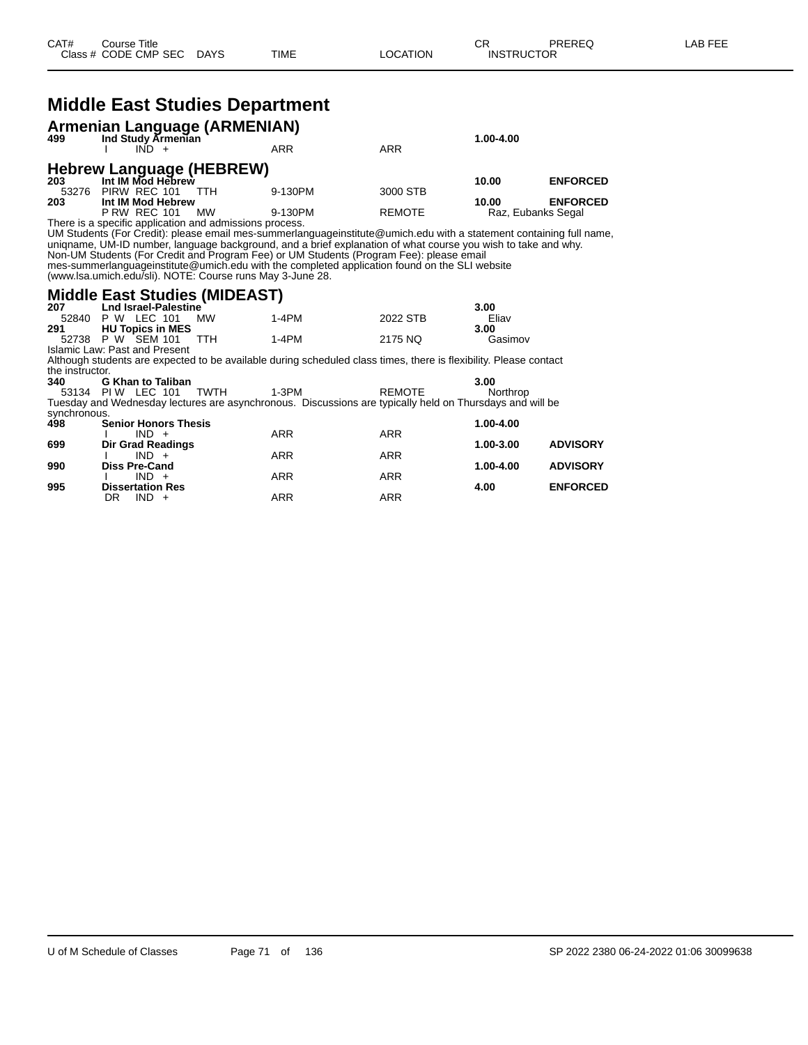# **Middle East Studies Department**

|     | <b>Armenian Language (ARMENIAN)</b><br>499 Ind Study Armenian<br>$IND +$       |            | ARR     | <b>ARR</b>    | 1.00-4.00          |                 |
|-----|--------------------------------------------------------------------------------|------------|---------|---------------|--------------------|-----------------|
| 203 | Hebrew Language (HEBREW)<br>Int IM Mod Hebrew                                  |            |         |               | 10.00              | <b>ENFORCED</b> |
| 203 | 53276 PIRW REC 101<br>Int IM Mod Hebrew                                        | <b>TTH</b> | 9-130PM | 3000 STB      | 10.00              | <b>ENFORCED</b> |
|     | <b>P RW REC 101</b><br>There is a specific application and admissions process. | <b>MW</b>  | 9-130PM | <b>REMOTE</b> | Raz, Eubanks Segal |                 |

UM Students (For Credit): please email mes-summerlanguageinstitute@umich.edu with a statement containing full name, uniqname, UM-ID number, language background, and a brief explanation of what course you wish to take and why. Non-UM Students (For Credit and Program Fee) or UM Students (Program Fee): please email mes-summerlanguageinstitute@umich.edu with the completed application found on the SLI website (www.lsa.umich.edu/sli). NOTE: Course runs May 3-June 28.

#### **Middle East Studies (MIDEAST)**

| 207 | Lnd Israel-Palestine    |           |       |          | 3.00    |
|-----|-------------------------|-----------|-------|----------|---------|
|     | 52840 P W LEC 101       | <b>MW</b> | 1-4PM | 2022 STB | Eliav   |
| 291 | <b>HU Topics in MES</b> |           |       |          | 3.00    |
|     | 52738 P W SEM 101       | TTH       | 1-4PM | 2175 NO  | Gasimov |

Islamic Law: Past and Present Although students are expected to be available during scheduled class times, there is flexibility. Please contact the instructor.<br>340 G

**340 G Khan to Taliban 3.00** 53134 PI W LEC 101 TWTH 1-3PM REMOTE Northrop Tuesday and WILEC 101 TWTH 1-3PM REMOTE Northrop Northrop<br>Tuesday and Wednesday lectures are asynchronous. Discussions are typically held on Thursdays and will be synchronous.

| 498 | <b>Senior Honors Thesis</b> |     |            | 1.00-4.00 |                 |
|-----|-----------------------------|-----|------------|-----------|-----------------|
|     | $IND +$                     | ARR | <b>ARR</b> |           |                 |
| 699 | <b>Dir Grad Readings</b>    |     |            | 1.00-3.00 | <b>ADVISORY</b> |
|     | $IND +$                     | ARR | <b>ARR</b> |           |                 |
| 990 | <b>Diss Pre-Cand</b>        |     |            | 1.00-4.00 | <b>ADVISORY</b> |
|     | $IND +$                     | ARR | <b>ARR</b> |           |                 |
| 995 | <b>Dissertation Res</b>     |     |            | 4.00      | <b>ENFORCED</b> |
|     | DR<br>$IND +$               | ARR | ARR        |           |                 |
|     |                             |     |            |           |                 |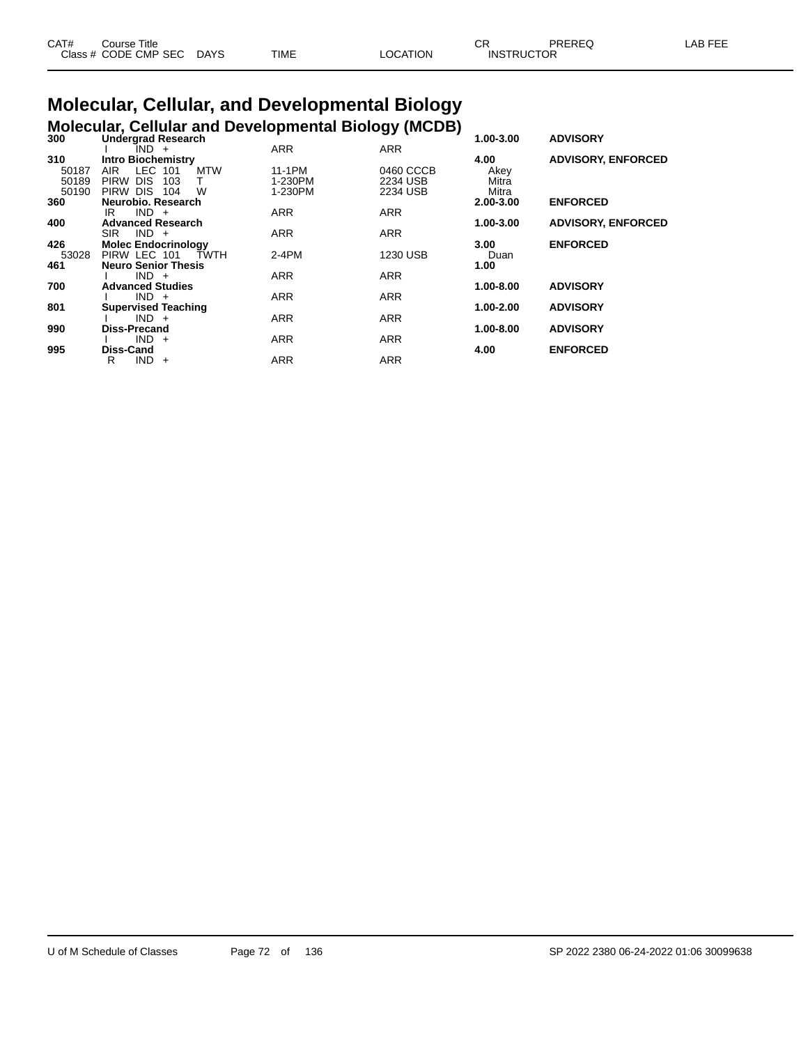| CAT# | Title<br>Course            |      |             |                | ◡ጙ                | PREREC | AB FFF |
|------|----------------------------|------|-------------|----------------|-------------------|--------|--------|
|      | Class # CODE CMP SEC<br>__ | DAYS | <b>TIME</b> | ATION:<br>ില്. | <b>INSTRUCTOR</b> |        |        |

#### **Molecular, Cellular, and Developmental Biology Molecular, Cellular and Developmental Biology (MCDB)**

| 300   | <b>Undergrad Research</b>        |            |            | ,<br>1.00-3.00 | <b>ADVISORY</b>           |
|-------|----------------------------------|------------|------------|----------------|---------------------------|
|       | IND +                            | <b>ARR</b> | <b>ARR</b> |                |                           |
| 310   | <b>Intro Biochemistry</b>        |            |            | 4.00           | <b>ADVISORY, ENFORCED</b> |
| 50187 | LEC 101<br><b>MTW</b><br>AIR.    | 11-1PM     | 0460 CCCB  | Akey           |                           |
| 50189 | <b>DIS</b><br><b>PIRW</b><br>103 | 1-230PM    | 2234 USB   | Mitra          |                           |
| 50190 | PIRW DIS<br>W<br>104             | 1-230PM    | 2234 USB   | Mitra          |                           |
| 360   | Neurobio, Research               |            |            | 2.00-3.00      | <b>ENFORCED</b>           |
|       | $IND +$<br>IR                    | <b>ARR</b> | <b>ARR</b> |                |                           |
| 400   | <b>Advanced Research</b>         |            |            | 1.00-3.00      | <b>ADVISORY, ENFORCED</b> |
|       | $IND +$<br><b>SIR</b>            | <b>ARR</b> | <b>ARR</b> |                |                           |
| 426   | <b>Molec Endocrinology</b>       |            |            | 3.00           | <b>ENFORCED</b>           |
| 53028 | PIRW LEC 101<br><b>TWTH</b>      | $2-4PM$    | 1230 USB   | Duan           |                           |
| 461   | <b>Neuro Senior Thesis</b>       |            |            | 1.00           |                           |
|       | $IND +$                          | <b>ARR</b> | <b>ARR</b> |                |                           |
| 700   | <b>Advanced Studies</b>          |            |            | 1.00-8.00      | <b>ADVISORY</b>           |
|       | $IND +$                          | <b>ARR</b> | <b>ARR</b> |                |                           |
| 801   | <b>Supervised Teaching</b>       |            |            | 1.00-2.00      | <b>ADVISORY</b>           |
|       | $IND +$                          | <b>ARR</b> | <b>ARR</b> |                |                           |
| 990   | <b>Diss-Precand</b>              |            |            | 1.00-8.00      | <b>ADVISORY</b>           |
|       | $IND +$                          | <b>ARR</b> | <b>ARR</b> |                |                           |
| 995   | <b>Diss-Cand</b>                 |            |            | 4.00           | <b>ENFORCED</b>           |
|       | IND.<br>R<br>$+$                 | <b>ARR</b> | <b>ARR</b> |                |                           |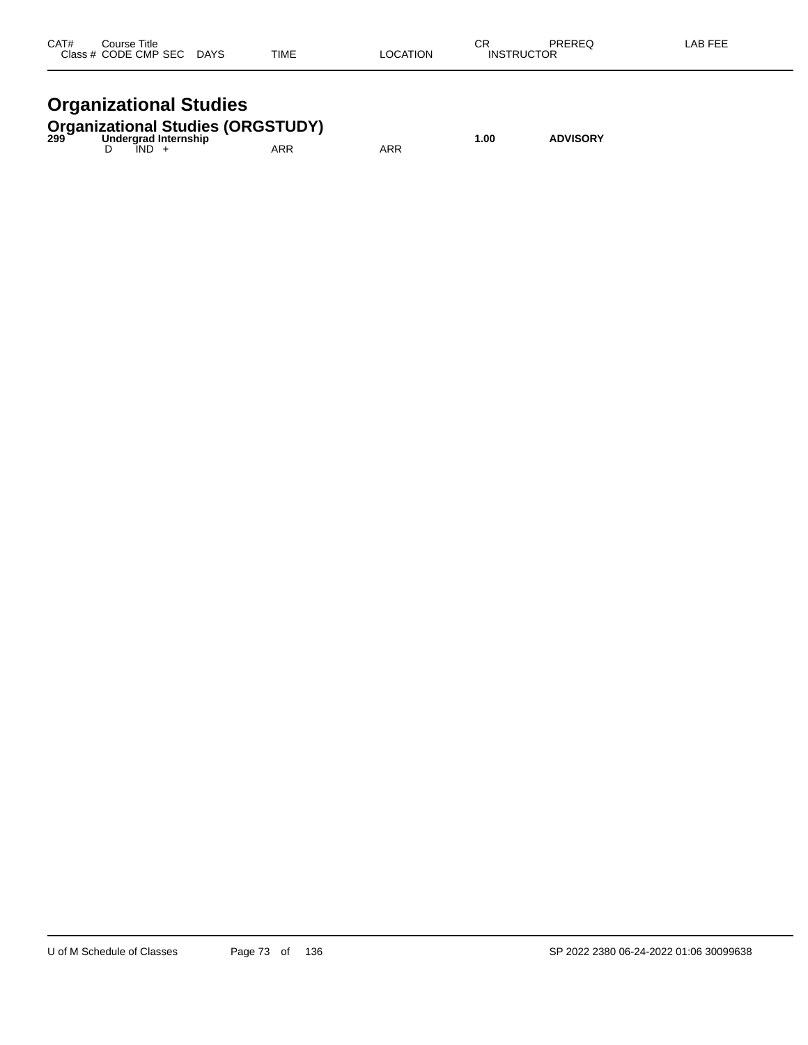| CAT#<br>C <sub>2</sub> | Title<br>`ourse<br>יש<br>CODE CMP SEC<br>$ -$ | <b>DAYS</b><br>$\sim$ | <b>TIME</b> | `TION<br>nr | СR<br>IN<br>- 10 | nnrnra<br>$-11-2$<br>___ | $LAB F^-$ |
|------------------------|-----------------------------------------------|-----------------------|-------------|-------------|------------------|--------------------------|-----------|
|                        |                                               |                       |             |             |                  |                          |           |

# **Organizational Studies**

|  |         | <b>Organizational Studies (ORGSTUDY)</b><br>299   Undergrad Internship |     | 1.00 | <b>ADVISORY</b> |
|--|---------|------------------------------------------------------------------------|-----|------|-----------------|
|  | $IND +$ | ARR                                                                    | ARR |      |                 |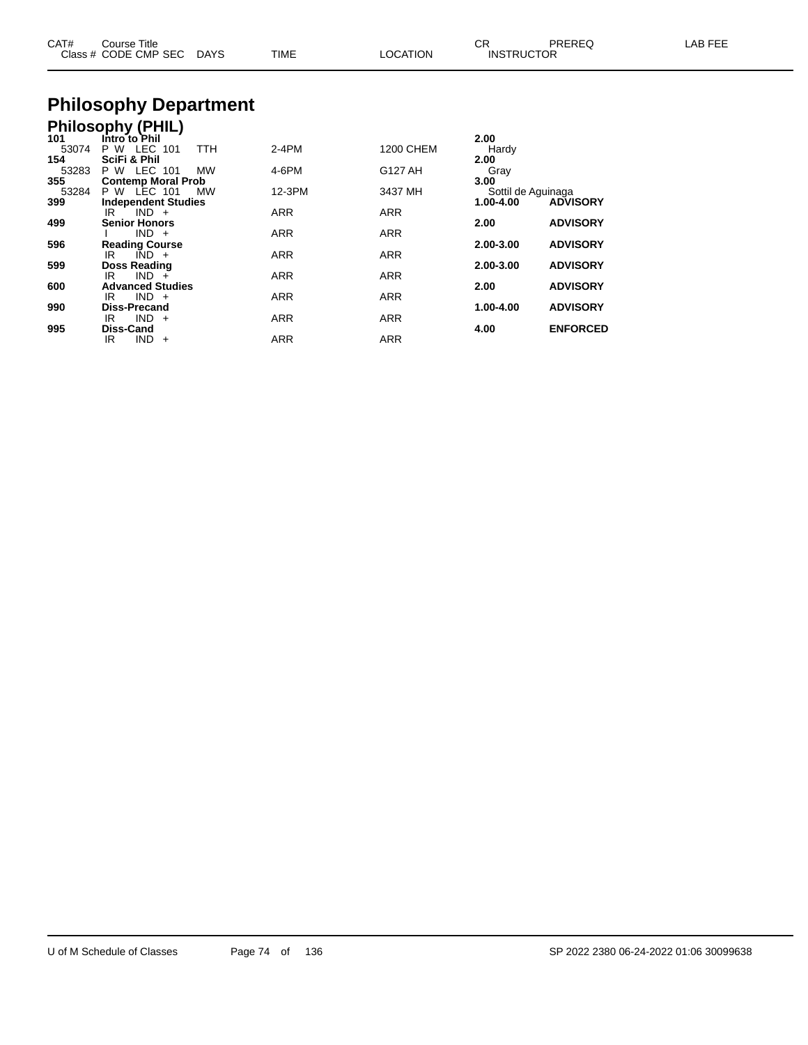| CAT#         | Course Title<br>Class # CODE CMP SEC           | <b>DAYS</b> | <b>TIME</b> | <b>LOCATION</b>          | CR.<br><b>INSTRUCTOR</b>        | PREREQ          | LAB FEE |
|--------------|------------------------------------------------|-------------|-------------|--------------------------|---------------------------------|-----------------|---------|
|              | <b>Philosophy Department</b>                   |             |             |                          |                                 |                 |         |
| 101          | <b>Philosophy (PHIL)</b><br>Intro to Phil      |             |             |                          | 2.00                            |                 |         |
| 53074<br>154 | P W LEC<br>101<br>SciFi & Phil                 | <b>TTH</b>  | 2-4PM       | <b>1200 CHEM</b>         | Hardy<br>2.00                   |                 |         |
| 53283<br>355 | P W LEC 101<br><b>Contemp Moral Prob</b>       | МW          | 4-6PM       | G127 AH                  | Gray<br>3.00                    |                 |         |
| 53284<br>399 | P W LEC 101<br><b>Independent Studies</b>      | МW          | 12-3PM      | 3437 MH                  | Sottil de Aguinaga<br>1.00-4.00 | <b>ADVISORY</b> |         |
| 499          | $IND +$<br>IR<br><b>Senior Honors</b>          |             | ARR         | <b>ARR</b>               | 2.00                            | <b>ADVISORY</b> |         |
| 596          | $IND +$<br><b>Reading Course</b>               |             | ARR         | <b>ARR</b>               | 2.00-3.00                       | <b>ADVISORY</b> |         |
| 599          | $IND +$<br>IR<br>Doss Reading<br>$IND +$<br>IR |             | ARR<br>ARR  | <b>ARR</b><br><b>ARR</b> | 2.00-3.00                       | <b>ADVISORY</b> |         |
| 600          | <b>Advanced Studies</b><br>$IND +$<br>IR       |             | ARR         | ARR                      | 2.00                            | <b>ADVISORY</b> |         |
| 990          | Diss-Precand                                   |             |             |                          | 1.00-4.00                       | <b>ADVISORY</b> |         |

IR IND + ARR ARR ARR

IR IND + ARR ARR ARR

**995 Diss-Cand 4.00 ENFORCED**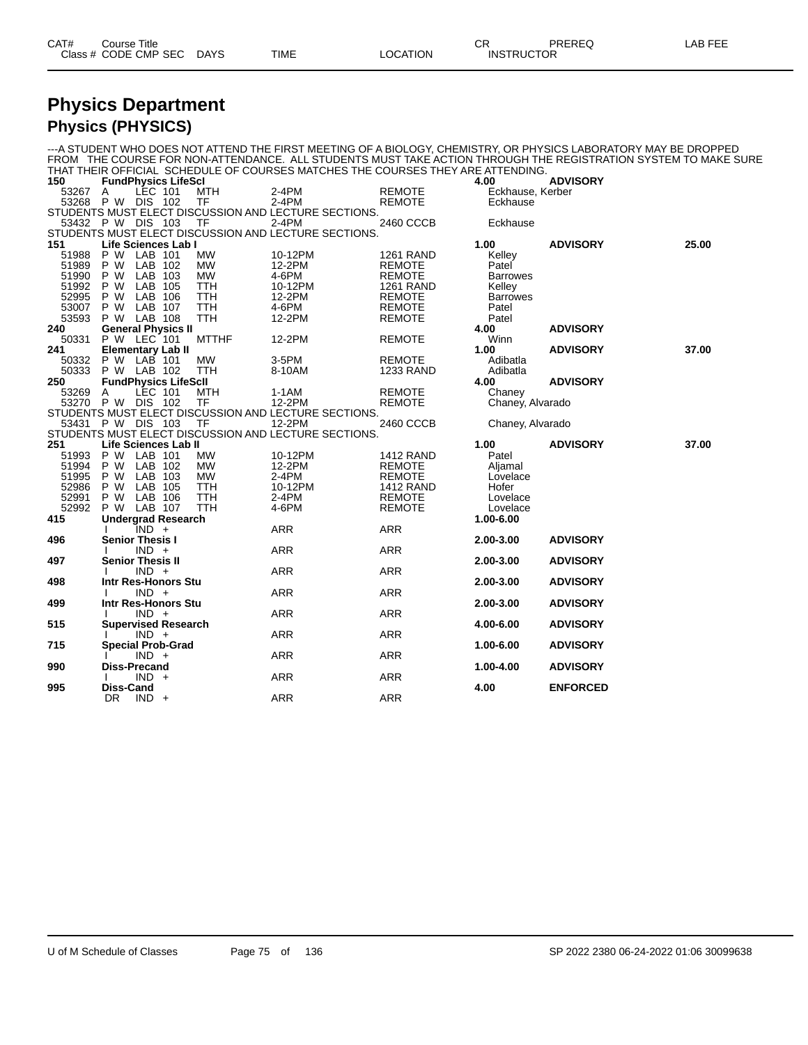| CAT# | Title<br>∴ourse      |                 |      |                          | СR | PREREQ                        | <b>FFF</b><br>_AB_ |
|------|----------------------|-----------------|------|--------------------------|----|-------------------------------|--------------------|
|      | Class # CODE CMP SEC | DAYS<br>_______ | TIME | TION<br>$\triangle$ OCAT |    | <b>INSTRUCTOR</b><br>________ |                    |

# **Physics Department**

#### **Physics (PHYSICS)**

---A STUDENT WHO DOES NOT ATTEND THE FIRST MEETING OF A BIOLOGY, CHEMISTRY, OR PHYSICS LABORATORY MAY BE DROPPED FROM THE COURSE FOR NON-ATTENDANCE. ALL STUDENTS MUST TAKE ACTION THROUGH THE REGISTRATION SYSTEM TO MAKE SURE THAT THEIR OFFICIAL SCHEDULE OF COURSES MATCHES THE COURSES THEY ARE ATTENDING. **FundPhysics LifeScI 4.00 ADVISORY** A LEC 101 MTH 2-4PM REMOTE Eckhause, Kerber P W DIS 102 TF 2-4PM REMOTE Eckhause STUDENTS MUST ELECT DISCUSSION AND LECTURE SECTIONS.<br>53432 P W DIS 103 TF 2-4PM 2460 CCCB P W DIS 103 TF 2-4PM 2460 CCCB Eckhause STUDENTS MUST ELECT DISCUSSION AND LECTURE SECTIONS. **Life Sciences Lab I 1.00 ADVISORY 25.00** P W LAB 101 MW 10-12PM 1261 RAND Kelley P W LAB 102 MW 12-2PM REMOTE Patel P W LAB 103 MW 4-6PM REMOTE Barrowes P W LAB 105 TTH 10-12PM 1261 RAND Kelley 52995 P W LAB 106 TTH 12-2PM REMOTE Barrowes P W LAB 107 TTH 4-6PM REMOTE Patel P W LAB 108 TTH 12-2PM REMOTE Patel **General Physics II ADVISORY**<br> **240 General Physics II 12-2PM ADVISORY**<br> **ADVISORY ADVISORY ADVISORY ADVISORY**  P W LEC 101 MTTHF 12-2PM REMOTE Winn **Elementary Lab II 1.00 ADVISORY 37.00** P W LAB 101 MW 3-5PM REMOTE Adibatla 50333 P W LAB 102 TTH 8-10AM 1233 RAND A<br>250 FundPhysics LifeScII 200 **FundPhysics LifeScII 4.00 ADVISORY** A LEC 101 MTH 1-1AM REMOTE Chaney P W DIS 102 TF 12-2PM REMOTE Chaney, Alvarado STUDENTS MUST ELECT DISCUSSION AND LECTURE SECTIONS. P W DIS 103 TF 12-2PM 2460 CCCB Chaney, Alvarado STUDENTS MUST ELECT DISCUSSION AND LECTURE SECTIONS. **Life Sciences Lab II 1.00 ADVISORY 37.00** 51993 P W LAB 101 MW 10-12PM 1412 RAND Patel<br>51994 P W LAB 102 MW 12-2PM REMOTE Aljamal<br>51995 P W LAB 103 MW P W LAB 102 MW 12-2PM REMOTE Aljamal P W LAB 103 MW 2-4PM REMOTE Lovelace 52986 P W LAB 105 TTH 10-12PM 1412 RAND Hofer<br>52991 P W LAB 106 TTH 2-4PM REMOTE Lovelace<br>52992 P W LAB 107 TTH 4-6PM REMOTE Lovelace P W LAB 106 TTH 2-4PM REMOTE Lovelace P W LAB 107 TTH 4-6PM REMOTE Lovelace **Undergrad Research 1.00-6.00** I IND + ARR ARR **Senior Thesis I 2.00-3.00 ADVISORY** I IND + ARR ARR ARR **Senior Thesis II 2.00-3.00 ADVISORY** I IND + ARR ARR ARR **Intr Res-Honors Stu 2.00-3.00 ADVISORY** I IND + ARR ARR ARR **Intr Res-Honors Stu 2.00-3.00 ADVISORY** I IND + ARR ARR ARR **Supervised Research 4.00-6.00 ADVISORY** I IND + ARR ARR ARR **Special Prob-Grad 1.00-6.00 ADVISORY** I IND + ARR ARR ARR **Diss-Precand 1.00-4.00 ADVISORY** I IND + ARR ARR ARR **Diss-Cand 4.00 ENFORCED** DR IND + ARR ARR ARR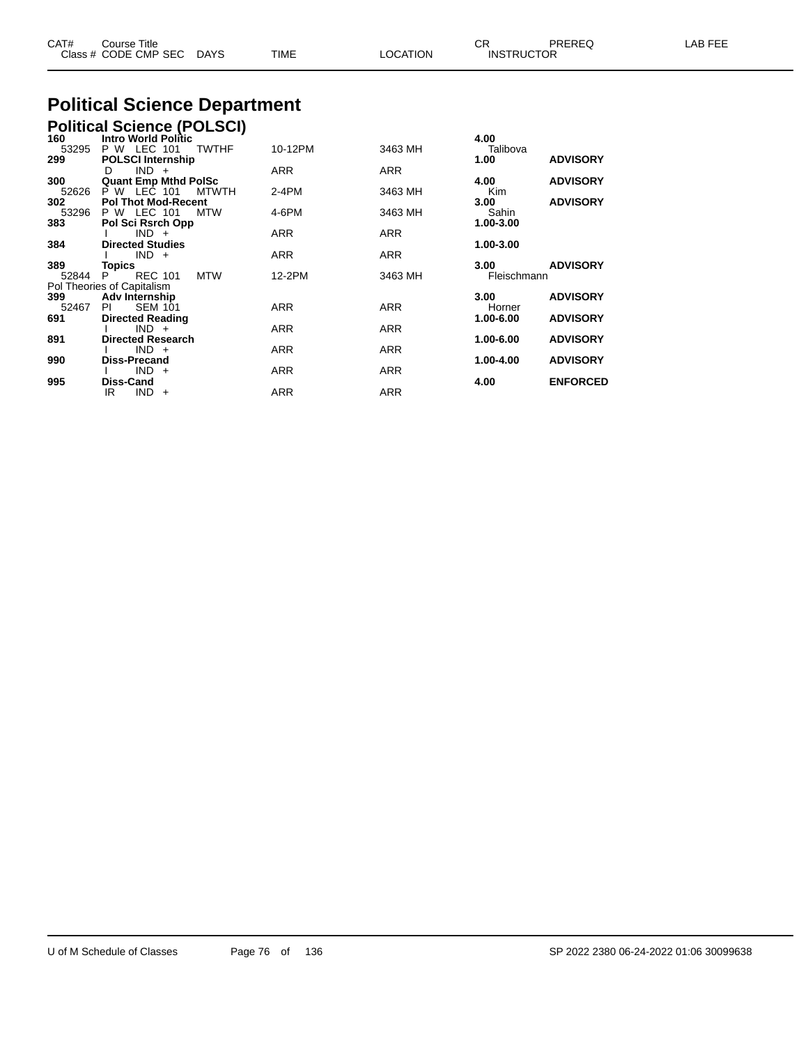| CAT#         | Course Title<br>Class # CODE CMP SEC DAYS |              | TIME    | <b>LOCATION</b> | <b>CR</b><br><b>INSTRUCTOR</b> | PREREQ          | LAB FEE |
|--------------|-------------------------------------------|--------------|---------|-----------------|--------------------------------|-----------------|---------|
|              | <b>Political Science Department</b>       |              |         |                 |                                |                 |         |
|              | <b>Political Science (POLSCI)</b>         |              |         |                 |                                |                 |         |
| 160<br>53295 | <b>Intro World Politic</b><br>P W LEC 101 | <b>TWTHF</b> | 10-12PM | 3463 MH         | 4.00<br>Talibova               |                 |         |
| 299          | <b>POLSCI Internship</b>                  |              |         |                 | 1.00                           | <b>ADVISORY</b> |         |
|              | $IND +$<br>D                              |              | ARR     | ARR             |                                |                 |         |
| 300          | <b>Quant Emp Mthd PolSc</b>               |              |         |                 | 4.00                           | <b>ADVISORY</b> |         |
| 52626        | P W LEC 101                               | <b>MTWTH</b> | $2-4PM$ | 3463 MH         | Kim                            |                 |         |
| 302          | <b>Pol Thot Mod-Recent</b>                |              |         |                 | 3.00                           | <b>ADVISORY</b> |         |
| 53296        | P W LEC 101                               | <b>MTW</b>   | 4-6PM   | 3463 MH         | Sahin                          |                 |         |
| 383          | Pol Sci Rsrch Opp                         |              |         |                 | 1.00-3.00                      |                 |         |
|              | $IND +$                                   |              | ARR     | <b>ARR</b>      |                                |                 |         |
| 384          | <b>Directed Studies</b>                   |              |         |                 | 1.00-3.00                      |                 |         |
|              | $IND +$                                   |              | ARR     | ARR             |                                |                 |         |
| 389          | Topics                                    |              |         |                 | 3.00                           | <b>ADVISORY</b> |         |
| 52844        | <b>REC 101</b><br>P.                      | <b>MTW</b>   | 12-2PM  | 3463 MH         | Fleischmann                    |                 |         |
|              | Pol Theories of Capitalism                |              |         |                 |                                |                 |         |
| 399<br>52467 | Adv Internship<br><b>SEM 101</b><br>-PI   |              | ARR     | <b>ARR</b>      | 3.00<br>Horner                 | <b>ADVISORY</b> |         |
|              |                                           |              |         |                 |                                |                 |         |

**691 Directed Reading 1.00-6.00 ADVISORY**

**891 Directed Research 1.00-6.00 ADVISORY**

**990 Diss-Precand 1.00-4.00 ADVISORY**

**995 Diss-Cand 4.00 ENFORCED**

I IND + ARR ARR ARR

I IND + ARR ARR ARR

I IND + ARR ARR ARR

IR IND + ARR ARR ARR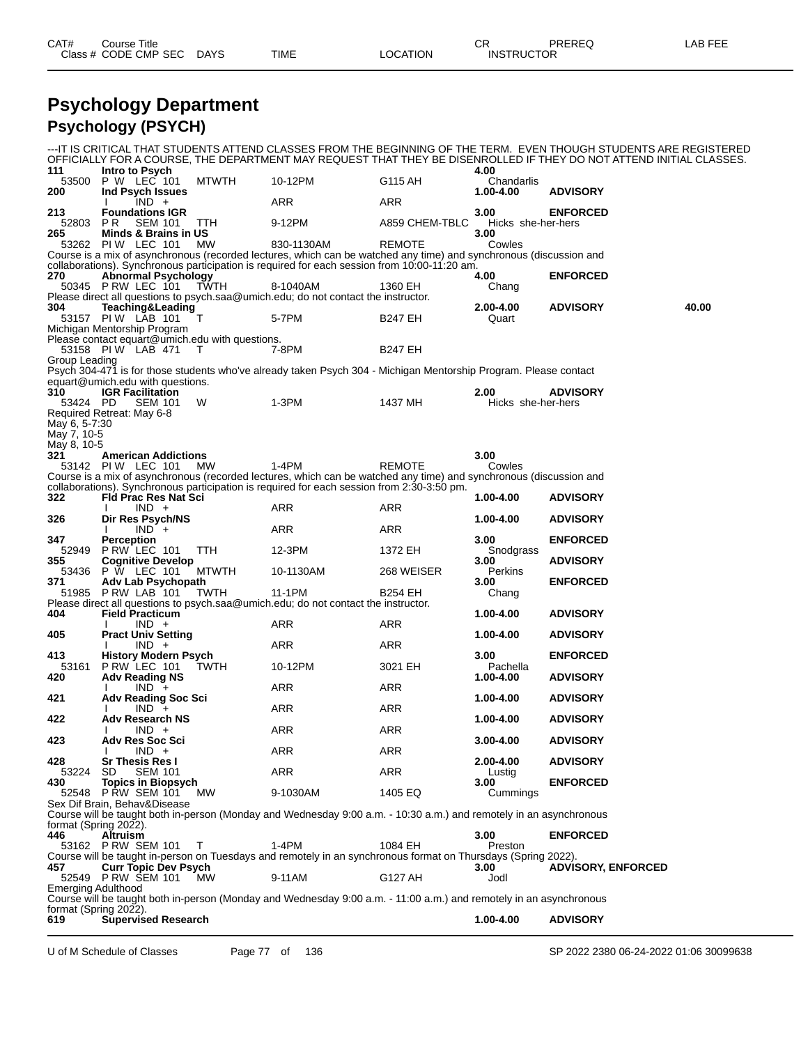| CAT# | Title<br>Course      |      |      |          | ∩n<br>◡ጙ          | PREREC | <b>LAB FEF</b><br>--- |
|------|----------------------|------|------|----------|-------------------|--------|-----------------------|
|      | Class # CODE CMP SEC | DAYS | TIME | LOCATION | <b>INSTRUCTOR</b> |        |                       |

#### **Psychology Department Psychology (PSYCH)**

| 111                                         | Intro to Psych                                                                 |              |                                                                                                                                                                                                                    |                | 4.00                       | ---IT IS CRITICAL THAT STUDENTS ATTEND CLASSES FROM THE BEGINNING OF THE TERM. EVEN THOUGH STUDENTS ARE REGISTERED<br>OFFICIALLY FOR A COURSE, THE DEPARTMENT MAY REQUEST THAT THEY BE DISENROLLED IF THEY DO NOT ATTEND INITIAL CLASSES. |       |
|---------------------------------------------|--------------------------------------------------------------------------------|--------------|--------------------------------------------------------------------------------------------------------------------------------------------------------------------------------------------------------------------|----------------|----------------------------|-------------------------------------------------------------------------------------------------------------------------------------------------------------------------------------------------------------------------------------------|-------|
| 53500<br>200                                | P W LEC 101<br>Ind Psych Issues                                                | <b>MTWTH</b> | 10-12PM                                                                                                                                                                                                            | G115 AH        | Chandarlis<br>1.00-4.00    | <b>ADVISORY</b>                                                                                                                                                                                                                           |       |
| 213                                         | $IND +$<br><b>Foundations IGR</b>                                              |              | ARR                                                                                                                                                                                                                | ARR            | 3.00                       | <b>ENFORCED</b>                                                                                                                                                                                                                           |       |
| 52803<br>265                                | PR<br><b>SEM 101</b><br>Minds & Brains in US                                   | TTH          | 9-12PM                                                                                                                                                                                                             | A859 CHEM-TBLC | Hicks she-her-hers<br>3.00 |                                                                                                                                                                                                                                           |       |
|                                             | 53262 PIW LEC 101                                                              | МW           | 830-1130AM                                                                                                                                                                                                         | <b>REMOTE</b>  | Cowles                     |                                                                                                                                                                                                                                           |       |
|                                             |                                                                                |              | Course is a mix of asynchronous (recorded lectures, which can be watched any time) and synchronous (discussion and<br>collaborations). Synchronous participation is required for each session from 10:00-11:20 am. |                |                            |                                                                                                                                                                                                                                           |       |
| 270                                         | <b>Abnormal Psychology</b><br>50345 PRW LEC 101 TWTH                           |              | 8-1040AM<br>Please direct all questions to psych.saa@umich.edu; do not contact the instructor.                                                                                                                     | 1360 EH        | 4.00<br>Chang              | <b>ENFORCED</b>                                                                                                                                                                                                                           |       |
| 304                                         | Teaching&Leading<br>53157 PIW LAB 101                                          | т            | 5-7PM                                                                                                                                                                                                              | <b>B247 EH</b> | 2.00-4.00<br>Quart         | <b>ADVISORY</b>                                                                                                                                                                                                                           | 40.00 |
|                                             | Michigan Mentorship Program<br>Please contact equart@umich.edu with questions. |              |                                                                                                                                                                                                                    |                |                            |                                                                                                                                                                                                                                           |       |
| Group Leading                               | 53158 PIW LAB 471                                                              | $\top$       | 7-8PM<br>Psych 304-471 is for those students who've already taken Psych 304 - Michigan Mentorship Program. Please contact                                                                                          | <b>B247 EH</b> |                            |                                                                                                                                                                                                                                           |       |
|                                             | equart@umich.edu with questions.                                               |              |                                                                                                                                                                                                                    |                |                            |                                                                                                                                                                                                                                           |       |
| 310<br>53424 PD                             | <b>IGR Facilitation</b><br><b>SEM 101</b>                                      | W            | 1-3PM                                                                                                                                                                                                              | 1437 MH        | 2.00<br>Hicks she-her-hers | <b>ADVISORY</b>                                                                                                                                                                                                                           |       |
| May 6, 5-7:30<br>May 7, 10-5<br>May 8, 10-5 | Required Retreat: May 6-8                                                      |              |                                                                                                                                                                                                                    |                |                            |                                                                                                                                                                                                                                           |       |
| 321                                         | <b>American Addictions</b><br>53142 PIW LEC 101                                | МW           | $1-4PM$                                                                                                                                                                                                            | <b>REMOTE</b>  | 3.00<br>Cowles             |                                                                                                                                                                                                                                           |       |
|                                             |                                                                                |              | Course is a mix of asynchronous (recorded lectures, which can be watched any time) and synchronous (discussion and                                                                                                 |                |                            |                                                                                                                                                                                                                                           |       |
| 322                                         | <b>Fld Prac Res Nat Sci</b>                                                    |              | collaborations). Synchronous participation is required for each session from 2:30-3:50 pm.                                                                                                                         |                | 1.00-4.00                  | <b>ADVISORY</b>                                                                                                                                                                                                                           |       |
| 326                                         | $IND +$<br>Dir Res Psych/NS                                                    |              | ARR                                                                                                                                                                                                                | ARR            | 1.00-4.00                  | <b>ADVISORY</b>                                                                                                                                                                                                                           |       |
|                                             | $IND +$                                                                        |              | <b>ARR</b>                                                                                                                                                                                                         | <b>ARR</b>     |                            |                                                                                                                                                                                                                                           |       |
| 347<br>52949                                | <b>Perception</b><br>PRW LEC 101                                               | <b>TTH</b>   | 12-3PM                                                                                                                                                                                                             | 1372 EH        | 3.00<br>Snodgrass          | <b>ENFORCED</b>                                                                                                                                                                                                                           |       |
| 355                                         | <b>Cognitive Develop</b><br>53436 P W LEC 101                                  | <b>MTWTH</b> | 10-1130AM                                                                                                                                                                                                          | 268 WEISER     | 3.00<br>Perkins            | <b>ADVISORY</b>                                                                                                                                                                                                                           |       |
| 371                                         | Adv Lab Psychopath<br>51985 P RW LAB 101                                       |              | 11-1PM                                                                                                                                                                                                             | <b>B254 EH</b> | 3.00                       | <b>ENFORCED</b>                                                                                                                                                                                                                           |       |
|                                             |                                                                                | TWTH         | Please direct all questions to psych.saa@umich.edu; do not contact the instructor.                                                                                                                                 |                | Chang                      |                                                                                                                                                                                                                                           |       |
| 404                                         | <b>Field Practicum</b>                                                         |              |                                                                                                                                                                                                                    |                | 1.00-4.00                  | <b>ADVISORY</b>                                                                                                                                                                                                                           |       |
| 405                                         | $IND +$<br><b>Pract Univ Setting</b>                                           |              | ARR                                                                                                                                                                                                                | ARR            | 1.00-4.00                  | <b>ADVISORY</b>                                                                                                                                                                                                                           |       |
| 413                                         | $IND +$<br><b>History Modern Psych</b>                                         |              | ARR                                                                                                                                                                                                                | ARR            | 3.00                       | <b>ENFORCED</b>                                                                                                                                                                                                                           |       |
| 53161<br>420                                | PRW LEC 101<br><b>Adv Reading NS</b>                                           | TWTH         | 10-12PM                                                                                                                                                                                                            | 3021 EH        | Pachella<br>1.00-4.00      | <b>ADVISORY</b>                                                                                                                                                                                                                           |       |
| 421                                         | $IND +$<br><b>Adv Reading Soc Sci</b>                                          |              | ARR                                                                                                                                                                                                                | ARR            | 1.00-4.00                  | <b>ADVISORY</b>                                                                                                                                                                                                                           |       |
| 422                                         | $IND +$<br><b>Adv Research NS</b>                                              |              | ARR                                                                                                                                                                                                                | ARR            | 1.00-4.00                  | <b>ADVISORY</b>                                                                                                                                                                                                                           |       |
| 423                                         | $IND +$<br>Adv Res Soc Sci                                                     |              | ARR                                                                                                                                                                                                                | <b>ARR</b>     | 3.00-4.00                  | <b>ADVISORY</b>                                                                                                                                                                                                                           |       |
| 428                                         | $IND +$<br><b>Sr Thesis Res I</b>                                              |              | ARR                                                                                                                                                                                                                | ARR            | 2.00-4.00                  | <b>ADVISORY</b>                                                                                                                                                                                                                           |       |
| 53224<br>430                                | <b>SD</b><br><b>SEM 101</b><br><b>Topics in Biopsych</b>                       |              | ARR                                                                                                                                                                                                                | ARR            | Lustig<br>3.00             | <b>ENFORCED</b>                                                                                                                                                                                                                           |       |
|                                             | 52548 P RW SEM 101                                                             | <b>MW</b>    | 9-1030AM                                                                                                                                                                                                           | 1405 EQ        | Cummings                   |                                                                                                                                                                                                                                           |       |
| format (Spring 2022).                       | Sex Dif Brain, Behav&Disease                                                   |              | Course will be taught both in-person (Monday and Wednesday 9:00 a.m. - 10:30 a.m.) and remotely in an asynchronous                                                                                                 |                |                            |                                                                                                                                                                                                                                           |       |
| 446                                         | <b>Altruism</b><br>53162 P RW SEM 101                                          | Τ            | $1-4PM$                                                                                                                                                                                                            | 1084 EH        | 3.00<br>Preston            | <b>ENFORCED</b>                                                                                                                                                                                                                           |       |
|                                             |                                                                                |              | Course will be taught in-person on Tuesdays and remotely in an synchronous format on Thursdays (Spring 2022).                                                                                                      |                |                            |                                                                                                                                                                                                                                           |       |
| 457                                         | <b>Curr Topic Dev Psych</b><br>52549 P RW SEM 101                              | <b>MW</b>    | 9-11AM                                                                                                                                                                                                             | G127 AH        | 3.00<br>Jodl               | <b>ADVISORY, ENFORCED</b>                                                                                                                                                                                                                 |       |
| Emerging Adulthood                          |                                                                                |              | Course will be taught both in-person (Monday and Wednesday 9:00 a.m. - 11:00 a.m.) and remotely in an asynchronous                                                                                                 |                |                            |                                                                                                                                                                                                                                           |       |
| format (Spring 2022).<br>619                | <b>Supervised Research</b>                                                     |              |                                                                                                                                                                                                                    |                | 1.00-4.00                  | <b>ADVISORY</b>                                                                                                                                                                                                                           |       |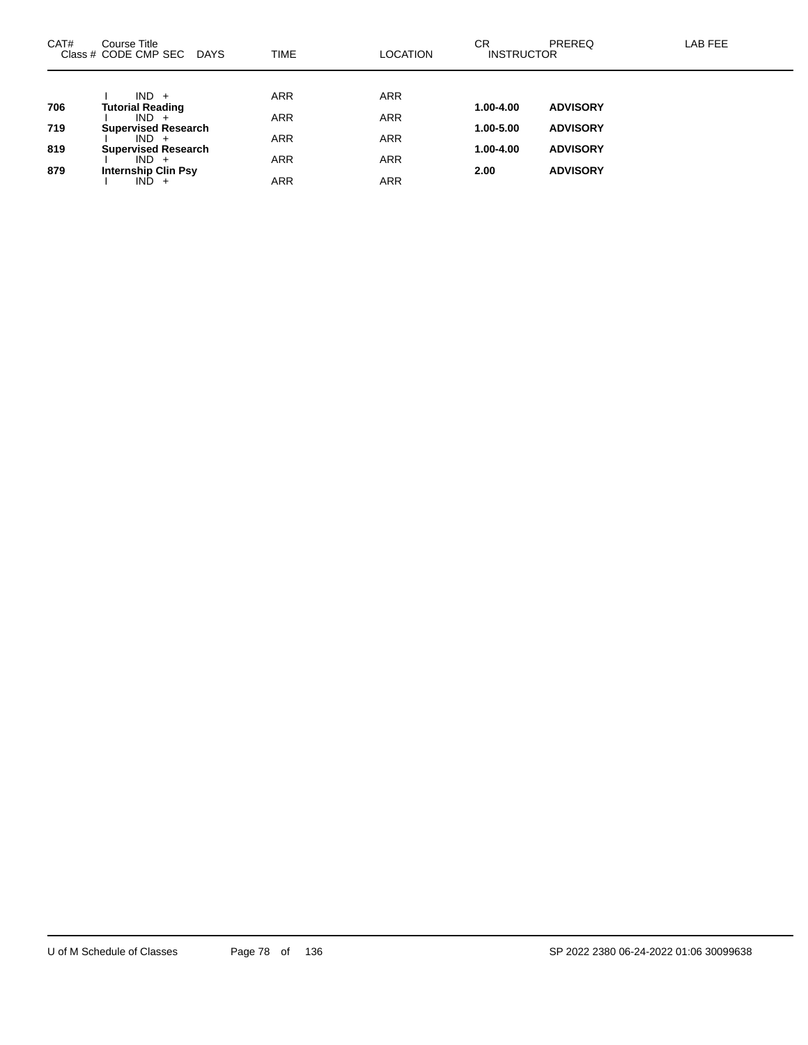| CAT# | Course Title<br>Class # CODE CMP SEC<br><b>DAYS</b> | <b>TIME</b> | <b>LOCATION</b> | CR.<br><b>INSTRUCTOR</b> | <b>PREREQ</b>   | LAB FEE |
|------|-----------------------------------------------------|-------------|-----------------|--------------------------|-----------------|---------|
|      |                                                     |             |                 |                          |                 |         |
| 706  | $IND +$<br><b>Tutorial Reading</b>                  | <b>ARR</b>  | <b>ARR</b>      | $1.00 - 4.00$            | <b>ADVISORY</b> |         |
|      | $IND +$                                             | <b>ARR</b>  | <b>ARR</b>      |                          |                 |         |
| 719  | <b>Supervised Research</b>                          |             |                 | 1.00-5.00                | <b>ADVISORY</b> |         |
|      | $IND +$                                             | <b>ARR</b>  | <b>ARR</b>      |                          |                 |         |
| 819  | <b>Supervised Research</b>                          |             |                 | $1.00 - 4.00$            | <b>ADVISORY</b> |         |
|      | $IND +$                                             | <b>ARR</b>  | <b>ARR</b>      |                          |                 |         |
| 879  | <b>Internship Clin Psy</b>                          |             |                 | 2.00                     | <b>ADVISORY</b> |         |
|      | IND.<br>$+$                                         | ARR         | <b>ARR</b>      |                          |                 |         |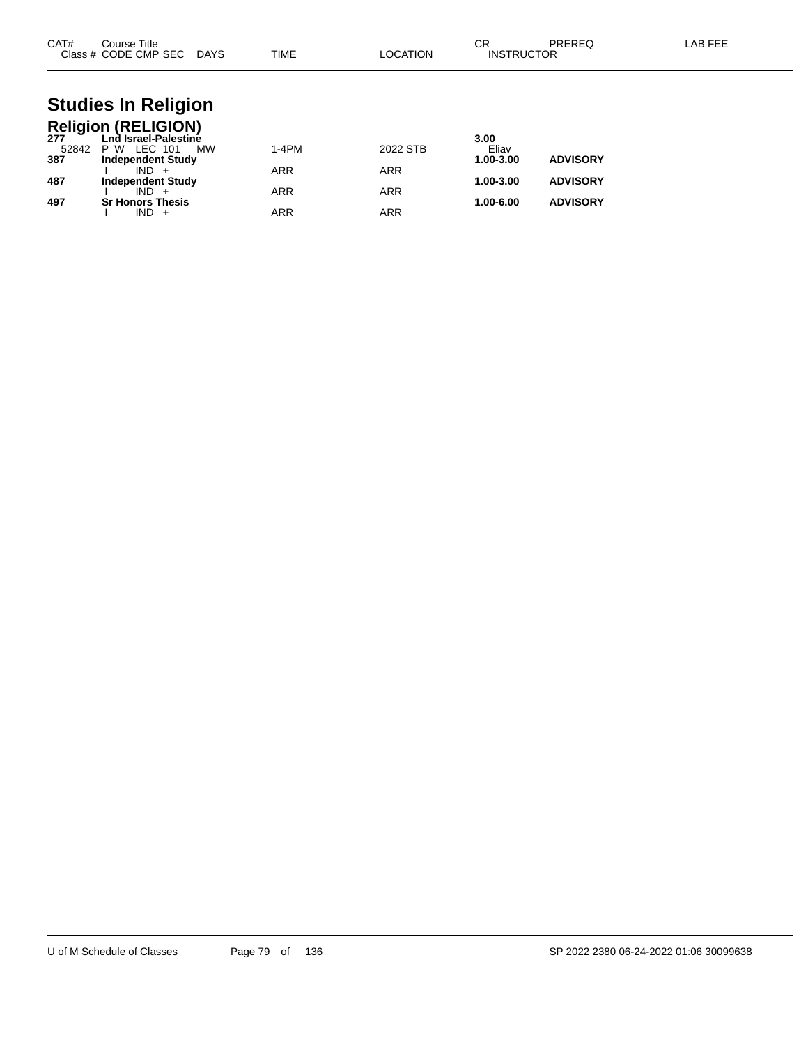| CAT#<br>Course Title<br>Class # CODE CMP SEC DAYS                                                                                                                                                                               | TIME                       | LOCATION                             | CR<br><b>PREREQ</b><br><b>INSTRUCTOR</b>                                      | LAB FEE |
|---------------------------------------------------------------------------------------------------------------------------------------------------------------------------------------------------------------------------------|----------------------------|--------------------------------------|-------------------------------------------------------------------------------|---------|
| <b>Studies In Religion</b><br><b>Religion (RELIGION)</b><br>277<br>Lnd Israel-Palestine<br><b>P W LEC 101</b><br><b>MW</b><br>52842<br><b>Independent Study</b><br>387<br>$IND +$<br>487<br><b>Independent Study</b><br>$IND +$ | 1-4PM<br>ARR<br><b>ARR</b> | 2022 STB<br><b>ARR</b><br><b>ARR</b> | 3.00<br>Eliav<br><b>ADVISORY</b><br>1.00-3.00<br><b>ADVISORY</b><br>1.00-3.00 |         |

**497 Sr Honors Thesis 1.00-6.00 ADVISORY**

I IND + ARR ARR ARR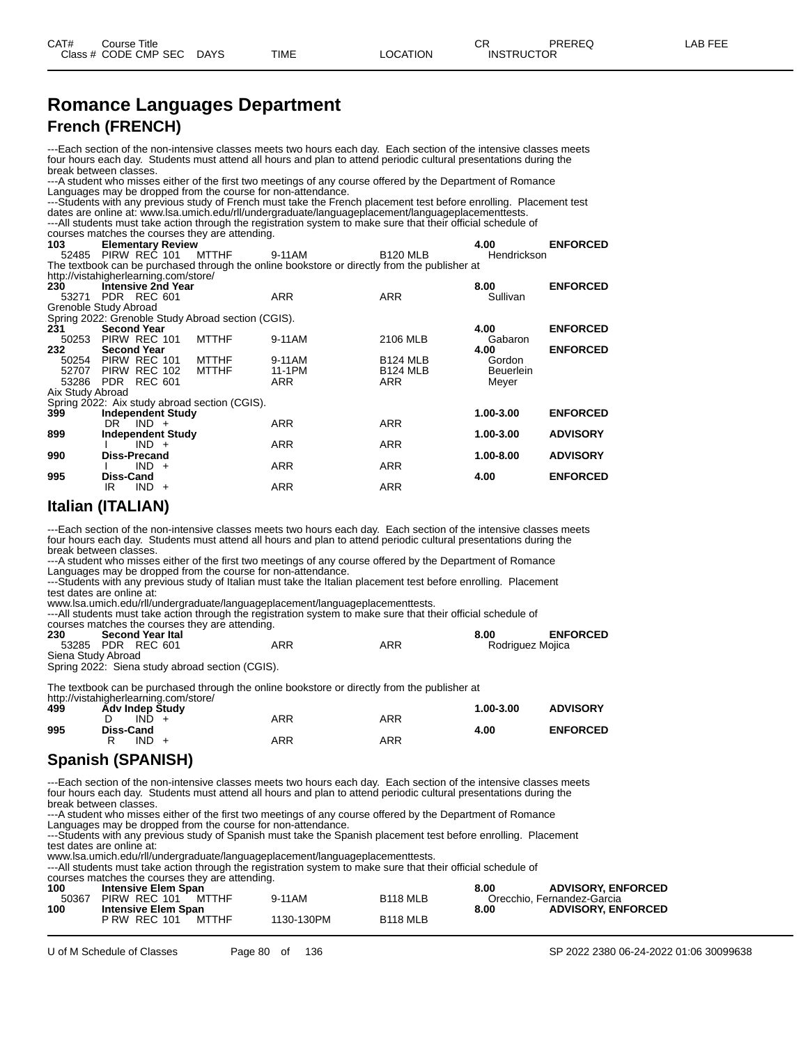#### **Romance Languages Department French (FRENCH)**

---Each section of the non-intensive classes meets two hours each day. Each section of the intensive classes meets four hours each day. Students must attend all hours and plan to attend periodic cultural presentations during the break between classes.

---A student who misses either of the first two meetings of any course offered by the Department of Romance Languages may be dropped from the course for non-attendance.

---Students with any previous study of French must take the French placement test before enrolling. Placement test dates are online at: www.lsa.umich.edu/rll/undergraduate/languageplacement/languageplacementtests. ---All students must take action through the registration system to make sure that their official schedule of Fourses matches the courses they are attending.<br>103 **Elementary Review 103 Elementary Review 4.00 ENFORCED** 52485 PIRW REC 101 MTTHF 9-11AM B120 MLB Hendrickson The textbook can be purchased through the online bookstore or directly from the publisher at

| http://vistahigherlearning.com/store/ |                  |                           |                                                    |            |                 |                  |                 |
|---------------------------------------|------------------|---------------------------|----------------------------------------------------|------------|-----------------|------------------|-----------------|
| 230                                   |                  | <b>Intensive 2nd Year</b> |                                                    |            |                 | 8.00             | <b>ENFORCED</b> |
| 53271 PDR REC 601                     |                  |                           |                                                    | <b>ARR</b> | <b>ARR</b>      | Sullivan         |                 |
| Grenoble Study Abroad                 |                  |                           |                                                    |            |                 |                  |                 |
|                                       |                  |                           | Spring 2022: Grenoble Study Abroad section (CGIS). |            |                 |                  |                 |
| 231                                   |                  | <b>Second Year</b>        |                                                    |            |                 | 4.00             | <b>ENFORCED</b> |
| 50253                                 |                  | PIRW REC 101              | <b>MTTHF</b>                                       | 9-11AM     | 2106 MLB        | Gabaron          |                 |
| 232                                   |                  | <b>Second Year</b>        |                                                    |            |                 | 4.00             | <b>ENFORCED</b> |
| 50254 PIRW REC 101                    |                  |                           | <b>MTTHF</b>                                       | 9-11AM     | <b>B124 MLB</b> | Gordon           |                 |
| 52707 PIRW REC 102                    |                  |                           | <b>MTTHF</b>                                       | 11-1PM     | <b>B124 MLB</b> | <b>Beuerlein</b> |                 |
| 53286 PDR REC 601                     |                  |                           |                                                    | <b>ARR</b> | ARR             | Meyer            |                 |
| Aix Study Abroad                      |                  |                           |                                                    |            |                 |                  |                 |
|                                       |                  |                           | Spring 2022: Aix study abroad section (CGIS).      |            |                 |                  |                 |
| 399                                   |                  | <b>Independent Study</b>  |                                                    |            |                 | 1.00-3.00        | <b>ENFORCED</b> |
|                                       | DR               | $IND +$                   |                                                    | <b>ARR</b> | <b>ARR</b>      |                  |                 |
| 899                                   |                  | <b>Independent Study</b>  |                                                    |            |                 | 1.00-3.00        | <b>ADVISORY</b> |
|                                       |                  | $IND +$                   |                                                    | <b>ARR</b> | <b>ARR</b>      |                  |                 |
| 990                                   |                  | Diss-Precand              |                                                    |            |                 | $1.00 - 8.00$    | <b>ADVISORY</b> |
|                                       |                  | $IND +$                   |                                                    | <b>ARR</b> | <b>ARR</b>      |                  |                 |
| 995                                   | <b>Diss-Cand</b> |                           |                                                    |            |                 | 4.00             | <b>ENFORCED</b> |
|                                       | IR.              | $IND +$                   |                                                    | <b>ARR</b> | <b>ARR</b>      |                  |                 |

#### **Italian (ITALIAN)**

---Each section of the non-intensive classes meets two hours each day. Each section of the intensive classes meets four hours each day. Students must attend all hours and plan to attend periodic cultural presentations during the break between classes.

---A student who misses either of the first two meetings of any course offered by the Department of Romance Languages may be dropped from the course for non-attendance.

---Students with any previous study of Italian must take the Italian placement test before enrolling. Placement test dates are online at:

www.lsa.umich.edu/rll/undergraduate/languageplacement/languageplacementtests.

---All students must take action through the registration system to make sure that their official schedule of

courses matches the courses they are attending.

| 230                | <b>Second Year Ital</b> |     |     | <b>ENFORCED</b><br>8.00 |
|--------------------|-------------------------|-----|-----|-------------------------|
|                    | 53285 PDR REC 601       | ARR | ARR | Rodriguez Mojica        |
| Siena Study Abroad |                         |     |     |                         |

Spring 2022: Siena study abroad section (CGIS).

The textbook can be purchased through the online bookstore or directly from the publisher at

http://vistahigherlearning.com/store/

| 499 | Adv Indep Study |            |     | 1.00-3.00 | <b>ADVISORY</b> |
|-----|-----------------|------------|-----|-----------|-----------------|
|     | $IND +$         | <b>ARR</b> | ARR |           |                 |
| 995 | Diss-Cand       |            |     | 4.00      | <b>ENFORCED</b> |
|     | $IND +$<br>R    | <b>ARR</b> | ARR |           |                 |
|     |                 |            |     |           |                 |

#### **Spanish (SPANISH)**

-Each section of the non-intensive classes meets two hours each day. Each section of the intensive classes meets four hours each day. Students must attend all hours and plan to attend periodic cultural presentations during the break between classes.

---A student who misses either of the first two meetings of any course offered by the Department of Romance

Languages may be dropped from the course for non-attendance.

---Students with any previous study of Spanish must take the Spanish placement test before enrolling. Placement test dates are online at:

www.lsa.umich.edu/rll/undergraduate/languageplacement/languageplacementtests.

---All students must take action through the registration system to make sure that their official schedule of

courses matches the courses they are attending.

| 100   | <b>Intensive Elem Span</b> |       |            | 8.00            | <b>ADVISORY, ENFORCED</b> |                            |
|-------|----------------------------|-------|------------|-----------------|---------------------------|----------------------------|
| 50367 | PIRW REC 101<br>MTTHF      |       | 9-11AM     | <b>B118 MLB</b> |                           | Orecchio, Fernandez-Garcia |
| 100   | <b>Intensive Elem Span</b> |       |            |                 | 8.00                      | <b>ADVISORY, ENFORCED</b>  |
|       | <b>P RW REC 101</b>        | MTTHF | 1130-130PM | <b>B118 MLB</b> |                           |                            |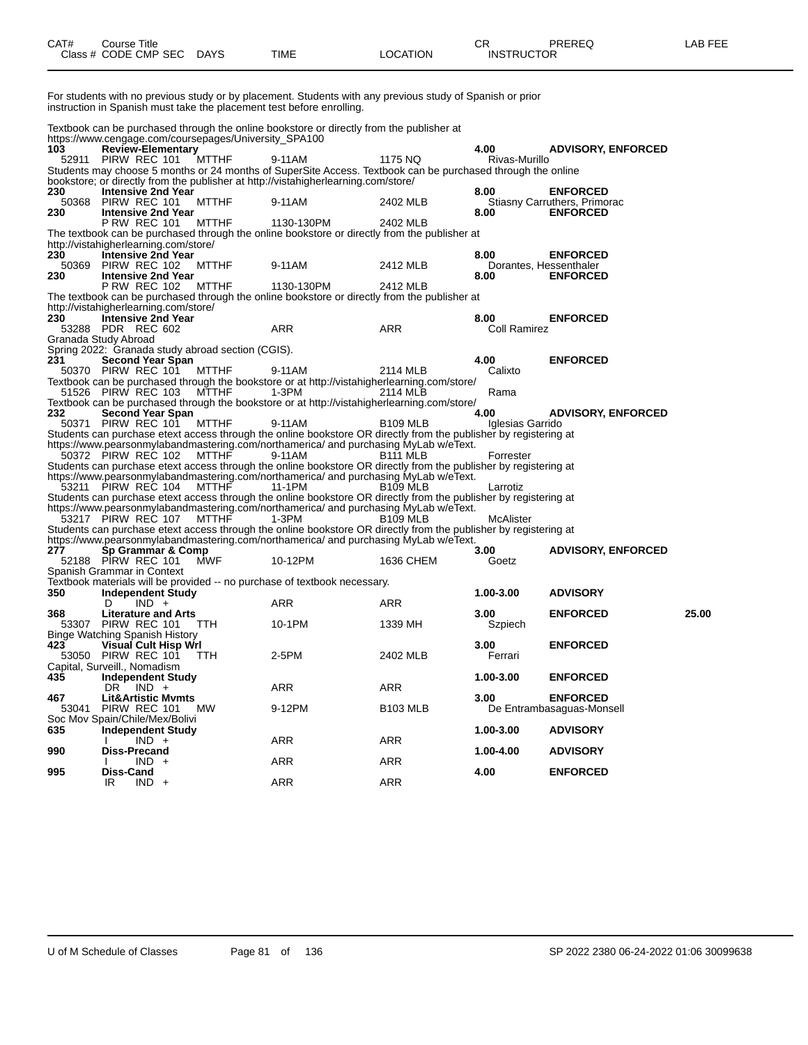| CAT# | Course Title              |      |          | СR                | PREREC | AB FEE |
|------|---------------------------|------|----------|-------------------|--------|--------|
|      | Class # CODE CMP SEC DAYS | TIME | _OCATION | <b>INSTRUCTOR</b> |        |        |

For students with no previous study or by placement. Students with any previous study of Spanish or prior instruction in Spanish must take the placement test before enrolling.

Textbook can be purchased through the online bookstore or directly from the publisher at https://www.cengage.com/coursepages/University\_SPA100

| 103                                                                                                                                                                                                      | moongago.com codroopagoo, onnecrony<br><b>Review-Elementary</b> |              |                                                                                                                                                                                                          |                       | 4.00                   | <b>ADVISORY, ENFORCED</b>                       |       |  |
|----------------------------------------------------------------------------------------------------------------------------------------------------------------------------------------------------------|-----------------------------------------------------------------|--------------|----------------------------------------------------------------------------------------------------------------------------------------------------------------------------------------------------------|-----------------------|------------------------|-------------------------------------------------|-------|--|
|                                                                                                                                                                                                          | 52911 PIRW REC 101                                              | <b>MTTHF</b> | 9-11AM                                                                                                                                                                                                   | 1175 NQ               | Rivas-Murillo          |                                                 |       |  |
|                                                                                                                                                                                                          |                                                                 |              | Students may choose 5 months or 24 months of SuperSite Access. Textbook can be purchased through the online                                                                                              |                       |                        |                                                 |       |  |
|                                                                                                                                                                                                          |                                                                 |              | bookstore; or directly from the publisher at http://vistahigherlearning.com/store/                                                                                                                       |                       |                        |                                                 |       |  |
| 230                                                                                                                                                                                                      | <b>Intensive 2nd Year</b><br>50368 PIRW REC 101                 | <b>MTTHF</b> | 9-11AM                                                                                                                                                                                                   | 2402 MLB              | 8.00                   | <b>ENFORCED</b><br>Stiasny Carruthers, Primorac |       |  |
| 230                                                                                                                                                                                                      | <b>Intensive 2nd Year</b>                                       |              |                                                                                                                                                                                                          |                       | 8.00                   | <b>ENFORCED</b>                                 |       |  |
|                                                                                                                                                                                                          | <b>P RW REC 101</b>                                             | MTTHF        | 1130-130PM                                                                                                                                                                                               | 2402 MLB              |                        |                                                 |       |  |
|                                                                                                                                                                                                          |                                                                 |              | The textbook can be purchased through the online bookstore or directly from the publisher at                                                                                                             |                       |                        |                                                 |       |  |
|                                                                                                                                                                                                          | http://vistahigherlearning.com/store/                           |              |                                                                                                                                                                                                          |                       |                        |                                                 |       |  |
| 230                                                                                                                                                                                                      | <b>Intensive 2nd Year</b>                                       |              |                                                                                                                                                                                                          |                       | 8.00                   | <b>ENFORCED</b>                                 |       |  |
|                                                                                                                                                                                                          | 50369 PIRW REC 102                                              | <b>MTTHF</b> | 9-11AM                                                                                                                                                                                                   | 2412 MLB              | Dorantes, Hessenthaler |                                                 |       |  |
| 230                                                                                                                                                                                                      | <b>Intensive 2nd Year</b>                                       |              |                                                                                                                                                                                                          |                       | 8.00                   | <b>ENFORCED</b>                                 |       |  |
|                                                                                                                                                                                                          | <b>P RW REC 102</b>                                             | MTTHF        | 1130-130PM                                                                                                                                                                                               | 2412 MLB              |                        |                                                 |       |  |
|                                                                                                                                                                                                          | http://vistahigherlearning.com/store/                           |              | The textbook can be purchased through the online bookstore or directly from the publisher at                                                                                                             |                       |                        |                                                 |       |  |
| 230                                                                                                                                                                                                      | <b>Intensive 2nd Year</b>                                       |              |                                                                                                                                                                                                          |                       | 8.00                   | <b>ENFORCED</b>                                 |       |  |
|                                                                                                                                                                                                          | 53288 PDR REC 602                                               |              | <b>ARR</b>                                                                                                                                                                                               | <b>ARR</b>            | Coll Ramirez           |                                                 |       |  |
|                                                                                                                                                                                                          | Granada Study Abroad                                            |              |                                                                                                                                                                                                          |                       |                        |                                                 |       |  |
|                                                                                                                                                                                                          | Spring 2022: Granada study abroad section (CGIS).               |              |                                                                                                                                                                                                          |                       |                        |                                                 |       |  |
| 231                                                                                                                                                                                                      | <b>Second Year Span</b>                                         |              |                                                                                                                                                                                                          |                       | 4.00                   | <b>ENFORCED</b>                                 |       |  |
|                                                                                                                                                                                                          | 50370 PIRW REC 101                                              | MTTHF        | 9-11AM                                                                                                                                                                                                   | 2114 MLB              | Calixto                |                                                 |       |  |
|                                                                                                                                                                                                          |                                                                 |              | Textbook can be purchased through the bookstore or at http://vistahigherlearning.com/store/                                                                                                              |                       |                        |                                                 |       |  |
|                                                                                                                                                                                                          | 51526 PIRW REC 103 MTTHF                                        |              | 1-3PM                                                                                                                                                                                                    | 2114 MLB              | Rama                   |                                                 |       |  |
| 232                                                                                                                                                                                                      | <b>Second Year Span</b>                                         |              | Textbook can be purchased through the bookstore or at http://vistahigherlearning.com/store/                                                                                                              |                       | 4.00                   | <b>ADVISORY, ENFORCED</b>                       |       |  |
|                                                                                                                                                                                                          | 50371 PIRW REC 101                                              | MTTHF        | 9-11AM                                                                                                                                                                                                   | B <sub>109</sub> MLB  | Iglesias Garrido       |                                                 |       |  |
|                                                                                                                                                                                                          |                                                                 |              | Students can purchase etext access through the online bookstore OR directly from the publisher by registering at                                                                                         |                       |                        |                                                 |       |  |
|                                                                                                                                                                                                          |                                                                 |              | https://www.pearsonmylabandmastering.com/northamerica/ and purchasing MyLab w/eText.                                                                                                                     |                       |                        |                                                 |       |  |
|                                                                                                                                                                                                          | 50372 PIRW REC 102                                              | <b>MTTHF</b> | 9-11AM                                                                                                                                                                                                   | B <sub>11</sub> 1 MLB | Forrester              |                                                 |       |  |
|                                                                                                                                                                                                          |                                                                 |              | Students can purchase etext access through the online bookstore OR directly from the publisher by registering at                                                                                         |                       |                        |                                                 |       |  |
|                                                                                                                                                                                                          |                                                                 |              | https://www.pearsonmylabandmastering.com/northamerica/ and purchasing MyLab w/eText.                                                                                                                     |                       |                        |                                                 |       |  |
|                                                                                                                                                                                                          | 53211 PIRW REC 104                                              | MTTHF        | 11-1PM                                                                                                                                                                                                   | <b>B109 MLB</b>       | Larrotiz               |                                                 |       |  |
|                                                                                                                                                                                                          |                                                                 |              |                                                                                                                                                                                                          |                       |                        |                                                 |       |  |
| Students can purchase etext access through the online bookstore OR directly from the publisher by registering at<br>https://www.pearsonmylabandmastering.com/northamerica/ and purchasing MyLab w/eText. |                                                                 |              |                                                                                                                                                                                                          |                       |                        |                                                 |       |  |
|                                                                                                                                                                                                          |                                                                 |              |                                                                                                                                                                                                          |                       |                        |                                                 |       |  |
|                                                                                                                                                                                                          | 53217 PIRW REC 107                                              | MTTHF        | 1-3PM                                                                                                                                                                                                    | B <sub>109</sub> MLB  | McAlister              |                                                 |       |  |
|                                                                                                                                                                                                          |                                                                 |              | Students can purchase etext access through the online bookstore OR directly from the publisher by registering at<br>https://www.pearsonmylabandmastering.com/northamerica/ and purchasing MyLab w/eText. |                       |                        |                                                 |       |  |
| 277                                                                                                                                                                                                      | Sp Grammar & Comp                                               |              |                                                                                                                                                                                                          |                       | 3.00                   | <b>ADVISORY, ENFORCED</b>                       |       |  |
|                                                                                                                                                                                                          | 52188 PIRW REC 101                                              | MWF          | 10-12PM                                                                                                                                                                                                  | 1636 CHEM             | Goetz                  |                                                 |       |  |
|                                                                                                                                                                                                          | Spanish Grammar in Context                                      |              |                                                                                                                                                                                                          |                       |                        |                                                 |       |  |
|                                                                                                                                                                                                          |                                                                 |              | Textbook materials will be provided -- no purchase of textbook necessary.                                                                                                                                |                       |                        |                                                 |       |  |
| 350                                                                                                                                                                                                      | <b>Independent Study</b>                                        |              |                                                                                                                                                                                                          |                       | 1.00-3.00              | <b>ADVISORY</b>                                 |       |  |
|                                                                                                                                                                                                          | $IND +$<br>D                                                    |              | ARR                                                                                                                                                                                                      | ARR                   |                        |                                                 |       |  |
| 368                                                                                                                                                                                                      | <b>Literature and Arts</b>                                      |              |                                                                                                                                                                                                          |                       | 3.00                   | <b>ENFORCED</b>                                 | 25.00 |  |
|                                                                                                                                                                                                          | 53307 PIRW REC 101<br><b>Binge Watching Spanish History</b>     | TTH          | 10-1PM                                                                                                                                                                                                   | 1339 MH               | Szpiech                |                                                 |       |  |
| 423                                                                                                                                                                                                      | <b>Visual Cult Hisp Wrl</b>                                     |              |                                                                                                                                                                                                          |                       | 3.00                   | <b>ENFORCED</b>                                 |       |  |
|                                                                                                                                                                                                          | 53050 PIRW REC 101                                              | TTH.         | 2-5PM                                                                                                                                                                                                    | 2402 MLB              | Ferrari                |                                                 |       |  |
|                                                                                                                                                                                                          | Capital, Surveill., Nomadism                                    |              |                                                                                                                                                                                                          |                       |                        |                                                 |       |  |
| 435                                                                                                                                                                                                      | <b>Independent Study</b>                                        |              |                                                                                                                                                                                                          |                       | 1.00-3.00              | <b>ENFORCED</b>                                 |       |  |
|                                                                                                                                                                                                          | DR.<br>$IND +$                                                  |              | ARR                                                                                                                                                                                                      | ARR                   |                        |                                                 |       |  |
| 467                                                                                                                                                                                                      | <b>Lit&amp;Artistic Mymts</b>                                   |              |                                                                                                                                                                                                          |                       | 3.00                   | <b>ENFORCED</b>                                 |       |  |
|                                                                                                                                                                                                          | 53041 PIRW REC 101<br>Soc Mov Spain/Chile/Mex/Bolivi            | MW.          | 9-12PM                                                                                                                                                                                                   | <b>B103 MLB</b>       |                        | De Entrambasaguas-Monsell                       |       |  |
| 635                                                                                                                                                                                                      | <b>Independent Study</b>                                        |              |                                                                                                                                                                                                          |                       | 1.00-3.00              | <b>ADVISORY</b>                                 |       |  |
|                                                                                                                                                                                                          | $IND +$                                                         |              | ARR                                                                                                                                                                                                      | ARR                   |                        |                                                 |       |  |
| 990                                                                                                                                                                                                      | <b>Diss-Precand</b>                                             |              |                                                                                                                                                                                                          |                       | 1.00-4.00              | <b>ADVISORY</b>                                 |       |  |
|                                                                                                                                                                                                          | IND.                                                            |              | ARR                                                                                                                                                                                                      | ARR                   |                        |                                                 |       |  |
| 995                                                                                                                                                                                                      | Diss-Cand<br>IR<br>$IND +$                                      |              | ARR                                                                                                                                                                                                      | ARR                   | 4.00                   | <b>ENFORCED</b>                                 |       |  |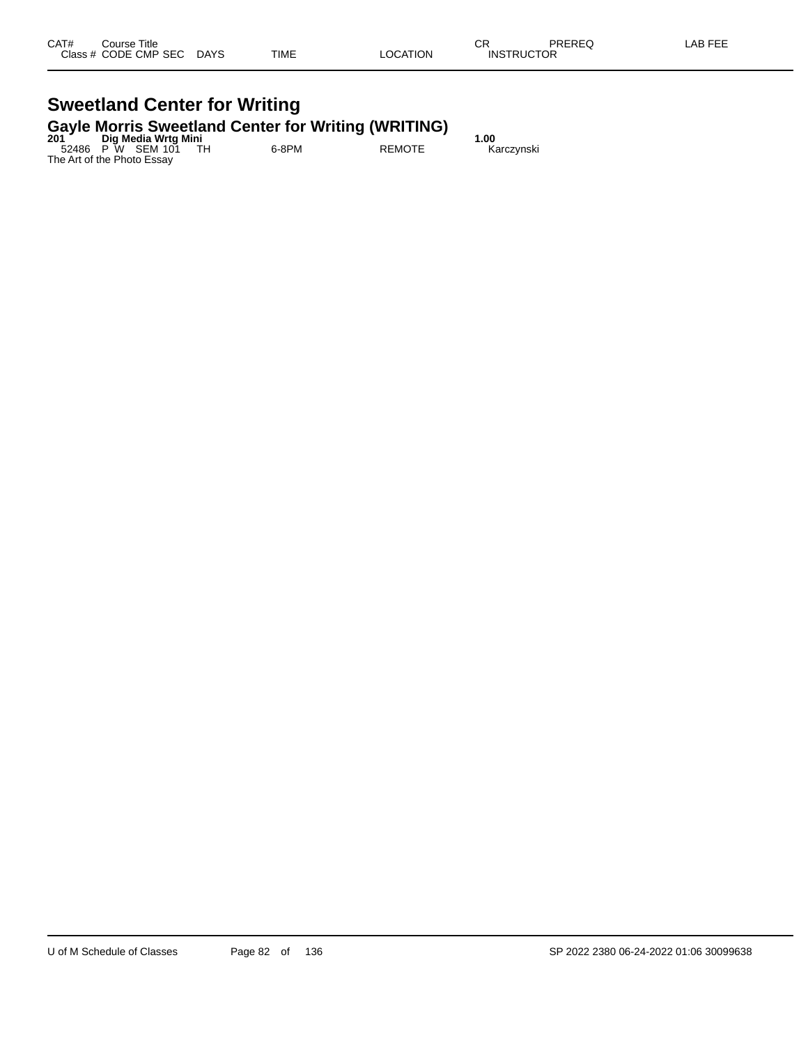#### **Sweetland Center for Writing Gayle Morris Sweetland Center for Writing (WRITING)**

| 201 | Dig Media Wrtg Mini        | .     | .             | 1.00       |
|-----|----------------------------|-------|---------------|------------|
|     | 52486 P W SEM 101 TH       | 6-8PM | <b>REMOTE</b> | Karczynski |
|     | The Art of the Photo Essay |       |               |            |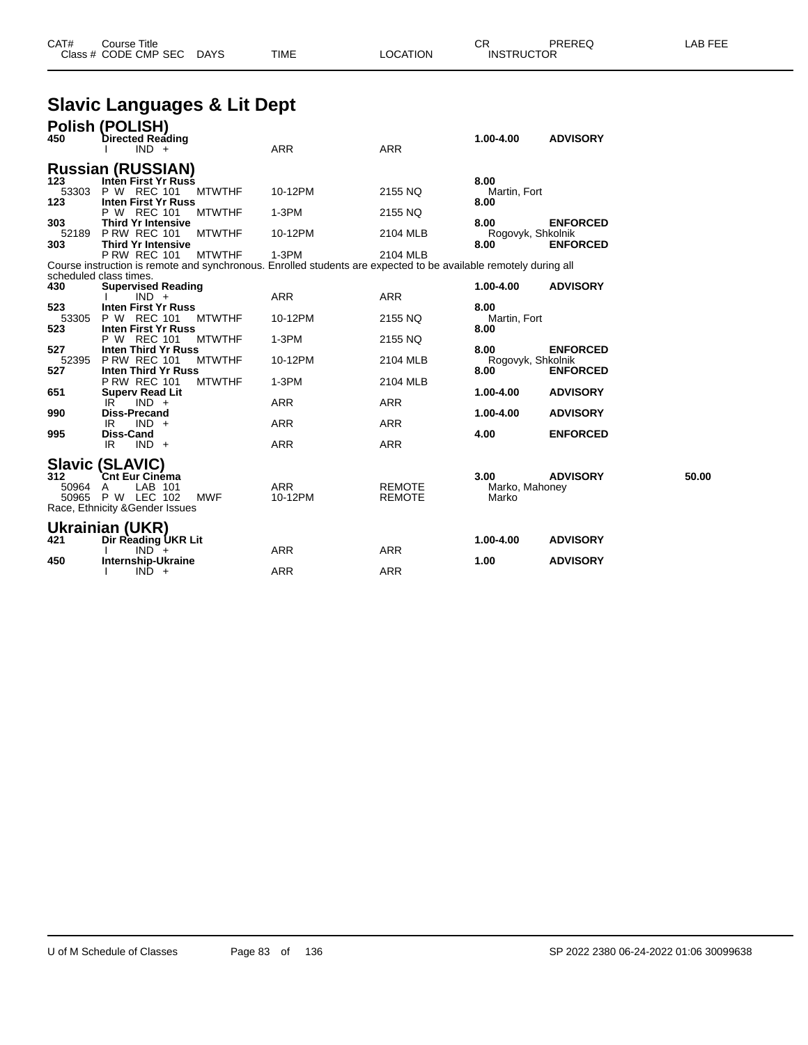| CAT#<br>Close: | Title<br>Course i<br><b>CODE CMP SEC</b> | <b>DAYS</b> | <b>TIME</b> | TION | ⌒冖<br>◡<br>JCTOR<br>$INS^{\tau}$ | <b>DDEDEC</b><br>-תבע | <b>AB FEE</b> |
|----------------|------------------------------------------|-------------|-------------|------|----------------------------------|-----------------------|---------------|
|                |                                          |             |             |      |                                  |                       |               |

# **Slavic Languages & Lit Dept**

|                       | Polish (POLISH)                                                                                                                                          |                       |                                |                                 |                 |       |
|-----------------------|----------------------------------------------------------------------------------------------------------------------------------------------------------|-----------------------|--------------------------------|---------------------------------|-----------------|-------|
| 450                   | <b>Directed Reading</b><br>$IND +$                                                                                                                       | <b>ARR</b>            | <b>ARR</b>                     | 1.00-4.00                       | <b>ADVISORY</b> |       |
|                       | <b>Russian (RUSSIAN)</b>                                                                                                                                 |                       |                                |                                 |                 |       |
| 123<br>53303          | Inten First Yr Russ<br>P W REC 101<br><b>MTWTHF</b>                                                                                                      | 10-12PM               | 2155 NQ                        | 8.00<br>Martin, Fort            |                 |       |
| 123                   | Inten First Yr Russ<br>P W REC 101<br><b>MTWTHF</b>                                                                                                      | $1-3PM$               | 2155 NQ                        | 8.00                            |                 |       |
| 303                   | <b>Third Yr Intensive</b>                                                                                                                                |                       |                                | 8.00                            | <b>ENFORCED</b> |       |
| 52189<br>303          | <b>P RW REC 101</b><br><b>MTWTHF</b><br><b>Third Yr Intensive</b>                                                                                        | 10-12PM               | 2104 MLB                       | Rogovyk, Shkolnik<br>8.00       | <b>ENFORCED</b> |       |
|                       | <b>P RW REC 101</b><br><b>MTWTHF</b><br>Course instruction is remote and synchronous. Enrolled students are expected to be available remotely during all | $1-3PM$               | 2104 MLB                       |                                 |                 |       |
|                       | scheduled class times.                                                                                                                                   |                       |                                |                                 |                 |       |
| 430                   | <b>Supervised Reading</b><br>$IND +$                                                                                                                     | ARR                   | <b>ARR</b>                     | 1.00-4.00                       | <b>ADVISORY</b> |       |
| 523<br>53305          | <b>Inten First Yr Russ</b><br>P W REC 101<br><b>MTWTHF</b>                                                                                               | 10-12PM               | 2155 NQ                        | 8.00<br>Martin, Fort            |                 |       |
| 523                   | <b>Inten First Yr Russ</b><br>P W REC 101<br><b>MTWTHF</b>                                                                                               | $1-3PM$               | 2155 NQ                        | 8.00                            |                 |       |
| 527<br>52395          | Inten Third Yr Russ<br><b>P RW REC 101</b><br><b>MTWTHF</b>                                                                                              | 10-12PM               | 2104 MLB                       | 8.00<br>Rogovyk, Shkolnik       | <b>ENFORCED</b> |       |
| 527                   | <b>Inten Third Yr Russ</b><br><b>P RW REC 101</b><br><b>MTWTHF</b>                                                                                       | $1-3PM$               | 2104 MLB                       | 8.00                            | <b>ENFORCED</b> |       |
| 651                   | <b>Superv Read Lit</b><br>IR <sup>1</sup><br>$IND +$                                                                                                     | ARR                   | <b>ARR</b>                     | 1.00-4.00                       | <b>ADVISORY</b> |       |
| 990                   | <b>Diss-Precand</b><br>$IND +$<br>IR                                                                                                                     | <b>ARR</b>            | <b>ARR</b>                     | 1.00-4.00                       | <b>ADVISORY</b> |       |
| 995                   | Diss-Cand<br>$IND +$<br>IR.                                                                                                                              | ARR                   | <b>ARR</b>                     | 4.00                            | <b>ENFORCED</b> |       |
|                       | <b>Slavic (SLAVIC)</b>                                                                                                                                   |                       |                                |                                 |                 |       |
| 312<br>50964<br>50965 | <b>Cnt Eur Cinéma</b><br>LAB 101<br>A<br><b>P W LEC 102</b><br><b>MWF</b><br>Race, Ethnicity & Gender Issues                                             | <b>ARR</b><br>10-12PM | <b>REMOTE</b><br><b>REMOTE</b> | 3.00<br>Marko, Mahoney<br>Marko | <b>ADVISORY</b> | 50.00 |
|                       | Ukrainian (UKR)                                                                                                                                          |                       |                                |                                 |                 |       |
| 421                   | Dir Reading UKR Lit<br>$IND^-$ +                                                                                                                         | ARR                   | <b>ARR</b>                     | 1.00-4.00                       | <b>ADVISORY</b> |       |
| 450                   | Internship-Ukraine<br>$IND +$                                                                                                                            | <b>ARR</b>            | <b>ARR</b>                     | 1.00                            | <b>ADVISORY</b> |       |
|                       |                                                                                                                                                          |                       |                                |                                 |                 |       |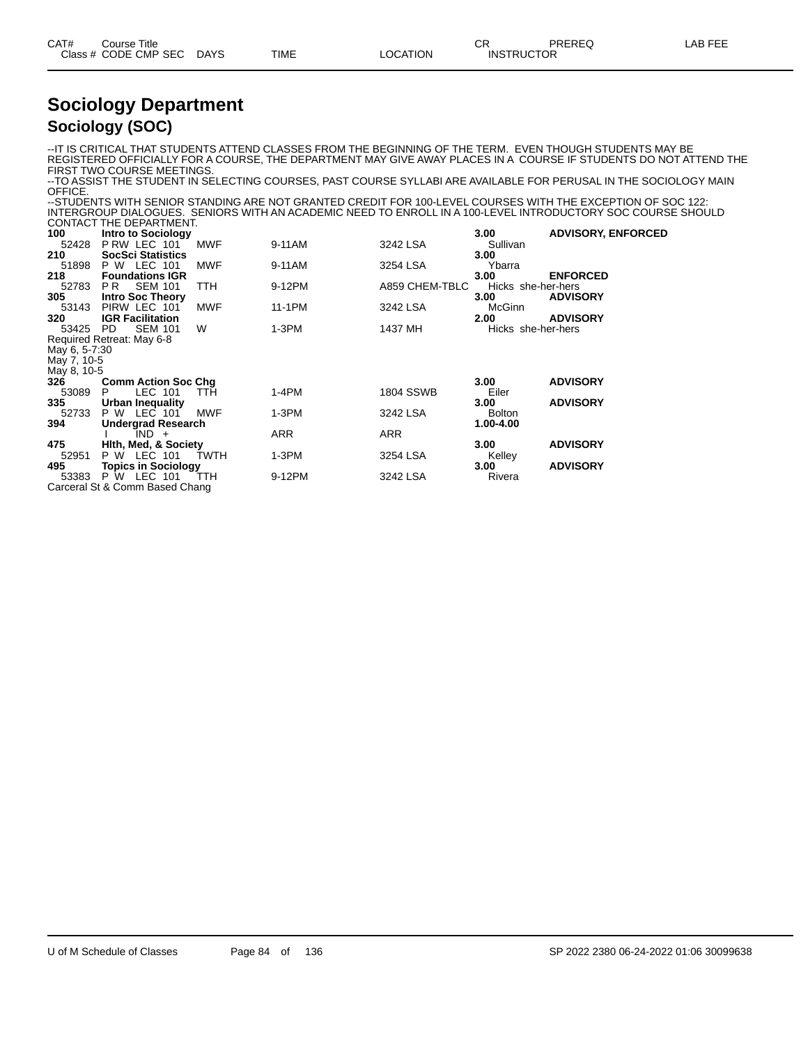| CAT# | Course Title         |             |      |          | ⌒冖<br>◡ॸ          | PREREQ | AR FFF |
|------|----------------------|-------------|------|----------|-------------------|--------|--------|
|      | Class # CODE CMP SEC | <b>DAYS</b> | TIME | LOCATION | <b>INSTRUCTOR</b> |        |        |
|      |                      |             |      |          |                   |        |        |

#### **Sociology Department Sociology (SOC)**

--IT IS CRITICAL THAT STUDENTS ATTEND CLASSES FROM THE BEGINNING OF THE TERM. EVEN THOUGH STUDENTS MAY BE REGISTERED OFFICIALLY FOR A COURSE, THE DEPARTMENT MAY GIVE AWAY PLACES IN A COURSE IF STUDENTS DO NOT ATTEND THE FIRST TWO COURSE MEETINGS.

--TO ASSIST THE STUDENT IN SELECTING COURSES, PAST COURSE SYLLABI ARE AVAILABLE FOR PERUSAL IN THE SOCIOLOGY MAIN OFFICE.

--STUDENTS WITH SENIOR STANDING ARE NOT GRANTED CREDIT FOR 100-LEVEL COURSES WITH THE EXCEPTION OF SOC 122: INTERGROUP DIALOGUES. SENIORS WITH AN ACADEMIC NEED TO ENROLL IN A 100-LEVEL INTRODUCTORY SOC COURSE SHOULD CONTACT THE DEPARTMENT.

|               | <b>OOIVIAOI IIIL DEI ARTIVIERI.</b> |            |            |                  |                    |                           |
|---------------|-------------------------------------|------------|------------|------------------|--------------------|---------------------------|
| 100           | <b>Intro to Sociology</b>           |            |            |                  | 3.00               | <b>ADVISORY, ENFORCED</b> |
| 52428         | P RW LEC 101                        | MWF        | 9-11AM     | 3242 LSA         | Sullivan           |                           |
| 210           | <b>SocSci Statistics</b>            |            |            |                  | 3.00               |                           |
| 51898         | P W LEC 101                         | <b>MWF</b> | 9-11AM     | 3254 LSA         | Ybarra             |                           |
| 218           | <b>Foundations IGR</b>              |            |            |                  | 3.00               | <b>ENFORCED</b>           |
| 52783         | <b>SEM 101</b><br>PR.               | TTH.       | 9-12PM     | A859 CHEM-TBLC   | Hicks she-her-hers |                           |
| 305           | <b>Intro Soc Theory</b>             |            |            |                  | 3.00               | <b>ADVISORY</b>           |
| 53143         | PIRW LEC 101                        | <b>MWF</b> | 11-1PM     | 3242 LSA         | McGinn             |                           |
| 320           | <b>IGR Facilitation</b>             |            |            |                  | 2.00               | <b>ADVISORY</b>           |
| 53425         | <b>SEM 101</b><br>PD.               | W          | $1-3PM$    | 1437 MH          | Hicks she-her-hers |                           |
|               | Required Retreat: May 6-8           |            |            |                  |                    |                           |
| May 6, 5-7:30 |                                     |            |            |                  |                    |                           |
| May 7, 10-5   |                                     |            |            |                  |                    |                           |
| May 8, 10-5   |                                     |            |            |                  |                    |                           |
| 326           | <b>Comm Action Soc Chg</b>          |            |            |                  | 3.00               | <b>ADVISORY</b>           |
| 53089         | LEC 101<br>P.                       | TTH.       | 1-4PM      | <b>1804 SSWB</b> | Eiler              |                           |
| 335           | Urban Inequality                    |            |            |                  | 3.00               | <b>ADVISORY</b>           |
| 52733         | P W LEC 101                         | <b>MWF</b> | $1-3PM$    | 3242 LSA         | <b>Bolton</b>      |                           |
| 394           | Undergrad Research                  |            |            |                  | 1.00-4.00          |                           |
|               | $IND +$                             |            | <b>ARR</b> | <b>ARR</b>       |                    |                           |
| 475           | <b>Hith, Med, &amp; Society</b>     |            |            |                  | 3.00 <sub>1</sub>  | <b>ADVISORY</b>           |
| 52951         | P W LEC 101                         | TWTH       | 1-3PM      | 3254 LSA         | Kelley             |                           |
| 495           | <b>Topics in Sociology</b>          |            |            |                  | 3.00               | <b>ADVISORY</b>           |
| 53383         | <b>P W LEC 101</b>                  | <b>TTH</b> | 9-12PM     | 3242 LSA         | Rivera             |                           |
|               | Carceral St & Comm Based Chang      |            |            |                  |                    |                           |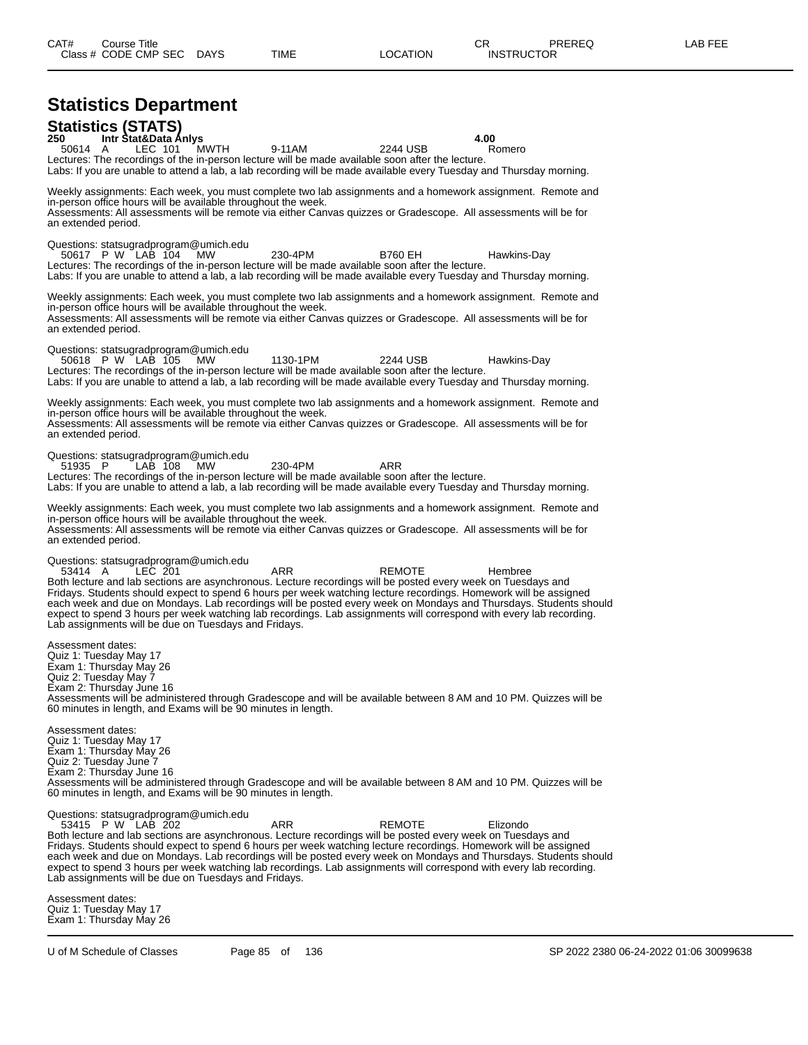# **Statistics Department**

**Statistics (STATS) 250 Intr Stat&Data Anlys 4.00** 50614 A LEC 101 MWTH 9-11AM 2244 USB Romero Lectures: The recordings of the in-person lecture will be made available soon after the lecture. Labs: If you are unable to attend a lab, a lab recording will be made available every Tuesday and Thursday morning. Weekly assignments: Each week, you must complete two lab assignments and a homework assignment. Remote and in-person office hours will be available throughout the week. Assessments: All assessments will be remote via either Canvas quizzes or Gradescope. All assessments will be for an extended period. Questions: statsugradprogram@umich.edu 50617 P W LAB 104 MW 230-4PM B760 EH Hawkins-Day Lectures: The recordings of the in-person lecture will be made available soon after the lecture. Labs: If you are unable to attend a lab, a lab recording will be made available every Tuesday and Thursday morning. Weekly assignments: Each week, you must complete two lab assignments and a homework assignment. Remote and in-person office hours will be available throughout the week. Assessments: All assessments will be remote via either Canvas quizzes or Gradescope. All assessments will be for an extended period. Questions: statsugradprogram@umich.edu 50618 P W LAB 105 MW 1130-1PM 2244 USB Hawkins-Day Lectures: The recordings of the in-person lecture will be made available soon after the lecture. Labs: If you are unable to attend a lab, a lab recording will be made available every Tuesday and Thursday morning. Weekly assignments: Each week, you must complete two lab assignments and a homework assignment. Remote and in-person office hours will be available throughout the week. Assessments: All assessments will be remote via either Canvas quizzes or Gradescope. All assessments will be for an extended period. Questions: statsugradprogram@umich.edu<br>51935 P LAB 108 MW 51935 P LAB 108 MW 230-4PM ARR Lectures: The recordings of the in-person lecture will be made available soon after the lecture. Labs: If you are unable to attend a lab, a lab recording will be made available every Tuesday and Thursday morning. Weekly assignments: Each week, you must complete two lab assignments and a homework assignment. Remote and in-person office hours will be available throughout the week. Assessments: All assessments will be remote via either Canvas quizzes or Gradescope. All assessments will be for an extended period. Questions: statsugradprogram@umich.edu 53414 A LEC 201 ARR REMOTE Hembree Both lecture and lab sections are asynchronous. Lecture recordings will be posted every week on Tuesdays and Fridays. Students should expect to spend 6 hours per week watching lecture recordings. Homework will be assigned each week and due on Mondays. Lab recordings will be posted every week on Mondays and Thursdays. Students should expect to spend 3 hours per week watching lab recordings. Lab assignments will correspond with every lab recording. Lab assignments will be due on Tuesdays and Fridays. Assessment dates: Quiz 1: Tuesday May 17 Exam 1: Thursday May 26 Quiz 2: Tuesday May 7 Exam 2: Thursday June 16 Assessments will be administered through Gradescope and will be available between 8 AM and 10 PM. Quizzes will be 60 minutes in length, and Exams will be 90 minutes in length. Assessment dates: Quiz 1: Tuesday May 17 Exam 1: Thursday May 26 Quiz 2: Tuesday June 7 Exam 2: Thursday June 16 Assessments will be administered through Gradescope and will be available between 8 AM and 10 PM. Quizzes will be 60 minutes in length, and Exams will be 90 minutes in length. Questions: statsugradprogram@umich.edu 53415 P W LAB 202 ARR REMOTE Elizondo Both lecture and lab sections are asynchronous. Lecture recordings will be posted every week on Tuesdays and Fridays. Students should expect to spend 6 hours per week watching lecture recordings. Homework will be assigned each week and due on Mondays. Lab recordings will be posted every week on Mondays and Thursdays. Students should expect to spend 3 hours per week watching lab recordings. Lab assignments will correspond with every lab recording. Lab assignments will be due on Tuesdays and Fridays. Assessment dates: Quiz 1: Tuesday May 17

Exam 1: Thursday May 26

U of M Schedule of Classes Page 85 of 136 SP 2022 2380 06-24-2022 01:06 30099638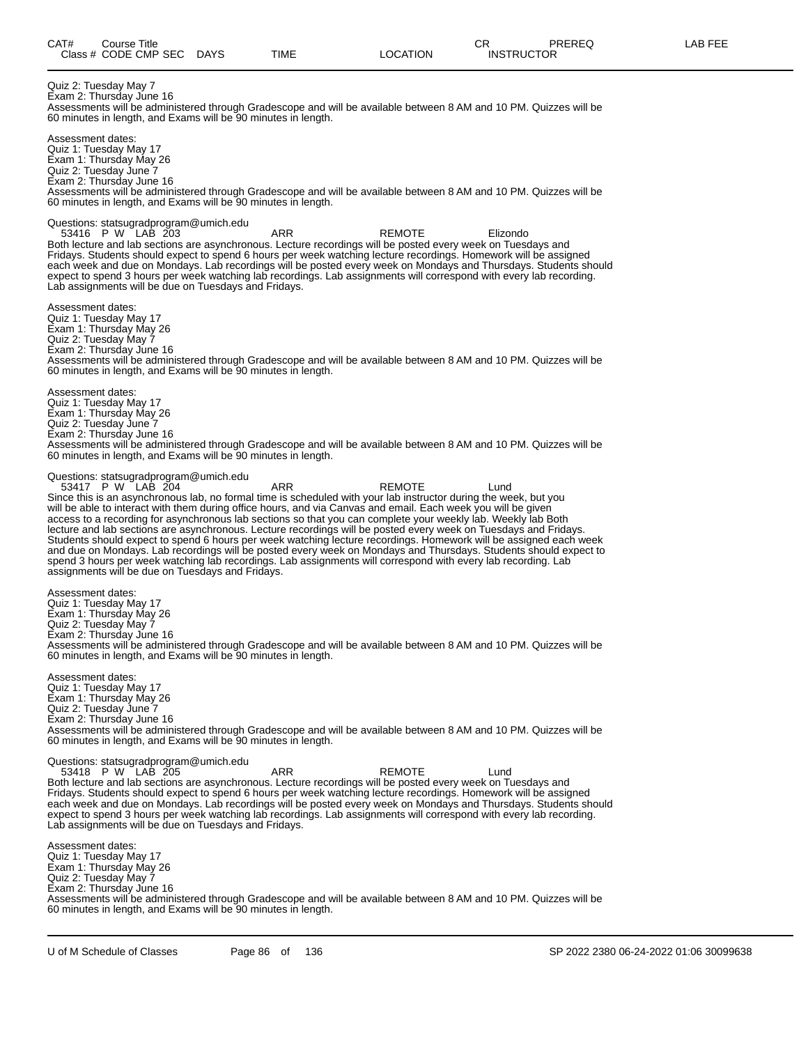Quiz 2: Tuesday May 7 Exam 2: Thursday June 16 Assessments will be administered through Gradescope and will be available between 8 AM and 10 PM. Quizzes will be 60 minutes in length, and Exams will be 90 minutes in length. Assessment dates: Quiz 1: Tuesday May 17 Exam 1: Thursday May 26 Quiz 2: Tuesday June 7 Exam 2: Thursday June 16 Assessments will be administered through Gradescope and will be available between 8 AM and 10 PM. Quizzes will be 60 minutes in length, and Exams will be 90 minutes in length. Questions: statsugradprogram@umich.edu 53416 P W LAB 203 ARR REMOTE Elizondo Both lecture and lab sections are asynchronous. Lecture recordings will be posted every week on Tuesdays and Fridays. Students should expect to spend 6 hours per week watching lecture recordings. Homework will be assigned each week and due on Mondays. Lab recordings will be posted every week on Mondays and Thursdays. Students should expect to spend 3 hours per week watching lab recordings. Lab assignments will correspond with every lab recording. Lab assignments will be due on Tuesdays and Fridays. Assessment dates: Quiz 1: Tuesday May 17 Exam 1: Thursday May 26 Quiz 2: Tuesday May 7 Exam 2: Thursday June 16 Assessments will be administered through Gradescope and will be available between 8 AM and 10 PM. Quizzes will be 60 minutes in length, and Exams will be 90 minutes in length. Assessment dates: Quiz 1: Tuesday May 17 Exam 1: Thursday May 26 Quiz 2: Tuesday June 7 Exam 2: Thursday June 16 Assessments will be administered through Gradescope and will be available between 8 AM and 10 PM. Quizzes will be 60 minutes in length, and Exams will be 90 minutes in length. Questions: statsugradprogram@umich.edu 53417 P W LAB 204 ARR REMOTE Lund Since this is an asynchronous lab, no formal time is scheduled with your lab instructor during the week, but you will be able to interact with them during office hours, and via Canvas and email. Each week you will be given access to a recording for asynchronous lab sections so that you can complete your weekly lab. Weekly lab Both lecture and lab sections are asynchronous. Lecture recordings will be posted every week on Tuesdays and Fridays. Students should expect to spend 6 hours per week watching lecture recordings. Homework will be assigned each week and due on Mondays. Lab recordings will be posted every week on Mondays and Thursdays. Students should expect to spend 3 hours per week watching lab recordings. Lab assignments will correspond with every lab recording. Lab assignments will be due on Tuesdays and Fridays. Assessment dates: Quiz 1: Tuesday May 17 Exam 1: Thursday May 26 Quiz 2: Tuesday May 7 Exam 2: Thursday June 16 Assessments will be administered through Gradescope and will be available between 8 AM and 10 PM. Quizzes will be 60 minutes in length, and Exams will be 90 minutes in length. Assessment dates: Quiz 1: Tuesday May 17 Exam 1: Thursday May 26 Quiz 2: Tuesday June 7 Exam 2: Thursday June 16 Assessments will be administered through Gradescope and will be available between 8 AM and 10 PM. Quizzes will be 60 minutes in length, and Exams will be 90 minutes in length. Questions: statsugradprogram@umich.edu 53418 P W LAB 205 ARR REMOTE Lund Both lecture and lab sections are asynchronous. Lecture recordings will be posted every week on Tuesdays and Fridays. Students should expect to spend 6 hours per week watching lecture recordings. Homework will be assigned each week and due on Mondays. Lab recordings will be posted every week on Mondays and Thursdays. Students should expect to spend 3 hours per week watching lab recordings. Lab assignments will correspond with every lab recording. Lab assignments will be due on Tuesdays and Fridays. Assessment dates: Quiz 1: Tuesday May 17 Exam 1: Thursday May 26 Quiz 2: Tuesday May 7 Exam 2: Thursday June 16 Assessments will be administered through Gradescope and will be available between 8 AM and 10 PM. Quizzes will be

60 minutes in length, and Exams will be 90 minutes in length.

U of M Schedule of Classes Page 86 of 136 SP 2022 2380 06-24-2022 01:06 30099638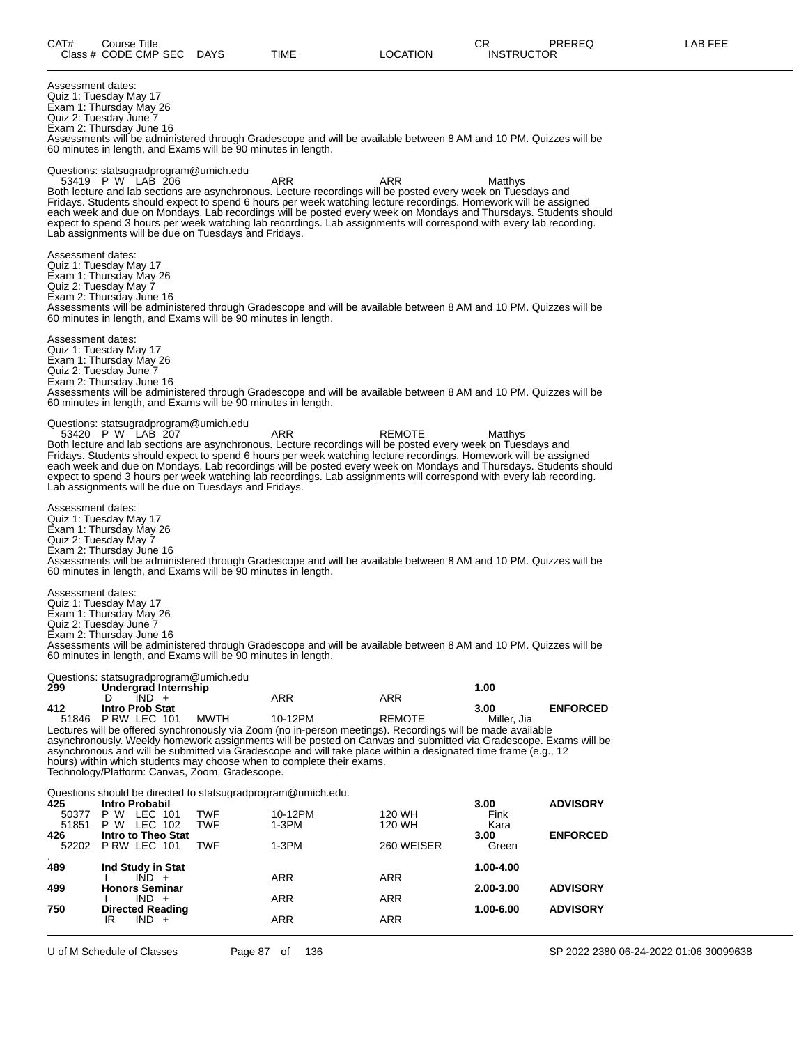Assessment dates: Quiz 1: Tuesday May 17 Exam 1: Thursday May 26 Quiz 2: Tuesday June 7 Exam 2: Thursday June 16 Assessments will be administered through Gradescope and will be available between 8 AM and 10 PM. Quizzes will be 60 minutes in length, and Exams will be 90 minutes in length. Questions: statsugradprogram@umich.edu<br>53419 P W LAB 206 53419 P W LAB 206 ARR ARR Matthys Both lecture and lab sections are asynchronous. Lecture recordings will be posted every week on Tuesdays and Fridays. Students should expect to spend 6 hours per week watching lecture recordings. Homework will be assigned each week and due on Mondays. Lab recordings will be posted every week on Mondays and Thursdays. Students should expect to spend 3 hours per week watching lab recordings. Lab assignments will correspond with every lab recording. Lab assignments will be due on Tuesdays and Fridays. Assessment dates: Quiz 1: Tuesday May 17 Exam 1: Thursday May 26 Quiz 2: Tuesday May 7 Exam 2: Thursday June 16 Assessments will be administered through Gradescope and will be available between 8 AM and 10 PM. Quizzes will be 60 minutes in length, and Exams will be 90 minutes in length. Assessment dates: Quiz 1: Tuesday May 17 Exam 1: Thursday May 26 Quiz 2: Tuesday June 7 Exam 2: Thursday June 16 Assessments will be administered through Gradescope and will be available between 8 AM and 10 PM. Quizzes will be 60 minutes in length, and Exams will be 90 minutes in length. Questions: statsugradprogram@umich.edu 53420 P W LAB 207 ARR REMOTE Matthys Both lecture and lab sections are asynchronous. Lecture recordings will be posted every week on Tuesdays and Fridays. Students should expect to spend 6 hours per week watching lecture recordings. Homework will be assigned each week and due on Mondays. Lab recordings will be posted every week on Mondays and Thursdays. Students should expect to spend 3 hours per week watching lab recordings. Lab assignments will correspond with every lab recording. Lab assignments will be due on Tuesdays and Fridays. Assessment dates: Quiz 1: Tuesday May 17 Exam 1: Thursday May 26 Quiz 2: Tuesday May 7 Exam 2: Thursday June 16 Assessments will be administered through Gradescope and will be available between 8 AM and 10 PM. Quizzes will be 60 minutes in length, and Exams will be 90 minutes in length. Assessment dates: Quiz 1: Tuesday May 17 Exam 1: Thursday May 26 Quiz 2: Tuesday June 7 Exam 2: Thursday June 16 Assessments will be administered through Gradescope and will be available between 8 AM and 10 PM. Quizzes will be 60 minutes in length, and Exams will be 90 minutes in length. Questions: statsugradprogram@umich.edu<br>299 **Undergrad Internship 299 Undergrad Internship 1.00** D IND + ARR ARR ARR **412 Intro Prob Stat 3.00 ENFORCED** 51846 P RW LEC 101 MWTH 10-12PM REMOTE Miller, Jia Lectures will be offered synchronously via Zoom (no in-person meetings). Recordings will be made available asynchronously. Weekly homework assignments will be posted on Canvas and submitted via Gradescope. Exams will be asynchronous and will be submitted via Gradescope and will take place within a designated time frame (e.g., 12 hours) within which students may choose when to complete their exams. Technology/Platform: Canvas, Zoom, Gradescope. Questions should be directed to statsugradprogram@umich.edu.<br>425 **Intro Probabil 425 Intro Probabil 3.00 ADVISORY** 50377 P W LEC 101 TWF 10-12PM 120 WH Fink 51851 P W LEC 102 TWF 1-3PM 120 WH Kara **426 Intro to Theo Stat 3.00 ENFORCED P RW LEC 101** . **489 Ind Study in Stat 1.00-4.00**  $IND +$ **499 Honors Seminar 2.00-3.00 ADVISORY**  $IND +$ **750 Directed Reading 1.00-6.00 ADVISORY** IR IND + ARR ARR ARR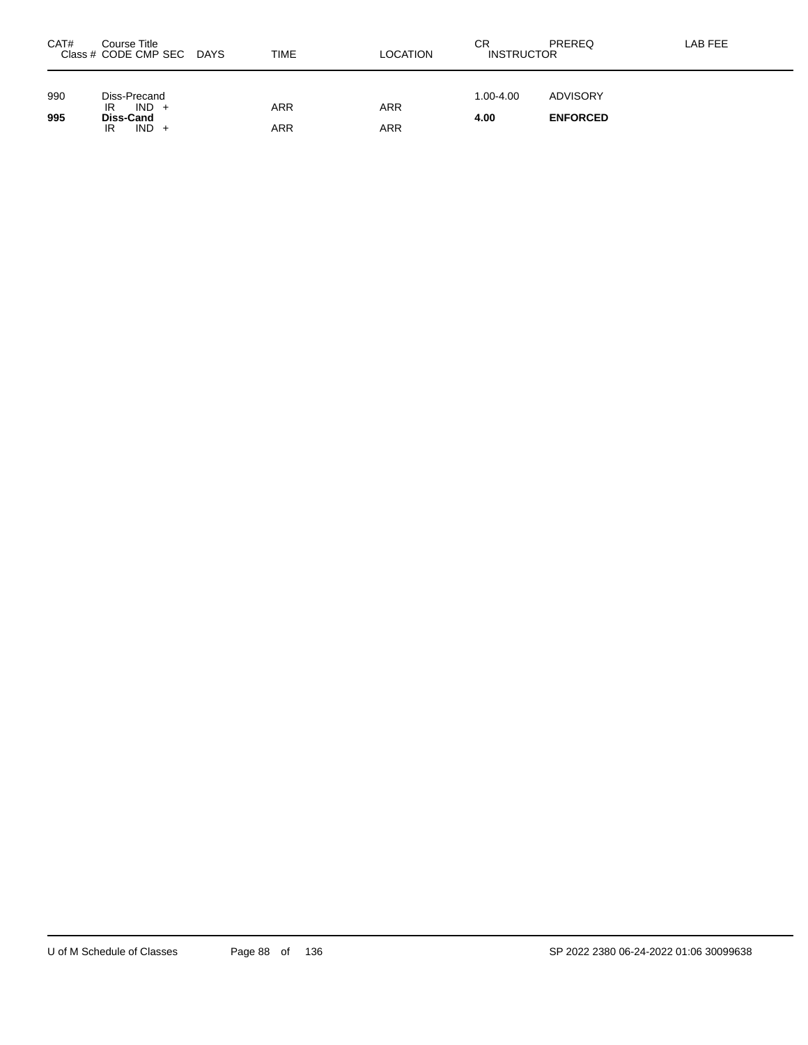| CAT# | Course Title<br>Class # CODE CMP SEC DAYS | TIME | LOCATION | СR<br><b>INSTRUCTOR</b> | PREREQ          | LAB FEE |
|------|-------------------------------------------|------|----------|-------------------------|-----------------|---------|
| 990  | Diss-Precand<br>$IND +$<br>IR             | ARR  | ARR      | $1.00 - 4.00$           | <b>ADVISORY</b> |         |
| 995  | Diss-Cand<br>$IND +$<br>IR                | ARR  | ARR      | 4.00                    | <b>ENFORCED</b> |         |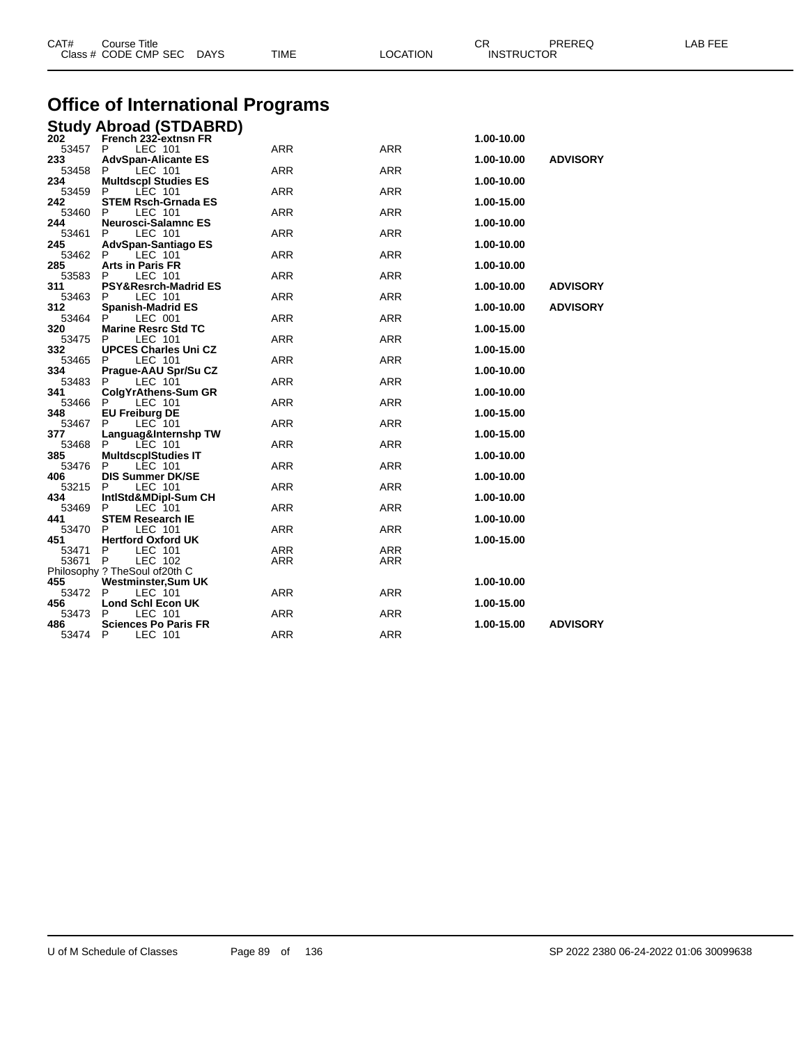|              | Class # CODE CMP SEC<br><b>DAYS</b>             | TIME | <b>LOCATION</b> | <b>INSTRUCTOR</b> |                 |  |
|--------------|-------------------------------------------------|------|-----------------|-------------------|-----------------|--|
|              |                                                 |      |                 |                   |                 |  |
|              | Office of International Programs                |      |                 |                   |                 |  |
|              | <b>Study Abroad (STDABRD)</b>                   |      |                 |                   |                 |  |
| 202<br>53457 | French 232-extnsn FR<br>P<br>LEC 101            | ARR  | <b>ARR</b>      | 1.00-10.00        |                 |  |
| 233          | <b>AdvSpan-Alicante ES</b>                      |      |                 | 1.00-10.00        | <b>ADVISORY</b> |  |
| 53458        | P<br>LEC 101                                    | ARR  | ARR             |                   |                 |  |
| 234          | <b>Multdscpl Studies ES</b><br>P                | ARR  | <b>ARR</b>      | 1.00-10.00        |                 |  |
| 53459<br>242 | LEC 101<br><b>STEM Rsch-Grnada ES</b>           |      |                 | 1.00-15.00        |                 |  |
| 53460        | LEC 101<br>P                                    | ARR  | <b>ARR</b>      |                   |                 |  |
| 244          | <b>Neurosci-Salamnc ES</b>                      |      |                 | 1.00-10.00        |                 |  |
| 53461<br>245 | P<br>LEC 101<br>AdvSpan-Santiago ES             | ARR  | ARR             | 1.00-10.00        |                 |  |
| 53462        | P<br>LEC 101                                    | ARR  | <b>ARR</b>      |                   |                 |  |
| 285          | <b>Arts in Paris FR</b>                         |      |                 | 1.00-10.00        |                 |  |
| 53583        | LEC 101<br>P                                    | ARR  | <b>ARR</b>      |                   |                 |  |
| 311<br>53463 | <b>PSY&amp;Resrch-Madrid ES</b><br>P<br>LEC 101 | ARR  | <b>ARR</b>      | 1.00-10.00        | <b>ADVISORY</b> |  |
| 312          | <b>Spanish-Madrid ES</b>                        |      |                 | 1.00-10.00        | <b>ADVISORY</b> |  |
| 53464        | P<br>LEC 001                                    | ARR  | <b>ARR</b>      |                   |                 |  |
| 320          | <b>Marine Resrc Std TC</b>                      |      |                 | 1.00-15.00        |                 |  |
| 53475<br>332 | P<br>LEC 101<br><b>UPCES Charles Uni CZ</b>     | ARR  | ARR             | 1.00-15.00        |                 |  |
| 53465        | LEC 101<br>P                                    | ARR  | ARR             |                   |                 |  |
| 334          | Prague-AAU Spr/Su CZ                            |      |                 | 1.00-10.00        |                 |  |
| 53483<br>341 | LEC 101<br>P.                                   | ARR  | <b>ARR</b>      |                   |                 |  |
| 53466        | ColgYrAthens-Sum GR<br>P<br>LEC 101             | ARR  | <b>ARR</b>      | 1.00-10.00        |                 |  |
| 348          | <b>EU Freiburg DE</b>                           |      |                 | 1.00-15.00        |                 |  |
| 53467        | P<br>LEC 101                                    | ARR  | ARR             |                   |                 |  |
| 377          | Languag&Internshp TW                            |      |                 | 1.00-15.00        |                 |  |
| 53468<br>385 | P<br>LEC 101<br><b>MultdscplStudies IT</b>      | ARR  | ARR             | 1.00-10.00        |                 |  |
| 53476        | P<br>LEC 101                                    | ARR  | <b>ARR</b>      |                   |                 |  |
| 406          | <b>DIS Summer DK/SE</b>                         |      |                 | 1.00-10.00        |                 |  |
| 53215<br>434 | P<br>LEC 101<br>IntlStd&MDipl-Sum CH            | ARR  | ARR             | 1.00-10.00        |                 |  |
| 53469        | LEC 101<br>P                                    | ARR  | ARR             |                   |                 |  |
| 441          | <b>STEM Research IE</b>                         |      |                 | 1.00-10.00        |                 |  |
| 53470        | LEC 101<br>P                                    | ARR  | <b>ARR</b>      |                   |                 |  |
| 451<br>53471 | <b>Hertford Oxford UK</b><br>P<br>LEC 101       | ARR  | ARR             | 1.00-15.00        |                 |  |
| 53671        | P<br>LEC 102                                    | ARR  | ARR             |                   |                 |  |
|              | Philosophy ? TheSoul of20th C                   |      |                 |                   |                 |  |
| 455          | Westminster, Sum UK                             |      |                 | 1.00-10.00        |                 |  |
| 53472<br>456 | P<br>LEC 101<br><b>Lond Schl Econ UK</b>        | ARR  | ARR             | 1.00-15.00        |                 |  |
| 53473        | P<br>LEC 101                                    | ARR  | ARR             |                   |                 |  |
| 486          | <b>Sciences Po Paris FR</b>                     |      |                 | 1.00-15.00        | <b>ADVISORY</b> |  |
| 53474        | P<br>LEC 101                                    | ARR  | ARR             |                   |                 |  |

CAT# Course Title Case CR PREREQ LAB FEE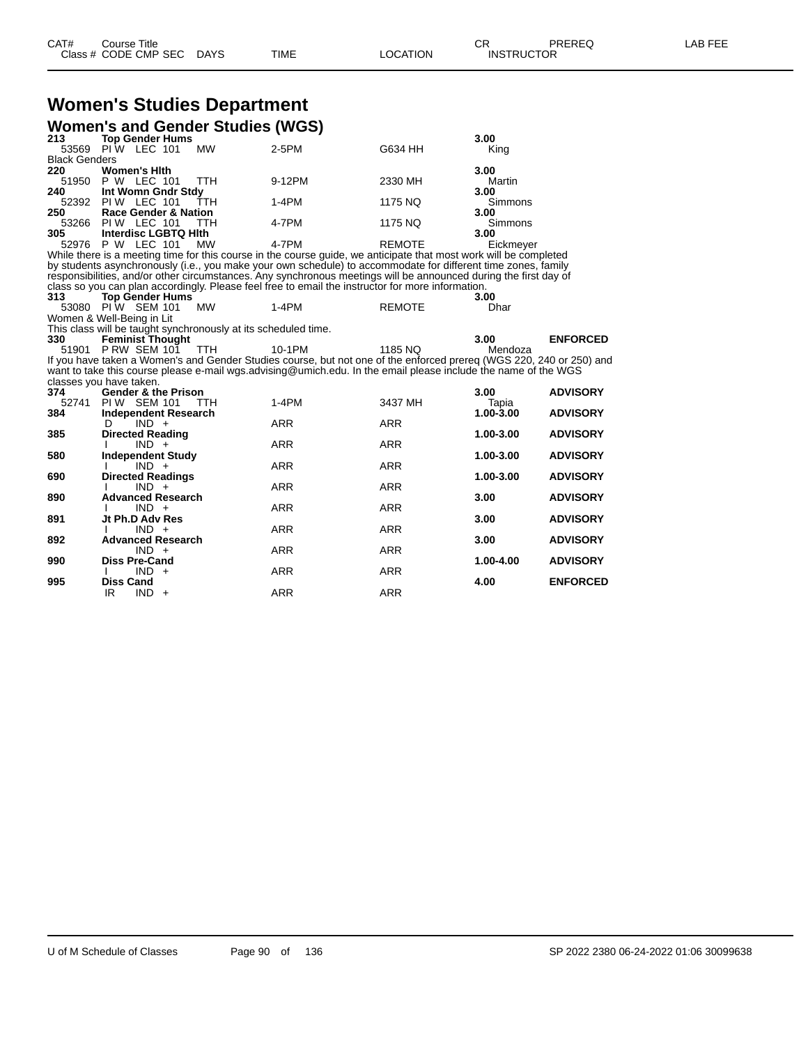# **Women's Studies Department**

| <b>Women's and Gender Studies (WGS)</b> |                                                                |            |                                                                                                                     |               |                |                 |  |  |
|-----------------------------------------|----------------------------------------------------------------|------------|---------------------------------------------------------------------------------------------------------------------|---------------|----------------|-----------------|--|--|
| 213                                     | <b>Top Gender Hums</b>                                         |            |                                                                                                                     |               | 3.00           |                 |  |  |
| 53569                                   | PIW LEC 101                                                    | <b>MW</b>  | $2-5PM$                                                                                                             | G634 HH       | King           |                 |  |  |
| <b>Black Genders</b>                    |                                                                |            |                                                                                                                     |               |                |                 |  |  |
| 220                                     | <b>Women's Hith</b>                                            |            |                                                                                                                     |               | 3.00           |                 |  |  |
| 51950                                   | P W LEC 101                                                    | TTH        | 9-12PM                                                                                                              | 2330 MH       | Martin         |                 |  |  |
| 240                                     | Int Womn Gndr Stdy                                             |            |                                                                                                                     |               | 3.00           |                 |  |  |
|                                         | 52392 PIW LEC 101                                              | TTH        | $1-4PM$                                                                                                             | 1175 NQ       | <b>Simmons</b> |                 |  |  |
| 250                                     | <b>Race Gender &amp; Nation</b>                                |            |                                                                                                                     |               | 3.00           |                 |  |  |
| 53266                                   | PIW LEC 101                                                    | <b>TTH</b> | 4-7PM                                                                                                               | 1175 NQ       | Simmons        |                 |  |  |
| 305                                     | <b>Interdisc LGBTQ Hith</b>                                    |            |                                                                                                                     |               | 3.00           |                 |  |  |
|                                         | 52976 P W LEC 101                                              | <b>MW</b>  | 4-7PM                                                                                                               | <b>REMOTE</b> | Eickmeyer      |                 |  |  |
|                                         |                                                                |            | While there is a meeting time for this course in the course guide, we anticipate that most work will be completed   |               |                |                 |  |  |
|                                         |                                                                |            | by students asynchronously (i.e., you make your own schedule) to accommodate for different time zones, family       |               |                |                 |  |  |
|                                         |                                                                |            | responsibilities, and/or other circumstances. Any synchronous meetings will be announced during the first day of    |               |                |                 |  |  |
|                                         |                                                                |            | class so you can plan accordingly. Please feel free to email the instructor for more information.                   |               |                |                 |  |  |
| 313                                     | <b>Top Gender Hums</b>                                         |            |                                                                                                                     |               | 3.00           |                 |  |  |
|                                         | 53080 PIW SEM 101                                              | <b>MW</b>  | $1-4PM$                                                                                                             | <b>REMOTE</b> | Dhar           |                 |  |  |
|                                         | Women & Well-Being in Lit                                      |            |                                                                                                                     |               |                |                 |  |  |
|                                         | This class will be taught synchronously at its scheduled time. |            |                                                                                                                     |               |                |                 |  |  |
| 330                                     | <b>Feminist Thought</b>                                        |            |                                                                                                                     |               | 3.00           | <b>ENFORCED</b> |  |  |
|                                         | 51901 P RW SEM 101                                             | TTH        | 10-1PM                                                                                                              | 1185 NO       | Mendoza        |                 |  |  |
|                                         |                                                                |            | If you have taken a Women's and Gender Studies course, but not one of the enforced prereq (WGS 220, 240 or 250) and |               |                |                 |  |  |
|                                         |                                                                |            | want to take this course please e-mail wgs.advising@umich.edu. In the email please include the name of the WGS      |               |                |                 |  |  |
|                                         | classes you have taken.                                        |            |                                                                                                                     |               |                |                 |  |  |
| 374                                     | <b>Gender &amp; the Prison</b>                                 |            |                                                                                                                     |               | 3.00           | <b>ADVISORY</b> |  |  |
| 52741                                   | PIW SEM 101                                                    | TTH        | $1-4PM$                                                                                                             | 3437 MH       | Tapia          |                 |  |  |
| 384                                     | <b>Independent Research</b>                                    |            |                                                                                                                     |               | 1.00-3.00      | <b>ADVISORY</b> |  |  |
|                                         | $IND +$<br>D                                                   |            | <b>ARR</b>                                                                                                          | <b>ARR</b>    |                |                 |  |  |
| 385                                     | <b>Directed Reading</b>                                        |            |                                                                                                                     |               | 1.00-3.00      | <b>ADVISORY</b> |  |  |
|                                         | $IND +$                                                        |            | <b>ARR</b>                                                                                                          | <b>ARR</b>    |                |                 |  |  |
| 580                                     | <b>Independent Study</b>                                       |            |                                                                                                                     |               | 1.00-3.00      | <b>ADVISORY</b> |  |  |
|                                         | $IND +$                                                        |            | <b>ARR</b>                                                                                                          | <b>ARR</b>    |                |                 |  |  |
| 690                                     | <b>Directed Readings</b>                                       |            |                                                                                                                     |               | 1.00-3.00      | <b>ADVISORY</b> |  |  |
|                                         | $IND +$                                                        |            | <b>ARR</b>                                                                                                          | <b>ARR</b>    |                |                 |  |  |
| 890                                     | <b>Advanced Research</b>                                       |            |                                                                                                                     |               | 3.00           | <b>ADVISORY</b> |  |  |
|                                         | $IND +$                                                        |            | <b>ARR</b>                                                                                                          | <b>ARR</b>    |                |                 |  |  |
| 891                                     | Jt Ph.D Adv Res                                                |            |                                                                                                                     |               | 3.00           | <b>ADVISORY</b> |  |  |
|                                         | $IND +$                                                        |            | <b>ARR</b>                                                                                                          | <b>ARR</b>    |                |                 |  |  |
| 892                                     | <b>Advanced Research</b>                                       |            |                                                                                                                     |               | 3.00           | <b>ADVISORY</b> |  |  |
|                                         | $IND +$                                                        |            | <b>ARR</b>                                                                                                          | <b>ARR</b>    |                |                 |  |  |
| 990                                     | <b>Diss Pre-Cand</b>                                           |            |                                                                                                                     |               | 1.00-4.00      | <b>ADVISORY</b> |  |  |
|                                         | $IND +$                                                        |            | <b>ARR</b>                                                                                                          | <b>ARR</b>    |                |                 |  |  |
| 995                                     | <b>Diss Cand</b>                                               |            |                                                                                                                     |               | 4.00           | <b>ENFORCED</b> |  |  |
|                                         | IR<br>$IND +$                                                  |            | <b>ARR</b>                                                                                                          | <b>ARR</b>    |                |                 |  |  |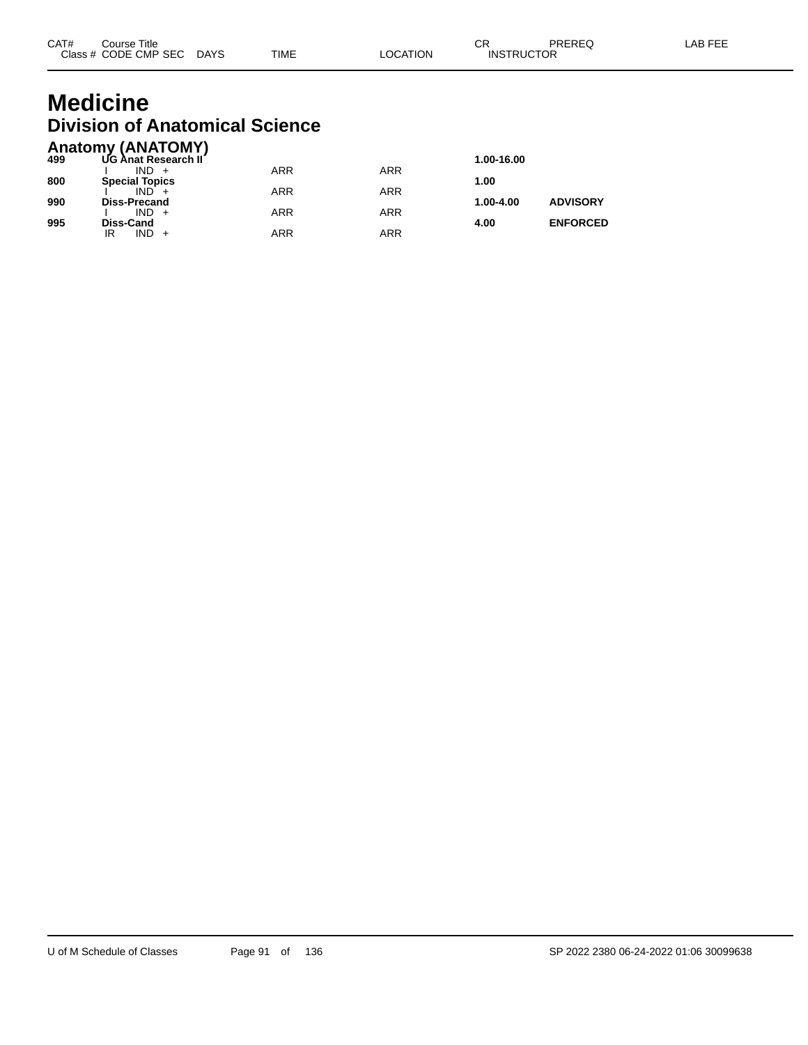## **Medicine Division of Anatomical Science**

|     | <b>Anatomy (ANATOMY)</b> |            |     |            |                 |
|-----|--------------------------|------------|-----|------------|-----------------|
| 499 | UG Anat Research II      |            |     | 1.00-16.00 |                 |
|     | $IND +$                  | ARR        | ARR |            |                 |
| 800 | <b>Special Topics</b>    |            |     | 1.00       |                 |
|     | $IND +$                  | <b>ARR</b> | ARR |            |                 |
| 990 | <b>Diss-Precand</b>      |            |     | 1.00-4.00  | <b>ADVISORY</b> |
|     | $IND +$                  | <b>ARR</b> | ARR |            |                 |
| 995 | Diss-Cand                |            |     | 4.00       | <b>ENFORCED</b> |
|     | $IND +$<br>IR            | ARR        | ARR |            |                 |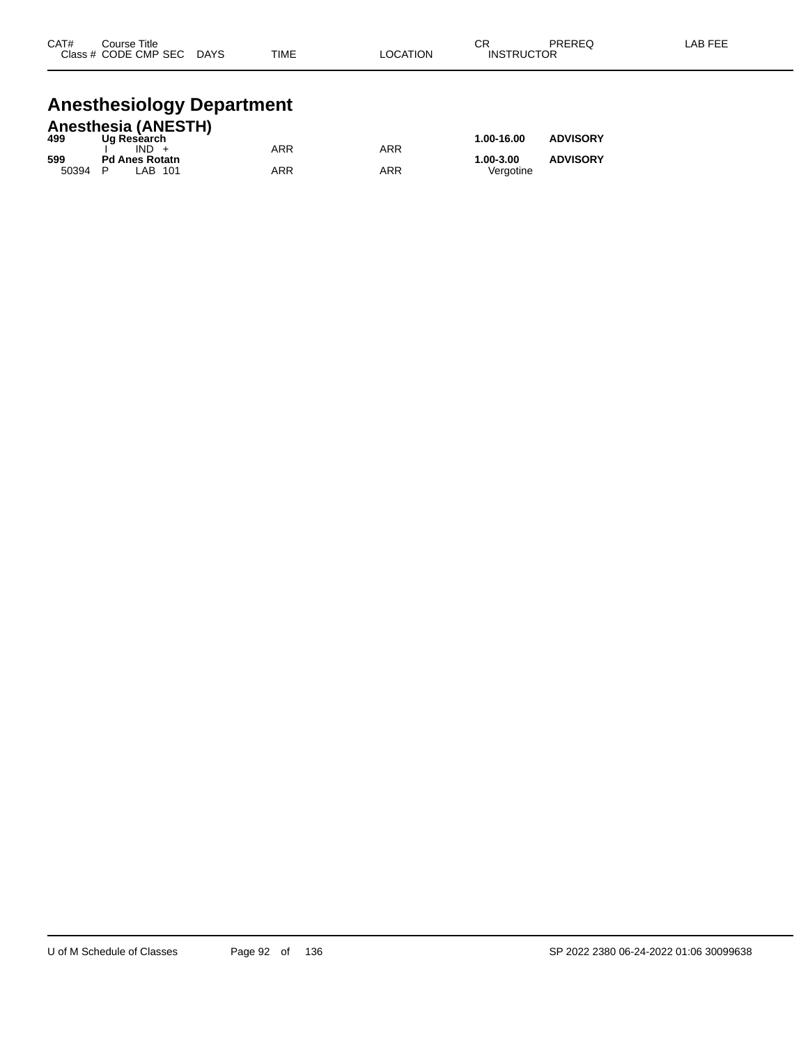| CAT#      | Title<br>Course |                        |             |             | ⌒г<br>◡                            | <b>DDEDEC</b><br>- - - | AR EEE |
|-----------|-----------------|------------------------|-------------|-------------|------------------------------------|------------------------|--------|
| Class $#$ | CODE CMP SEC    | <b>DAYS</b><br>_______ | <b>TIME</b> | ATION:<br>Œ | <b>UCTOR</b><br>INS.<br><b>RIK</b> | ____                   |        |
|           |                 |                        |             |             |                                    |                        |        |

# **Anesthesiology Department**

|       | <b>Anesthesia (ANESTH)</b> |     |     |            |                 |
|-------|----------------------------|-----|-----|------------|-----------------|
| 499   | Ug Research                |     |     | 1.00-16.00 | <b>ADVISORY</b> |
|       | $IND +$                    | ARR | ARR |            |                 |
| 599   | <b>Pd Anes Rotatn</b>      |     |     | 1.00-3.00  | <b>ADVISORY</b> |
| 50394 | P<br>LAB 101               | ARR | ARR | Vergotine  |                 |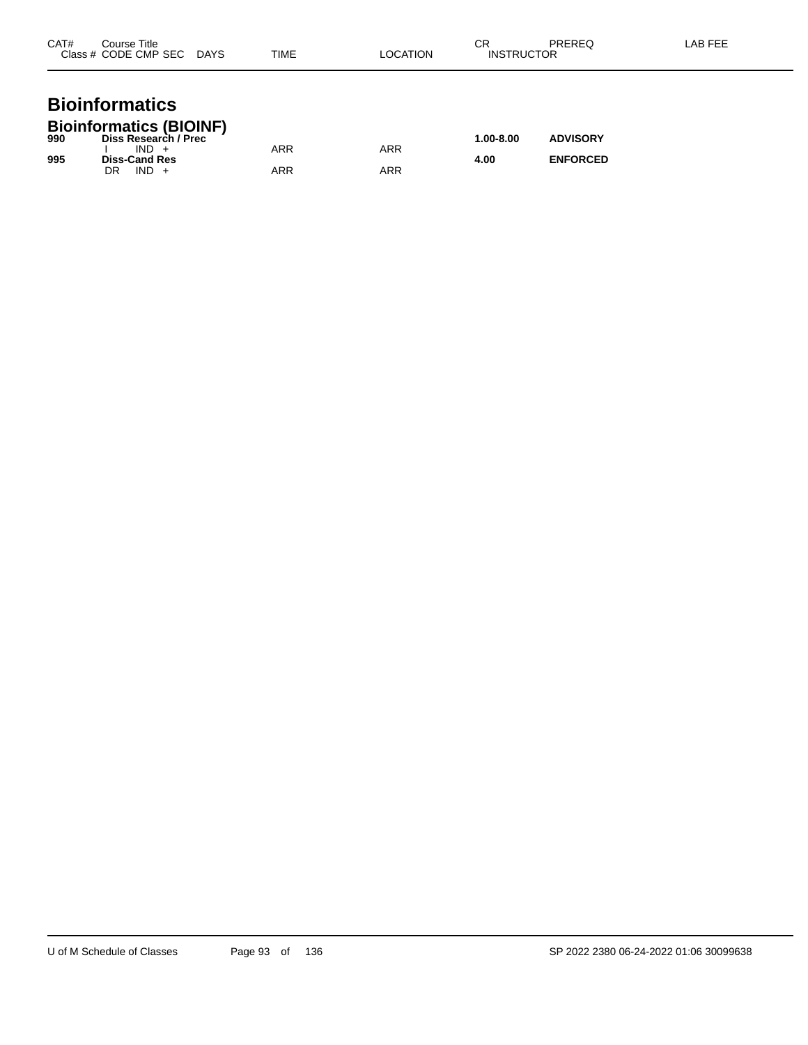| CAT#<br>Course Title<br>Class # CODE CMP SEC DAYS | TIME | <b>LOCATION</b> | СR<br><b>INSTRUCTOR</b> | <b>PREREQ</b> | LAB FEE |
|---------------------------------------------------|------|-----------------|-------------------------|---------------|---------|
| <b>Bioinformatics</b>                             |      |                 |                         |               |         |

| <b>Bioinformatics (BIOINF)</b> |  |
|--------------------------------|--|

| 990 | Diss Research / Prec |     |            | 1.00-8.00 | <b>ADVISORY</b> |
|-----|----------------------|-----|------------|-----------|-----------------|
|     | $IND +$              | ARR | <b>ARR</b> |           |                 |
| 995 | <b>Diss-Cand Res</b> |     |            | 4.00      | <b>ENFORCED</b> |
|     | $IND +$<br>DR        | ARR | ARR        |           |                 |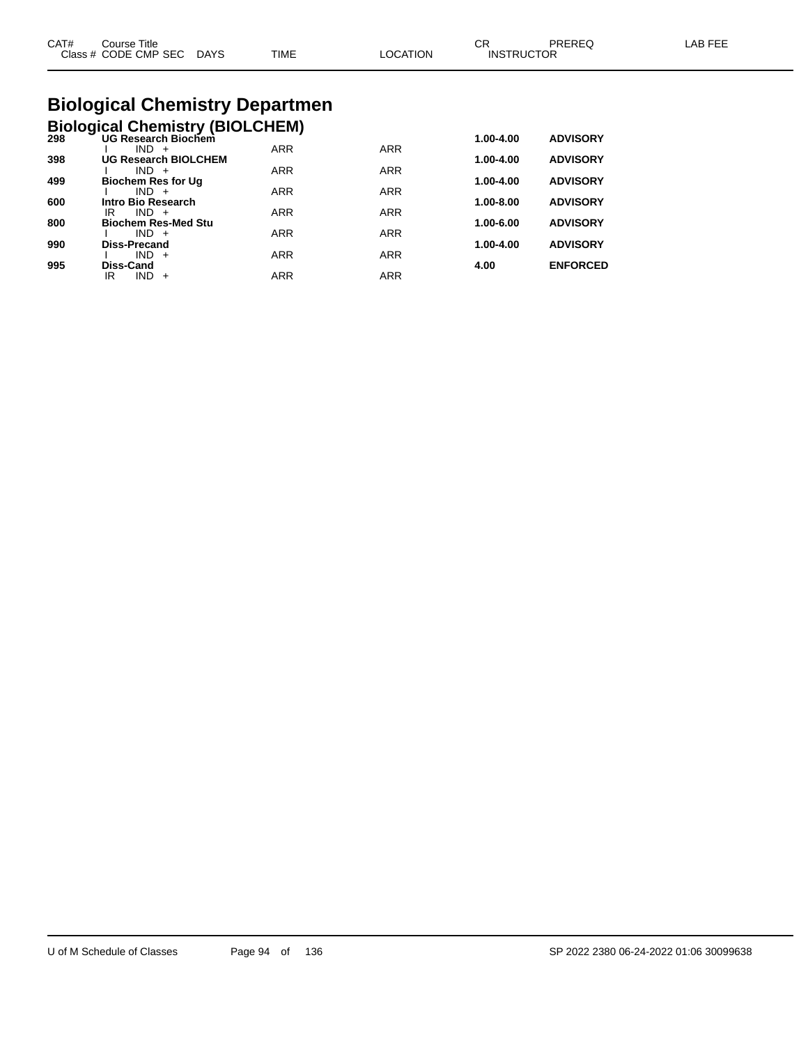| CAT# | ourse Titleٽ              |             |          | СR                | PREREQ | LAB FEE |
|------|---------------------------|-------------|----------|-------------------|--------|---------|
|      | Class # CODE CMP SEC DAYS | <b>TIME</b> | LOCATION | <b>INSTRUCTOR</b> |        |         |
|      |                           |             |          |                   |        |         |

# **Biological Chemistry Departmen**

|     | <b>Biological Chemistry (BIOLCHEM)</b> |           |                 |
|-----|----------------------------------------|-----------|-----------------|
| 298 | UG Research Biochem                    | 1.00-4.00 | <b>ADVISORY</b> |

| <b>UG Research BIOLCHEM</b> |                                                                                                                                                        |                                                      | 1.00-4.00                                                          | <b>ADVISORY</b>                                      |
|-----------------------------|--------------------------------------------------------------------------------------------------------------------------------------------------------|------------------------------------------------------|--------------------------------------------------------------------|------------------------------------------------------|
| $IND +$                     | <b>ARR</b>                                                                                                                                             | <b>ARR</b>                                           |                                                                    |                                                      |
|                             |                                                                                                                                                        |                                                      |                                                                    | <b>ADVISORY</b>                                      |
|                             |                                                                                                                                                        |                                                      |                                                                    |                                                      |
|                             |                                                                                                                                                        |                                                      |                                                                    | <b>ADVISORY</b>                                      |
|                             |                                                                                                                                                        |                                                      |                                                                    | <b>ADVISORY</b>                                      |
|                             |                                                                                                                                                        |                                                      |                                                                    |                                                      |
|                             |                                                                                                                                                        |                                                      |                                                                    | <b>ADVISORY</b>                                      |
| $IND +$                     | <b>ARR</b>                                                                                                                                             |                                                      |                                                                    |                                                      |
| Diss-Cand                   |                                                                                                                                                        |                                                      | 4.00                                                               | <b>ENFORCED</b>                                      |
| ΙR<br>IND<br>$+$            | ARR                                                                                                                                                    | <b>ARR</b>                                           |                                                                    |                                                      |
|                             | $IND +$<br><b>Biochem Res for Ug</b><br>$IND +$<br>Intro Bio Research<br>IR<br>$IND +$<br><b>Biochem Res-Med Stu</b><br>$IND +$<br><b>Diss-Precand</b> | <b>ARR</b><br><b>ARR</b><br><b>ARR</b><br><b>ARR</b> | <b>ARR</b><br><b>ARR</b><br><b>ARR</b><br><b>ARR</b><br><b>ARR</b> | 1.00-4.00<br>$1.00 - 8.00$<br>1.00-6.00<br>1.00-4.00 |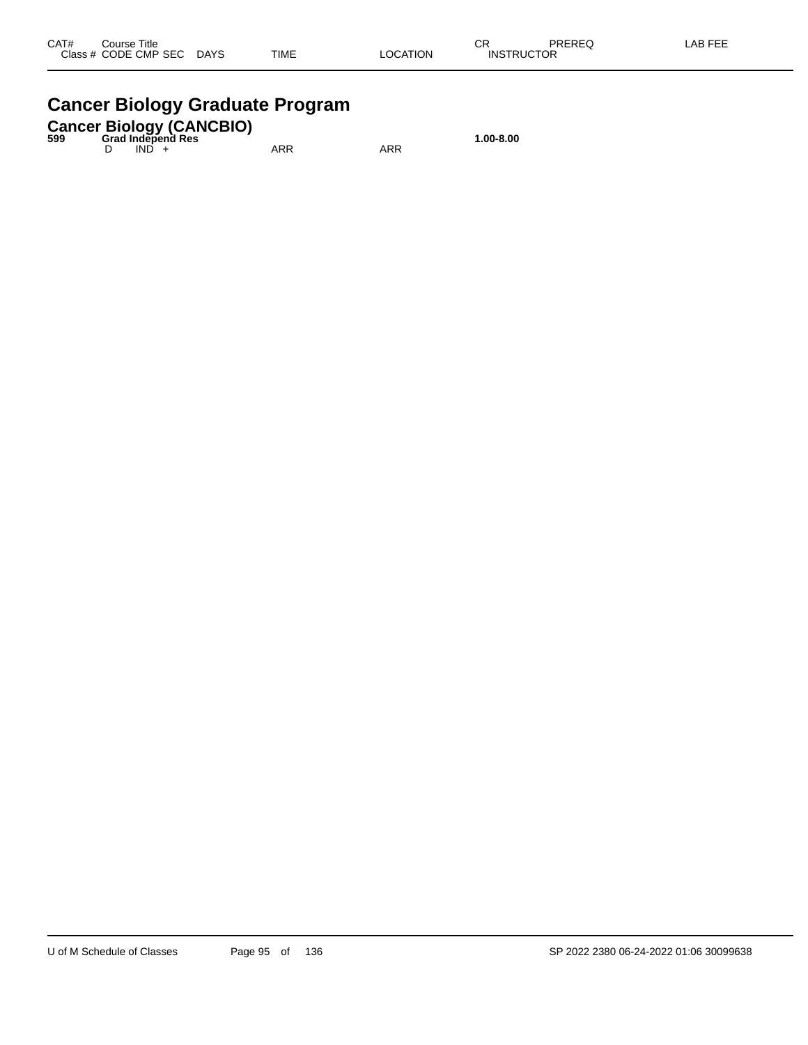## **Cancer Biology Graduate Program**

## **Cancer Biology (CANCBIO) 599 Grad Independ Res 1.00-8.00**

D IND + ARR ARR ARR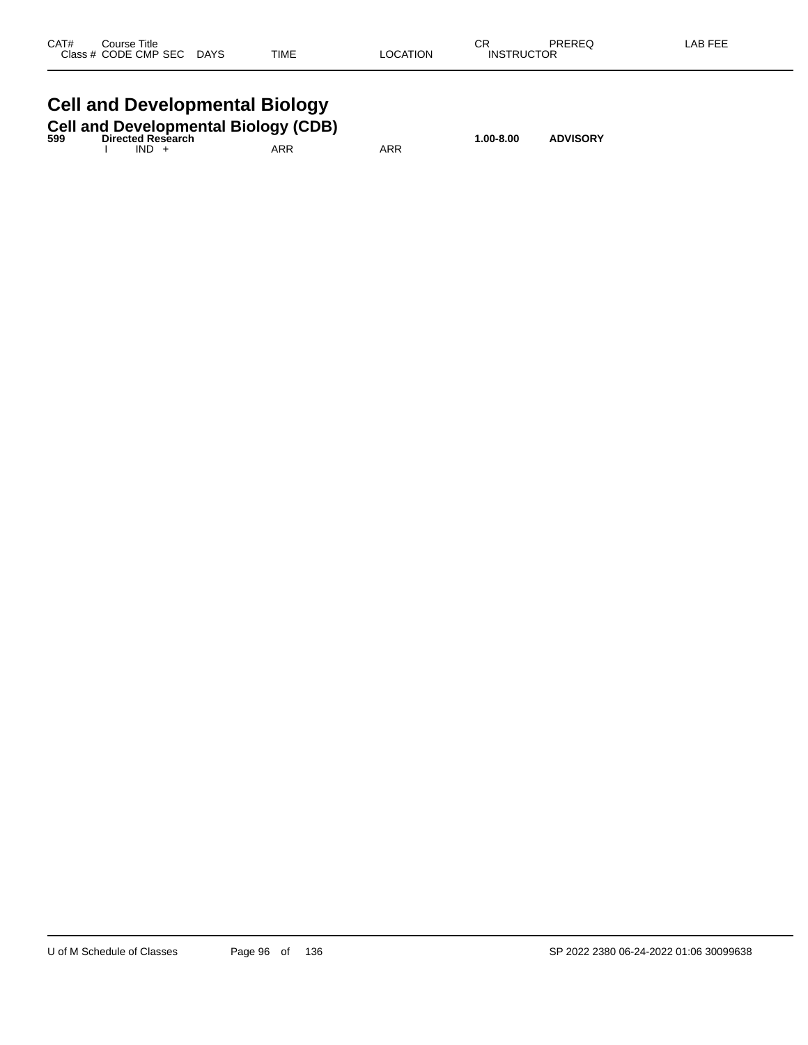| CAT#      | Course Title |             |             |          | СR                    | PREREQ | <b>ABFEF</b> |
|-----------|--------------|-------------|-------------|----------|-----------------------|--------|--------------|
| Class $#$ | CODE CMP SEC | <b>DAYS</b> | <b>TIME</b> | LOCATION | <b>TRUCTOR</b><br>INS |        |              |
|           |              |             |             |          |                       |        |              |

# **Cell and Developmental Biology**

| 599 |         | <b>Cell and Developmental Biology (CDB)</b><br><b>Directed Research</b> |     |     | $1.00 - 8.00$ | <b>ADVISORY</b> |
|-----|---------|-------------------------------------------------------------------------|-----|-----|---------------|-----------------|
|     | $IND +$ |                                                                         | ARR | ARR |               |                 |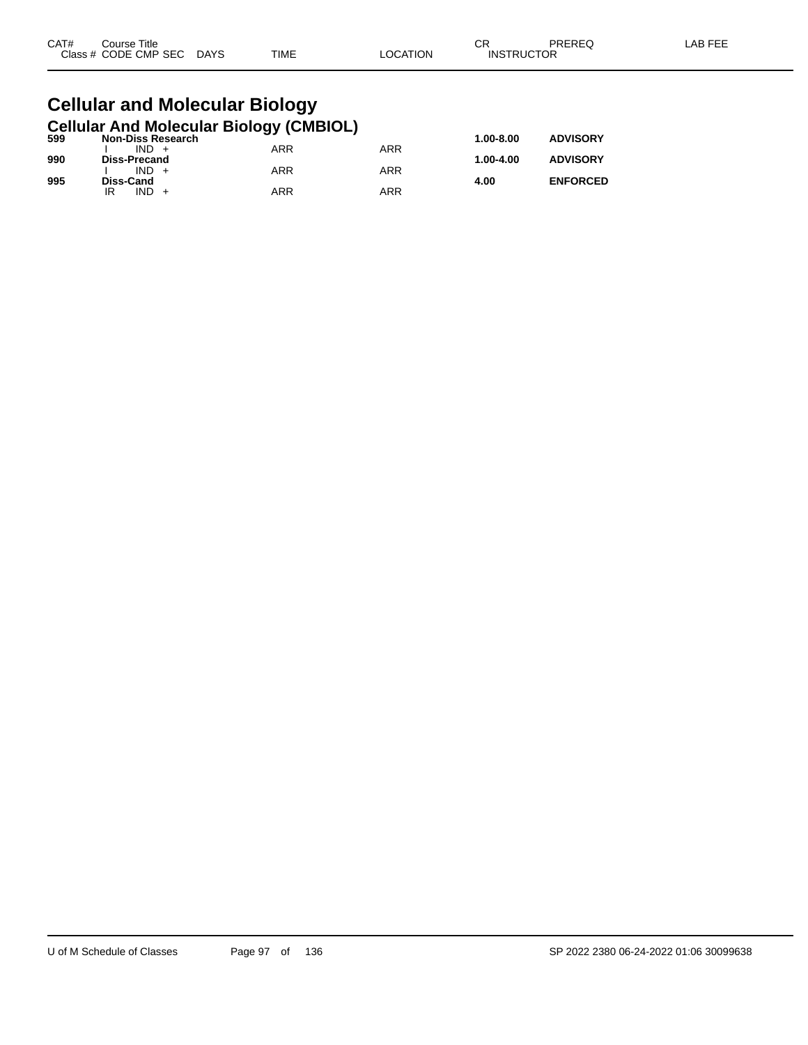| CAT# | Title<br>Course      |                       |             |          | СR                | PREREQ | LAB FEF |
|------|----------------------|-----------------------|-------------|----------|-------------------|--------|---------|
|      | Class # CODE CMP SEC | <b>DAYS</b><br>$\sim$ | <b>TIME</b> | _OCATION | <b>INSTRUCTOR</b> |        |         |

#### **Cellular and Molecular Biology Cellular And Molecular Biology (CMBIOL)**

| 599 | <b>Non-Diss Research</b> | . . |            | $1.00 - 8.00$ | <b>ADVISORY</b> |
|-----|--------------------------|-----|------------|---------------|-----------------|
|     | $IND +$                  | ARR | ARR        |               |                 |
| 990 | Diss-Precand             |     |            | 1.00-4.00     | <b>ADVISORY</b> |
|     | $IND +$                  | ARR | <b>ARR</b> |               |                 |
| 995 | Diss-Cand                |     |            | 4.00          | <b>ENFORCED</b> |
|     | IND.<br>IR               | ARR | ARR        |               |                 |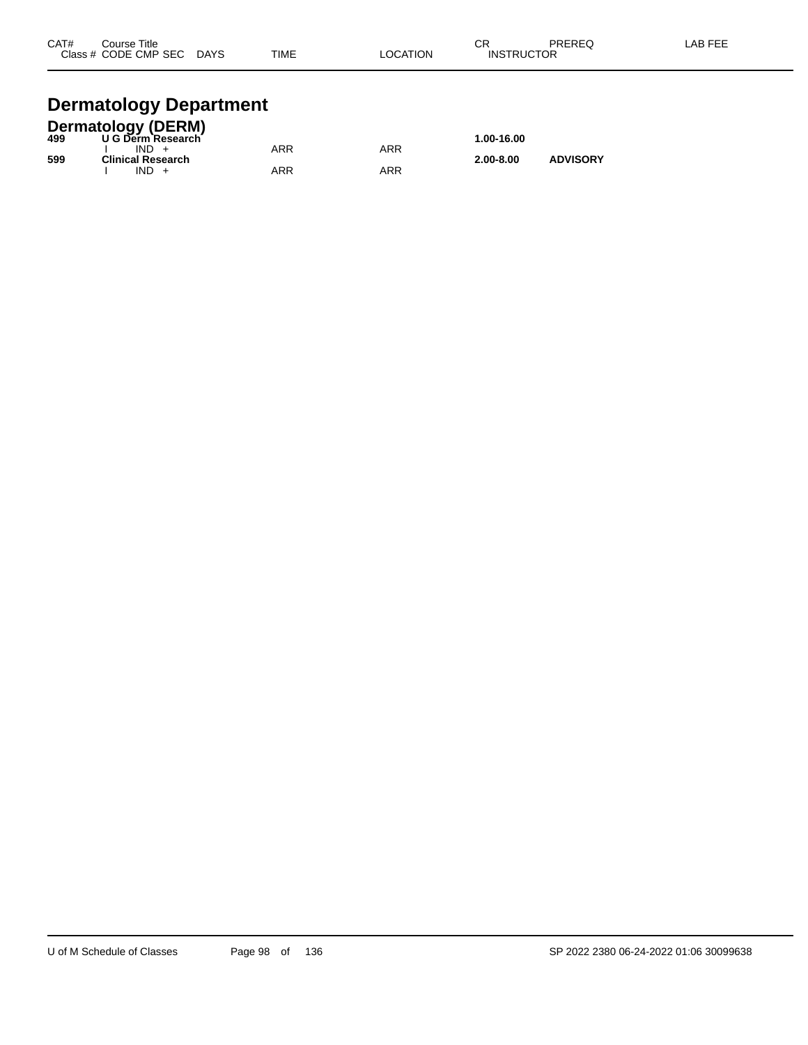| CAT# | Course Title              |             |          | ⌒冖                | PREREQ | LAB FEE |
|------|---------------------------|-------------|----------|-------------------|--------|---------|
|      | Class # CODE CMP SEC DAYS | <b>TIME</b> | LOCATION | <b>INSTRUCTOR</b> |        |         |
|      |                           |             |          |                   |        |         |

# **Dermatology Department**

|     | Dermatology (DERM)<br>499 U G Derm Research |     |     |               |                 |  |
|-----|---------------------------------------------|-----|-----|---------------|-----------------|--|
|     |                                             |     |     | 1.00-16.00    |                 |  |
|     | $IND +$                                     | ARR | ARR |               |                 |  |
| 599 | <b>Clinical Research</b>                    |     |     | $2.00 - 8.00$ | <b>ADVISORY</b> |  |
|     | IND.                                        | ARR | ARR |               |                 |  |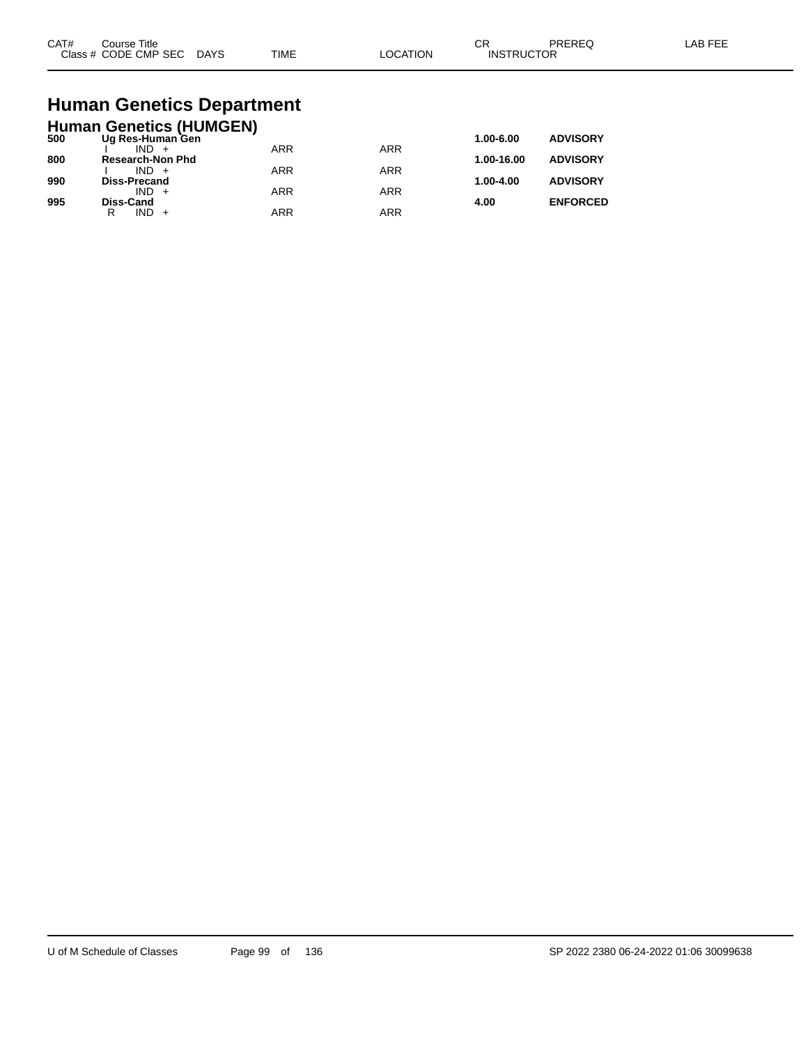| CAT#<br>$2\sqrt{2}$ | Title<br>ourse<br>CMP SEC<br>חר∈<br>$ -$ | DAYS<br>$\sim$ | <b>TIME</b> | ורו | $\sim$<br>UΗ<br>⊣N.S<br>₽ | ____ |  |
|---------------------|------------------------------------------|----------------|-------------|-----|---------------------------|------|--|
|---------------------|------------------------------------------|----------------|-------------|-----|---------------------------|------|--|

# **Human Genetics Department**

|     | <b>Human Genetics (HUMGEN)</b> |            |            |            |                 |
|-----|--------------------------------|------------|------------|------------|-----------------|
| 500 | Ug Res-Human Gen               |            |            | 1.00-6.00  | <b>ADVISORY</b> |
|     | $IND +$                        | <b>ARR</b> | <b>ARR</b> |            |                 |
| 800 | <b>Research-Non Phd</b>        |            |            | 1.00-16.00 | <b>ADVISORY</b> |
| 990 | $IND +$                        | <b>ARR</b> | <b>ARR</b> | 1.00-4.00  | <b>ADVISORY</b> |
|     | Diss-Precand<br>$IND +$        | <b>ARR</b> | <b>ARR</b> |            |                 |
| 995 | <b>Diss-Cand</b>               |            |            | 4.00       | <b>ENFORCED</b> |
|     | $IND +$<br>R                   | <b>ARR</b> | ARR        |            |                 |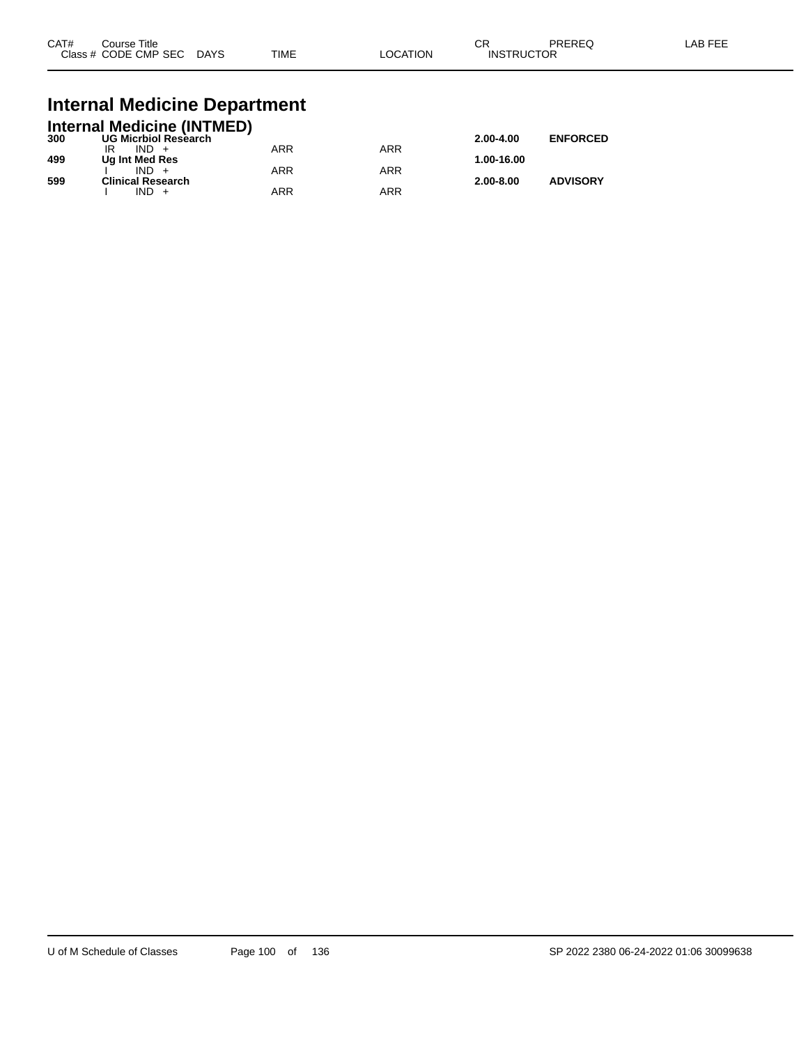| CAT# | Course Title<br>Class # CODE CMP SEC | <b>DAYS</b> | <b>TIME</b> | LOCATION | ∩n<br>◡⊓<br><b>INSTRUCTOR</b> | PREREQ | _AB FEF |
|------|--------------------------------------|-------------|-------------|----------|-------------------------------|--------|---------|
|      |                                      |             |             |          |                               |        |         |

### **Internal Medicine Department**

|     | <b>Internal Medicine (INTMED)</b> |     |     |               |                 |
|-----|-----------------------------------|-----|-----|---------------|-----------------|
| 300 | <b>UG Micrbiol Research</b>       |     |     | $2.00 - 4.00$ | <b>ENFORCED</b> |
|     | $IND +$                           | ARR | ARR |               |                 |
| 499 | Ug Int Med Res                    |     |     | 1.00-16.00    |                 |
|     | $IND +$                           | ARR | ARR |               |                 |
| 599 | <b>Clinical Research</b>          |     |     | $2.00 - 8.00$ | <b>ADVISORY</b> |
|     | $IND +$                           | ARR | ARR |               |                 |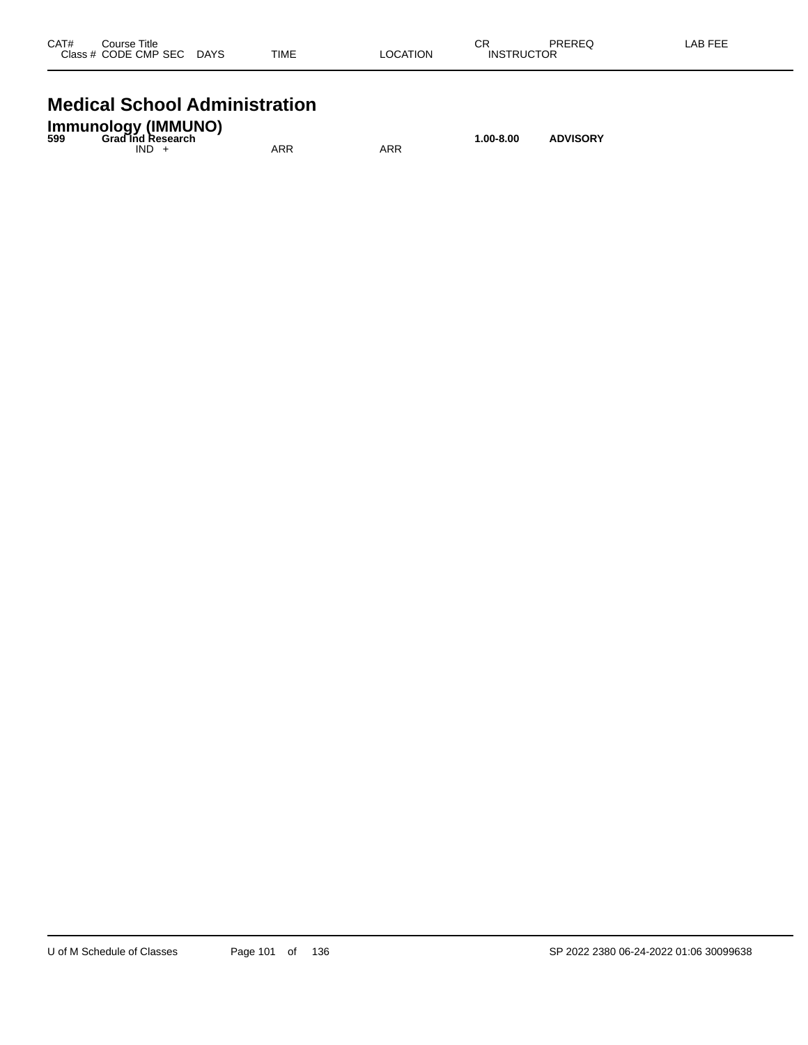| CAT#<br>Class # | Title<br>Course<br>CODE CMP SEC | <b>DAYS</b> | <b>TIME</b> | <b>LOCATION</b> | СR<br><b>UCTOR</b><br><b>INST</b> | PREREQ | _AB FEF |
|-----------------|---------------------------------|-------------|-------------|-----------------|-----------------------------------|--------|---------|
|                 |                                 |             |             |                 |                                   |        |         |

#### **Medical School Administration**

| <b>Immunology (IMMUNO)</b><br><b>Grad Ind Research</b><br>599<br><b>ADVISORY</b><br>1.00-8.00 |     |     |  |  |  |
|-----------------------------------------------------------------------------------------------|-----|-----|--|--|--|
| $IND +$                                                                                       | ARR | ARR |  |  |  |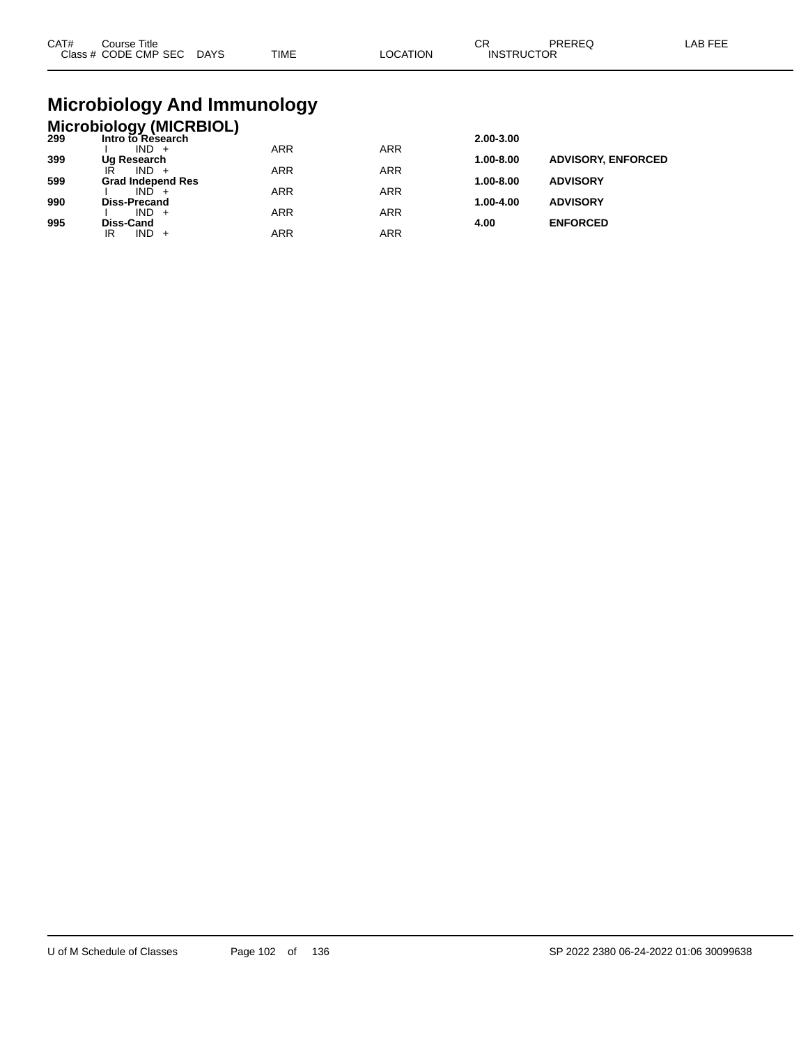| CAT# | ourse Titleٽ<br>Class # CODE CMP SEC DAYS | TIME | LOCATION | ∩⊓<br>◡┍<br><b>INSTRUCTOR</b> | PREREC | LAB FEE |
|------|-------------------------------------------|------|----------|-------------------------------|--------|---------|
|      |                                           |      |          |                               |        |         |

## **Microbiology And Immunology**

## **Microbiology (MICRBIOL) 299 Intro to Research 2.00-3.00**

| -33 | IIIUUUIVIV0560UIII       |     |     | 2.00-J.00     |                           |
|-----|--------------------------|-----|-----|---------------|---------------------------|
|     | $IND +$                  | ARR | ARR |               |                           |
| 399 | Ug Research              |     |     | 1.00-8.00     | <b>ADVISORY, ENFORCED</b> |
|     | IR<br>$IND +$            | ARR | ARR |               |                           |
| 599 | <b>Grad Independ Res</b> |     |     | $1.00 - 8.00$ | <b>ADVISORY</b>           |
|     | $IND +$                  | ARR | ARR |               |                           |
| 990 | <b>Diss-Precand</b>      |     |     | $1.00 - 4.00$ | <b>ADVISORY</b>           |
|     | $IND +$                  | ARR | ARR |               |                           |
| 995 | Diss-Cand                |     |     | 4.00          | <b>ENFORCED</b>           |
|     | $IND +$<br>IR            | ARR | ARR |               |                           |
|     |                          |     |     |               |                           |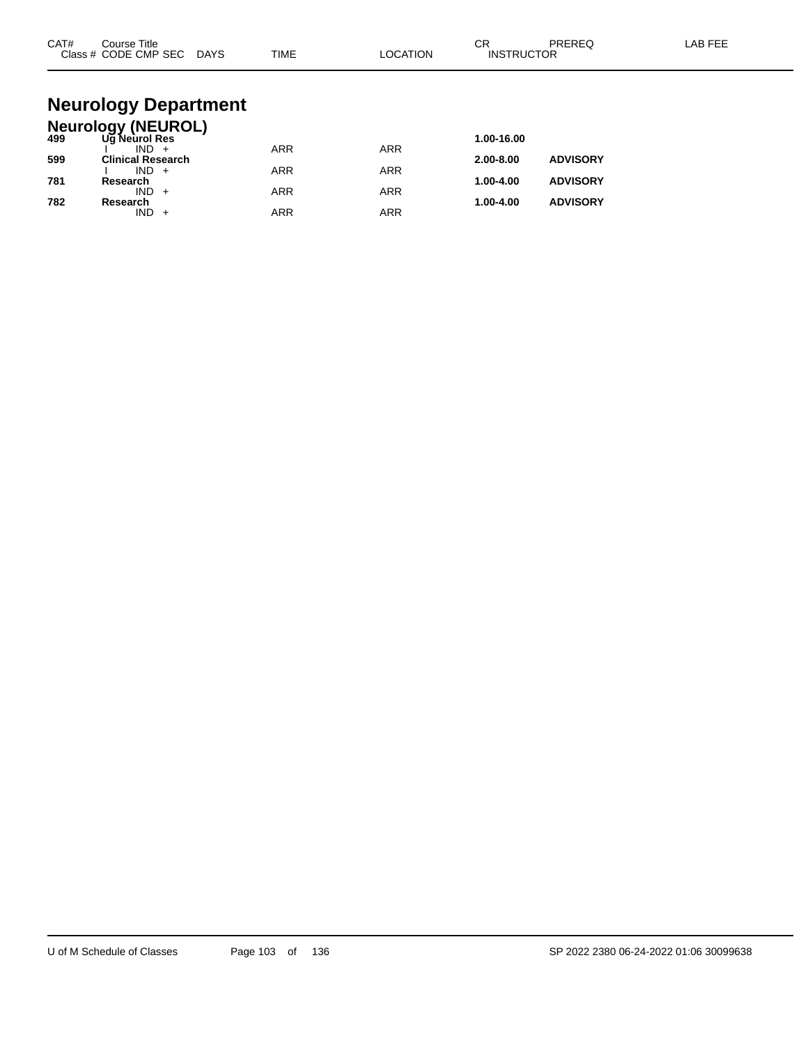| CAT# | Course Title<br>Class # CODE CMP SEC DAYS  | <b>TIME</b> | LOCATION   | CR<br>PREREQ<br><b>INSTRUCTOR</b> | LAB FEE |
|------|--------------------------------------------|-------------|------------|-----------------------------------|---------|
|      | <b>Neurology Department</b>                |             |            |                                   |         |
|      |                                            |             |            |                                   |         |
| 499  | <b>Neurology (NEUROL)</b><br>Ug Neurol Res |             |            | 1.00-16.00                        |         |
| 599  | $IND +$<br><b>Clinical Research</b>        | <b>ARR</b>  | <b>ARR</b> | <b>ADVISORY</b><br>2.00-8.00      |         |
| 781  | $IND +$<br>Research                        | <b>ARR</b>  | <b>ARR</b> | 1.00-4.00<br><b>ADVISORY</b>      |         |
| 782  | $IND +$<br>Research                        | <b>ARR</b>  | <b>ARR</b> | <b>ADVISORY</b><br>1.00-4.00      |         |

 $IND + ARR$  ARR ARR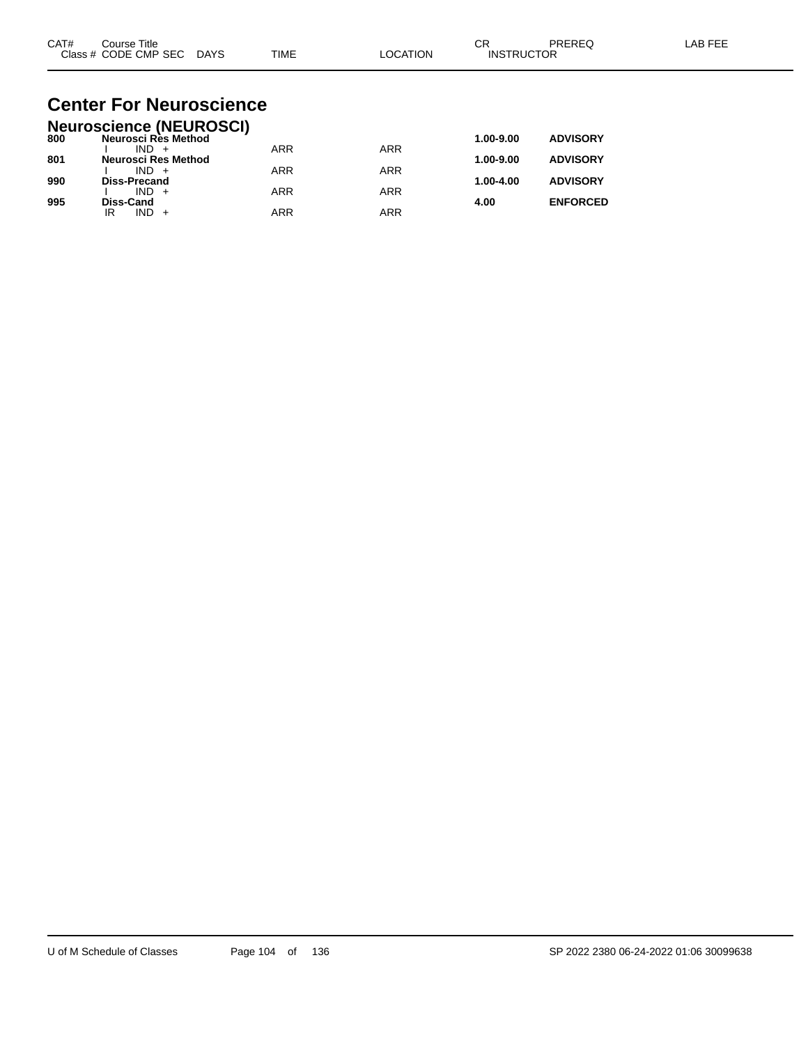| CAT# | Course Title         |             |             |          | ⌒г<br>◡           | PREREC | LAB FEF |
|------|----------------------|-------------|-------------|----------|-------------------|--------|---------|
|      | Class # CODE CMP SEC | <b>DAYS</b> | <b>TIME</b> | LOCATION | <b>INSTRUCTOR</b> |        |         |

#### **Center For Neuroscience Neuroscience (NEUROSCI)**

|     | Neuroscience (NEUROSCI) |            |            |           |                 |
|-----|-------------------------|------------|------------|-----------|-----------------|
| 800 | Neurosci Rès Method     |            |            | 1.00-9.00 | <b>ADVISORY</b> |
|     | $IND +$                 | <b>ARR</b> | <b>ARR</b> |           |                 |
| 801 | Neurosci Res Method     |            |            | 1.00-9.00 | <b>ADVISORY</b> |
|     | $IND +$                 | <b>ARR</b> | ARR        |           |                 |
| 990 | <b>Diss-Precand</b>     |            |            | 1.00-4.00 | <b>ADVISORY</b> |
|     | $IND +$                 | <b>ARR</b> | ARR        |           |                 |
| 995 | <b>Diss-Cand</b>        |            |            | 4.00      | <b>ENFORCED</b> |
|     | $IND +$<br>IR           | ARR        | ARR        |           |                 |
|     |                         |            |            |           |                 |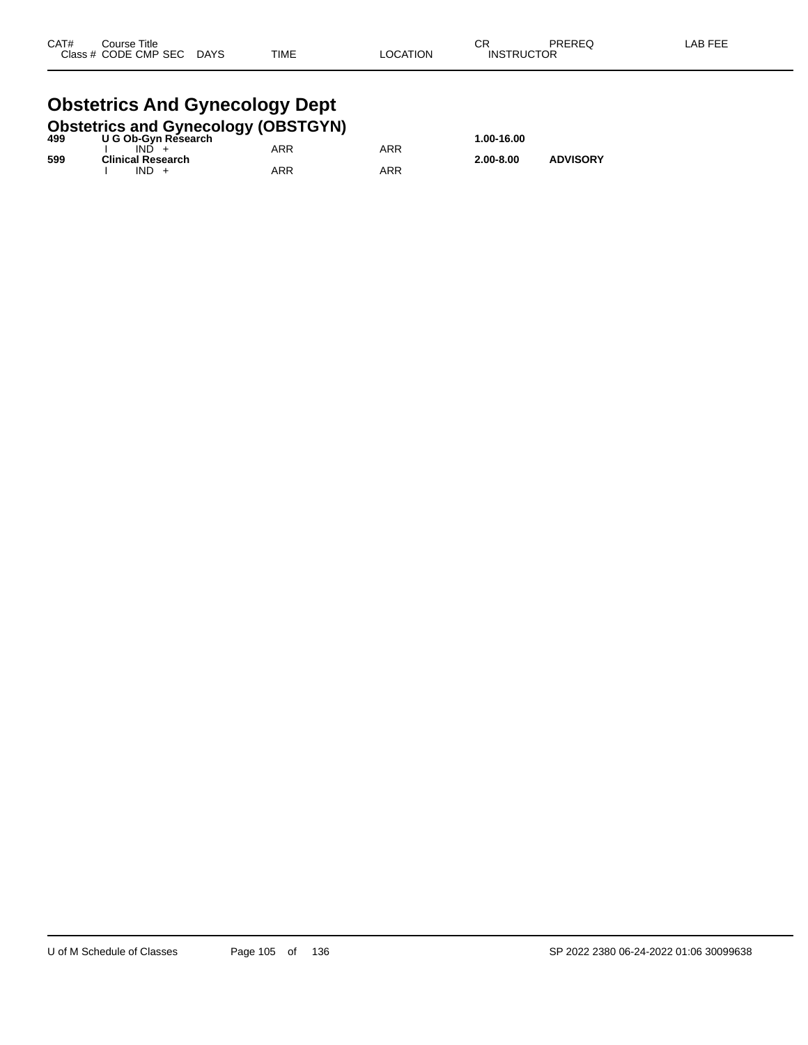#### **Obstetrics And Gynecology Dept**<br>Obstetrics and Gynecology (OBSTGYN **Obstetrics and Gynecology (OBSTGYN)**

| 499 | <b>ODSIGITIES AND OVERCOIOGY (ODSTOTIV)</b><br>U G Ob-Gyn Research |     |     | 1.00-16.00    |                 |
|-----|--------------------------------------------------------------------|-----|-----|---------------|-----------------|
|     | IND.                                                               | ARR | ARR |               |                 |
| 599 | <b>Clinical Research</b><br>$IND +$                                | ARR | ARR | $2.00 - 8.00$ | <b>ADVISORY</b> |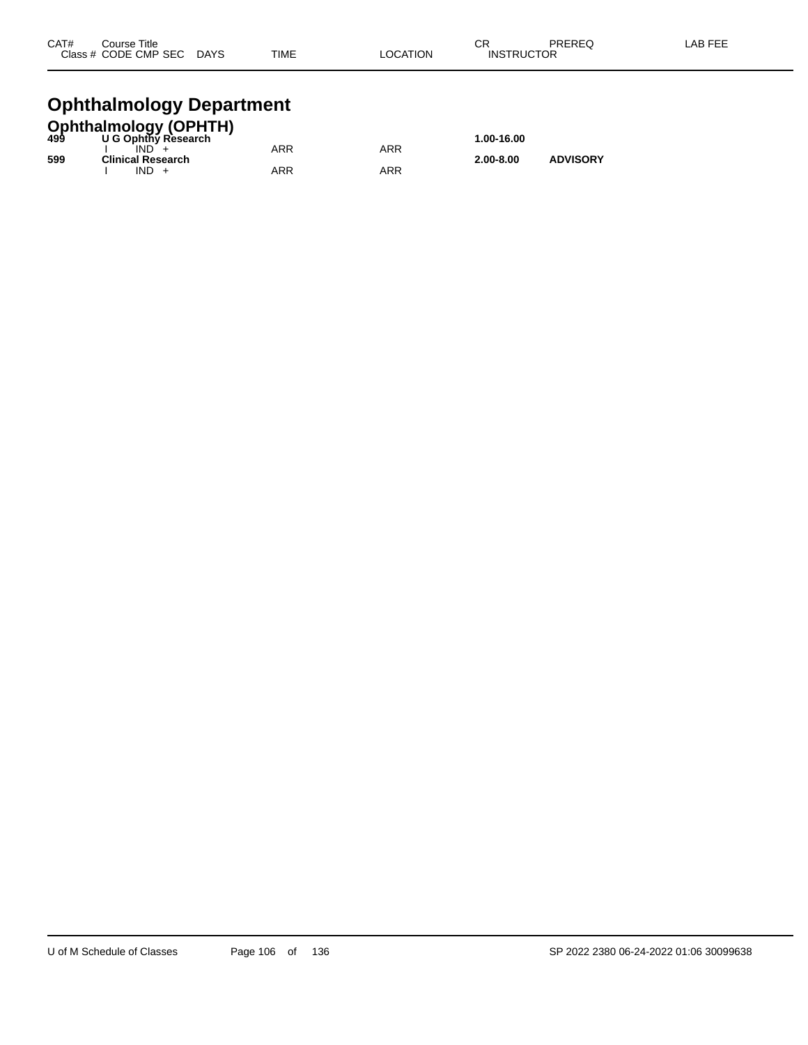| CAT# | Course Title         |             |      |          | СR                | PREREQ | LAB FEE |
|------|----------------------|-------------|------|----------|-------------------|--------|---------|
|      | Class # CODE CMP SEC | <b>DAYS</b> | TIME | LOCATION | <b>INSTRUCTOR</b> |        |         |
|      |                      |             |      |          |                   |        |         |

## **Ophthalmology Department**

| <b>Ophthalmology (OPHTH)</b><br>499 U G Ophthy Research |                          |     |     |               |                 |  |  |
|---------------------------------------------------------|--------------------------|-----|-----|---------------|-----------------|--|--|
|                                                         |                          |     |     | 1.00-16.00    |                 |  |  |
|                                                         | IND.                     | ARR | ARR |               |                 |  |  |
| 599                                                     | <b>Clinical Research</b> |     |     | $2.00 - 8.00$ | <b>ADVISORY</b> |  |  |
|                                                         | $IND +$                  | ARR | ARR |               |                 |  |  |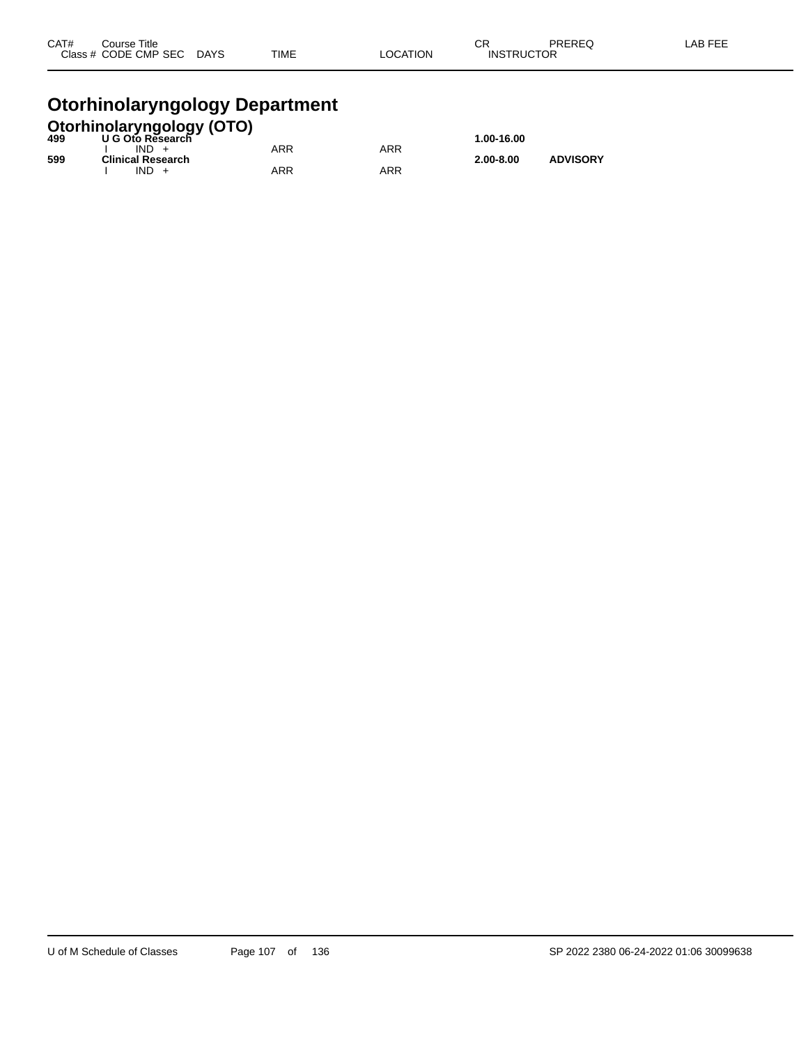| CAT# | Course Title              |             |          | ⌒冖                | PREREQ | LAB FEE |
|------|---------------------------|-------------|----------|-------------------|--------|---------|
|      | Class # CODE CMP SEC DAYS | <b>TIME</b> | LOCATION | <b>INSTRUCTOR</b> |        |         |
|      |                           |             |          |                   |        |         |

#### **Otorhinolaryngology Department**

|     | <b>Otorhinolaryngology (OTO)</b><br>499 U G Oto Research |            |     |               |                 |
|-----|----------------------------------------------------------|------------|-----|---------------|-----------------|
|     |                                                          |            |     | 1.00-16.00    |                 |
|     | $IND +$                                                  | <b>ARR</b> | ARR |               |                 |
| 599 | <b>Clinical Research</b>                                 |            |     | $2.00 - 8.00$ | <b>ADVISORY</b> |
|     | $IND +$                                                  | ARR        | ARR |               |                 |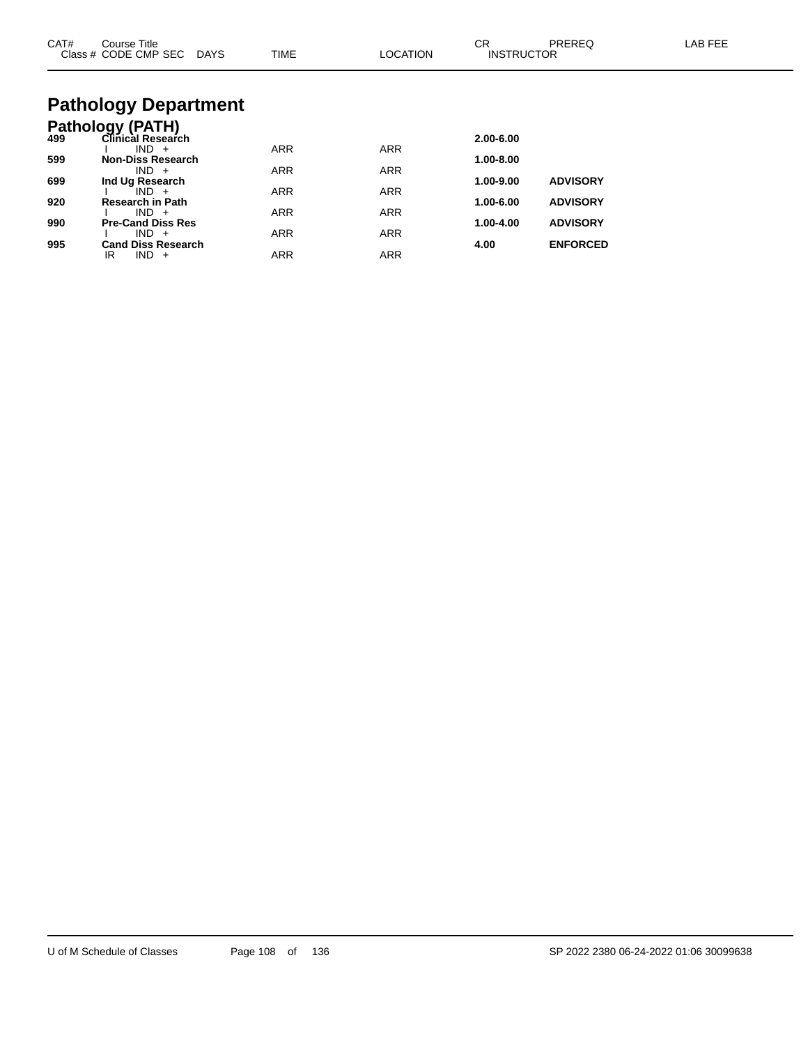| CAT# | Course Title<br>Class # CODE CMP SEC DAYS | <b>TIME</b> | <b>LOCATION</b> | СR<br><b>INSTRUCTOR</b> | PREREQ          | <b>LAB FEE</b> |
|------|-------------------------------------------|-------------|-----------------|-------------------------|-----------------|----------------|
|      | <b>Pathology Department</b>               |             |                 |                         |                 |                |
|      | <b>Pathology (PATH)</b>                   |             |                 |                         |                 |                |
| 499  | Clinical Research                         |             |                 | 2.00-6.00               |                 |                |
|      | $IND +$                                   | <b>ARR</b>  | <b>ARR</b>      |                         |                 |                |
| 599  | <b>Non-Diss Research</b><br>$IND +$       | <b>ARR</b>  | <b>ARR</b>      | 1.00-8.00               |                 |                |
| 699  | Ind Ug Research                           |             |                 | 1.00-9.00               | <b>ADVISORY</b> |                |
|      | $IND +$                                   | <b>ARR</b>  | <b>ARR</b>      |                         |                 |                |
| 920  | <b>Research in Path</b>                   |             |                 | 1.00-6.00               | <b>ADVISORY</b> |                |
| 990  | $IND +$<br><b>Pre-Cand Diss Res</b>       | <b>ARR</b>  | <b>ARR</b>      | 1.00-4.00               | <b>ADVISORY</b> |                |
|      | $IND +$                                   | <b>ARR</b>  | <b>ARR</b>      |                         |                 |                |
| 995  | <b>Cand Diss Research</b>                 |             |                 | 4.00                    | <b>ENFORCED</b> |                |
|      | $IND +$<br>IR                             | <b>ARR</b>  | <b>ARR</b>      |                         |                 |                |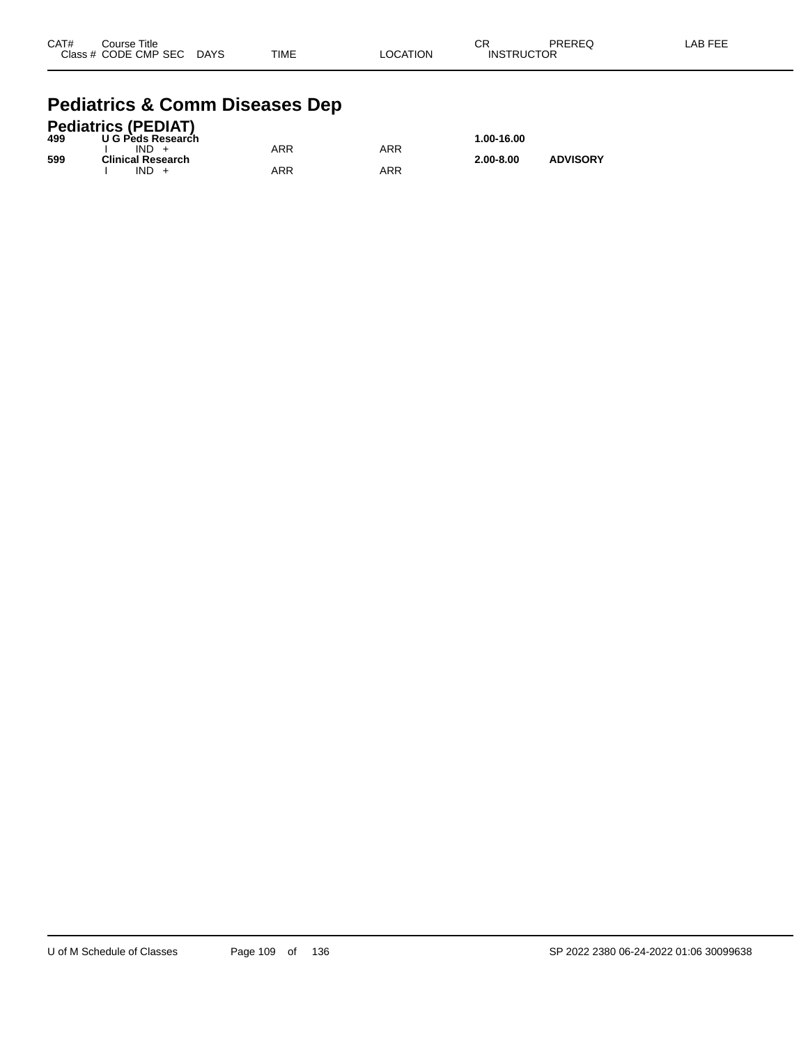| CAT# | Course Title              |             |          | CR                | PREREQ | -AB FEE |
|------|---------------------------|-------------|----------|-------------------|--------|---------|
|      | Class # CODE CMP SEC DAYS | <b>TIME</b> | LOCATION | <b>INSTRUCTOR</b> |        |         |

#### **Pediatrics & Comm Diseases Dep**

|     | <b>Pediatrics (PEDIAT)</b> |     |     |               |                 |
|-----|----------------------------|-----|-----|---------------|-----------------|
| 499 | U G Peds Research          |     |     | 1.00-16.00    |                 |
|     | $IND +$                    | ARR | ARR |               |                 |
| 599 | <b>Clinical Research</b>   |     |     | $2.00 - 8.00$ | <b>ADVISORY</b> |
|     | $IND +$                    | ARR | ARR |               |                 |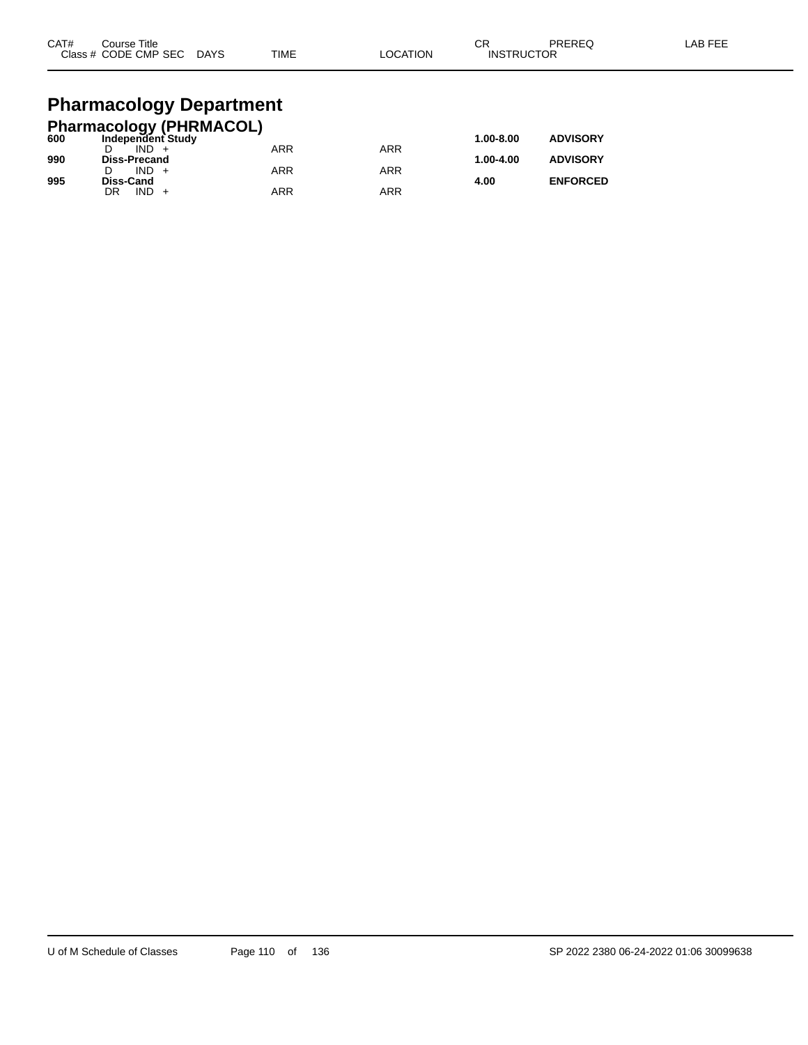| CAT# | Course Title<br>Class # CODE CMP SEC | <b>DAYS</b> | <b>TIME</b> | <b>OCATION</b> | ◠◻<br>- 613<br><b>INSTRUCTOR</b> | <b>PREREQ</b> | AB FEE. |
|------|--------------------------------------|-------------|-------------|----------------|----------------------------------|---------------|---------|
|      |                                      |             |             |                |                                  |               |         |

## **Pharmacology Department**

|     | <b>Pharmacology (PHRMACOL)</b> |            |     |               |                 |
|-----|--------------------------------|------------|-----|---------------|-----------------|
| 600 | Independent Study              |            |     | $1.00 - 8.00$ | <b>ADVISORY</b> |
|     | $IND +$                        | <b>ARR</b> | ARR |               |                 |
| 990 | <b>Diss-Precand</b>            |            |     | 1.00-4.00     | <b>ADVISORY</b> |
|     | $IND +$                        | ARR        | ARR |               |                 |
| 995 | <b>Diss-Cand</b>               |            |     | 4.00          | <b>ENFORCED</b> |
|     | $IND +$<br>DR                  | ARR        | ARR |               |                 |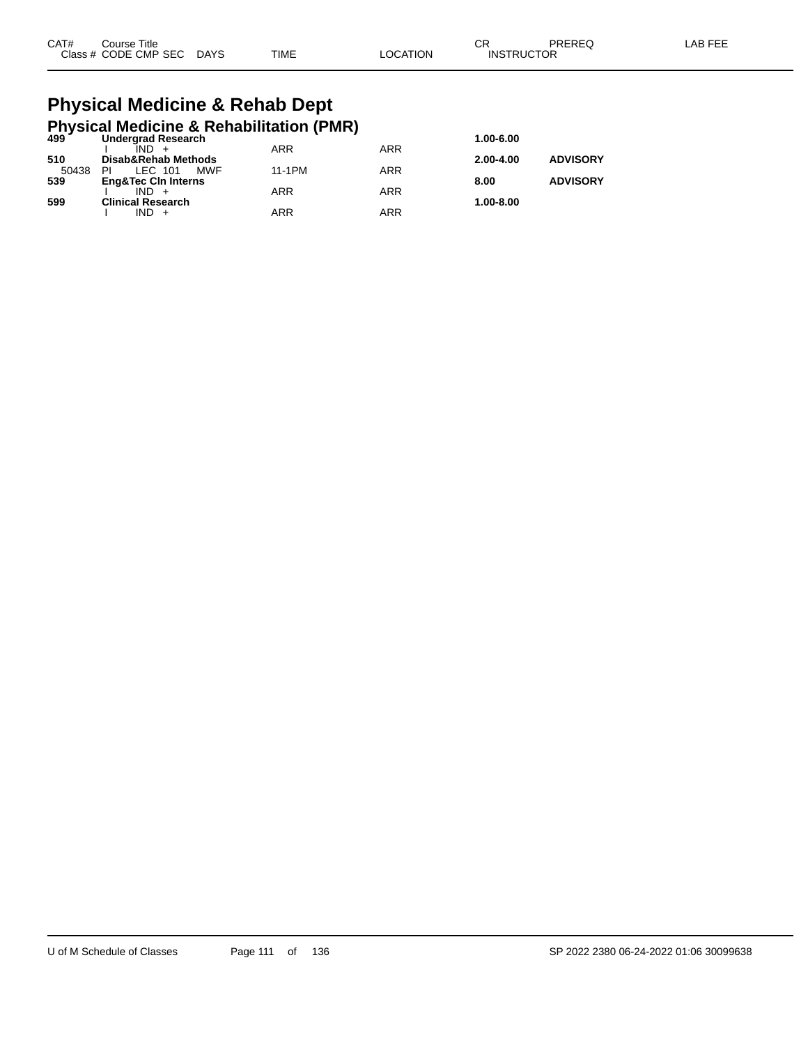| CAT# | Course Title              |             |                 | ∩⊓<br>◡◚          | PREREQ | LAB FEE |
|------|---------------------------|-------------|-----------------|-------------------|--------|---------|
|      | Class # CODE CMP SEC DAYS | <b>TIME</b> | <b>LOCATION</b> | <b>INSTRUCTOR</b> |        |         |

#### **Physical Medicine & Rehab Dept Physical Medicine & Rehabilitation (PMR)**

| $499^{\prime}$ | <b>Undergrad Research</b>      |        |            | 1.00-6.00     |                 |
|----------------|--------------------------------|--------|------------|---------------|-----------------|
|                | $IND +$                        | ARR    | ARR        |               |                 |
| 510            | Disab&Rehab Methods            |        |            | $2.00 - 4.00$ | <b>ADVISORY</b> |
| 50438          | MWF<br>LEC 101<br>PI           | 11-1PM | <b>ARR</b> |               |                 |
| 539            | <b>Eng&amp;Tec Cin Interns</b> |        |            | 8.00          | <b>ADVISORY</b> |
|                | $IND +$                        | ARR    | <b>ARR</b> |               |                 |
| 599            | <b>Clinical Research</b>       |        |            | 1.00-8.00     |                 |
|                | $IND +$                        | ARR    | ARR        |               |                 |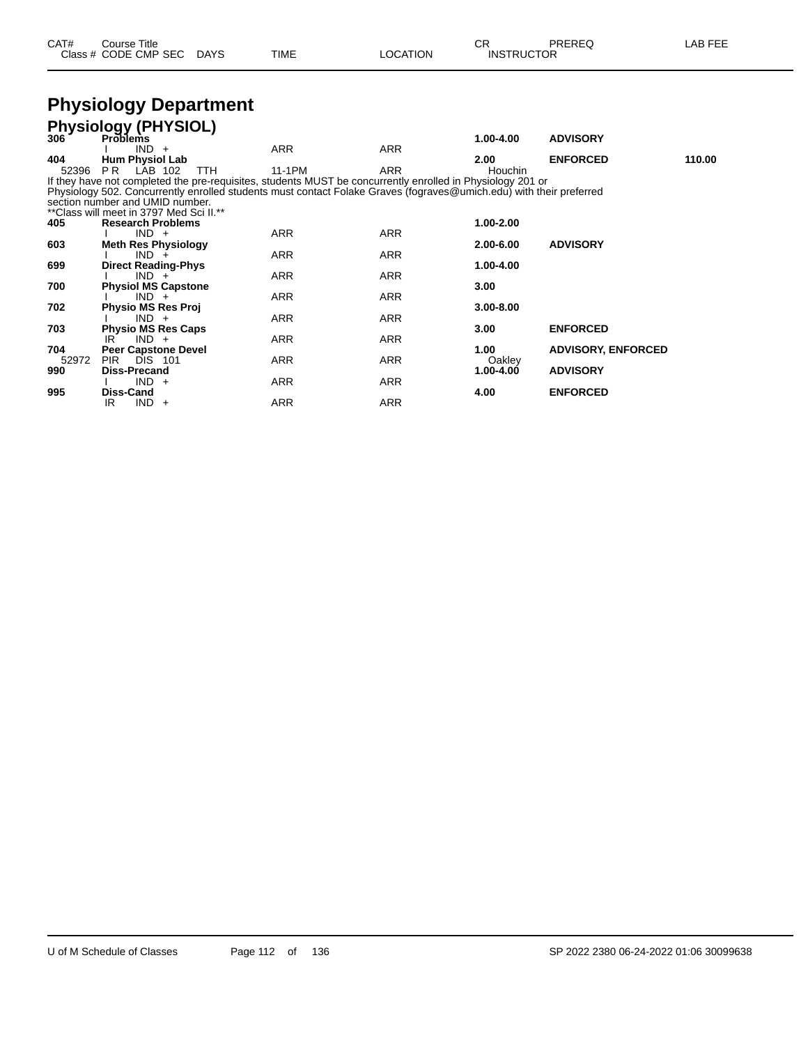| CAT# | Course Title              |      |                 |                   | PREREQ | LAB FEE |
|------|---------------------------|------|-----------------|-------------------|--------|---------|
|      | Class # CODE CMP SEC DAYS | TIME | <b>LOCATION</b> | <b>INSTRUCTOR</b> |        |         |

#### **Physiology Department**

| 306   | <b>Physiology (PHYSIOL)</b><br><b>Problems</b>                                                                      |            |            |               |                           |        |
|-------|---------------------------------------------------------------------------------------------------------------------|------------|------------|---------------|---------------------------|--------|
|       |                                                                                                                     |            |            | 1.00-4.00     | <b>ADVISORY</b>           |        |
|       | $IND +$                                                                                                             | ARR        | <b>ARR</b> |               |                           |        |
| 404   | <b>Hum Physiol Lab</b>                                                                                              |            |            | 2.00          | <b>ENFORCED</b>           | 110.00 |
| 52396 | <b>PR</b> LAB 102<br>TTH.                                                                                           | 11-1PM     | ARR        | Houchin       |                           |        |
|       | If they have not completed the pre-requisites, students MUST be concurrently enrolled in Physiology 201 or          |            |            |               |                           |        |
|       | Physiology 502. Concurrently enrolled students must contact Folake Graves (fograves@umich.edu) with their preferred |            |            |               |                           |        |
|       | section number and UMID number.                                                                                     |            |            |               |                           |        |
|       | ** Class will meet in 3797 Med Sci II.**                                                                            |            |            |               |                           |        |
| 405   | <b>Research Problems</b>                                                                                            |            |            | 1.00-2.00     |                           |        |
|       | $IND +$                                                                                                             | ARR        | ARR        |               |                           |        |
| 603   | <b>Meth Res Physiology</b>                                                                                          |            |            | 2.00-6.00     | <b>ADVISORY</b>           |        |
|       | $IND +$                                                                                                             | ARR        | ARR        |               |                           |        |
| 699   | <b>Direct Reading-Phys</b>                                                                                          |            |            | 1.00-4.00     |                           |        |
|       | $IND +$                                                                                                             | ARR        | ARR        |               |                           |        |
| 700   | <b>Physiol MS Capstone</b>                                                                                          |            |            | 3.00          |                           |        |
|       | $IND +$                                                                                                             | <b>ARR</b> | ARR        |               |                           |        |
| 702   | <b>Physio MS Res Proj</b>                                                                                           |            |            | $3.00 - 8.00$ |                           |        |
|       | $IND +$                                                                                                             | <b>ARR</b> | <b>ARR</b> |               |                           |        |
| 703   | <b>Physio MS Res Caps</b>                                                                                           |            |            | 3.00          | <b>ENFORCED</b>           |        |
|       | $IND +$<br>IR                                                                                                       | <b>ARR</b> | <b>ARR</b> |               |                           |        |
| 704   | <b>Peer Capstone Devel</b>                                                                                          |            |            | 1.00          | <b>ADVISORY, ENFORCED</b> |        |
| 52972 | <b>PIR</b><br><b>DIS 101</b>                                                                                        | ARR        | ARR        | Oakley        |                           |        |
| 990   | <b>Diss-Precand</b>                                                                                                 |            |            | $1.00 - 4.00$ | <b>ADVISORY</b>           |        |
|       | $IND +$                                                                                                             | <b>ARR</b> | <b>ARR</b> |               |                           |        |
| 995   | Diss-Cand                                                                                                           |            |            | 4.00          | <b>ENFORCED</b>           |        |
|       | IR<br>IND.<br>$+$                                                                                                   | <b>ARR</b> | ARR        |               |                           |        |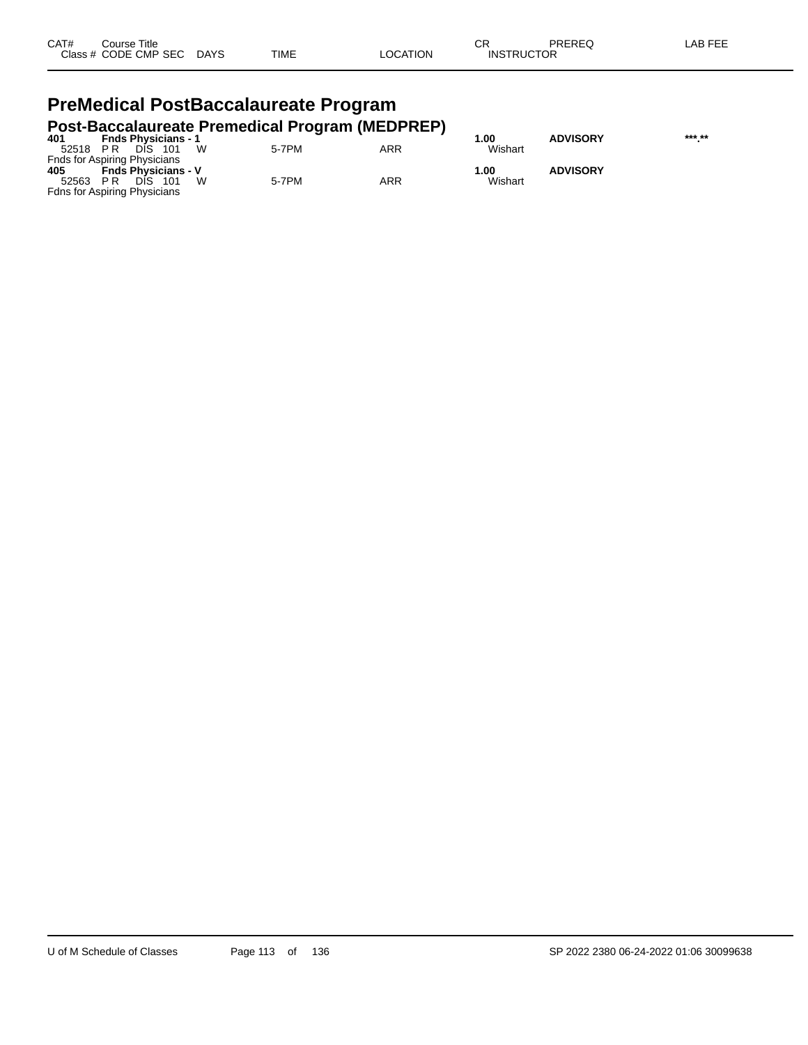| CAT# | Title<br>Course      |             |             |                 | ⌒г<br>- UN        | PREREQ | LAB FF <sup>F</sup> |
|------|----------------------|-------------|-------------|-----------------|-------------------|--------|---------------------|
|      | Class # CODE CMP SEC | <b>DAYS</b> | <b>TIME</b> | `CATION<br>LOC. | <b>INSTRUCTOR</b> |        |                     |

#### **PreMedical PostBaccalaureate Program Post-Baccalaureate Premedical Program (MEDPREP)**

| 401   | <b>Fnds Physicians - 1</b>          | ີ     |     | .00     | <b>ADVISORY</b> | *** ** |
|-------|-------------------------------------|-------|-----|---------|-----------------|--------|
| 52518 | W<br>PR<br>DIS<br>- 101             | 5-7PM | ARR | Wishart |                 |        |
|       | <b>Fnds for Aspiring Physicians</b> |       |     |         |                 |        |
| 405   | <b>Fnds Physicians - V</b>          |       |     | 1.00    | <b>ADVISORY</b> |        |
| 52563 | W<br>DIS.<br>- 101<br>PR            | 5-7PM | ARR | Wishart |                 |        |
|       | <b>Fdns for Aspiring Physicians</b> |       |     |         |                 |        |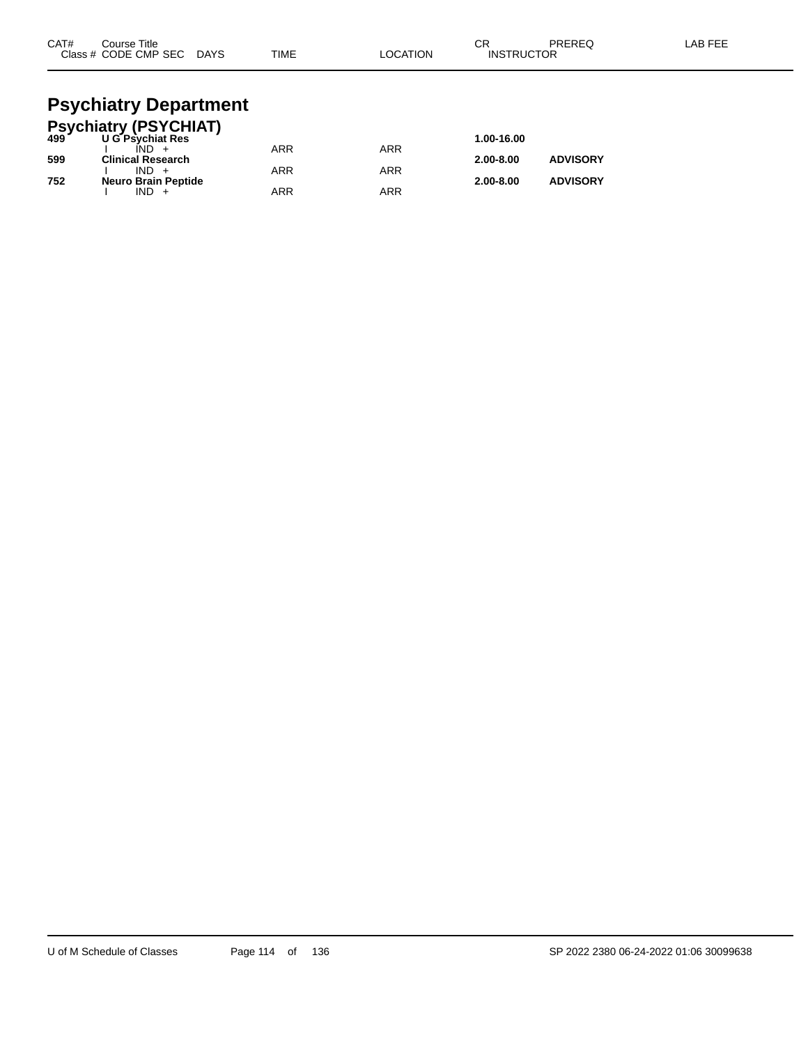| CAT#<br>Course Title<br>Class # CODE CMP SEC DAYS | TIME | <b>LOCATION</b> | СR<br><b>INSTRUCTOR</b> | PRERFO | LAB FEE |
|---------------------------------------------------|------|-----------------|-------------------------|--------|---------|
| Doughiatry Donortmant                             |      |                 |                         |        |         |

#### **Psychiatry Department Psychiatry (PSYCHIAT)**

|     | <b>FSychiatry (FSTCTTAT)</b><br>499 UG Psychiat Res |     |            | 1.00-16.00    |                 |
|-----|-----------------------------------------------------|-----|------------|---------------|-----------------|
|     | $IND +$                                             | ARR | <b>ARR</b> |               |                 |
| 599 | <b>Clinical Research</b>                            |     |            | $2.00 - 8.00$ | <b>ADVISORY</b> |
|     | $IND +$                                             | ARR | ARR        |               |                 |
| 752 | <b>Neuro Brain Peptide</b>                          |     |            | $2.00 - 8.00$ | <b>ADVISORY</b> |
|     | $IND +$                                             | ARR | ARR        |               |                 |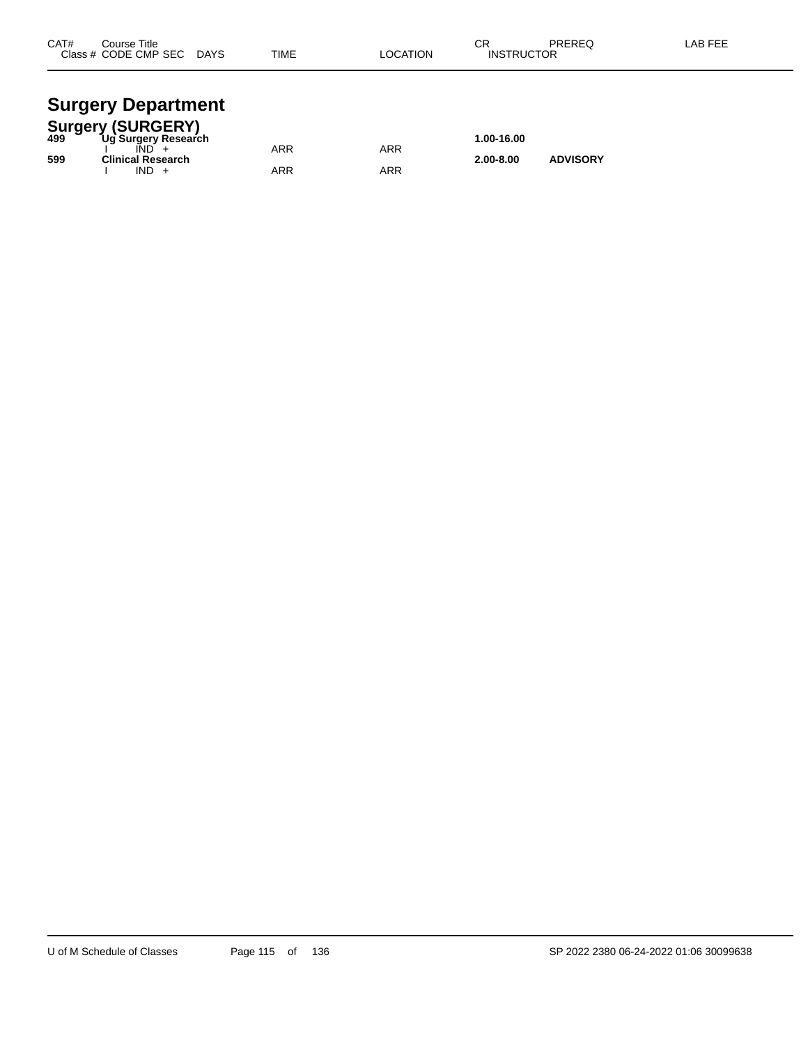| CAT#<br>Class $#$ | Course Title<br>CODE CMP SEC | <b>DAYS</b> | <b>TIME</b> | <b>OCATION</b> | ◠⊏<br>- 65<br><b>INSTRUCTOR</b> | PREREQ | AB FEE. |
|-------------------|------------------------------|-------------|-------------|----------------|---------------------------------|--------|---------|
|                   |                              |             |             |                |                                 |        |         |

#### **Surgery Department**

|     | <b>Surgery (SURGERY)</b> |     |     |               |                 |  |
|-----|--------------------------|-----|-----|---------------|-----------------|--|
| 499 | Ug Surgery Research      |     |     | 1.00-16.00    |                 |  |
|     |                          | ARR | ARR |               |                 |  |
| 599 | <b>Clinical Research</b> |     |     | $2.00 - 8.00$ | <b>ADVISORY</b> |  |
|     | $IND +$                  | ARR | ARR |               |                 |  |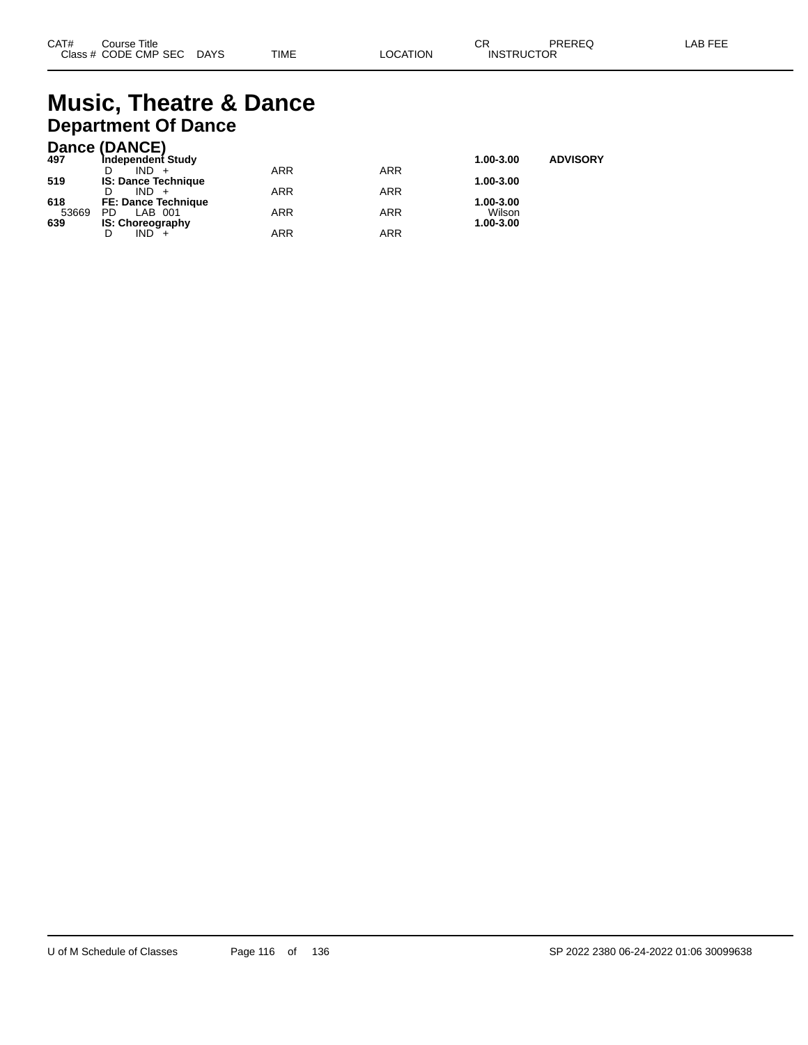## **Music, Theatre & Dance Department Of Dance**

#### **Dance (DANCE)**

| 497   | Independent Study          |     |            | 1.00-3.00 | <b>ADVISORY</b> |
|-------|----------------------------|-----|------------|-----------|-----------------|
|       | $IND +$                    | ARR | <b>ARR</b> |           |                 |
| 519   | <b>IS: Dance Technique</b> |     |            | 1.00-3.00 |                 |
|       | $IND +$                    | ARR | ARR        |           |                 |
| 618   | <b>FE: Dance Technique</b> |     |            | 1.00-3.00 |                 |
| 53669 | PD.<br>LAB 001             | ARR | <b>ARR</b> | Wilson    |                 |
| 639   | <b>IS: Choreography</b>    |     |            | 1.00-3.00 |                 |
|       | $IND +$<br>D               | ARR | ARR        |           |                 |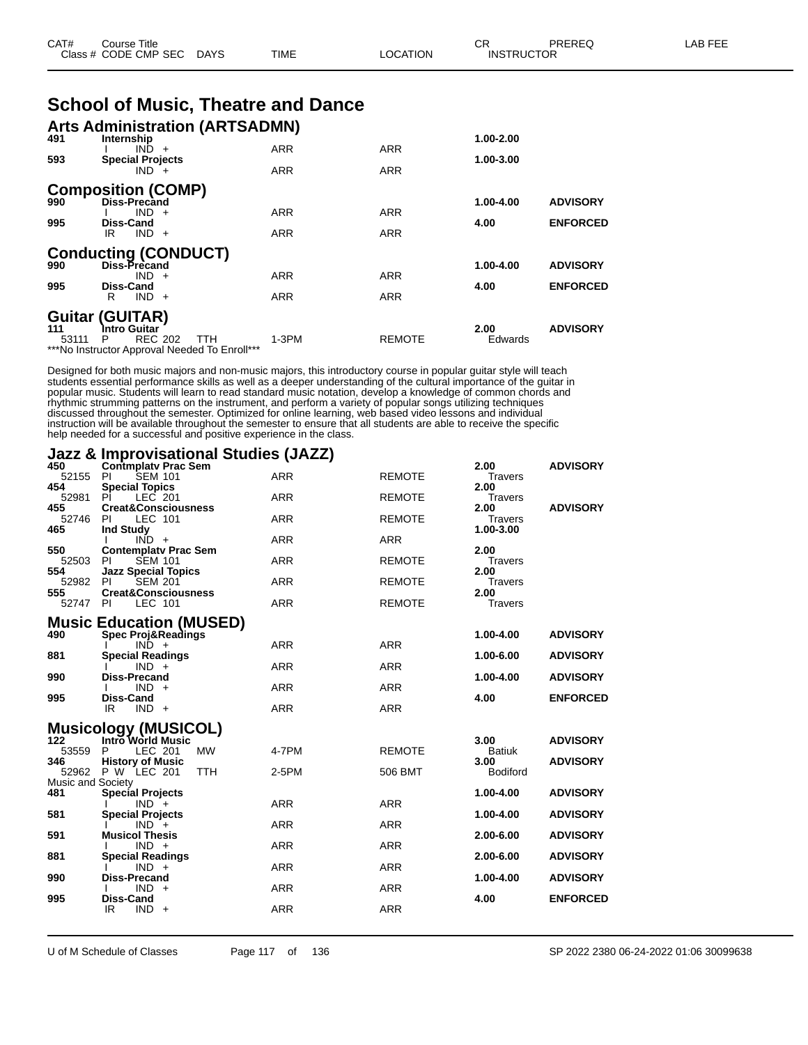| CAT# | ourse Titleٽ              |      |          | ◠◻<br>◡ጙ          | PREREQ | LAB FEE |
|------|---------------------------|------|----------|-------------------|--------|---------|
|      | Class # CODE CMP SEC DAYS | TIME | LOCATION | <b>INSTRUCTOR</b> |        |         |

|  |  |  | <b>School of Music, Theatre and Dance</b> |  |  |
|--|--|--|-------------------------------------------|--|--|
|--|--|--|-------------------------------------------|--|--|

| 491   | <b>Arts Administration (ARTSADMN)</b><br>Internship                                |            |               | 1.00-2.00 |                 |
|-------|------------------------------------------------------------------------------------|------------|---------------|-----------|-----------------|
|       | $IND +$                                                                            | <b>ARR</b> | <b>ARR</b>    |           |                 |
| 593   | <b>Special Projects</b><br>$IND +$                                                 | <b>ARR</b> | <b>ARR</b>    | 1.00-3.00 |                 |
| 990   | <b>Composition (COMP)</b><br><b>Diss-Precand</b>                                   |            |               | 1.00-4.00 | <b>ADVISORY</b> |
|       | $IND +$                                                                            | <b>ARR</b> | <b>ARR</b>    |           |                 |
| 995   | <b>Diss-Cand</b><br>$IND +$<br>IR                                                  | <b>ARR</b> | <b>ARR</b>    | 4.00      | <b>ENFORCED</b> |
| 990   | <b>Conducting (CONDUCT)</b><br>Diss-Precand                                        |            |               | 1.00-4.00 | <b>ADVISORY</b> |
|       | $IND +$                                                                            | <b>ARR</b> | <b>ARR</b>    |           |                 |
| 995   | <b>Diss-Cand</b><br>$IND +$<br>R                                                   | <b>ARR</b> | <b>ARR</b>    | 4.00      | <b>ENFORCED</b> |
| 111   | <b>Guitar (GUITAR)</b><br>Intro Guitar                                             |            |               | 2.00      | <b>ADVISORY</b> |
| 53111 | <b>REC 202</b><br>P<br><b>TTH</b><br>***No Instructor Approval Needed To Enroll*** | $1-3PM$    | <b>REMOTE</b> | Edwards   |                 |

Designed for both music majors and non-music majors, this introductory course in popular guitar style will teach students essential performance skills as well as a deeper understanding of the cultural importance of the guitar in popular music. Students will learn to read standard music notation, develop a knowledge of common chords and rhythmic strumming patterns on the instrument, and perform a variety of popular songs utilizing techniques discussed throughout the semester. Optimized for online learning, web based video lessons and individual instruction will be available throughout the semester to ensure that all students are able to receive the specific help needed for a successful and positive experience in the class.

#### **Jazz & Improvisational Studies (JAZZ)**

| 450               | <b>Contmplatv Prac Sem</b>                     |            |               | 2.00                  | <b>ADVISORY</b> |
|-------------------|------------------------------------------------|------------|---------------|-----------------------|-----------------|
| 52155             | <b>SEM 101</b><br><b>PI</b>                    | <b>ARR</b> | <b>REMOTE</b> | <b>Travers</b>        |                 |
| 454               | <b>Special Topics</b>                          |            |               | 2.00                  |                 |
| 52981             | LEC 201<br>ΡI                                  | <b>ARR</b> | <b>REMOTE</b> | Travers               |                 |
| 455               | <b>Creat&amp;Consciousness</b>                 |            |               | 2.00                  | <b>ADVISORY</b> |
| 52746<br>465      | LEC 101<br>PI<br><b>Ind Study</b>              | <b>ARR</b> | <b>REMOTE</b> | Travers<br>1.00-3.00  |                 |
|                   | $IND +$                                        | <b>ARR</b> | <b>ARR</b>    |                       |                 |
| 550               | <b>Contemplaty Prac Sem</b>                    |            |               | 2.00                  |                 |
| 52503             | <b>SEM 101</b><br>PI                           | <b>ARR</b> | <b>REMOTE</b> | <b>Travers</b>        |                 |
| 554               | <b>Jazz Special Topics</b>                     |            |               | 2.00                  |                 |
| 52982             | <b>SEM 201</b><br>PI                           | <b>ARR</b> | <b>REMOTE</b> | <b>Travers</b>        |                 |
| 555               | <b>Creat&amp;Consciousness</b>                 |            |               | 2.00                  |                 |
| 52747             | LEC 101<br>-PI                                 | <b>ARR</b> | <b>REMOTE</b> | <b>Travers</b>        |                 |
|                   |                                                |            |               |                       |                 |
|                   | <b>Music Education (MUSED)</b>                 |            |               |                       |                 |
| 490               | <b>Spec Proj&amp;Readings</b>                  |            |               | 1.00-4.00             | <b>ADVISORY</b> |
| 881               | $IND +$<br><b>Special Readings</b>             | <b>ARR</b> | <b>ARR</b>    | 1.00-6.00             | <b>ADVISORY</b> |
|                   | $IND +$                                        | <b>ARR</b> | ARR           |                       |                 |
| 990               | <b>Diss-Precand</b>                            |            |               | 1.00-4.00             | <b>ADVISORY</b> |
|                   | $IND +$                                        | <b>ARR</b> | <b>ARR</b>    |                       |                 |
| 995               | <b>Diss-Cand</b>                               |            |               | 4.00                  | <b>ENFORCED</b> |
|                   | IR<br>$IND +$                                  | <b>ARR</b> | <b>ARR</b>    |                       |                 |
|                   |                                                |            |               |                       |                 |
|                   | <b>Musicology (MUSICOL)</b>                    |            |               |                       |                 |
| 122<br>53559      | Intro World Music<br>LEC 201<br><b>MW</b><br>P | 4-7PM      | <b>REMOTE</b> | 3.00                  | <b>ADVISORY</b> |
| 346               | <b>History of Music</b>                        |            |               | <b>Batiuk</b><br>3.00 | <b>ADVISORY</b> |
|                   | 52962 P W LEC 201<br><b>TTH</b>                | 2-5PM      | 506 BMT       | <b>Bodiford</b>       |                 |
| Music and Society |                                                |            |               |                       |                 |
| 481               | <b>Special Projects</b>                        |            |               | 1.00-4.00             | <b>ADVISORY</b> |
|                   | $IND +$                                        | <b>ARR</b> | <b>ARR</b>    |                       |                 |
| 581               | <b>Special Projects</b>                        |            |               | 1.00-4.00             | <b>ADVISORY</b> |
|                   | $IND +$                                        | <b>ARR</b> | <b>ARR</b>    |                       |                 |
| 591               | <b>Musicol Thesis</b>                          |            |               | 2.00-6.00             | <b>ADVISORY</b> |
|                   | $IND +$                                        | <b>ARR</b> | <b>ARR</b>    |                       |                 |
| 881               | <b>Special Readings</b>                        | <b>ARR</b> | <b>ARR</b>    | 2.00-6.00             | <b>ADVISORY</b> |
| 990               | $IND +$<br><b>Diss-Precand</b>                 |            |               | 1.00-4.00             | <b>ADVISORY</b> |
|                   | $IND +$                                        | <b>ARR</b> | <b>ARR</b>    |                       |                 |
| 995               | Diss-Cand                                      |            |               | 4.00                  | <b>ENFORCED</b> |
|                   | IR<br>$IND +$                                  | <b>ARR</b> | <b>ARR</b>    |                       |                 |
|                   |                                                |            |               |                       |                 |

U of M Schedule of Classes Page 117 of 136 SP 2022 2380 06-24-2022 01:06 30099638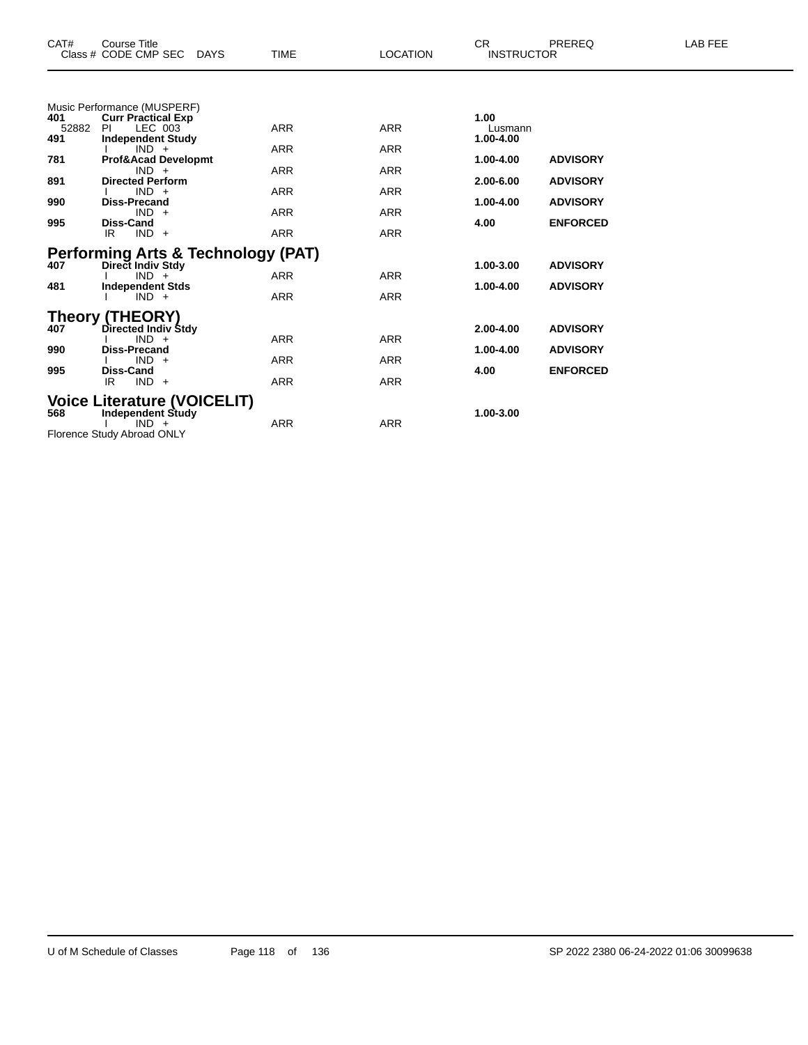| CAT#                                            | Course Title<br>Class # CODE CMP SEC                                                                                                                                                                                                                                       | DAYS | <b>TIME</b>                                                                      | <b>LOCATION</b>                                                                  | CR.<br><b>INSTRUCTOR</b>                                                        | PREREQ                                                                   | LAB FEE |
|-------------------------------------------------|----------------------------------------------------------------------------------------------------------------------------------------------------------------------------------------------------------------------------------------------------------------------------|------|----------------------------------------------------------------------------------|----------------------------------------------------------------------------------|---------------------------------------------------------------------------------|--------------------------------------------------------------------------|---------|
| 401<br>52882<br>491<br>781<br>891<br>990<br>995 | Music Performance (MUSPERF)<br><b>Curr Practical Exp</b><br>LEC 003<br>PI<br><b>Independent Study</b><br>$IND +$<br><b>Prof&amp;Acad Developmt</b><br>$IND +$<br><b>Directed Perform</b><br>$IND +$<br><b>Diss-Precand</b><br>$IND +$<br><b>Diss-Cand</b><br>IR<br>$IND +$ |      | <b>ARR</b><br><b>ARR</b><br><b>ARR</b><br><b>ARR</b><br><b>ARR</b><br><b>ARR</b> | <b>ARR</b><br><b>ARR</b><br><b>ARR</b><br><b>ARR</b><br><b>ARR</b><br><b>ARR</b> | 1.00<br>Lusmann<br>1.00-4.00<br>$1.00 - 4.00$<br>2.00-6.00<br>1.00-4.00<br>4.00 | <b>ADVISORY</b><br><b>ADVISORY</b><br><b>ADVISORY</b><br><b>ENFORCED</b> |         |
| 407<br>481                                      | <b>Performing Arts &amp; Technology (PAT)</b><br>Direct Indiv Stdy<br>$IND +$<br><b>Independent Stds</b><br>$IND +$                                                                                                                                                        |      | <b>ARR</b><br><b>ARR</b>                                                         | <b>ARR</b><br><b>ARR</b>                                                         | 1.00-3.00<br>1.00-4.00                                                          | <b>ADVISORY</b><br><b>ADVISORY</b>                                       |         |
| 407<br>990<br>995                               | <b>Theory (THEORY)</b><br>Directed Indiv Stdy<br>$IND +$<br><b>Diss-Precand</b><br>$IND +$<br><b>Diss-Cand</b><br>IR<br>$IND +$                                                                                                                                            |      | <b>ARR</b><br><b>ARR</b><br><b>ARR</b>                                           | <b>ARR</b><br><b>ARR</b><br><b>ARR</b>                                           | 2.00-4.00<br>1.00-4.00<br>4.00                                                  | <b>ADVISORY</b><br><b>ADVISORY</b><br><b>ENFORCED</b>                    |         |
| 568                                             | <b>Voice Literature (VOICELIT)</b><br><b>Independent Study</b><br>$IND +$                                                                                                                                                                                                  |      | <b>ARR</b>                                                                       | <b>ARR</b>                                                                       | 1.00-3.00                                                                       |                                                                          |         |

Florence Study Abroad ONLY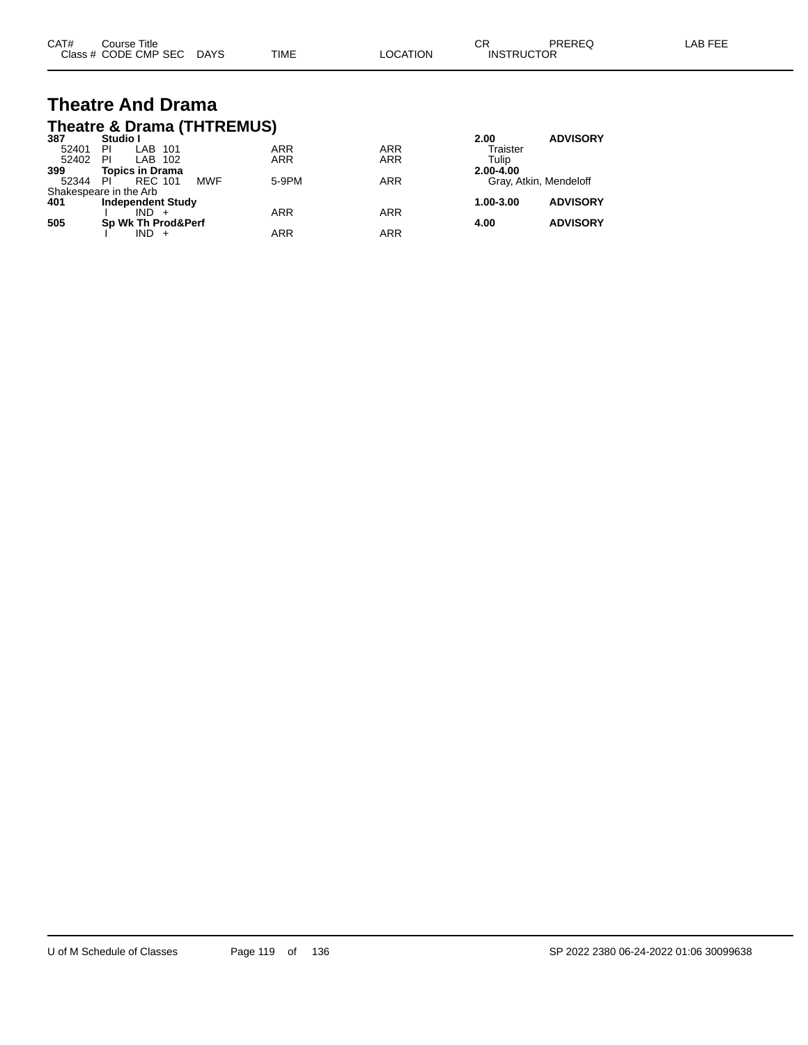| CAT# | Course Title              |      |                 | Ωn<br>◡ጙ          | PREREQ | LAB FEE |
|------|---------------------------|------|-----------------|-------------------|--------|---------|
|      | Class # CODE CMP SEC DAYS | TIME | <b>LOCATION</b> | <b>INSTRUCTOR</b> |        |         |

#### **Theatre And Drama Theatre & Drama (THTREMUS)**

| 387   | Studio I                 |            |            |            | 2.00                   | <b>ADVISORY</b> |
|-------|--------------------------|------------|------------|------------|------------------------|-----------------|
| 52401 | LAB 101<br>ΡI            |            | <b>ARR</b> | <b>ARR</b> | Traister               |                 |
| 52402 | LAB 102<br>PI            |            | <b>ARR</b> | <b>ARR</b> | Tulip                  |                 |
| 399   | <b>Topics in Drama</b>   |            |            |            | 2.00-4.00              |                 |
| 52344 | PI<br><b>REC 101</b>     | <b>MWF</b> | 5-9PM      | <b>ARR</b> | Gray, Atkin, Mendeloff |                 |
|       | Shakespeare in the Arb   |            |            |            |                        |                 |
| 401   | <b>Independent Study</b> |            |            |            | 1.00-3.00              | <b>ADVISORY</b> |
|       | $IND +$                  |            | <b>ARR</b> | <b>ARR</b> |                        |                 |
| 505   | Sp Wk Th Prod&Perf       |            |            |            | 4.00                   | <b>ADVISORY</b> |
|       | $IND +$                  |            | <b>ARR</b> | ARR        |                        |                 |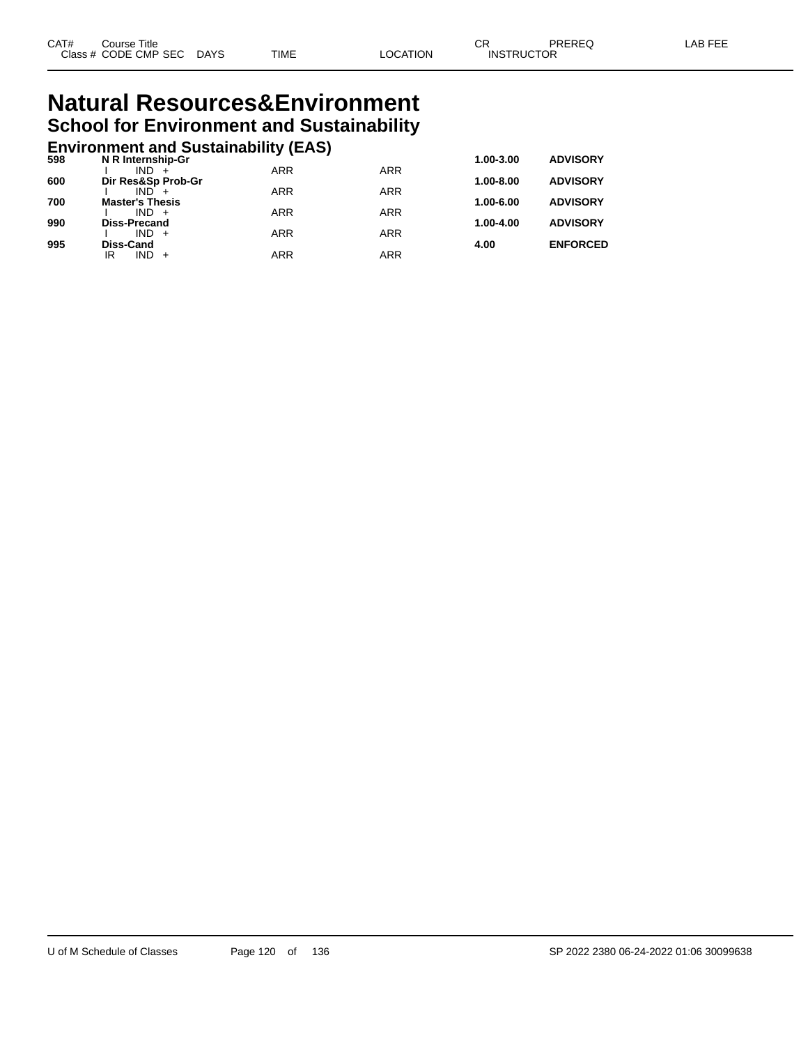#### **Natural Resources&Environment School for Environment and Sustainability**

## **Environment and Sustainability (EAS) 598 N R Internship-Gr 1.00-3.00 ADVISORY**

| ้วงช | N R INTERNSNIP-GT          |            |            | 1.00-3.00     | <b>ADVISORT</b> |
|------|----------------------------|------------|------------|---------------|-----------------|
| 600  | IND.<br>Dir Res&Sp Prob-Gr | <b>ARR</b> | <b>ARR</b> | $1.00 - 8.00$ | <b>ADVISORY</b> |
|      | $IND +$                    | <b>ARR</b> | <b>ARR</b> |               |                 |
| 700  | <b>Master's Thesis</b>     |            |            | 1.00-6.00     | <b>ADVISORY</b> |
|      | $IND +$                    | ARR        | <b>ARR</b> |               |                 |
| 990  | <b>Diss-Precand</b>        |            |            | 1.00-4.00     | <b>ADVISORY</b> |
|      | $IND +$                    | <b>ARR</b> | <b>ARR</b> |               |                 |
| 995  | Diss-Cand                  |            |            | 4.00          | <b>ENFORCED</b> |
|      | IR<br>$IND +$              | ARR        | ARR        |               |                 |
|      |                            |            |            |               |                 |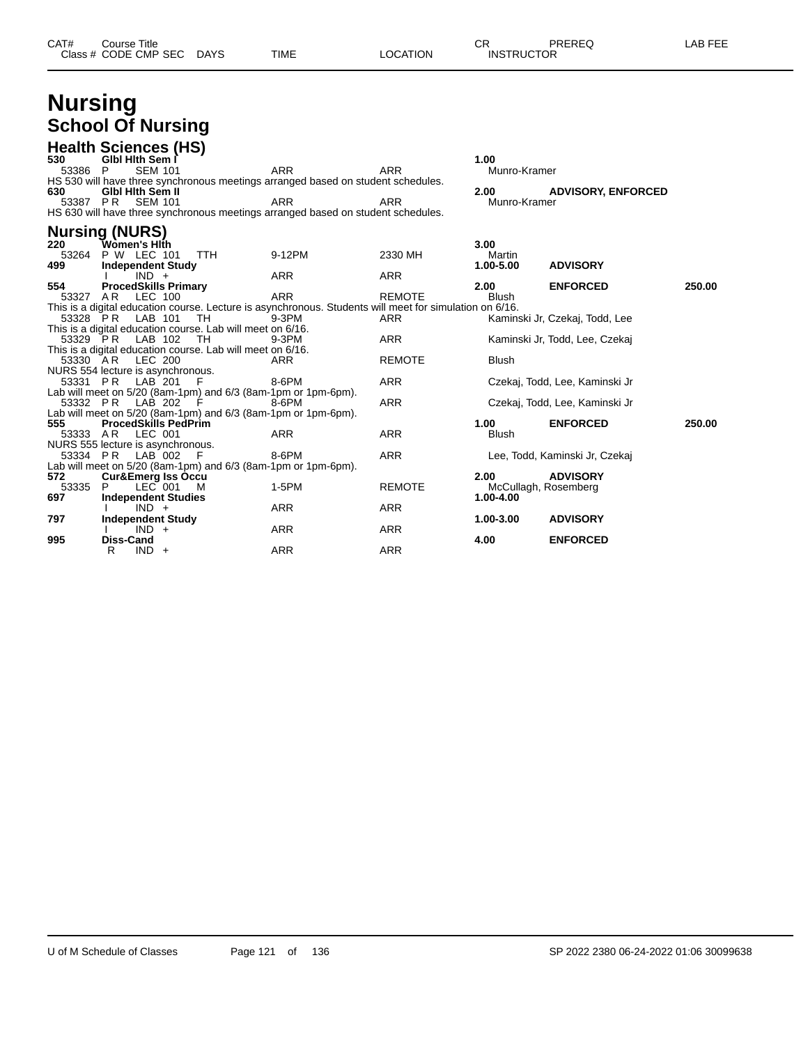| CAT# | Title<br>Course      |             |      |                 | ⌒冖<br>◡           | PREREQ | 7 EEF<br>AR |
|------|----------------------|-------------|------|-----------------|-------------------|--------|-------------|
|      | Class # CODE CMP SEC | <b>DAYS</b> | TIME | <b>LOCATION</b> | <b>INSTRUCTOR</b> |        |             |

| <b>Nursing</b> |                          |
|----------------|--------------------------|
|                | <b>School Of Nursing</b> |

| 530      | <b>Health Sciences (HS)</b><br>Gibi Hith Sem I        |                                                                                                         |            |               | 1.00                 |                                |        |
|----------|-------------------------------------------------------|---------------------------------------------------------------------------------------------------------|------------|---------------|----------------------|--------------------------------|--------|
| 53386    | <b>SEM 101</b><br>- P                                 |                                                                                                         | <b>ARR</b> | <b>ARR</b>    | Munro-Kramer         |                                |        |
|          |                                                       | HS 530 will have three synchronous meetings arranged based on student schedules.                        |            |               |                      |                                |        |
| 630      | <b>GIbl Hith Sem II</b>                               |                                                                                                         |            |               | 2.00                 | <b>ADVISORY, ENFORCED</b>      |        |
|          | 53387 PR SEM 101                                      |                                                                                                         | <b>ARR</b> | <b>ARR</b>    | Munro-Kramer         |                                |        |
|          |                                                       | HS 630 will have three synchronous meetings arranged based on student schedules.                        |            |               |                      |                                |        |
|          | <b>Nursing (NURS)</b>                                 |                                                                                                         |            |               |                      |                                |        |
| 220      | <b>TWòmen's Hlṫh</b>                                  |                                                                                                         |            |               | 3.00                 |                                |        |
| 53264    | <b>P W LEC 101</b>                                    | <b>TTH</b>                                                                                              | 9-12PM     | 2330 MH       | Martin               |                                |        |
| 499      | <b>Independent Study</b>                              |                                                                                                         |            |               | 1.00-5.00            | <b>ADVISORY</b>                |        |
|          | $IND +$                                               |                                                                                                         | <b>ARR</b> | <b>ARR</b>    |                      |                                |        |
| 554      | <b>ProcedSkills Primary</b>                           |                                                                                                         |            |               | 2.00                 | <b>ENFORCED</b>                | 250.00 |
| 53327 AR | LEC 100                                               |                                                                                                         | <b>ARR</b> | <b>REMOTE</b> | <b>Blush</b>         |                                |        |
|          |                                                       | This is a digital education course. Lecture is asynchronous. Students will meet for simulation on 6/16. |            |               |                      |                                |        |
|          | 53328 PR LAB 101                                      | - TH                                                                                                    | $9-3PM$    | ARR           |                      | Kaminski Jr. Czekaj, Todd, Lee |        |
|          | 53329 PR LAB 102                                      | This is a digital education course. Lab will meet on 6/16.<br>- TH                                      | 9-3PM      | ARR           |                      | Kaminski Jr, Todd, Lee, Czekaj |        |
|          |                                                       | This is a digital education course. Lab will meet on 6/16.                                              |            |               |                      |                                |        |
| 53330 AR | LEC 200                                               |                                                                                                         | ARR        | <b>REMOTE</b> | <b>Blush</b>         |                                |        |
|          | NURS 554 lecture is asynchronous.                     |                                                                                                         |            |               |                      |                                |        |
| 53331 PR | LAB 201                                               | - F                                                                                                     | 8-6PM      | <b>ARR</b>    |                      | Czekaj, Todd, Lee, Kaminski Jr |        |
|          |                                                       | Lab will meet on 5/20 (8am-1pm) and 6/3 (8am-1pm or 1pm-6pm).                                           |            |               |                      |                                |        |
|          | 53332 PR LAB 202                                      | - F                                                                                                     | 8-6PM      | <b>ARR</b>    |                      | Czekaj, Todd, Lee, Kaminski Jr |        |
|          |                                                       | Lab will meet on 5/20 (8am-1pm) and 6/3 (8am-1pm or 1pm-6pm).                                           |            |               |                      |                                |        |
| 555      | <b>ProcedSkills PedPrim</b>                           |                                                                                                         |            |               | 1.00                 | <b>ENFORCED</b>                | 250.00 |
| 53333 AR | LEC 001                                               |                                                                                                         | <b>ARR</b> | ARR           | <b>Blush</b>         |                                |        |
|          | NURS 555 lecture is asynchronous.<br>53334 PR LAB 002 | - F                                                                                                     | 8-6PM      | <b>ARR</b>    |                      | Lee, Todd, Kaminski Jr, Czekaj |        |
|          |                                                       | Lab will meet on 5/20 (8am-1pm) and 6/3 (8am-1pm or 1pm-6pm).                                           |            |               |                      |                                |        |
| 572      | <b>Cur&amp;Emerg Iss Occu</b>                         |                                                                                                         |            |               | 2.00                 | <b>ADVISORY</b>                |        |
| 53335    | $LEC$ 001<br>P                                        | M                                                                                                       | $1-5PM$    | <b>REMOTE</b> | McCullagh, Rosemberg |                                |        |
| 697      | <b>Independent Studies</b>                            |                                                                                                         |            |               | 1.00-4.00            |                                |        |
|          | $IND +$                                               |                                                                                                         | <b>ARR</b> | <b>ARR</b>    |                      |                                |        |
| 797      | <b>Independent Study</b>                              |                                                                                                         |            |               | 1.00-3.00            | <b>ADVISORY</b>                |        |
|          | $IND +$                                               |                                                                                                         | <b>ARR</b> | <b>ARR</b>    |                      |                                |        |
| 995      | Diss-Cand                                             |                                                                                                         |            |               | 4.00                 | <b>ENFORCED</b>                |        |
|          | $IND +$<br>R                                          |                                                                                                         | <b>ARR</b> | <b>ARR</b>    |                      |                                |        |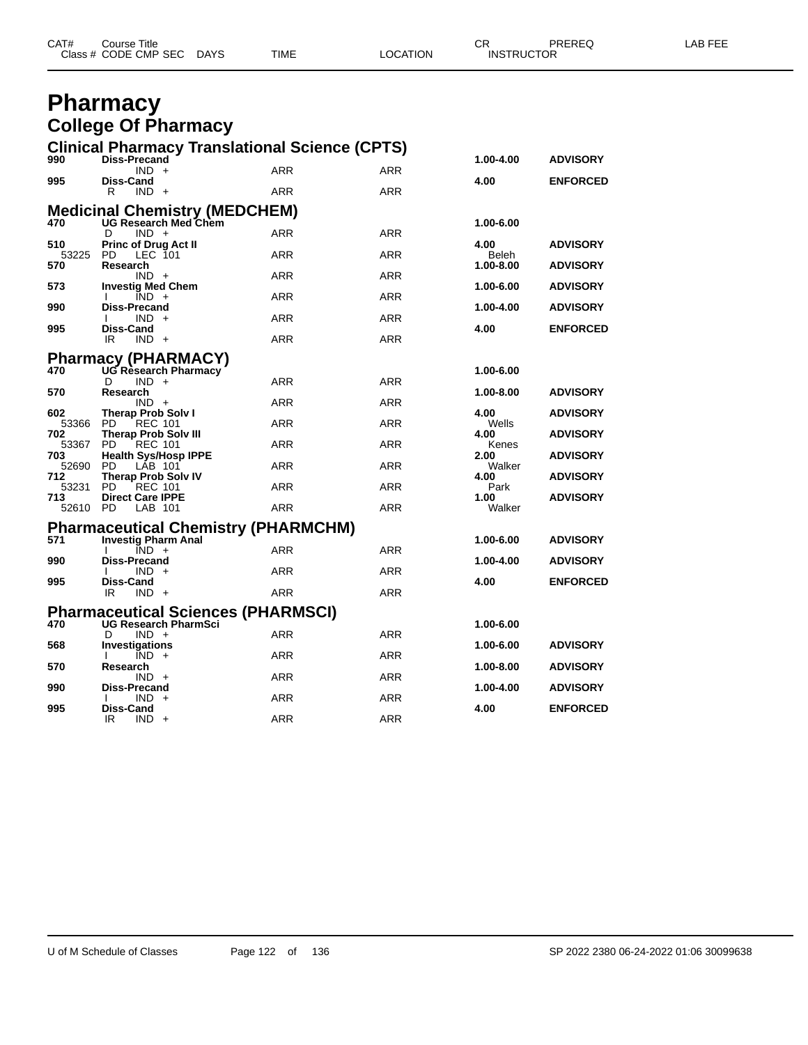| CAT# | Course Title              |      |          | $\cap$<br><b>UN</b> | PREREQ | <b>AB FEE</b> |
|------|---------------------------|------|----------|---------------------|--------|---------------|
|      | Class # CODE CMP SEC DAYS | TIME | LOCATION | <b>INSTRUCTOR</b>   |        |               |

#### **Pharmacy College Of Pharmacy**

|              | <b>Clinical Pharmacy Translational Science (CPTS)</b>                    |            |            |                |                 |
|--------------|--------------------------------------------------------------------------|------------|------------|----------------|-----------------|
| 990          | <b>Diss-Precand</b>                                                      |            |            | 1.00-4.00      | <b>ADVISORY</b> |
| 995          | $IND +$<br><b>Diss-Cand</b>                                              | <b>ARR</b> | <b>ARR</b> | 4.00           | <b>ENFORCED</b> |
|              | R<br>IND.<br>$+$                                                         | ARR        | <b>ARR</b> |                |                 |
|              |                                                                          |            |            |                |                 |
|              | Medicinal Chemistry (MEDCHEM)<br>470 UG Research Med Chem                |            |            | 1.00-6.00      |                 |
|              | $IND +$<br>D                                                             | <b>ARR</b> | <b>ARR</b> | 4.00           |                 |
| 510<br>53225 | <b>Princ of Drug Act II</b><br>LEC 101<br>PD                             | <b>ARR</b> | <b>ARR</b> | Beleh          | <b>ADVISORY</b> |
| 570          | Research                                                                 |            |            | 1.00-8.00      | <b>ADVISORY</b> |
| 573          | $IND +$<br><b>Investig Med Chem</b>                                      | ARR        | ARR        | 1.00-6.00      | <b>ADVISORY</b> |
|              | $IND +$                                                                  | <b>ARR</b> | <b>ARR</b> |                |                 |
| 990          | Diss-Precand<br>$IND +$                                                  | <b>ARR</b> | <b>ARR</b> | 1.00-4.00      | <b>ADVISORY</b> |
| 995          | Diss-Cand                                                                |            |            | 4.00           | <b>ENFORCED</b> |
|              | IR<br>$IND +$                                                            | ARR        | ARR        |                |                 |
|              | <b>Pharmacy (PHARMACY)</b>                                               |            |            |                |                 |
| 470          | UG Research Pharmacy                                                     |            |            | 1.00-6.00      |                 |
| 570          | $IND +$<br>D<br>Research                                                 | ARR        | ARR        | 1.00-8.00      | <b>ADVISORY</b> |
|              | $IND +$                                                                  | <b>ARR</b> | <b>ARR</b> |                |                 |
| 602          | Therap Prob Solv I                                                       |            |            | 4.00           | <b>ADVISORY</b> |
| 53366<br>702 | <b>PD</b><br><b>REC 101</b><br><b>Therap Prob Solv III</b>               | <b>ARR</b> | <b>ARR</b> | Wells<br>4.00  | <b>ADVISORY</b> |
| 53367        | PD.<br><b>REC 101</b>                                                    | <b>ARR</b> | ARR        | Kenes          |                 |
| 703<br>52690 | <b>Health Sys/Hosp IPPE</b><br>PD<br>LAB 101                             | ARR        | ARR        | 2.00<br>Walker | <b>ADVISORY</b> |
| 712          | <b>Therap Prob Solv IV</b>                                               |            |            | 4.00           | <b>ADVISORY</b> |
| 53231        | PD<br><b>REC 101</b>                                                     | <b>ARR</b> | <b>ARR</b> | Park           |                 |
| 713<br>52610 | <b>Direct Care IPPE</b><br><b>PD</b><br>LAB 101                          | <b>ARR</b> | <b>ARR</b> | 1.00<br>Walker | <b>ADVISORY</b> |
|              |                                                                          |            |            |                |                 |
| 571          | <b>Pharmaceutical Chemistry (PHARMCHM)</b><br><b>Investig Pharm Anal</b> |            |            |                |                 |
|              | $IND +$<br>I.                                                            | ARR        | ARR        | 1.00-6.00      | <b>ADVISORY</b> |
| 990          | <b>Diss-Precand</b>                                                      |            |            | 1.00-4.00      | <b>ADVISORY</b> |
| 995          | <b>IND</b><br>$+$<br>Diss-Cand                                           | <b>ARR</b> | <b>ARR</b> | 4.00           | <b>ENFORCED</b> |
|              | IR<br>$IND +$                                                            | <b>ARR</b> | <b>ARR</b> |                |                 |
|              | <b>Pharmaceutical Sciences (PHARMSCI)</b>                                |            |            |                |                 |
| 470          | <b>UG Research PharmSci</b>                                              |            |            | 1.00-6.00      |                 |
|              | $IND +$<br>D                                                             | <b>ARR</b> | ARR        |                |                 |
| 568          | Investigations<br>$\overline{IND}$ +                                     | <b>ARR</b> | <b>ARR</b> | 1.00-6.00      | <b>ADVISORY</b> |
| 570          | Research                                                                 |            |            | 1.00-8.00      | <b>ADVISORY</b> |
|              | $IND +$                                                                  | ARR        | ARR        | 1.00-4.00      |                 |
| 990          | Diss-Precand<br>IND.<br>$+$                                              | ARR        | <b>ARR</b> |                | <b>ADVISORY</b> |
| 995          | Diss-Cand                                                                |            |            | 4.00           | <b>ENFORCED</b> |
|              | $IND +$<br>IR                                                            | ARR        | <b>ARR</b> |                |                 |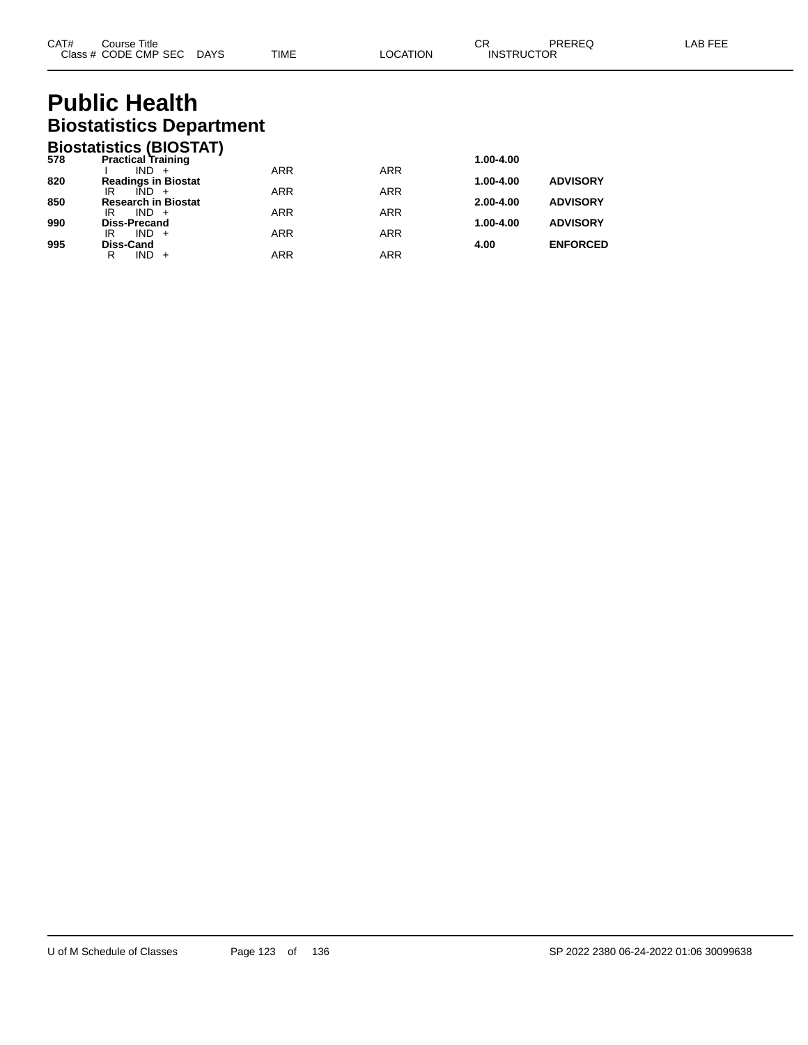## **Public Health Biostatistics Department**

|     | <b>Biostatistics (BIOSTAT)</b>              |            |            |               |                 |
|-----|---------------------------------------------|------------|------------|---------------|-----------------|
| 578 | <b>Practical Training</b>                   |            |            | 1.00-4.00     |                 |
|     | IND.<br>$+$                                 | <b>ARR</b> | <b>ARR</b> |               |                 |
| 820 | <b>Readings in Biostat</b>                  |            |            | 1.00-4.00     | <b>ADVISORY</b> |
| 850 | $IND +$<br>IR<br><b>Research in Biostat</b> | <b>ARR</b> | <b>ARR</b> | $2.00 - 4.00$ | <b>ADVISORY</b> |
|     | $IND +$<br>IR                               | <b>ARR</b> | <b>ARR</b> |               |                 |
| 990 | <b>Diss-Precand</b>                         |            |            | 1.00-4.00     | <b>ADVISORY</b> |
|     | $IND +$<br>IR                               | <b>ARR</b> | <b>ARR</b> |               |                 |
| 995 | <b>Diss-Cand</b>                            |            |            | 4.00          | <b>ENFORCED</b> |
|     | <b>IND</b><br>R                             | ARR        | <b>ARR</b> |               |                 |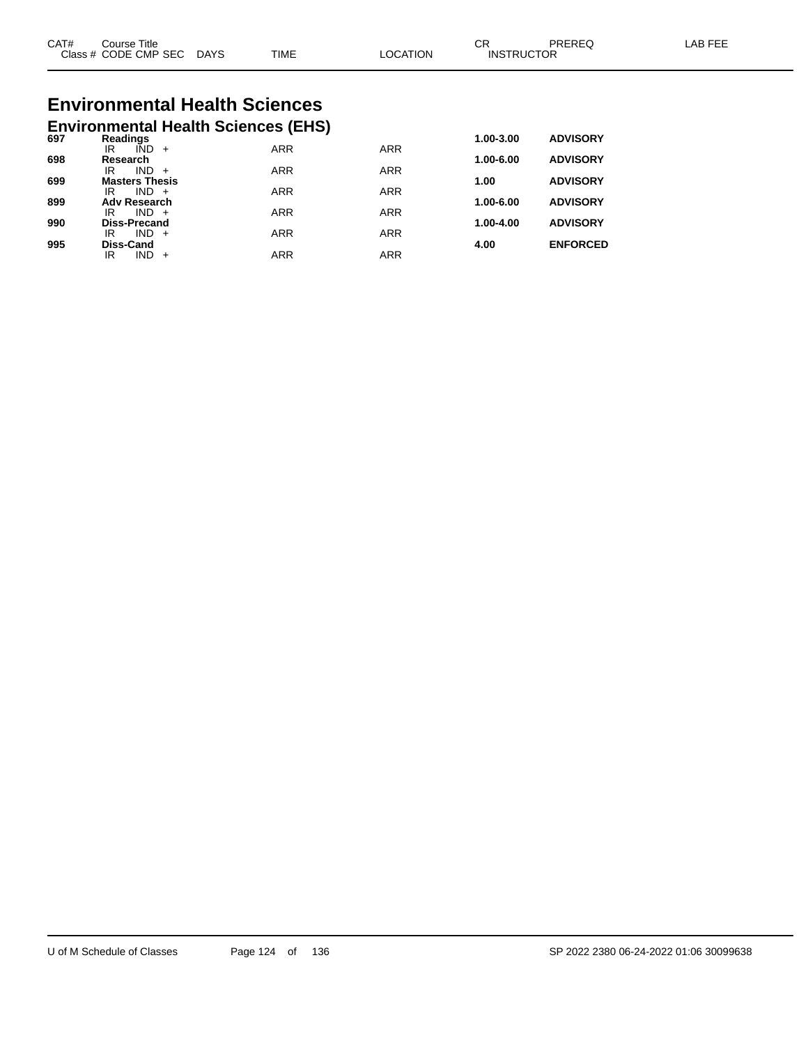| CAT#<br>Class | Title<br>′Jourse<br><b>CODE CMP SEC</b> | <b>DAYS</b> | <b>TIME</b> | <b>TION</b><br>ററ | ⌒冖<br>◡◠<br>JCTOR<br><b>INSTRI</b> | DDEDEC | AB F |
|---------------|-----------------------------------------|-------------|-------------|-------------------|------------------------------------|--------|------|
|               |                                         |             |             |                   |                                    |        |      |

# **Environmental Health Sciences**

|     |                                   | <b>Environmental Health Sciences (EHS)</b> |            |            |           |                 |
|-----|-----------------------------------|--------------------------------------------|------------|------------|-----------|-----------------|
| 697 | Readings                          |                                            |            |            | 1.00-3.00 | <b>ADVISORY</b> |
|     | IÑD<br>IR                         | $+$                                        | <b>ARR</b> | <b>ARR</b> |           |                 |
| 698 | Research<br><b>IND</b><br>ΙR      | $+$                                        | <b>ARR</b> | <b>ARR</b> | 1.00-6.00 | <b>ADVISORY</b> |
| 699 | <b>Masters Thesis</b>             |                                            |            |            | 1.00      | <b>ADVISORY</b> |
|     | $IND +$<br>IR                     |                                            | <b>ARR</b> | <b>ARR</b> |           |                 |
| 899 | <b>Adv Research</b>               |                                            |            |            | 1.00-6.00 | <b>ADVISORY</b> |
|     | $IND +$<br>IR                     |                                            | <b>ARR</b> | <b>ARR</b> |           |                 |
| 990 | <b>Diss-Precand</b><br>IND.<br>IR | $+$                                        | <b>ARR</b> | <b>ARR</b> | 1.00-4.00 | <b>ADVISORY</b> |
| 995 | <b>Diss-Cand</b>                  |                                            |            |            | 4.00      | <b>ENFORCED</b> |
|     | IND<br>IR                         |                                            | ARR        | <b>ARR</b> |           |                 |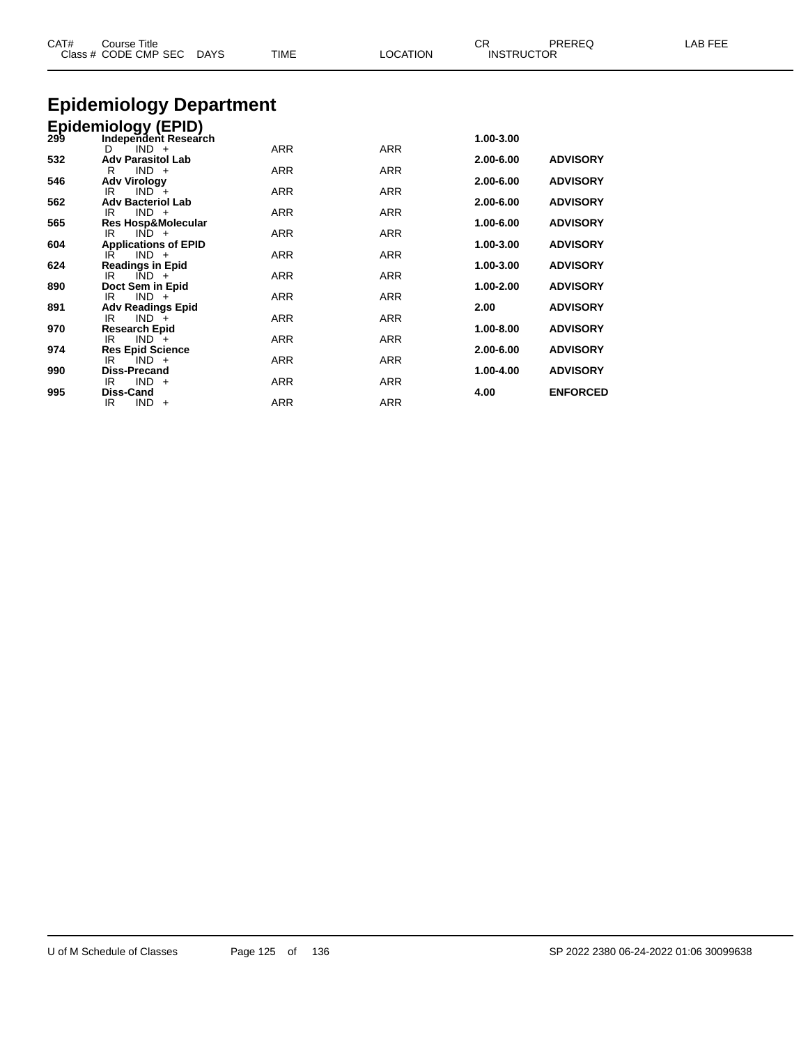| CAT# | <b>Course Title</b><br>Class # CODE CMP SEC DAYS                       | <b>TIME</b> | <b>LOCATION</b> | CR<br><b>INSTRUCTOR</b> | PREREQ          | LAB FEE |
|------|------------------------------------------------------------------------|-------------|-----------------|-------------------------|-----------------|---------|
|      | <b>Epidemiology Department</b>                                         |             |                 |                         |                 |         |
|      |                                                                        |             |                 |                         |                 |         |
|      | Epidemiology (EPID)<br>299 Independent Researd<br>Independent Research |             |                 | 1.00-3.00               |                 |         |
|      | $IND +$<br>D                                                           | <b>ARR</b>  | <b>ARR</b>      |                         |                 |         |
| 532  | <b>Adv Parasitol Lab</b>                                               |             |                 | 2.00-6.00               | <b>ADVISORY</b> |         |
|      | $IND +$<br>R                                                           | <b>ARR</b>  | <b>ARR</b>      |                         |                 |         |
| 546  | <b>Adv Virology</b><br>$IND +$<br>IR                                   | <b>ARR</b>  | <b>ARR</b>      | 2.00-6.00               | <b>ADVISORY</b> |         |
| 562  | <b>Adv Bacteriol Lab</b>                                               |             |                 | 2.00-6.00               | <b>ADVISORY</b> |         |
|      | $IND +$<br>IR                                                          | ARR         | ARR             |                         |                 |         |
| 565  | <b>Res Hosp&amp;Molecular</b>                                          |             |                 | 1.00-6.00               | <b>ADVISORY</b> |         |
| 604  | $IND +$<br>IR                                                          | ARR         | <b>ARR</b>      | 1.00-3.00               | <b>ADVISORY</b> |         |
|      | <b>Applications of EPID</b><br>$IND +$<br>IR                           | ARR         | <b>ARR</b>      |                         |                 |         |
| 624  | <b>Readings in Epid</b>                                                |             |                 | 1.00-3.00               | <b>ADVISORY</b> |         |
|      | IR<br>$IND +$                                                          | <b>ARR</b>  | <b>ARR</b>      |                         |                 |         |
| 890  | Doct Sem in Epid                                                       |             |                 | 1.00-2.00               | <b>ADVISORY</b> |         |
| 891  | $IND +$<br>IR<br><b>Adv Readings Epid</b>                              | <b>ARR</b>  | <b>ARR</b>      | 2.00                    | <b>ADVISORY</b> |         |
|      | $IND +$<br>IR                                                          | <b>ARR</b>  | <b>ARR</b>      |                         |                 |         |
| 970  | <b>Research Epid</b>                                                   |             |                 | 1.00-8.00               | <b>ADVISORY</b> |         |
|      | $IND +$<br>IR                                                          | ARR         | <b>ARR</b>      |                         |                 |         |
| 974  | <b>Res Epid Science</b>                                                |             |                 | 2.00-6.00               | <b>ADVISORY</b> |         |
| 990  | $IND +$<br>IR<br><b>Diss-Precand</b>                                   | <b>ARR</b>  | <b>ARR</b>      | 1.00-4.00               | <b>ADVISORY</b> |         |
|      | $IND +$<br>IR                                                          | <b>ARR</b>  | ARR             |                         |                 |         |
| 995  | Diss-Cand                                                              |             |                 | 4.00                    | <b>ENFORCED</b> |         |
|      | $IND +$<br>IR                                                          | <b>ARR</b>  | <b>ARR</b>      |                         |                 |         |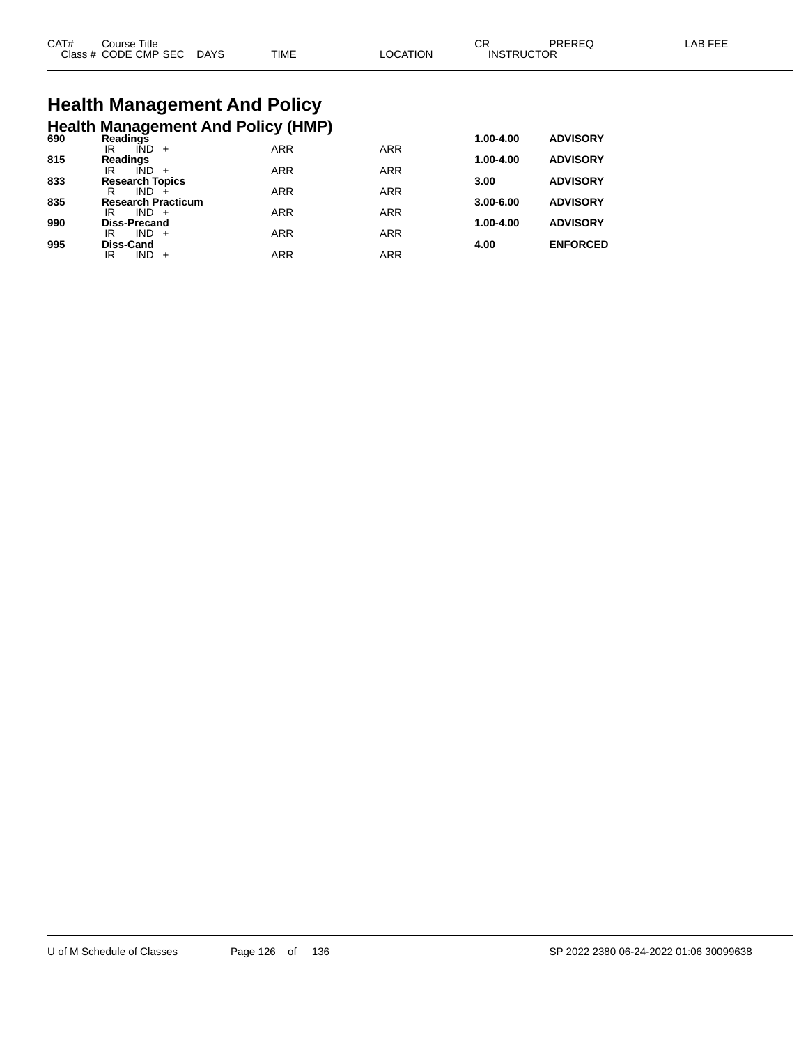| CAT# | Course Title .       |             |             |                | СF                | <b>PRERE</b> | AR FFF |
|------|----------------------|-------------|-------------|----------------|-------------------|--------------|--------|
|      | Class # CODE CMP SEC | <b>DAYS</b> | <b>TIME</b> | <b>OCATION</b> | <b>INSTRUCTOR</b> |              |        |

## **Health Management And Policy Health Management And Policy (HMP) 690 Readings 1.00-4.00 ADVISORY**

| งงบ | Readilius                 |            |            | 1.VV-4.VV     | <b>ADVIJURI</b> |
|-----|---------------------------|------------|------------|---------------|-----------------|
|     | IÑD<br>ΙR<br>$+$          | <b>ARR</b> | <b>ARR</b> |               |                 |
| 815 | <b>Readings</b>           |            |            | $1.00 - 4.00$ | <b>ADVISORY</b> |
|     | IND<br>IR                 | <b>ARR</b> | <b>ARR</b> |               |                 |
| 833 | <b>Research Topics</b>    |            |            | 3.00          | <b>ADVISORY</b> |
|     | R<br>IND.                 | <b>ARR</b> | <b>ARR</b> |               |                 |
| 835 | <b>Research Practicum</b> |            |            | $3.00 - 6.00$ | <b>ADVISORY</b> |
|     | $IND +$<br>IR             | <b>ARR</b> | <b>ARR</b> |               |                 |
| 990 | <b>Diss-Precand</b>       |            |            | $1.00 - 4.00$ | <b>ADVISORY</b> |
|     | $IND +$<br>IR             | <b>ARR</b> | ARR        |               |                 |
| 995 | Diss-Cand                 |            |            | 4.00          | <b>ENFORCED</b> |
|     | IND.<br>IR<br>$+$         | <b>ARR</b> | ARR        |               |                 |
|     |                           |            |            |               |                 |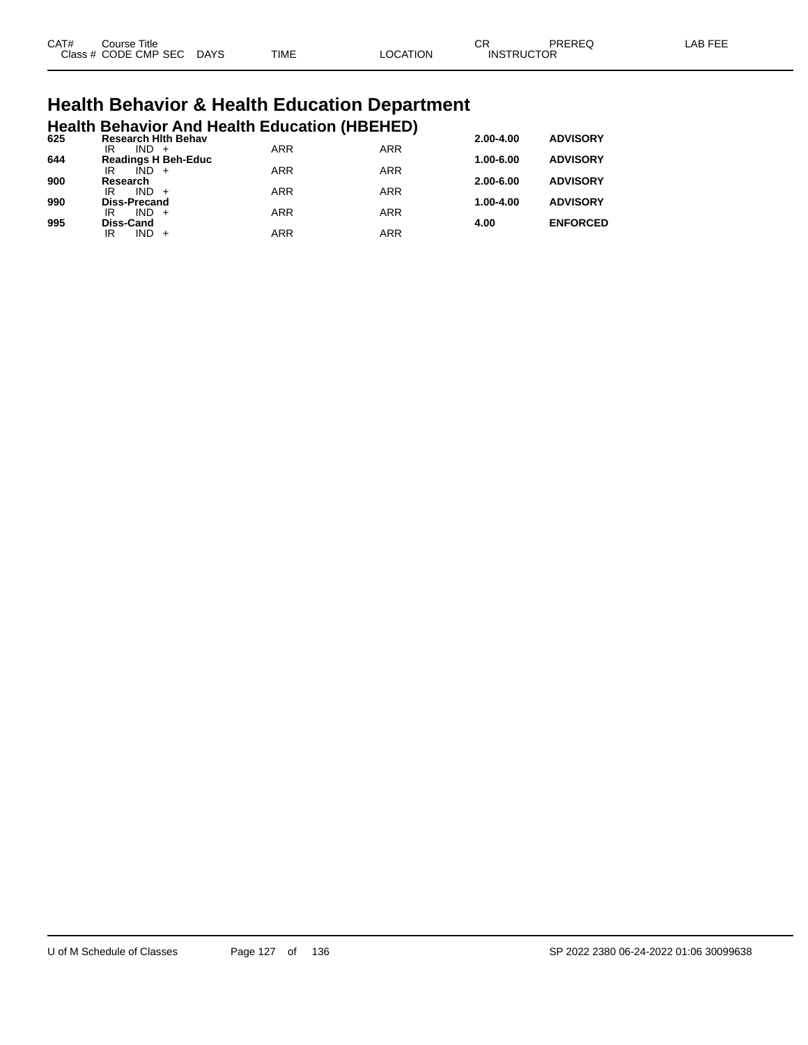| CAT# | Title<br>Course      |             |             |                | $\cap$<br>◡       | PREREQ | AR EEI |
|------|----------------------|-------------|-------------|----------------|-------------------|--------|--------|
|      | Class # CODE CMP SEC | <b>DAYS</b> | <b>TIME</b> | <b>OCATION</b> | <b>INSTRUCTOR</b> |        |        |

# **Health Behavior & Health Education Department**

|     |                           |         |                            | <b>Health Behavior And Health Education (HBEHED)</b> |            |               |                 |
|-----|---------------------------|---------|----------------------------|------------------------------------------------------|------------|---------------|-----------------|
| 625 | IR                        | $IND +$ | <b>Research Hith Behav</b> | <b>ARR</b>                                           | <b>ARR</b> | 2.00-4.00     | <b>ADVISORY</b> |
| 644 |                           |         | <b>Readings H Beh-Educ</b> |                                                      |            | $1.00 - 6.00$ | <b>ADVISORY</b> |
| 900 | IR<br>Research            | $IND +$ |                            | <b>ARR</b>                                           | <b>ARR</b> | $2.00 - 6.00$ | <b>ADVISORY</b> |
|     | IR                        | $IND +$ |                            | <b>ARR</b>                                           | <b>ARR</b> |               |                 |
| 990 | <b>Diss-Precand</b><br>IR | $IND +$ |                            | <b>ARR</b>                                           | <b>ARR</b> | 1.00-4.00     | <b>ADVISORY</b> |
| 995 | Diss-Cand                 |         |                            |                                                      |            | 4.00          | <b>ENFORCED</b> |
|     | ΙR                        | $IND +$ |                            | ARR                                                  | <b>ARR</b> |               |                 |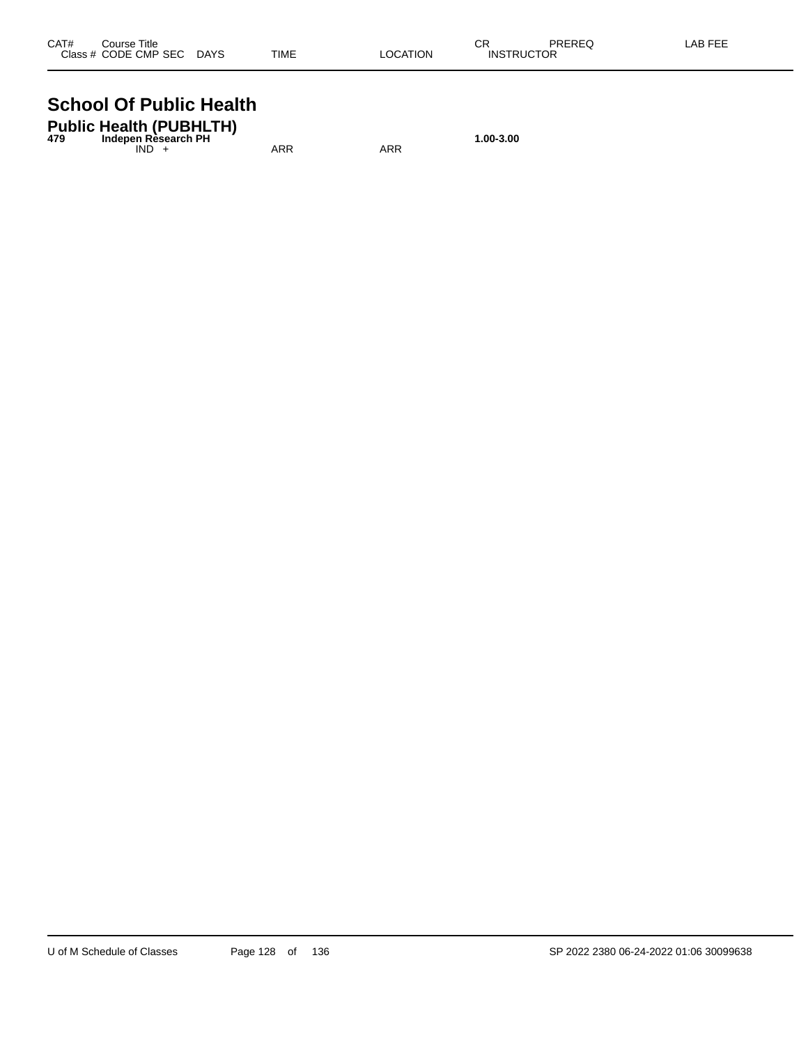| CAT# | Course Title         |             |             |          | ⌒冖<br>◡           | PREREQ | LAB FEE |
|------|----------------------|-------------|-------------|----------|-------------------|--------|---------|
|      | Class # CODE CMP SEC | <b>DAYS</b> | <b>TIME</b> | LOCATION | <b>INSTRUCTOR</b> |        |         |

#### **School Of Public Health**

| <b>Public Health (PUBHLTH)</b><br>Indepen Rèsearch PH<br>479 |     |     | 1.00-3.00 |
|--------------------------------------------------------------|-----|-----|-----------|
| IND.                                                         | ARR | ARR |           |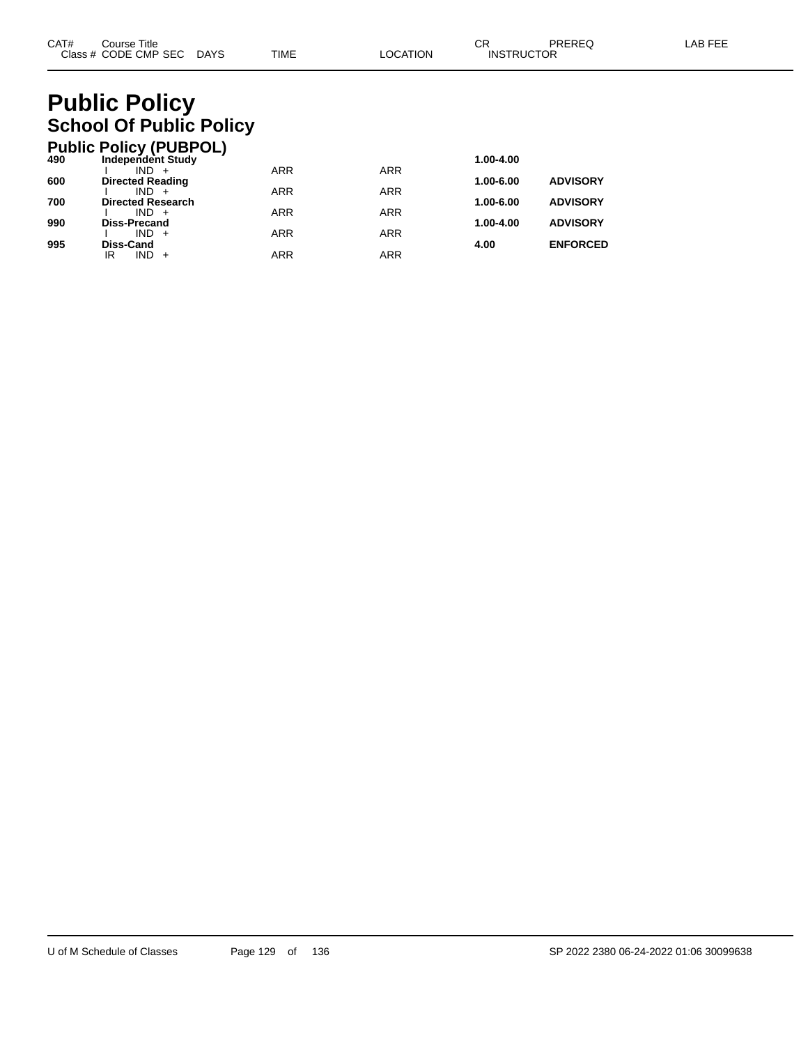## **Public Policy School Of Public Policy**

|     | <b>Public Policy (PUBPOL)</b>      |            |            |           |                 |
|-----|------------------------------------|------------|------------|-----------|-----------------|
| 490 | <b>Independent Study</b>           |            |            | 1.00-4.00 |                 |
|     | $IND +$                            | <b>ARR</b> | <b>ARR</b> |           |                 |
| 600 | <b>Directed Reading</b><br>$IND +$ | <b>ARR</b> | <b>ARR</b> | 1.00-6.00 | <b>ADVISORY</b> |
| 700 | <b>Directed Research</b>           |            |            | 1.00-6.00 | <b>ADVISORY</b> |
|     | $IND +$                            | <b>ARR</b> | <b>ARR</b> |           |                 |
| 990 | <b>Diss-Precand</b>                |            |            | 1.00-4.00 | <b>ADVISORY</b> |
| 995 | $IND +$<br>Diss-Cand               | <b>ARR</b> | <b>ARR</b> | 4.00      | <b>ENFORCED</b> |
|     | $IND +$<br>ΙR                      | <b>ARR</b> | ARR        |           |                 |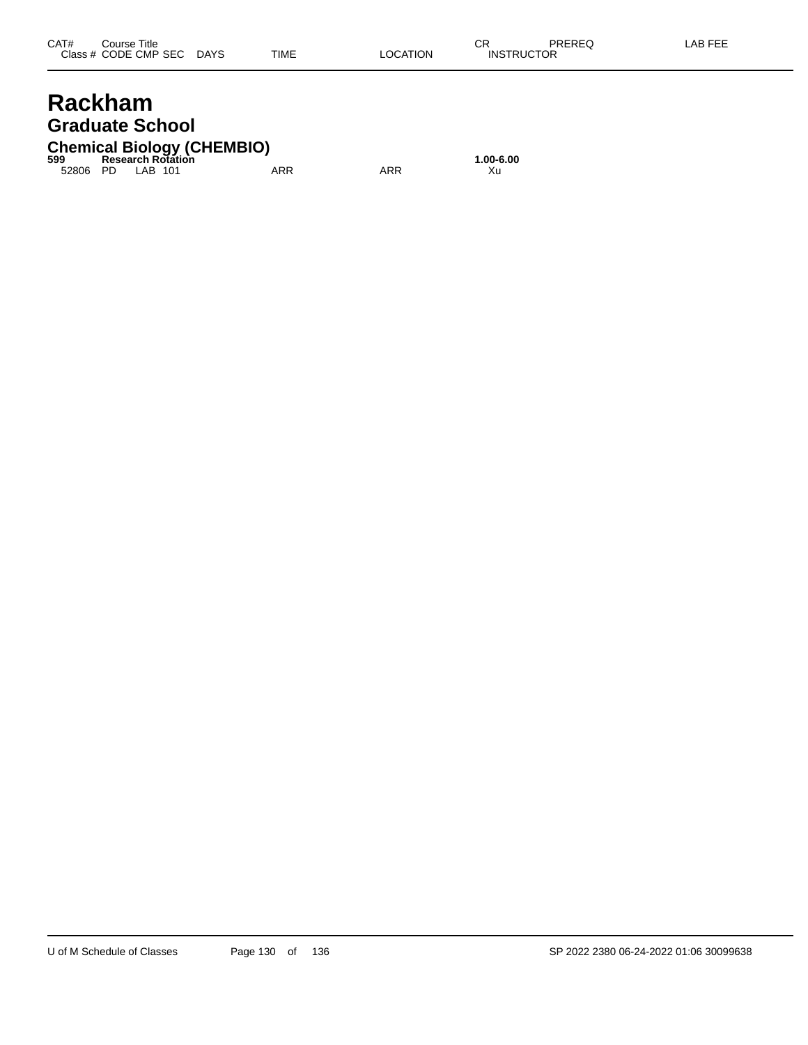## **Rackham Graduate School**

## **Chemical Biology (CHEMBIO) 599 Research Rotation 1.00-6.00**

52806 PD LAB 101 ARR ARR Xu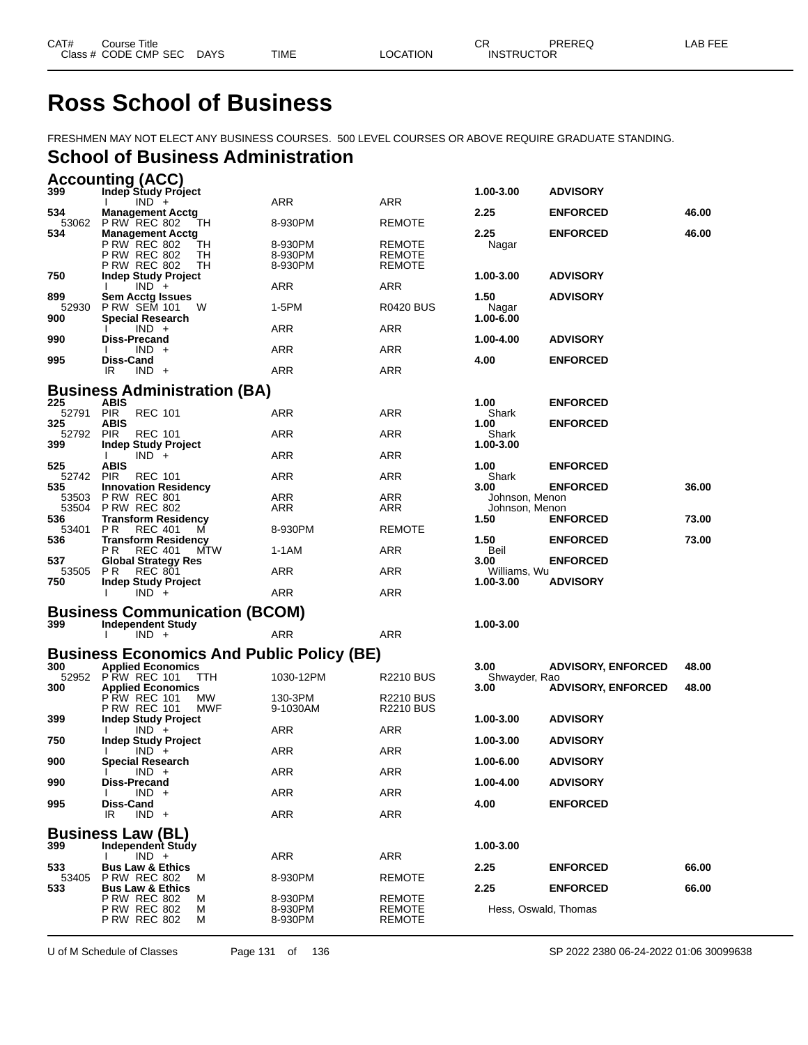## **Ross School of Business**

FRESHMEN MAY NOT ELECT ANY BUSINESS COURSES. 500 LEVEL COURSES OR ABOVE REQUIRE GRADUATE STANDING.

#### **School of Business Administration**

|                  | <b>Accounting (ACC)</b>                                                      |                    |                                |                           |                           |       |
|------------------|------------------------------------------------------------------------------|--------------------|--------------------------------|---------------------------|---------------------------|-------|
| 399              | Indep Study Project<br>$IND +$                                               | ARR                | ARR                            | 1.00-3.00                 | <b>ADVISORY</b>           |       |
| 534              | <b>Management Acctg</b>                                                      |                    |                                | 2.25                      | <b>ENFORCED</b>           | 46.00 |
| 534              | 53062 P RW REC 802<br>TН<br><b>Management Acctg</b>                          | 8-930PM            | <b>REMOTE</b>                  | 2.25                      | <b>ENFORCED</b>           | 46.00 |
|                  | <b>P RW REC 802</b><br>TН                                                    | 8-930PM            | <b>REMOTE</b>                  | Nagar                     |                           |       |
|                  | <b>P RW REC 802</b><br>TН<br><b>P RW REC 802</b><br>TH                       | 8-930PM<br>8-930PM | REMOTE<br><b>REMOTE</b>        |                           |                           |       |
| 750              | <b>Indep Study Project</b>                                                   |                    |                                | 1.00-3.00                 | <b>ADVISORY</b>           |       |
| 899              | $IND +$<br><b>Sem Acctg Issues</b>                                           | ARR                | ARR                            | 1.50                      | <b>ADVISORY</b>           |       |
| 52930<br>900     | <b>P RW SEM 101</b><br>W<br><b>Special Research</b>                          | 1-5PM              | <b>R0420 BUS</b>               | Nagar<br>1.00-6.00        |                           |       |
|                  | $IND +$                                                                      | ARR                | ARR                            |                           |                           |       |
| 990              | Diss-Precand<br>$IND +$                                                      | ARR                | ARR                            | 1.00-4.00                 | <b>ADVISORY</b>           |       |
| 995              | Diss-Cand<br>IR<br>$IND +$                                                   | ARR                | ARR                            | 4.00                      | <b>ENFORCED</b>           |       |
|                  |                                                                              |                    |                                |                           |                           |       |
| 225              | <b>Business Administration (BA)</b><br>ABIS                                  |                    |                                | 1.00                      | <b>ENFORCED</b>           |       |
| 52791            | <b>PIR</b><br><b>REC 101</b>                                                 | ARR                | ARR                            | Shark                     |                           |       |
| 325<br>52792 PIR | ABIS<br><b>REC 101</b>                                                       | ARR                | ARR                            | 1.00<br>Shark             | <b>ENFORCED</b>           |       |
| 399              | <b>Indep Study Project</b>                                                   |                    |                                | 1.00-3.00                 |                           |       |
| 525              | $IND +$<br>Ι.<br>ABIS                                                        | ARR                | ARR                            | 1.00                      | <b>ENFORCED</b>           |       |
| 52742 PIR        | <b>REC 101</b>                                                               | ARR                | ARR                            | Shark                     |                           |       |
| 535              | <b>Innovation Residency</b><br>53503 PRW REC 801                             | ARR                | ARR                            | 3.00<br>Johnson, Menon    | <b>ENFORCED</b>           | 36.00 |
|                  | 53504 P RW REC 802                                                           | ARR                | ARR                            | Johnson, Menon            |                           |       |
| 536<br>53401     | <b>Transform Residency</b><br>P R<br><b>REC 401</b><br>м                     | 8-930PM            | <b>REMOTE</b>                  | 1.50                      | <b>ENFORCED</b>           | 73.00 |
| 536              | <b>Transform Residency</b><br>РR<br><b>REC 401</b><br>MTW                    | 1-1AM              | ARR                            | 1.50<br>Beil              | <b>ENFORCED</b>           | 73.00 |
| 537              | <b>Global Strategy Res</b>                                                   |                    |                                | 3.00                      | <b>ENFORCED</b>           |       |
| 53505 PR<br>750  | <b>REC 801</b><br><b>Indep Study Project</b>                                 | ARR                | ARR                            | Williams, Wu<br>1.00-3.00 | <b>ADVISORY</b>           |       |
|                  | $IND +$                                                                      | ARR                | ARR                            |                           |                           |       |
|                  | <b>Business Communication (BCOM)</b>                                         |                    |                                |                           |                           |       |
| 399              | <b>Independent Study</b><br>$IND +$                                          | ARR                | ARR                            | 1.00-3.00                 |                           |       |
|                  |                                                                              |                    |                                |                           |                           |       |
| 300              | <b>Business Economics And Public Policy (BE)</b><br><b>Applied Economics</b> |                    |                                | 3.00                      | <b>ADVISORY, ENFORCED</b> | 48.00 |
| 52952            | <b>PRW REC 101</b><br>TTH                                                    | 1030-12PM          | R2210 BUS                      | Shwayder, Rao             |                           |       |
| 300              | <b>Applied Economics</b><br>P RW REC 101<br>МW                               | 130-3PM            | R2210 BUS                      | 3.00                      | <b>ADVISORY, ENFORCED</b> | 48.00 |
|                  | <b>P RW REC 101</b><br>MWF                                                   | 9-1030AM           | <b>R2210 BUS</b>               |                           |                           |       |
| 399              | <b>Indep Study Project</b><br>$IND +$                                        | ARR                | ARR                            | 1.00-3.00                 | <b>ADVISORY</b>           |       |
| 750              | <b>Indep Study Project</b>                                                   |                    |                                | 1.00-3.00                 | <b>ADVISORY</b>           |       |
| 900              | $IND +$<br><b>Special Research</b>                                           | ARR                | ARR                            | 1.00-6.00                 | <b>ADVISORY</b>           |       |
| 990              | $IND +$<br>$\mathbf{L}$<br>Diss-Precand                                      | <b>ARR</b>         | ARR                            | 1.00-4.00                 | <b>ADVISORY</b>           |       |
|                  | $IND +$                                                                      | <b>ARR</b>         | ARR                            |                           |                           |       |
| 995              | Diss-Cand<br>IR.<br>$IND +$                                                  | ARR                | ARR                            | 4.00                      | <b>ENFORCED</b>           |       |
|                  |                                                                              |                    |                                |                           |                           |       |
| 399              | <b>Business Law (BL)</b><br>Independent Study                                |                    |                                | 1.00-3.00                 |                           |       |
|                  | $IND +$                                                                      | <b>ARR</b>         | ARR                            |                           |                           |       |
| 533<br>53405     | <b>Bus Law &amp; Ethics</b><br><b>P RW REC 802</b><br>M                      | 8-930PM            | <b>REMOTE</b>                  | 2.25                      | <b>ENFORCED</b>           | 66.00 |
| 533              | <b>Bus Law &amp; Ethics</b>                                                  |                    |                                | 2.25                      | <b>ENFORCED</b>           | 66.00 |
|                  | <b>P RW REC 802</b><br>м<br><b>P RW REC 802</b><br>м                         | 8-930PM<br>8-930PM | <b>REMOTE</b><br><b>REMOTE</b> |                           | Hess, Oswald, Thomas      |       |
|                  | <b>P RW REC 802</b><br>м                                                     | 8-930PM            | <b>REMOTE</b>                  |                           |                           |       |

U of M Schedule of Classes Page 131 of 136 SP 2022 2380 06-24-2022 01:06 30099638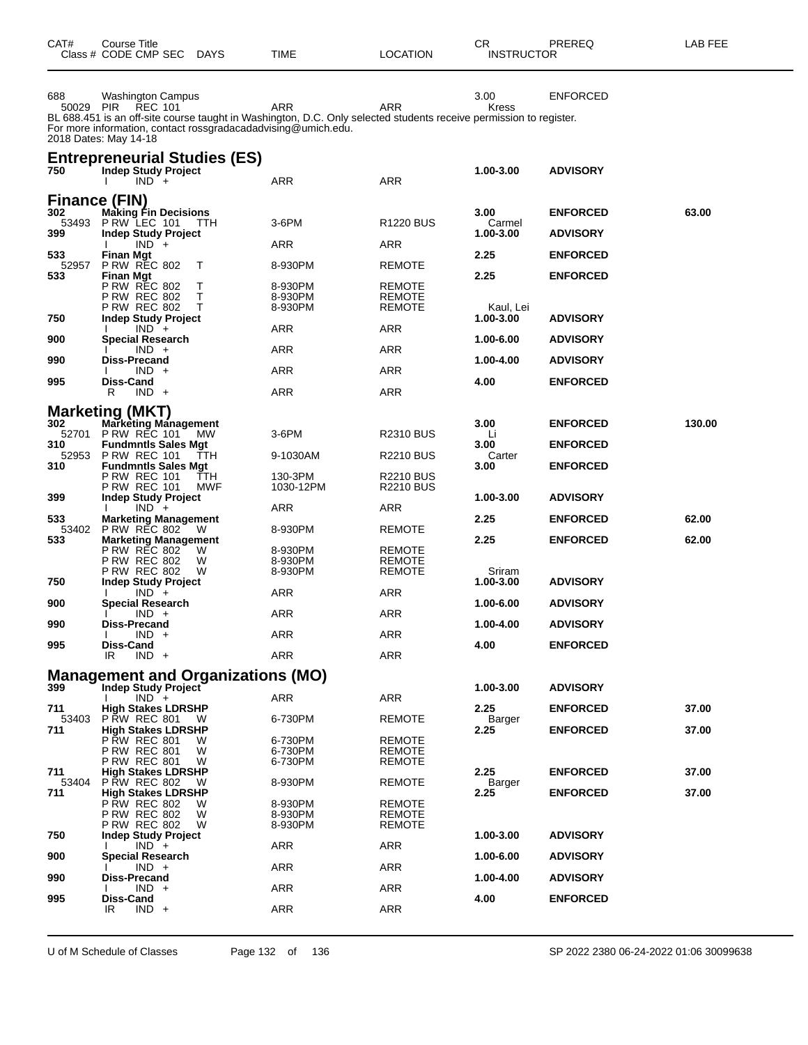| CAT#                | Course Title<br>Class # CODE CMP SEC<br><b>DAYS</b>                                                                                                                                                                                          | TIME                          | LOCATION                          | CR                          | PREREQ<br><b>INSTRUCTOR</b>        |        |
|---------------------|----------------------------------------------------------------------------------------------------------------------------------------------------------------------------------------------------------------------------------------------|-------------------------------|-----------------------------------|-----------------------------|------------------------------------|--------|
| 688<br>50029 PIR    | Washington Campus<br>REC 101<br>BL 688.451 is an off-site course taught in Washington, D.C. Only selected students receive permission to register.<br>For more information, contact rossgradacadadvising@umich.edu.<br>2018 Dates: May 14-18 | ARR                           | ARR                               | 3.00<br><b>Kress</b>        | <b>ENFORCED</b>                    |        |
| 750                 | <b>Entrepreneurial Studies (ES)</b><br><b>Indep Study Project</b><br>$IND +$<br>$\mathbf{I}$                                                                                                                                                 | ARR                           | ARR                               | 1.00-3.00                   | <b>ADVISORY</b>                    |        |
| 302<br>53493<br>399 | <b>Finance (FIN)</b><br><b>Making Fin Decisions</b><br>P RW LEC 101<br><b>TTH</b><br>Indep Study Project                                                                                                                                     | 3-6PM                         | R <sub>1220</sub> BUS             | 3.00<br>Carmel<br>1.00-3.00 | <b>ENFORCED</b><br><b>ADVISORY</b> | 63.00  |
| 533                 | $IND +$                                                                                                                                                                                                                                      | ARR                           | ARR                               | 2.25                        |                                    |        |
| 52957               | Finan Mgt<br><b>P RW REC 802</b><br>Т                                                                                                                                                                                                        | 8-930PM                       | <b>REMOTE</b>                     |                             | <b>ENFORCED</b>                    |        |
| 533                 | Finan Mgt<br><b>P RW REC 802</b><br>т<br>т<br>P RW REC 802<br>P RW REC 802<br>Т                                                                                                                                                              | 8-930PM<br>8-930PM<br>8-930PM | REMOTE<br>REMOTE<br><b>REMOTE</b> | 2.25<br>Kaul, Lei           | <b>ENFORCED</b>                    |        |
| 750                 | <b>Indep Study Project</b><br>$IND +$                                                                                                                                                                                                        | ARR                           | ARR                               | 1.00-3.00                   | <b>ADVISORY</b>                    |        |
| 900                 | Special Research<br>$IND +$                                                                                                                                                                                                                  | <b>ARR</b>                    | ARR                               | 1.00-6.00                   | <b>ADVISORY</b>                    |        |
| 990                 | Diss-Precand<br>$IND +$                                                                                                                                                                                                                      | ARR                           | ARR                               | 1.00-4.00                   | <b>ADVISORY</b>                    |        |
| 995                 | Diss-Cand                                                                                                                                                                                                                                    |                               |                                   | 4.00                        | <b>ENFORCED</b>                    |        |
|                     | $IND +$<br>R                                                                                                                                                                                                                                 | ARR                           | ARR                               |                             |                                    |        |
| 302                 | <b>Marketing (MKT)</b><br><b>Marketing Management</b>                                                                                                                                                                                        |                               |                                   | 3.00                        | <b>ENFORCED</b>                    | 130.00 |
| 52701<br>310        | <b>PRW REC 101</b><br>MW.<br><b>Fundmntls Sales Mgt</b>                                                                                                                                                                                      | $3-6$ PM                      | <b>R2310 BUS</b>                  | Li<br>3.00                  | <b>ENFORCED</b>                    |        |
| 52953<br>310        | <b>PRW REC 101</b><br>TTH<br><b>Fundmntls Sales Mgt</b>                                                                                                                                                                                      | 9-1030AM                      | <b>R2210 BUS</b>                  | Carter<br>3.00              | <b>ENFORCED</b>                    |        |
|                     | P RW REC 101<br>TTH<br>P RW REC 101<br><b>MWF</b>                                                                                                                                                                                            | 130-3PM<br>1030-12PM          | <b>R2210 BUS</b><br>R2210 BUS     |                             |                                    |        |
| 399                 | <b>Indep Study Project</b>                                                                                                                                                                                                                   |                               |                                   | 1.00-3.00                   | <b>ADVISORY</b>                    |        |
| 533                 | $IND +$<br><b>Marketing Management</b>                                                                                                                                                                                                       | ARR                           | ARR                               | 2.25                        | <b>ENFORCED</b>                    | 62.00  |
| 53402<br>533        | <b>P RW REC 802</b><br>- W<br><b>Marketing Management</b>                                                                                                                                                                                    | 8-930PM                       | <b>REMOTE</b>                     | 2.25                        | <b>ENFORCED</b>                    | 62.00  |
|                     | <b>P RW REC 802</b><br>W<br><b>P RW REC 802</b><br>W                                                                                                                                                                                         | 8-930PM<br>8-930PM            | <b>REMOTE</b><br><b>REMOTE</b>    |                             |                                    |        |
| 750                 | <b>P RW REC 802</b><br>W<br>Indep Study Project                                                                                                                                                                                              | 8-930PM                       | <b>REMOTE</b>                     | Sriram<br>1.00-3.00         | <b>ADVISORY</b>                    |        |
| 900                 | $IND +$                                                                                                                                                                                                                                      | ARR                           | ARR                               | 1.00-6.00                   | <b>ADVISORY</b>                    |        |
|                     | Special Research<br>$IND +$                                                                                                                                                                                                                  | ARR                           | ARR                               |                             |                                    |        |
| 990                 | Diss-Precand<br>$IND +$                                                                                                                                                                                                                      | ARR                           | ARR                               | 1.00-4.00                   | <b>ADVISORY</b>                    |        |
| 995                 | Diss-Cand<br>IR<br>$IND +$                                                                                                                                                                                                                   | <b>ARR</b>                    | ARR                               | 4.00                        | <b>ENFORCED</b>                    |        |
|                     | <b>Management and Organizations (MO)</b>                                                                                                                                                                                                     |                               |                                   |                             |                                    |        |
| 399                 | Indep Study Project<br>$IND +$                                                                                                                                                                                                               | ARR                           | ARR                               | 1.00-3.00                   | <b>ADVISORY</b>                    |        |
| 711<br>53403        | <b>High Stakes LDRSHP</b><br><b>P RW REC 801</b><br>W                                                                                                                                                                                        | 6-730PM                       | <b>REMOTE</b>                     | 2.25<br>Barger              | <b>ENFORCED</b>                    | 37.00  |
| 711                 | <b>High Stakes LDRSHP</b><br>P RW REC 801<br>W                                                                                                                                                                                               | 6-730PM                       | <b>REMOTE</b>                     | 2.25                        | <b>ENFORCED</b>                    | 37.00  |
|                     | P RW REC 801<br>W<br><b>P RW REC 801</b><br>w                                                                                                                                                                                                | 6-730PM<br>6-730PM            | <b>REMOTE</b><br><b>REMOTE</b>    |                             |                                    |        |
| 711<br>53404        | <b>High Stakes LDRSHP</b><br><b>P RW REC 802</b><br>W                                                                                                                                                                                        | 8-930PM                       | <b>REMOTE</b>                     | 2.25<br>Barger              | <b>ENFORCED</b>                    | 37.00  |
| 711                 | <b>High Stakes LDRSHP</b>                                                                                                                                                                                                                    |                               |                                   | 2.25                        | <b>ENFORCED</b>                    | 37.00  |
|                     | <b>P RW REC 802</b><br>W<br>P RW REC 802<br>W                                                                                                                                                                                                | 8-930PM<br>8-930PM            | <b>REMOTE</b><br><b>REMOTE</b>    |                             |                                    |        |
| 750                 | <b>P RW REC 802</b><br>w<br><b>Indep Study Project</b>                                                                                                                                                                                       | 8-930PM                       | <b>REMOTE</b>                     | 1.00-3.00                   | <b>ADVISORY</b>                    |        |
| 900                 | $IND +$<br>Special Research                                                                                                                                                                                                                  | ARR                           | ARR                               | 1.00-6.00                   | <b>ADVISORY</b>                    |        |
| 990                 | $IND +$<br>Diss-Precand                                                                                                                                                                                                                      | <b>ARR</b>                    | ARR                               | 1.00-4.00                   | <b>ADVISORY</b>                    |        |
| 995                 | $IND +$<br>Diss-Cand                                                                                                                                                                                                                         | <b>ARR</b>                    | <b>ARR</b>                        | 4.00                        | <b>ENFORCED</b>                    |        |
|                     | $IND +$<br>IR                                                                                                                                                                                                                                | <b>ARR</b>                    | ARR                               |                             |                                    |        |

U of M Schedule of Classes Page 132 of 136 SP 2022 2380 06-24-2022 01:06 30099638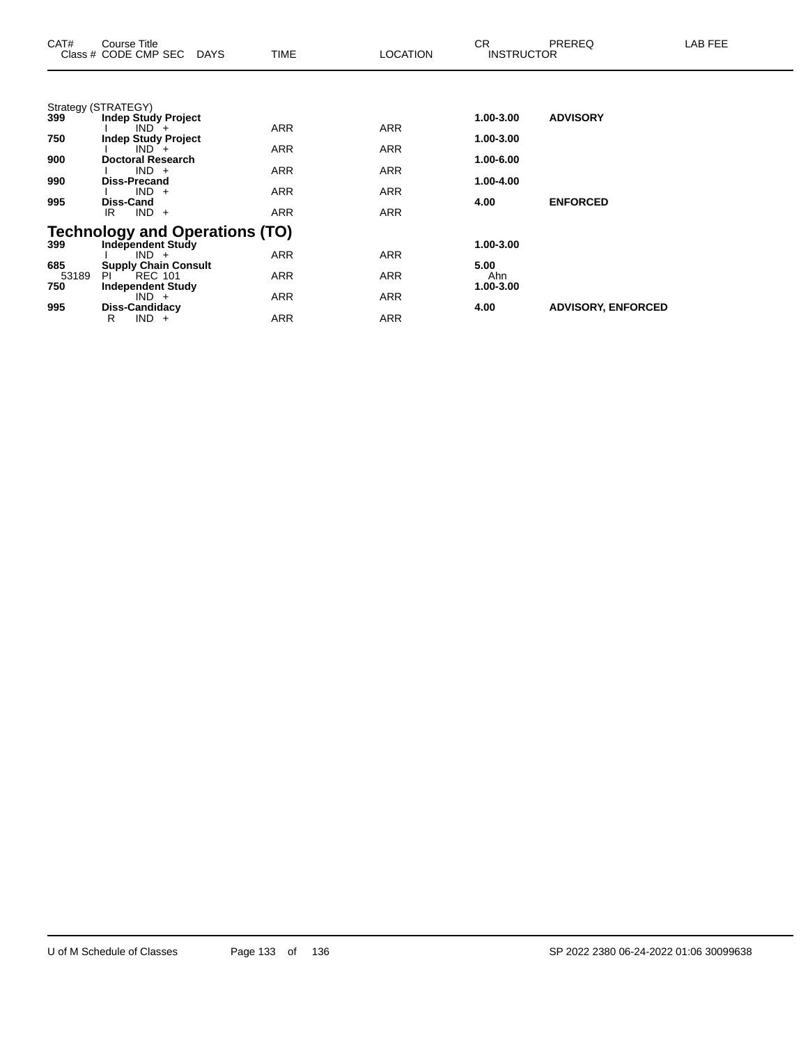| CAT#  | Course Title<br>Class # CODE CMP SEC DAYS         | TIME       | <b>LOCATION</b> | CR.<br><b>INSTRUCTOR</b> | <b>PREREQ</b>             | LAB FEE |
|-------|---------------------------------------------------|------------|-----------------|--------------------------|---------------------------|---------|
|       |                                                   |            |                 |                          |                           |         |
| 399   | Strategy (STRATEGY)<br><b>Indep Study Project</b> |            |                 | 1.00-3.00                | <b>ADVISORY</b>           |         |
|       | $IND +$                                           | <b>ARR</b> | ARR             |                          |                           |         |
| 750   | <b>Indep Study Project</b>                        |            |                 | 1.00-3.00                |                           |         |
|       | $IND +$                                           | ARR        | <b>ARR</b>      |                          |                           |         |
| 900   | <b>Doctoral Research</b>                          |            |                 | 1.00-6.00                |                           |         |
|       | $IND +$                                           | <b>ARR</b> | ARR             |                          |                           |         |
| 990   | <b>Diss-Precand</b>                               |            |                 | 1.00-4.00                |                           |         |
|       | $IND +$                                           | ARR        | ARR             |                          |                           |         |
| 995   | <b>Diss-Cand</b>                                  |            |                 | 4.00                     | <b>ENFORCED</b>           |         |
|       | $IND +$<br>IR                                     | <b>ARR</b> | ARR             |                          |                           |         |
|       | <b>Technology and Operations (TO)</b>             |            |                 |                          |                           |         |
| 399   | <b>Independent Study</b>                          |            |                 | 1.00-3.00                |                           |         |
|       | $IND +$                                           | <b>ARR</b> | <b>ARR</b>      |                          |                           |         |
| 685   | <b>Supply Chain Consult</b>                       |            |                 | 5.00                     |                           |         |
| 53189 | <b>REC 101</b><br>PI                              | ARR        | ARR             | Ahn                      |                           |         |
| 750   | <b>Independent Study</b>                          |            |                 | 1.00-3.00                |                           |         |
|       | $IND +$                                           | ARR        | ARR             |                          |                           |         |
| 995   | Diss-Candidacy                                    |            |                 | 4.00                     | <b>ADVISORY, ENFORCED</b> |         |
|       | $IND +$<br>R                                      | ARR        | <b>ARR</b>      |                          |                           |         |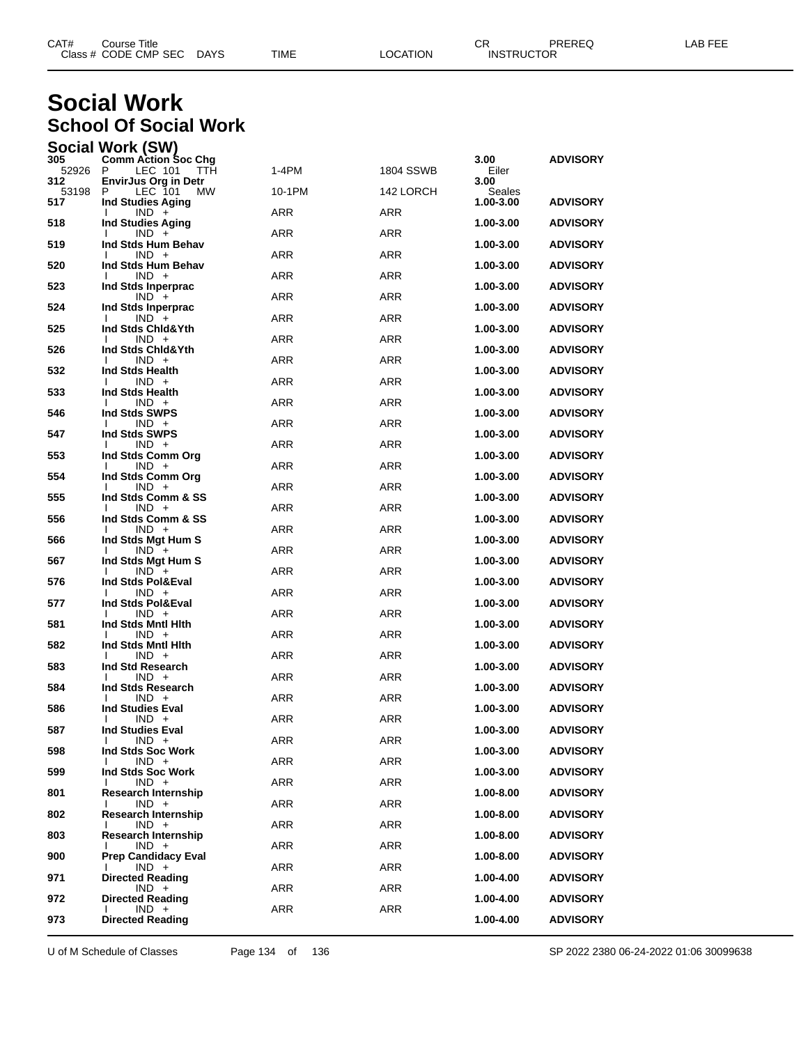| CAT# | Title<br>Course      |             |      |          | ◠г<br>◡⊓ | PREREQ            | AR FFF |
|------|----------------------|-------------|------|----------|----------|-------------------|--------|
|      | Class # CODE CMP SEC | <b>DAYS</b> | TIME | LOCATION |          | <b>INSTRUCTOR</b> |        |

## **Social Work School Of Social Work**

| Social Work (SW) |  |  |
|------------------|--|--|
|                  |  |  |

| 305          | <b>Comm Action Soc Chg</b>                           | 1-4PM      |            | 3.00                | <b>ADVISORY</b> |
|--------------|------------------------------------------------------|------------|------------|---------------------|-----------------|
| 52926<br>312 | - P<br>LEC 101<br>TTH<br><b>EnvirJus Org in Detr</b> |            | 1804 SSWB  | Eiler<br>3.00       |                 |
| 53198<br>517 | LEC 101<br>P<br>MW.<br><b>Ind Studies Aging</b>      | 10-1PM     | 142 LORCH  | Seales<br>1.00-3.00 | <b>ADVISORY</b> |
|              | $IND +$<br>I.                                        | ARR        | <b>ARR</b> |                     |                 |
| 518          | <b>Ind Studies Aging</b><br>$IND +$<br>I.            | <b>ARR</b> | ARR        | 1.00-3.00           | <b>ADVISORY</b> |
| 519          | Ind Stds Hum Behav                                   |            |            | 1.00-3.00           | <b>ADVISORY</b> |
| 520          | $IND +$<br>I.<br>Ind Stds Hum Behav                  | ARR        | <b>ARR</b> | 1.00-3.00           | <b>ADVISORY</b> |
| 523          | $IND +$<br>I.<br>Ind Stds Inperprac                  | <b>ARR</b> | <b>ARR</b> | 1.00-3.00           | <b>ADVISORY</b> |
|              | $IND +$                                              | <b>ARR</b> | ARR        |                     |                 |
| 524          | Ind Stds Inperprac<br>$IND +$<br>Ι.                  | ARR        | <b>ARR</b> | 1.00-3.00           | <b>ADVISORY</b> |
| 525          | Ind Stds Chid&Yth<br>$IND +$<br>I.                   | ARR        | <b>ARR</b> | 1.00-3.00           | <b>ADVISORY</b> |
| 526          | Ind Stds Chid&Yth                                    |            |            | 1.00-3.00           | <b>ADVISORY</b> |
| 532          | $IND +$<br>I.<br>Ind Stds Health                     | <b>ARR</b> | ARR        | 1.00-3.00           | <b>ADVISORY</b> |
| 533          | $IND +$<br>I.<br>Ind Stds Health                     | ARR        | <b>ARR</b> | 1.00-3.00           | <b>ADVISORY</b> |
|              | $IND +$<br>I.                                        | ARR        | <b>ARR</b> |                     |                 |
| 546          | Ind Stds SWPS<br>$IND +$<br>I.                       | <b>ARR</b> | ARR        | 1.00-3.00           | <b>ADVISORY</b> |
| 547          | Ind Stds SWPS<br>$IND +$<br>I.                       | ARR        | <b>ARR</b> | 1.00-3.00           | <b>ADVISORY</b> |
| 553          | Ind Stds Comm Org                                    |            |            | 1.00-3.00           | <b>ADVISORY</b> |
| 554          | $IND +$<br>I.<br>Ind Stds Comm Org                   | <b>ARR</b> | <b>ARR</b> | 1.00-3.00           | <b>ADVISORY</b> |
| 555          | $IND +$<br>I.<br>Ind Stds Comm & SS                  | <b>ARR</b> | ARR        | 1.00-3.00           | <b>ADVISORY</b> |
|              | $IND +$<br>I.                                        | ARR        | <b>ARR</b> |                     |                 |
| 556          | Ind Stds Comm & SS<br>$IND +$                        | <b>ARR</b> | <b>ARR</b> | 1.00-3.00           | <b>ADVISORY</b> |
| 566          | Ind Stds Mgt Hum S<br>$IND +$<br>I.                  | <b>ARR</b> | ARR        | 1.00-3.00           | <b>ADVISORY</b> |
| 567          | Ind Stds Mgt Hum S                                   | ARR        | <b>ARR</b> | 1.00-3.00           | <b>ADVISORY</b> |
| 576          | $IND +$<br>I.<br>Ind Stds Pol&Eval                   |            |            | 1.00-3.00           | <b>ADVISORY</b> |
| 577          | $IND +$<br>Ind Stds Pol&Eval                         | ARR        | <b>ARR</b> | 1.00-3.00           | <b>ADVISORY</b> |
| 581          | $IND +$<br>I.<br>Ind Stds Mntl Hith                  | <b>ARR</b> | ARR        | 1.00-3.00           | <b>ADVISORY</b> |
|              | $IND +$<br>I.                                        | ARR        | <b>ARR</b> |                     |                 |
| 582          | Ind Stds Mntl Hith<br>$IND +$<br>I.                  | ARR        | <b>ARR</b> | 1.00-3.00           | <b>ADVISORY</b> |
| 583          | Ind Std Research<br>$IND +$<br>I.                    | <b>ARR</b> | ARR        | 1.00-3.00           | <b>ADVISORY</b> |
| 584          | Ind Stds Research                                    |            |            | 1.00-3.00           | <b>ADVISORY</b> |
| 586          | $IND +$<br>I.<br><b>Ind Studies Eval</b>             | <b>ARR</b> | <b>ARR</b> | 1.00-3.00           | <b>ADVISORY</b> |
| 587          | $IND +$<br><b>Ind Studies Eval</b>                   | ARR        | <b>ARR</b> | 1.00-3.00           | <b>ADVISORY</b> |
|              | $IND +$<br>T                                         | ARR        | <b>ARR</b> |                     |                 |
| 598          | Ind Stds Soc Work<br>$IND +$<br>I.                   | ARR        | ARR        | 1.00-3.00           | <b>ADVISORY</b> |
| 599          | Ind Stds Soc Work<br>$IND +$                         | ARR        | ARR        | $1.00 - 3.00$       | <b>ADVISORY</b> |
| 801          | <b>Research Internship</b><br>$IND +$<br>л.          | ARR        | ARR        | 1.00-8.00           | <b>ADVISORY</b> |
| 802          | <b>Research Internship</b>                           |            |            | 1.00-8.00           | <b>ADVISORY</b> |
| 803          | $IND +$<br><b>Research Internship</b>                | ARR        | ARR        | 1.00-8.00           | <b>ADVISORY</b> |
| 900          | $IND +$<br><b>Prep Candidacy Eval</b>                | ARR        | ARR        | 1.00-8.00           | <b>ADVISORY</b> |
|              | $IND +$<br>I.                                        | ARR        | ARR        |                     |                 |
| 971          | <b>Directed Reading</b><br>$IND +$                   | ARR        | ARR        | 1.00-4.00           | <b>ADVISORY</b> |
| 972          | <b>Directed Reading</b><br>$IND +$<br>Ι.             | ARR        | ARR        | 1.00-4.00           | <b>ADVISORY</b> |
| 973          | <b>Directed Reading</b>                              |            |            | 1.00-4.00           | ADVISORY        |

U of M Schedule of Classes Page 134 of 136 SP 2022 2380 06-24-2022 01:06 30099638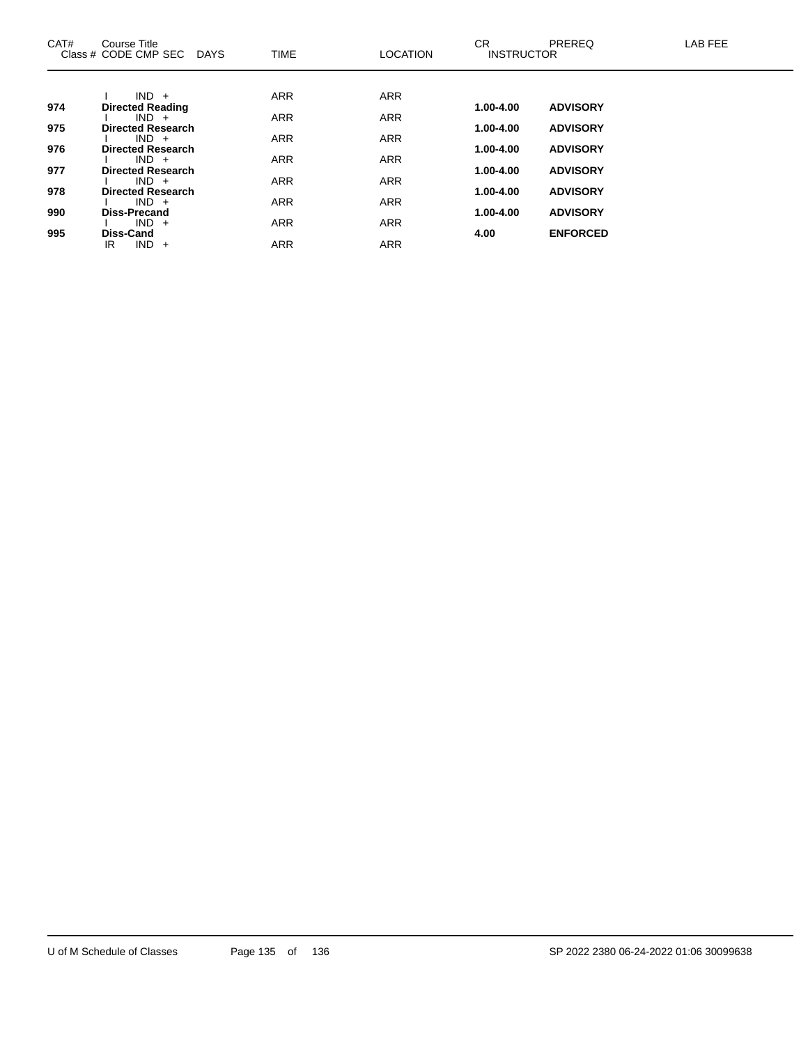| CAT# | Course Title<br>Class # CODE CMP SEC DAYS | <b>TIME</b> | <b>LOCATION</b> | <b>CR</b><br><b>INSTRUCTOR</b> | PREREQ          | <b>LAB FEE</b> |
|------|-------------------------------------------|-------------|-----------------|--------------------------------|-----------------|----------------|
|      |                                           |             |                 |                                |                 |                |
|      | $IND +$                                   | <b>ARR</b>  | <b>ARR</b>      |                                |                 |                |
| 974  | <b>Directed Reading</b>                   |             |                 | 1.00-4.00                      | <b>ADVISORY</b> |                |
| 975  | $IND +$<br><b>Directed Research</b>       | <b>ARR</b>  | <b>ARR</b>      | $1.00 - 4.00$                  | <b>ADVISORY</b> |                |
|      | $IND +$                                   | <b>ARR</b>  | <b>ARR</b>      |                                |                 |                |
| 976  | <b>Directed Research</b>                  |             |                 | 1.00-4.00                      | <b>ADVISORY</b> |                |
|      | $IND +$                                   | <b>ARR</b>  | <b>ARR</b>      |                                |                 |                |
| 977  | <b>Directed Research</b>                  |             |                 | 1.00-4.00                      | <b>ADVISORY</b> |                |
|      | $IND +$                                   | <b>ARR</b>  | <b>ARR</b>      |                                |                 |                |
| 978  | <b>Directed Research</b><br>$IND +$       | <b>ARR</b>  | <b>ARR</b>      | 1.00-4.00                      | <b>ADVISORY</b> |                |
| 990  | Diss-Precand                              |             |                 | 1.00-4.00                      | <b>ADVISORY</b> |                |
|      | $IND +$                                   | <b>ARR</b>  | <b>ARR</b>      |                                |                 |                |
| 995  | <b>Diss-Cand</b>                          |             |                 | 4.00                           | <b>ENFORCED</b> |                |
|      | $IND +$<br>IR                             | <b>ARR</b>  | <b>ARR</b>      |                                |                 |                |